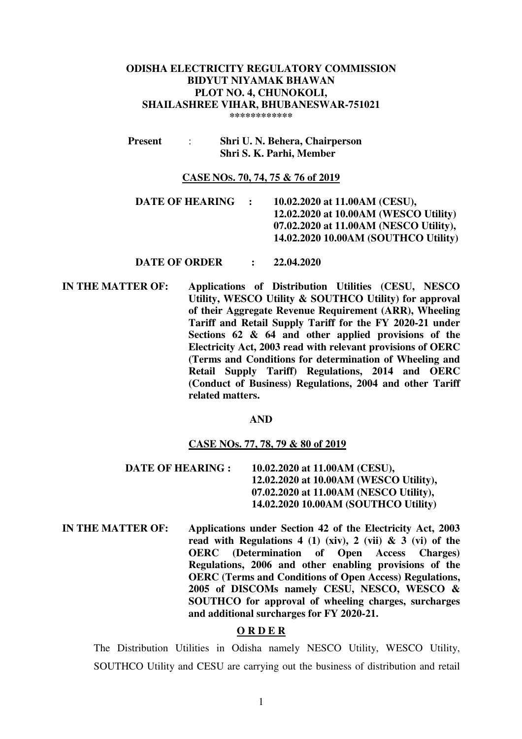#### **ODISHA ELECTRICITY REGULATORY COMMISSION BIDYUT NIYAMAK BHAWAN PLOT NO. 4, CHUNOKOLI, SHAILASHREE VIHAR, BHUBANESWAR-751021 \*\*\*\*\*\*\*\*\*\*\*\***

 **Present** : **Shri U. N. Behera, Chairperson Shri S. K. Parhi, Member** 

# **CASE NOS. 70, 74, 75 & 76 of 2019**

- **DATE OF HEARING : 10.02.2020 at 11.00AM (CESU), 12.02.2020 at 10.00AM (WESCO Utility) 07.02.2020 at 11.00AM (NESCO Utility), 14.02.2020 10.00AM (SOUTHCO Utility)**
- **DATE OF ORDER : 22.04.2020**
- **IN THE MATTER OF: Applications of Distribution Utilities (CESU, NESCO Utility, WESCO Utility & SOUTHCO Utility) for approval of their Aggregate Revenue Requirement (ARR), Wheeling Tariff and Retail Supply Tariff for the FY 2020-21 under Sections 62 & 64 and other applied provisions of the Electricity Act, 2003 read with relevant provisions of OERC (Terms and Conditions for determination of Wheeling and Retail Supply Tariff) Regulations, 2014 and OERC (Conduct of Business) Regulations, 2004 and other Tariff related matters.**

#### **AND**

#### **CASE NOs. 77, 78, 79 & 80 of 2019**

- **DATE OF HEARING : 10.02.2020 at 11.00AM (CESU), 12.02.2020 at 10.00AM (WESCO Utility), 07.02.2020 at 11.00AM (NESCO Utility), 14.02.2020 10.00AM (SOUTHCO Utility)**
- **IN THE MATTER OF: Applications under Section 42 of the Electricity Act, 2003 read with Regulations 4 (1) (xiv), 2 (vii) & 3 (vi) of the OERC (Determination of Open Access Charges) Regulations, 2006 and other enabling provisions of the OERC (Terms and Conditions of Open Access) Regulations, 2005 of DISCOMs namely CESU, NESCO, WESCO & SOUTHCO for approval of wheeling charges, surcharges and additional surcharges for FY 2020-21.**

#### **O R D E R**

The Distribution Utilities in Odisha namely NESCO Utility, WESCO Utility, SOUTHCO Utility and CESU are carrying out the business of distribution and retail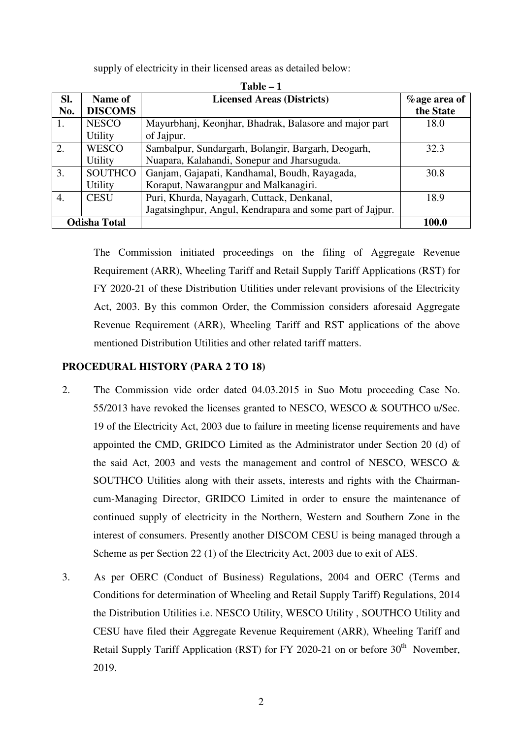|     | Table – T           |                                                           |                 |  |  |  |  |  |  |
|-----|---------------------|-----------------------------------------------------------|-----------------|--|--|--|--|--|--|
| Sl. | Name of             | <b>Licensed Areas (Districts)</b>                         | $%$ age area of |  |  |  |  |  |  |
| No. | <b>DISCOMS</b>      |                                                           | the State       |  |  |  |  |  |  |
| 1.  | <b>NESCO</b>        | Mayurbhanj, Keonjhar, Bhadrak, Balasore and major part    | 18.0            |  |  |  |  |  |  |
|     | <b>Utility</b>      | of Jajpur.                                                |                 |  |  |  |  |  |  |
| 2.  | WESCO               | Sambalpur, Sundargarh, Bolangir, Bargarh, Deogarh,        | 32.3            |  |  |  |  |  |  |
|     | <b>Utility</b>      | Nuapara, Kalahandi, Sonepur and Jharsuguda.               |                 |  |  |  |  |  |  |
| 3.  | <b>SOUTHCO</b>      | Ganjam, Gajapati, Kandhamal, Boudh, Rayagada,             | 30.8            |  |  |  |  |  |  |
|     | <b>Utility</b>      | Koraput, Nawarangpur and Malkanagiri.                     |                 |  |  |  |  |  |  |
| 4.  | <b>CESU</b>         | Puri, Khurda, Nayagarh, Cuttack, Denkanal,                | 18.9            |  |  |  |  |  |  |
|     |                     | Jagatsinghpur, Angul, Kendrapara and some part of Jajpur. |                 |  |  |  |  |  |  |
|     | <b>Odisha Total</b> |                                                           | 100.0           |  |  |  |  |  |  |

**Table – 1** 

supply of electricity in their licensed areas as detailed below:

The Commission initiated proceedings on the filing of Aggregate Revenue Requirement (ARR), Wheeling Tariff and Retail Supply Tariff Applications (RST) for FY 2020-21 of these Distribution Utilities under relevant provisions of the Electricity Act, 2003. By this common Order, the Commission considers aforesaid Aggregate Revenue Requirement (ARR), Wheeling Tariff and RST applications of the above mentioned Distribution Utilities and other related tariff matters.

## **PROCEDURAL HISTORY (PARA 2 TO 18)**

- 2. The Commission vide order dated 04.03.2015 in Suo Motu proceeding Case No. 55/2013 have revoked the licenses granted to NESCO, WESCO & SOUTHCO u/Sec. 19 of the Electricity Act, 2003 due to failure in meeting license requirements and have appointed the CMD, GRIDCO Limited as the Administrator under Section 20 (d) of the said Act, 2003 and vests the management and control of NESCO, WESCO  $\&$ SOUTHCO Utilities along with their assets, interests and rights with the Chairmancum-Managing Director, GRIDCO Limited in order to ensure the maintenance of continued supply of electricity in the Northern, Western and Southern Zone in the interest of consumers. Presently another DISCOM CESU is being managed through a Scheme as per Section 22 (1) of the Electricity Act, 2003 due to exit of AES.
- 3. As per OERC (Conduct of Business) Regulations, 2004 and OERC (Terms and Conditions for determination of Wheeling and Retail Supply Tariff) Regulations, 2014 the Distribution Utilities i.e. NESCO Utility, WESCO Utility , SOUTHCO Utility and CESU have filed their Aggregate Revenue Requirement (ARR), Wheeling Tariff and Retail Supply Tariff Application (RST) for FY 2020-21 on or before  $30<sup>th</sup>$  November, 2019.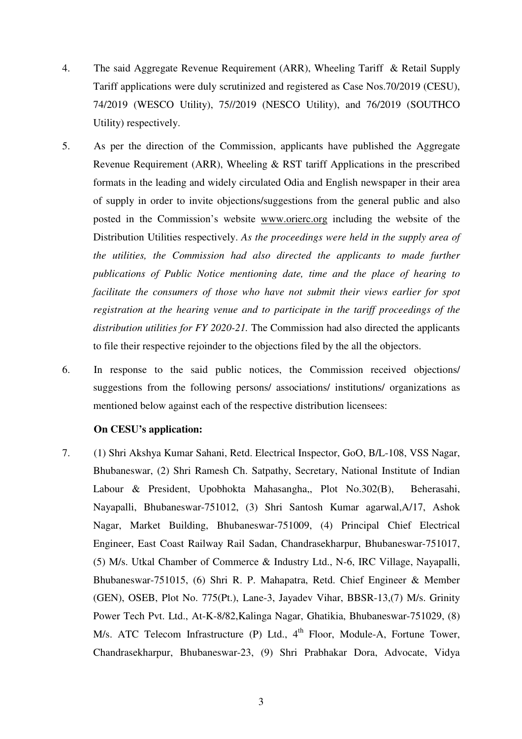- 4. The said Aggregate Revenue Requirement (ARR), Wheeling Tariff & Retail Supply Tariff applications were duly scrutinized and registered as Case Nos.70/2019 (CESU), 74/2019 (WESCO Utility), 75//2019 (NESCO Utility), and 76/2019 (SOUTHCO Utility) respectively.
- 5. As per the direction of the Commission, applicants have published the Aggregate Revenue Requirement (ARR), Wheeling & RST tariff Applications in the prescribed formats in the leading and widely circulated Odia and English newspaper in their area of supply in order to invite objections/suggestions from the general public and also posted in the Commission's website www.orierc.org including the website of the Distribution Utilities respectively. *As the proceedings were held in the supply area of the utilities, the Commission had also directed the applicants to made further publications of Public Notice mentioning date, time and the place of hearing to facilitate the consumers of those who have not submit their views earlier for spot registration at the hearing venue and to participate in the tariff proceedings of the distribution utilities for FY 2020-21.* The Commission had also directed the applicants to file their respective rejoinder to the objections filed by the all the objectors.
- 6. In response to the said public notices, the Commission received objections/ suggestions from the following persons/ associations/ institutions/ organizations as mentioned below against each of the respective distribution licensees:

## **On CESU's application:**

7. (1) Shri Akshya Kumar Sahani, Retd. Electrical Inspector, GoO, B/L-108, VSS Nagar, Bhubaneswar, (2) Shri Ramesh Ch. Satpathy, Secretary, National Institute of Indian Labour & President, Upobhokta Mahasangha,, Plot No.302(B), Beherasahi, Nayapalli, Bhubaneswar-751012, (3) Shri Santosh Kumar agarwal,A/17, Ashok Nagar, Market Building, Bhubaneswar-751009, (4) Principal Chief Electrical Engineer, East Coast Railway Rail Sadan, Chandrasekharpur, Bhubaneswar-751017, (5) M/s. Utkal Chamber of Commerce & Industry Ltd., N-6, IRC Village, Nayapalli, Bhubaneswar-751015, (6) Shri R. P. Mahapatra, Retd. Chief Engineer & Member (GEN), OSEB, Plot No. 775(Pt.), Lane-3, Jayadev Vihar, BBSR-13,(7) M/s. Grinity Power Tech Pvt. Ltd., At-K-8/82,Kalinga Nagar, Ghatikia, Bhubaneswar-751029, (8) M/s. ATC Telecom Infrastructure (P) Ltd., 4<sup>th</sup> Floor, Module-A, Fortune Tower, Chandrasekharpur, Bhubaneswar-23, (9) Shri Prabhakar Dora, Advocate, Vidya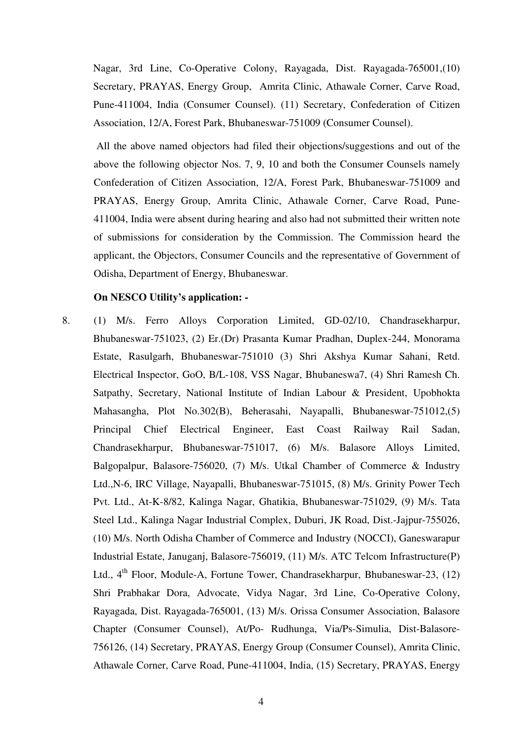Nagar, 3rd Line, Co-Operative Colony, Rayagada, Dist. Rayagada-765001,(10) Secretary, PRAYAS, Energy Group, Amrita Clinic, Athawale Corner, Carve Road, Pune-411004, India (Consumer Counsel). (11) Secretary, Confederation of Citizen Association, 12/A, Forest Park, Bhubaneswar-751009 (Consumer Counsel).

 All the above named objectors had filed their objections/suggestions and out of the above the following objector Nos. 7, 9, 10 and both the Consumer Counsels namely Confederation of Citizen Association, 12/A, Forest Park, Bhubaneswar-751009 and PRAYAS, Energy Group, Amrita Clinic, Athawale Corner, Carve Road, Pune-411004, India were absent during hearing and also had not submitted their written note of submissions for consideration by the Commission. The Commission heard the applicant, the Objectors, Consumer Councils and the representative of Government of Odisha, Department of Energy, Bhubaneswar.

### **On NESCO Utility's application: -**

8. (1) M/s. Ferro Alloys Corporation Limited, GD-02/10, Chandrasekharpur, Bhubaneswar-751023, (2) Er.(Dr) Prasanta Kumar Pradhan, Duplex-244, Monorama Estate, Rasulgarh, Bhubaneswar-751010 (3) Shri Akshya Kumar Sahani, Retd. Electrical Inspector, GoO, B/L-108, VSS Nagar, Bhubaneswa7, (4) Shri Ramesh Ch. Satpathy, Secretary, National Institute of Indian Labour & President, Upobhokta Mahasangha, Plot No.302(B), Beherasahi, Nayapalli, Bhubaneswar-751012,(5) Principal Chief Electrical Engineer, East Coast Railway Rail Sadan, Chandrasekharpur, Bhubaneswar-751017, (6) M/s. Balasore Alloys Limited, Balgopalpur, Balasore-756020, (7) M/s. Utkal Chamber of Commerce & Industry Ltd.,N-6, IRC Village, Nayapalli, Bhubaneswar-751015, (8) M/s. Grinity Power Tech Pvt. Ltd., At-K-8/82, Kalinga Nagar, Ghatikia, Bhubaneswar-751029, (9) M/s. Tata Steel Ltd., Kalinga Nagar Industrial Complex, Duburi, JK Road, Dist.-Jajpur-755026, (10) M/s. North Odisha Chamber of Commerce and Industry (NOCCI), Ganeswarapur Industrial Estate, Januganj, Balasore-756019, (11) M/s. ATC Telcom Infrastructure(P) Ltd., 4<sup>th</sup> Floor, Module-A, Fortune Tower, Chandrasekharpur, Bhubaneswar-23, (12) Shri Prabhakar Dora, Advocate, Vidya Nagar, 3rd Line, Co-Operative Colony, Rayagada, Dist. Rayagada-765001, (13) M/s. Orissa Consumer Association, Balasore Chapter (Consumer Counsel), At/Po- Rudhunga, Via/Ps-Simulia, Dist-Balasore-756126, (14) Secretary, PRAYAS, Energy Group (Consumer Counsel), Amrita Clinic, Athawale Corner, Carve Road, Pune-411004, India, (15) Secretary, PRAYAS, Energy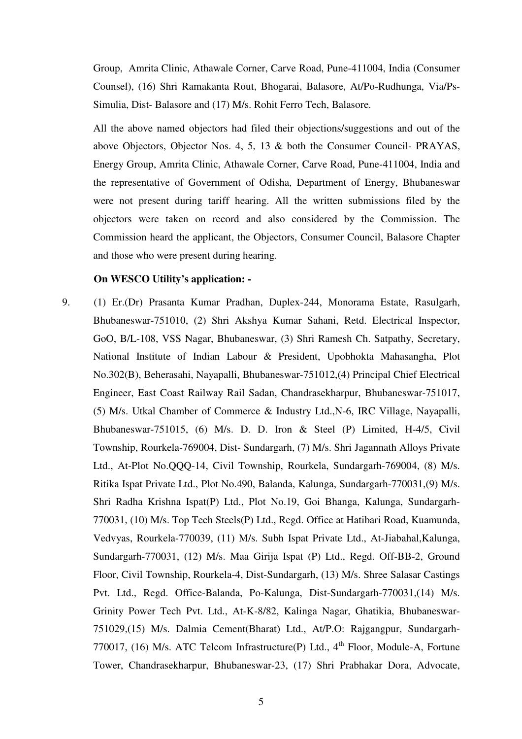Group, Amrita Clinic, Athawale Corner, Carve Road, Pune-411004, India (Consumer Counsel), (16) Shri Ramakanta Rout, Bhogarai, Balasore, At/Po-Rudhunga, Via/Ps-Simulia, Dist- Balasore and (17) M/s. Rohit Ferro Tech, Balasore.

All the above named objectors had filed their objections/suggestions and out of the above Objectors, Objector Nos. 4, 5, 13 & both the Consumer Council- PRAYAS, Energy Group, Amrita Clinic, Athawale Corner, Carve Road, Pune-411004, India and the representative of Government of Odisha, Department of Energy, Bhubaneswar were not present during tariff hearing. All the written submissions filed by the objectors were taken on record and also considered by the Commission. The Commission heard the applicant, the Objectors, Consumer Council, Balasore Chapter and those who were present during hearing.

#### **On WESCO Utility's application: -**

9. (1) Er.(Dr) Prasanta Kumar Pradhan, Duplex-244, Monorama Estate, Rasulgarh, Bhubaneswar-751010, (2) Shri Akshya Kumar Sahani, Retd. Electrical Inspector, GoO, B/L-108, VSS Nagar, Bhubaneswar, (3) Shri Ramesh Ch. Satpathy, Secretary, National Institute of Indian Labour & President, Upobhokta Mahasangha, Plot No.302(B), Beherasahi, Nayapalli, Bhubaneswar-751012,(4) Principal Chief Electrical Engineer, East Coast Railway Rail Sadan, Chandrasekharpur, Bhubaneswar-751017, (5) M/s. Utkal Chamber of Commerce & Industry Ltd.,N-6, IRC Village, Nayapalli, Bhubaneswar-751015, (6) M/s. D. D. Iron & Steel (P) Limited, H-4/5, Civil Township, Rourkela-769004, Dist- Sundargarh, (7) M/s. Shri Jagannath Alloys Private Ltd., At-Plot No.QQQ-14, Civil Township, Rourkela, Sundargarh-769004, (8) M/s. Ritika Ispat Private Ltd., Plot No.490, Balanda, Kalunga, Sundargarh-770031,(9) M/s. Shri Radha Krishna Ispat(P) Ltd., Plot No.19, Goi Bhanga, Kalunga, Sundargarh-770031, (10) M/s. Top Tech Steels(P) Ltd., Regd. Office at Hatibari Road, Kuamunda, Vedvyas, Rourkela-770039, (11) M/s. Subh Ispat Private Ltd., At-Jiabahal,Kalunga, Sundargarh-770031, (12) M/s. Maa Girija Ispat (P) Ltd., Regd. Off-BB-2, Ground Floor, Civil Township, Rourkela-4, Dist-Sundargarh, (13) M/s. Shree Salasar Castings Pvt. Ltd., Regd. Office-Balanda, Po-Kalunga, Dist-Sundargarh-770031,(14) M/s. Grinity Power Tech Pvt. Ltd., At-K-8/82, Kalinga Nagar, Ghatikia, Bhubaneswar-751029,(15) M/s. Dalmia Cement(Bharat) Ltd., At/P.O: Rajgangpur, Sundargarh-770017, (16) M/s. ATC Telcom Infrastructure(P) Ltd.,  $4<sup>th</sup>$  Floor, Module-A, Fortune Tower, Chandrasekharpur, Bhubaneswar-23, (17) Shri Prabhakar Dora, Advocate,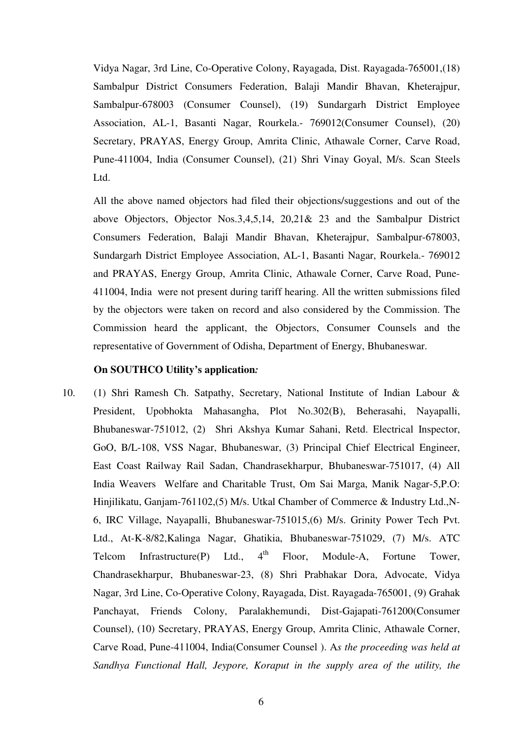Vidya Nagar, 3rd Line, Co-Operative Colony, Rayagada, Dist. Rayagada-765001,(18) Sambalpur District Consumers Federation, Balaji Mandir Bhavan, Kheterajpur, Sambalpur-678003 (Consumer Counsel), (19) Sundargarh District Employee Association, AL-1, Basanti Nagar, Rourkela.- 769012(Consumer Counsel), (20) Secretary, PRAYAS, Energy Group, Amrita Clinic, Athawale Corner, Carve Road, Pune-411004, India (Consumer Counsel), (21) Shri Vinay Goyal, M/s. Scan Steels Ltd.

All the above named objectors had filed their objections/suggestions and out of the above Objectors, Objector Nos.3,4,5,14, 20,21& 23 and the Sambalpur District Consumers Federation, Balaji Mandir Bhavan, Kheterajpur, Sambalpur-678003, Sundargarh District Employee Association, AL-1, Basanti Nagar, Rourkela.- 769012 and PRAYAS, Energy Group, Amrita Clinic, Athawale Corner, Carve Road, Pune-411004, India were not present during tariff hearing. All the written submissions filed by the objectors were taken on record and also considered by the Commission. The Commission heard the applicant, the Objectors, Consumer Counsels and the representative of Government of Odisha, Department of Energy, Bhubaneswar.

## **On SOUTHCO Utility's application***:*

10. (1) Shri Ramesh Ch. Satpathy, Secretary, National Institute of Indian Labour & President, Upobhokta Mahasangha, Plot No.302(B), Beherasahi, Nayapalli, Bhubaneswar-751012, (2) Shri Akshya Kumar Sahani, Retd. Electrical Inspector, GoO, B/L-108, VSS Nagar, Bhubaneswar, (3) Principal Chief Electrical Engineer, East Coast Railway Rail Sadan, Chandrasekharpur, Bhubaneswar-751017, (4) All India Weavers Welfare and Charitable Trust, Om Sai Marga, Manik Nagar-5,P.O: Hinjilikatu, Ganjam-761102,(5) M/s. Utkal Chamber of Commerce & Industry Ltd.,N-6, IRC Village, Nayapalli, Bhubaneswar-751015,(6) M/s. Grinity Power Tech Pvt. Ltd., At-K-8/82,Kalinga Nagar, Ghatikia, Bhubaneswar-751029, (7) M/s. ATC Telcom Infrastructure(P) Ltd.,  $4^{th}$  Floor, Module-A, Fortune Tower, Chandrasekharpur, Bhubaneswar-23, (8) Shri Prabhakar Dora, Advocate, Vidya Nagar, 3rd Line, Co-Operative Colony, Rayagada, Dist. Rayagada-765001, (9) Grahak Panchayat, Friends Colony, Paralakhemundi, Dist-Gajapati-761200(Consumer Counsel), (10) Secretary, PRAYAS, Energy Group, Amrita Clinic, Athawale Corner, Carve Road, Pune-411004, India(Consumer Counsel ). A*s the proceeding was held at Sandhya Functional Hall, Jeypore, Koraput in the supply area of the utility, the*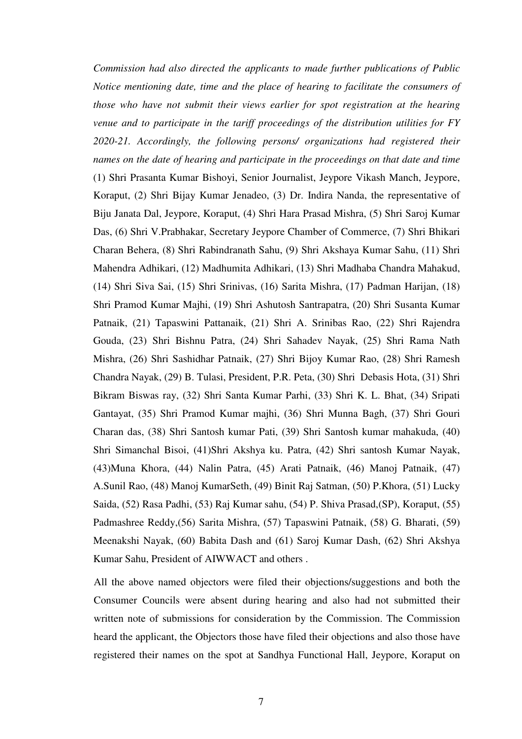*Commission had also directed the applicants to made further publications of Public Notice mentioning date, time and the place of hearing to facilitate the consumers of those who have not submit their views earlier for spot registration at the hearing venue and to participate in the tariff proceedings of the distribution utilities for FY 2020-21. Accordingly, the following persons/ organizations had registered their names on the date of hearing and participate in the proceedings on that date and time*  (1) Shri Prasanta Kumar Bishoyi, Senior Journalist, Jeypore Vikash Manch, Jeypore, Koraput, (2) Shri Bijay Kumar Jenadeo, (3) Dr. Indira Nanda, the representative of Biju Janata Dal, Jeypore, Koraput, (4) Shri Hara Prasad Mishra, (5) Shri Saroj Kumar Das, (6) Shri V.Prabhakar, Secretary Jeypore Chamber of Commerce, (7) Shri Bhikari Charan Behera, (8) Shri Rabindranath Sahu, (9) Shri Akshaya Kumar Sahu, (11) Shri Mahendra Adhikari, (12) Madhumita Adhikari, (13) Shri Madhaba Chandra Mahakud, (14) Shri Siva Sai, (15) Shri Srinivas, (16) Sarita Mishra, (17) Padman Harijan, (18) Shri Pramod Kumar Majhi, (19) Shri Ashutosh Santrapatra, (20) Shri Susanta Kumar Patnaik, (21) Tapaswini Pattanaik, (21) Shri A. Srinibas Rao, (22) Shri Rajendra Gouda, (23) Shri Bishnu Patra, (24) Shri Sahadev Nayak, (25) Shri Rama Nath Mishra, (26) Shri Sashidhar Patnaik, (27) Shri Bijoy Kumar Rao, (28) Shri Ramesh Chandra Nayak, (29) B. Tulasi, President, P.R. Peta, (30) Shri Debasis Hota, (31) Shri Bikram Biswas ray, (32) Shri Santa Kumar Parhi, (33) Shri K. L. Bhat, (34) Sripati Gantayat, (35) Shri Pramod Kumar majhi, (36) Shri Munna Bagh, (37) Shri Gouri Charan das, (38) Shri Santosh kumar Pati, (39) Shri Santosh kumar mahakuda, (40) Shri Simanchal Bisoi, (41)Shri Akshya ku. Patra, (42) Shri santosh Kumar Nayak, (43)Muna Khora, (44) Nalin Patra, (45) Arati Patnaik, (46) Manoj Patnaik, (47) A.Sunil Rao, (48) Manoj KumarSeth, (49) Binit Raj Satman, (50) P.Khora, (51) Lucky Saida, (52) Rasa Padhi, (53) Raj Kumar sahu, (54) P. Shiva Prasad,(SP), Koraput, (55) Padmashree Reddy,(56) Sarita Mishra, (57) Tapaswini Patnaik, (58) G. Bharati, (59) Meenakshi Nayak, (60) Babita Dash and (61) Saroj Kumar Dash, (62) Shri Akshya Kumar Sahu, President of AIWWACT and others .

All the above named objectors were filed their objections/suggestions and both the Consumer Councils were absent during hearing and also had not submitted their written note of submissions for consideration by the Commission. The Commission heard the applicant, the Objectors those have filed their objections and also those have registered their names on the spot at Sandhya Functional Hall, Jeypore, Koraput on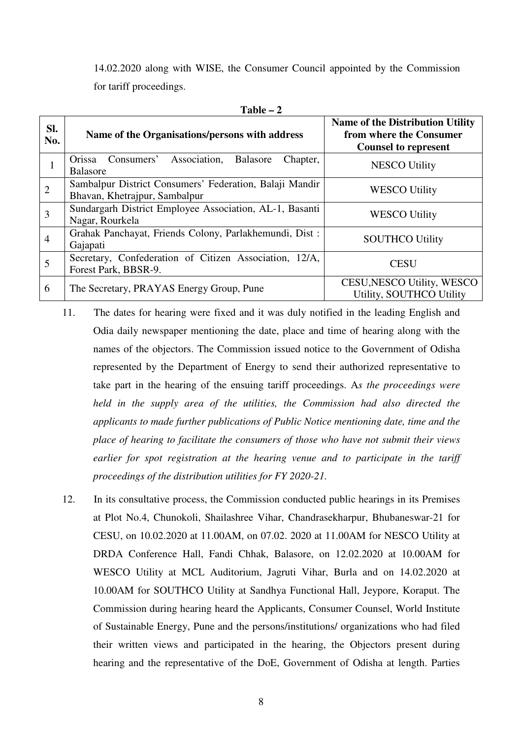14.02.2020 along with WISE, the Consumer Council appointed by the Commission for tariff proceedings.

|                | TUNIC                                                                                    |                                                                                                   |
|----------------|------------------------------------------------------------------------------------------|---------------------------------------------------------------------------------------------------|
| SI.<br>No.     | Name of the Organisations/persons with address                                           | <b>Name of the Distribution Utility</b><br>from where the Consumer<br><b>Counsel to represent</b> |
| Ι.             | Consumers'<br>Association,<br>Balasore<br>Orissa<br>Chapter,<br><b>Balasore</b>          | <b>NESCO Utility</b>                                                                              |
| $\overline{2}$ | Sambalpur District Consumers' Federation, Balaji Mandir<br>Bhavan, Khetrajpur, Sambalpur | <b>WESCO Utility</b>                                                                              |
| 3              | Sundargarh District Employee Association, AL-1, Basanti<br>Nagar, Rourkela               | <b>WESCO Utility</b>                                                                              |
| $\overline{4}$ | Grahak Panchayat, Friends Colony, Parlakhemundi, Dist:<br>Gajapati                       | <b>SOUTHCO Utility</b>                                                                            |
| 5              | Secretary, Confederation of Citizen Association, 12/A,<br>Forest Park, BBSR-9.           | <b>CESU</b>                                                                                       |
| 6              | The Secretary, PRAYAS Energy Group, Pune                                                 | CESU, NESCO Utility, WESCO<br>Utility, SOUTHCO Utility                                            |

**Table – 2** 

- 11. The dates for hearing were fixed and it was duly notified in the leading English and Odia daily newspaper mentioning the date, place and time of hearing along with the names of the objectors. The Commission issued notice to the Government of Odisha represented by the Department of Energy to send their authorized representative to take part in the hearing of the ensuing tariff proceedings. A*s the proceedings were held in the supply area of the utilities, the Commission had also directed the applicants to made further publications of Public Notice mentioning date, time and the place of hearing to facilitate the consumers of those who have not submit their views earlier for spot registration at the hearing venue and to participate in the tariff proceedings of the distribution utilities for FY 2020-21.*
- 12. In its consultative process, the Commission conducted public hearings in its Premises at Plot No.4, Chunokoli, Shailashree Vihar, Chandrasekharpur, Bhubaneswar-21 for CESU, on 10.02.2020 at 11.00AM, on 07.02. 2020 at 11.00AM for NESCO Utility at DRDA Conference Hall, Fandi Chhak, Balasore, on 12.02.2020 at 10.00AM for WESCO Utility at MCL Auditorium, Jagruti Vihar, Burla and on 14.02.2020 at 10.00AM for SOUTHCO Utility at Sandhya Functional Hall, Jeypore, Koraput. The Commission during hearing heard the Applicants, Consumer Counsel, World Institute of Sustainable Energy, Pune and the persons/institutions/ organizations who had filed their written views and participated in the hearing, the Objectors present during hearing and the representative of the DoE, Government of Odisha at length. Parties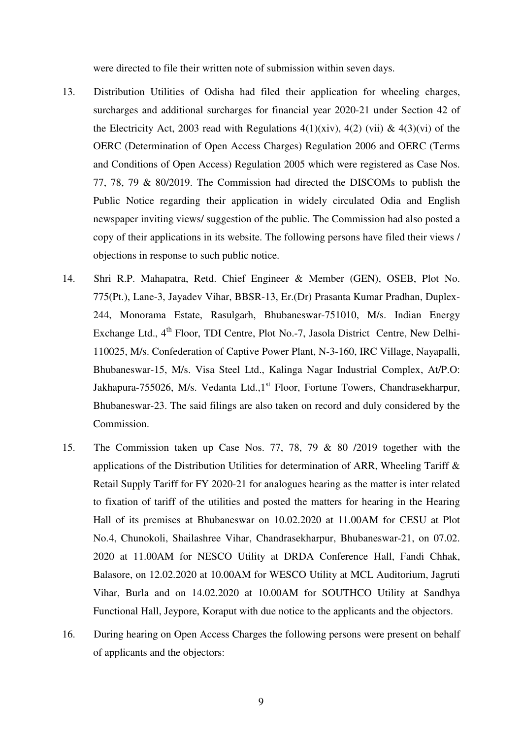were directed to file their written note of submission within seven days.

- 13. Distribution Utilities of Odisha had filed their application for wheeling charges, surcharges and additional surcharges for financial year 2020-21 under Section 42 of the Electricity Act, 2003 read with Regulations  $4(1)(\dot{x}iv)$ ,  $4(2)(\dot{v}i) \& 4(3)(\dot{v}i)$  of the OERC (Determination of Open Access Charges) Regulation 2006 and OERC (Terms and Conditions of Open Access) Regulation 2005 which were registered as Case Nos. 77, 78, 79 & 80/2019. The Commission had directed the DISCOMs to publish the Public Notice regarding their application in widely circulated Odia and English newspaper inviting views/ suggestion of the public. The Commission had also posted a copy of their applications in its website. The following persons have filed their views / objections in response to such public notice.
- 14. Shri R.P. Mahapatra, Retd. Chief Engineer & Member (GEN), OSEB, Plot No. 775(Pt.), Lane-3, Jayadev Vihar, BBSR-13, Er.(Dr) Prasanta Kumar Pradhan, Duplex-244, Monorama Estate, Rasulgarh, Bhubaneswar-751010, M/s. Indian Energy Exchange Ltd., 4<sup>th</sup> Floor, TDI Centre, Plot No.-7, Jasola District Centre, New Delhi-110025, M/s. Confederation of Captive Power Plant, N-3-160, IRC Village, Nayapalli, Bhubaneswar-15, M/s. Visa Steel Ltd., Kalinga Nagar Industrial Complex, At/P.O: Jakhapura-755026, M/s. Vedanta Ltd., 1<sup>st</sup> Floor, Fortune Towers, Chandrasekharpur, Bhubaneswar-23. The said filings are also taken on record and duly considered by the Commission.
- 15. The Commission taken up Case Nos. 77, 78, 79 & 80 /2019 together with the applications of the Distribution Utilities for determination of ARR, Wheeling Tariff & Retail Supply Tariff for FY 2020-21 for analogues hearing as the matter is inter related to fixation of tariff of the utilities and posted the matters for hearing in the Hearing Hall of its premises at Bhubaneswar on 10.02.2020 at 11.00AM for CESU at Plot No.4, Chunokoli, Shailashree Vihar, Chandrasekharpur, Bhubaneswar-21, on 07.02. 2020 at 11.00AM for NESCO Utility at DRDA Conference Hall, Fandi Chhak, Balasore, on 12.02.2020 at 10.00AM for WESCO Utility at MCL Auditorium, Jagruti Vihar, Burla and on 14.02.2020 at 10.00AM for SOUTHCO Utility at Sandhya Functional Hall, Jeypore, Koraput with due notice to the applicants and the objectors.
- 16. During hearing on Open Access Charges the following persons were present on behalf of applicants and the objectors: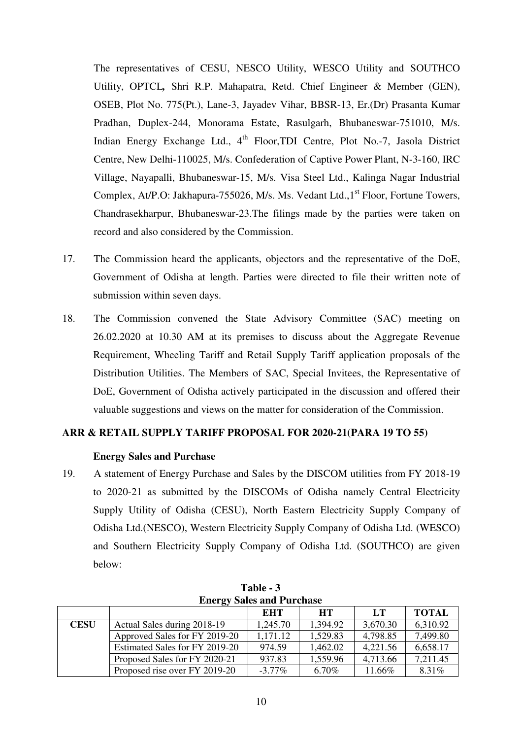The representatives of CESU, NESCO Utility, WESCO Utility and SOUTHCO Utility, OPTCL*,* Shri R.P. Mahapatra, Retd. Chief Engineer & Member (GEN), OSEB, Plot No. 775(Pt.), Lane-3, Jayadev Vihar, BBSR-13, Er.(Dr) Prasanta Kumar Pradhan, Duplex-244, Monorama Estate, Rasulgarh, Bhubaneswar-751010, M/s. Indian Energy Exchange Ltd.,  $4<sup>th</sup>$  Floor,TDI Centre, Plot No.-7, Jasola District Centre, New Delhi-110025, M/s. Confederation of Captive Power Plant, N-3-160, IRC Village, Nayapalli, Bhubaneswar-15, M/s. Visa Steel Ltd., Kalinga Nagar Industrial Complex, At/P.O: Jakhapura-755026, M/s. Ms. Vedant Ltd.,1<sup>st</sup> Floor, Fortune Towers, Chandrasekharpur, Bhubaneswar-23.The filings made by the parties were taken on record and also considered by the Commission.

- 17. The Commission heard the applicants, objectors and the representative of the DoE, Government of Odisha at length. Parties were directed to file their written note of submission within seven days.
- 18. The Commission convened the State Advisory Committee (SAC) meeting on 26.02.2020 at 10.30 AM at its premises to discuss about the Aggregate Revenue Requirement, Wheeling Tariff and Retail Supply Tariff application proposals of the Distribution Utilities. The Members of SAC, Special Invitees, the Representative of DoE, Government of Odisha actively participated in the discussion and offered their valuable suggestions and views on the matter for consideration of the Commission.

## **ARR & RETAIL SUPPLY TARIFF PROPOSAL FOR 2020-21(PARA 19 TO 55)**

#### **Energy Sales and Purchase**

19. A statement of Energy Purchase and Sales by the DISCOM utilities from FY 2018-19 to 2020-21 as submitted by the DISCOMs of Odisha namely Central Electricity Supply Utility of Odisha (CESU), North Eastern Electricity Supply Company of Odisha Ltd.(NESCO), Western Electricity Supply Company of Odisha Ltd. (WESCO) and Southern Electricity Supply Company of Odisha Ltd. (SOUTHCO) are given below:

|             | <b>Energy Sales and Purchase</b> |           |           |          |              |  |  |  |  |  |  |
|-------------|----------------------------------|-----------|-----------|----------|--------------|--|--|--|--|--|--|
|             |                                  | EHT       | <b>HT</b> | LT       | <b>TOTAL</b> |  |  |  |  |  |  |
| <b>CESU</b> | Actual Sales during 2018-19      | 1,245.70  | 1,394.92  | 3,670.30 | 6,310.92     |  |  |  |  |  |  |
|             | Approved Sales for FY 2019-20    | 1,171.12  | 1,529.83  | 4,798.85 | 7,499.80     |  |  |  |  |  |  |
|             | Estimated Sales for FY 2019-20   | 974.59    | 1,462.02  | 4,221.56 | 6,658.17     |  |  |  |  |  |  |
|             | Proposed Sales for FY 2020-21    | 937.83    | 1,559.96  | 4,713.66 | 7,211.45     |  |  |  |  |  |  |
|             | Proposed rise over FY 2019-20    | $-3.77\%$ | 6.70%     | 11.66%   | 8.31%        |  |  |  |  |  |  |

|  | Table - 3 |                        |
|--|-----------|------------------------|
|  |           | ergy Sales and Purchas |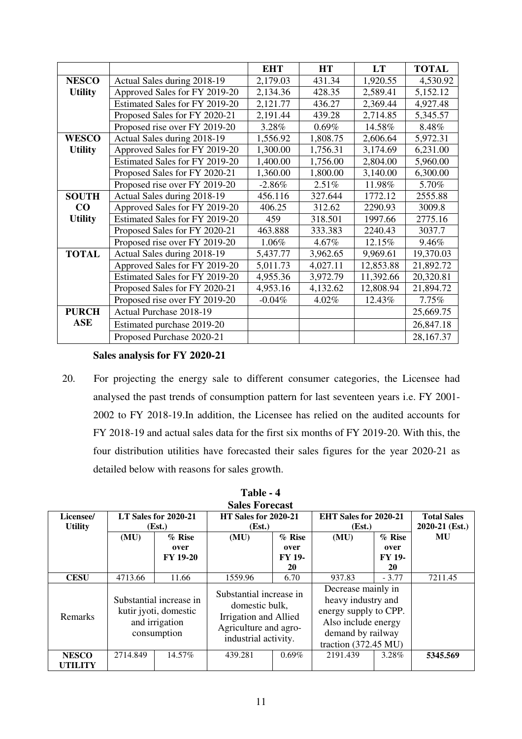|                |                                | <b>EHT</b> | <b>HT</b> | <b>LT</b> | <b>TOTAL</b> |
|----------------|--------------------------------|------------|-----------|-----------|--------------|
| <b>NESCO</b>   | Actual Sales during 2018-19    | 2,179.03   | 431.34    | 1,920.55  | 4,530.92     |
| <b>Utility</b> | Approved Sales for FY 2019-20  | 2,134.36   | 428.35    | 2,589.41  | 5,152.12     |
|                | Estimated Sales for FY 2019-20 | 2,121.77   | 436.27    | 2,369.44  | 4,927.48     |
|                | Proposed Sales for FY 2020-21  | 2,191.44   | 439.28    | 2,714.85  | 5,345.57     |
|                | Proposed rise over FY 2019-20  | 3.28%      | $0.69\%$  | 14.58%    | 8.48%        |
| <b>WESCO</b>   | Actual Sales during 2018-19    | 1,556.92   | 1,808.75  | 2,606.64  | 5,972.31     |
| <b>Utility</b> | Approved Sales for FY 2019-20  | 1,300.00   | 1,756.31  | 3,174.69  | 6,231.00     |
|                | Estimated Sales for FY 2019-20 | 1,400.00   | 1,756.00  | 2,804.00  | 5,960.00     |
|                | Proposed Sales for FY 2020-21  | 1,360.00   | 1,800.00  | 3,140.00  | 6,300.00     |
|                | Proposed rise over FY 2019-20  | $-2.86\%$  | 2.51%     | 11.98%    | 5.70%        |
| <b>SOUTH</b>   | Actual Sales during 2018-19    | 456.116    | 327.644   | 1772.12   | 2555.88      |
| $\bf CO$       | Approved Sales for FY 2019-20  | 406.25     | 312.62    | 2290.93   | 3009.8       |
| <b>Utility</b> | Estimated Sales for FY 2019-20 | 459        | 318.501   | 1997.66   | 2775.16      |
|                | Proposed Sales for FY 2020-21  | 463.888    | 333.383   | 2240.43   | 3037.7       |
|                | Proposed rise over FY 2019-20  | 1.06%      | 4.67%     | 12.15%    | 9.46%        |
| <b>TOTAL</b>   | Actual Sales during 2018-19    | 5,437.77   | 3,962.65  | 9,969.61  | 19,370.03    |
|                | Approved Sales for FY 2019-20  | 5,011.73   | 4,027.11  | 12,853.88 | 21,892.72    |
|                | Estimated Sales for FY 2019-20 | 4,955.36   | 3,972.79  | 11,392.66 | 20,320.81    |
|                | Proposed Sales for FY 2020-21  | 4,953.16   | 4,132.62  | 12,808.94 | 21,894.72    |
|                | Proposed rise over FY 2019-20  | $-0.04%$   | 4.02%     | 12.43%    | 7.75%        |
| <b>PURCH</b>   | Actual Purchase 2018-19        |            |           |           | 25,669.75    |
| <b>ASE</b>     | Estimated purchase 2019-20     |            |           |           | 26,847.18    |
|                | Proposed Purchase 2020-21      |            |           |           | 28,167.37    |

## **Sales analysis for FY 2020-21**

20. For projecting the energy sale to different consumer categories, the Licensee had analysed the past trends of consumption pattern for last seventeen years i.e. FY 2001- 2002 to FY 2018-19.In addition, the Licensee has relied on the audited accounts for FY 2018-19 and actual sales data for the first six months of FY 2019-20. With this, the four distribution utilities have forecasted their sales figures for the year 2020-21 as detailed below with reasons for sales growth.

|                | <b>Sales Forecast</b>                                                             |                      |                                                                                                                     |          |                                                                                                                                                 |               |                    |  |  |  |  |
|----------------|-----------------------------------------------------------------------------------|----------------------|---------------------------------------------------------------------------------------------------------------------|----------|-------------------------------------------------------------------------------------------------------------------------------------------------|---------------|--------------------|--|--|--|--|
| Licensee/      |                                                                                   | LT Sales for 2020-21 | <b>HT Sales for 2020-21</b>                                                                                         |          | EHT Sales for 2020-21                                                                                                                           |               | <b>Total Sales</b> |  |  |  |  |
| <b>Utility</b> |                                                                                   | (Est.)               | (Est.)                                                                                                              |          | (Est.)                                                                                                                                          |               |                    |  |  |  |  |
|                | (MU)                                                                              | $\%$ Rise            | (MU)                                                                                                                | $%$ Rise | (MU)                                                                                                                                            | $%$ Rise      | MU                 |  |  |  |  |
|                |                                                                                   | over                 |                                                                                                                     | over     |                                                                                                                                                 | over          |                    |  |  |  |  |
|                |                                                                                   | <b>FY 19-20</b>      |                                                                                                                     | FY 19-   |                                                                                                                                                 | <b>FY 19-</b> |                    |  |  |  |  |
|                |                                                                                   |                      |                                                                                                                     | 20       |                                                                                                                                                 | 20            |                    |  |  |  |  |
| <b>CESU</b>    | 4713.66                                                                           | 11.66                | 1559.96                                                                                                             | 6.70     | 937.83                                                                                                                                          | $-3.77$       | 7211.45            |  |  |  |  |
| <b>Remarks</b> | Substantial increase in<br>kutir jyoti, domestic<br>and irrigation<br>consumption |                      | Substantial increase in<br>domestic bulk,<br>Irrigation and Allied<br>Agriculture and agro-<br>industrial activity. |          | Decrease mainly in<br>heavy industry and<br>energy supply to CPP.<br>Also include energy<br>demand by railway<br>traction $(372.45 \text{ MU})$ |               |                    |  |  |  |  |
| <b>NESCO</b>   | 2714.849                                                                          | 14.57%               | 439.281                                                                                                             | $0.69\%$ | 2191.439                                                                                                                                        | 3.28%         | 5345.569           |  |  |  |  |
| <b>UTILITY</b> |                                                                                   |                      |                                                                                                                     |          |                                                                                                                                                 |               |                    |  |  |  |  |

**Table - 4**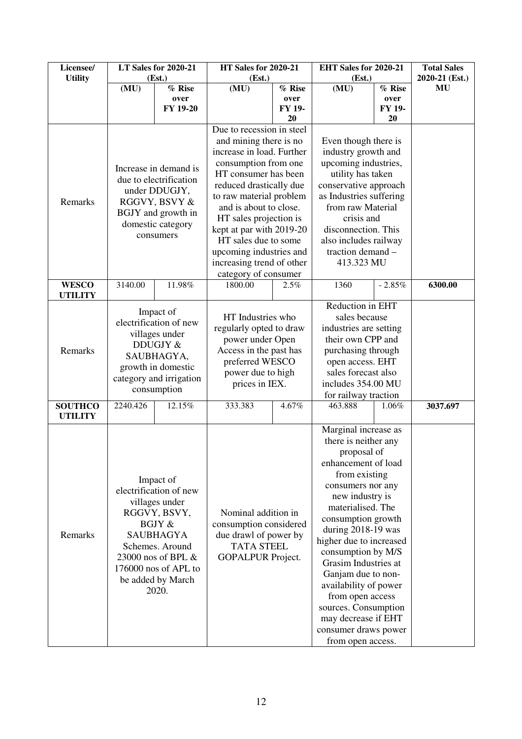| Licensee/                        | <b>LT Sales for 2020-21</b> |                         | <b>HT Sales for 2020-21</b>          |                | EHT Sales for 2020-21                        |                | <b>Total Sales</b> |
|----------------------------------|-----------------------------|-------------------------|--------------------------------------|----------------|----------------------------------------------|----------------|--------------------|
| <b>Utility</b>                   |                             | (Est.)                  | (Est.)                               |                | (Est.)                                       |                | 2020-21 (Est.)     |
|                                  | (MU)                        | % Rise                  | (MU)                                 | % Rise<br>over | (MU)                                         | % Rise         | MU                 |
|                                  |                             | over<br>FY 19-20        |                                      | FY 19-         |                                              | over<br>FY 19- |                    |
|                                  |                             |                         |                                      | 20             |                                              | 20             |                    |
|                                  |                             |                         | Due to recession in steel            |                |                                              |                |                    |
|                                  |                             |                         | and mining there is no               |                | Even though there is                         |                |                    |
|                                  |                             |                         | increase in load. Further            |                | industry growth and                          |                |                    |
|                                  |                             |                         | consumption from one                 |                | upcoming industries,                         |                |                    |
|                                  |                             | Increase in demand is   | HT consumer has been                 |                | utility has taken                            |                |                    |
|                                  |                             | due to electrification  | reduced drastically due              |                | conservative approach                        |                |                    |
|                                  |                             | under DDUGJY,           | to raw material problem              |                | as Industries suffering                      |                |                    |
| Remarks                          |                             | RGGVY, BSVY &           | and is about to close.               |                | from raw Material                            |                |                    |
|                                  |                             | BGJY and growth in      | HT sales projection is               |                | crisis and                                   |                |                    |
|                                  |                             | domestic category       | kept at par with 2019-20             |                | disconnection. This                          |                |                    |
|                                  |                             | consumers               | HT sales due to some                 |                | also includes railway                        |                |                    |
|                                  |                             |                         | upcoming industries and              |                | traction demand -                            |                |                    |
|                                  |                             |                         | increasing trend of other            |                | 413.323 MU                                   |                |                    |
|                                  |                             |                         | category of consumer                 |                |                                              |                |                    |
| <b>WESCO</b>                     | 3140.00                     | 11.98%                  | 1800.00                              | 2.5%           | 1360                                         | $-2.85%$       | 6300.00            |
| <b>UTILITY</b>                   |                             |                         |                                      |                |                                              |                |                    |
|                                  |                             | Impact of               |                                      |                | Reduction in EHT                             |                |                    |
|                                  |                             | electrification of new  | HT Industries who                    |                | sales because                                |                |                    |
|                                  |                             | villages under          | regularly opted to draw              |                | industries are setting                       |                |                    |
|                                  |                             | DDUGJY &                | power under Open                     |                | their own CPP and                            |                |                    |
| Remarks                          |                             | SAUBHAGYA,              | Access in the past has               |                | purchasing through                           |                |                    |
|                                  |                             | growth in domestic      | preferred WESCO<br>power due to high |                | open access. EHT                             |                |                    |
|                                  |                             | category and irrigation |                                      |                | sales forecast also                          |                |                    |
|                                  |                             | consumption             | prices in IEX.                       |                | includes 354.00 MU                           |                |                    |
|                                  |                             |                         |                                      |                | for railway traction                         |                |                    |
| <b>SOUTHCO</b><br><b>UTILITY</b> | 2240.426                    | 12.15%                  | 333.383                              | 4.67%          | 463.888                                      | 1.06%          | 3037.697           |
|                                  |                             |                         |                                      |                |                                              |                |                    |
|                                  |                             |                         |                                      |                | Marginal increase as<br>there is neither any |                |                    |
|                                  |                             |                         |                                      |                |                                              |                |                    |
|                                  |                             |                         |                                      |                | proposal of<br>enhancement of load           |                |                    |
|                                  |                             |                         |                                      |                | from existing                                |                |                    |
|                                  |                             | Impact of               |                                      |                | consumers nor any                            |                |                    |
|                                  |                             | electrification of new  |                                      |                | new industry is                              |                |                    |
|                                  |                             | villages under          |                                      |                | materialised. The                            |                |                    |
|                                  |                             | RGGVY, BSVY,            | Nominal addition in                  |                | consumption growth                           |                |                    |
|                                  |                             | BGJY &                  | consumption considered               |                | during 2018-19 was                           |                |                    |
| Remarks                          |                             | <b>SAUBHAGYA</b>        | due drawl of power by                |                | higher due to increased                      |                |                    |
|                                  |                             | Schemes. Around         | <b>TATA STEEL</b>                    |                | consumption by M/S                           |                |                    |
|                                  |                             | 23000 nos of BPL &      | <b>GOPALPUR Project.</b>             |                | Grasim Industries at                         |                |                    |
|                                  |                             | 176000 nos of APL to    |                                      |                | Ganjam due to non-                           |                |                    |
|                                  |                             | be added by March       |                                      |                | availability of power                        |                |                    |
|                                  |                             | 2020.                   |                                      |                | from open access                             |                |                    |
|                                  |                             |                         |                                      |                | sources. Consumption                         |                |                    |
|                                  |                             |                         |                                      |                | may decrease if EHT                          |                |                    |
|                                  |                             |                         |                                      |                | consumer draws power                         |                |                    |
|                                  |                             |                         |                                      |                | from open access.                            |                |                    |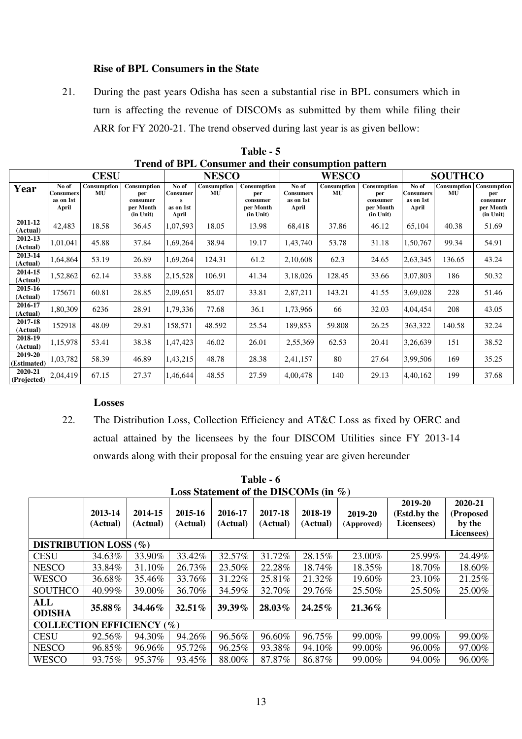## **Rise of BPL Consumers in the State**

21. During the past years Odisha has seen a substantial rise in BPL consumers which in turn is affecting the revenue of DISCOMs as submitted by them while filing their ARR for FY 2020-21. The trend observed during last year is as given bellow:

|                        |                                                 | <b>CESU</b>       |                                                          | <b>NESCO</b>                            |                   |                                                          |                                                 | <b>WESCO</b>             |                                                          | <b>SOUTHCO</b>                                  |                          |                                                          |
|------------------------|-------------------------------------------------|-------------------|----------------------------------------------------------|-----------------------------------------|-------------------|----------------------------------------------------------|-------------------------------------------------|--------------------------|----------------------------------------------------------|-------------------------------------------------|--------------------------|----------------------------------------------------------|
| Year                   | No of<br><b>Consumers</b><br>as on 1st<br>April | Consumption<br>MU | Consumption<br>per<br>consumer<br>per Month<br>(in Unit) | No of<br>Consumer<br>as on 1st<br>April | Consumption<br>MU | Consumption<br>per<br>consumer<br>per Month<br>(in Unit) | No of<br><b>Consumers</b><br>as on 1st<br>April | Consumption<br><b>MU</b> | Consumption<br>per<br>consumer<br>per Month<br>(in Unit) | No of<br><b>Consumers</b><br>as on 1st<br>April | Consumption<br><b>MU</b> | Consumption<br>per<br>consumer<br>per Month<br>(in Unit) |
| 2011-12<br>(Actual)    | 42,483                                          | 18.58             | 36.45                                                    | 1,07,593                                | 18.05             | 13.98                                                    | 68,418                                          | 37.86                    | 46.12                                                    | 65,104                                          | 40.38                    | 51.69                                                    |
| 2012-13<br>(Actual)    | 1,01,041                                        | 45.88             | 37.84                                                    | 1,69,264                                | 38.94             | 19.17                                                    | 1,43,740                                        | 53.78                    | 31.18                                                    | 1,50,767                                        | 99.34                    | 54.91                                                    |
| 2013-14<br>(Actual)    | 1,64,864                                        | 53.19             | 26.89                                                    | 1,69,264                                | 124.31            | 61.2                                                     | 2,10,608                                        | 62.3                     | 24.65                                                    | 2,63,345                                        | 136.65                   | 43.24                                                    |
| 2014-15<br>(Actual)    | 1,52,862                                        | 62.14             | 33.88                                                    | 2,15,528                                | 106.91            | 41.34                                                    | 3,18,026                                        | 128.45                   | 33.66                                                    | 3,07,803                                        | 186                      | 50.32                                                    |
| 2015-16<br>(Actual)    | 175671                                          | 60.81             | 28.85                                                    | 2,09,651                                | 85.07             | 33.81                                                    | 2,87,211                                        | 143.21                   | 41.55                                                    | 3,69,028                                        | 228                      | 51.46                                                    |
| 2016-17<br>(Actual)    | 1,80,309                                        | 6236              | 28.91                                                    | 1,79,336                                | 77.68             | 36.1                                                     | 1,73,966                                        | 66                       | 32.03                                                    | 4,04,454                                        | 208                      | 43.05                                                    |
| 2017-18<br>(Actual)    | 152918                                          | 48.09             | 29.81                                                    | 158,571                                 | 48.592            | 25.54                                                    | 189,853                                         | 59.808                   | 26.25                                                    | 363,322                                         | 140.58                   | 32.24                                                    |
| 2018-19<br>(Actual)    | 1,15,978                                        | 53.41             | 38.38                                                    | 1,47,423                                | 46.02             | 26.01                                                    | 2,55,369                                        | 62.53                    | 20.41                                                    | 3,26,639                                        | 151                      | 38.52                                                    |
| 2019-20<br>(Estimated) | 1,03,782                                        | 58.39             | 46.89                                                    | 1,43,215                                | 48.78             | 28.38                                                    | 2,41,157                                        | 80                       | 27.64                                                    | 3,99,506                                        | 169                      | 35.25                                                    |
| 2020-21<br>(Projected) | 2,04,419                                        | 67.15             | 27.37                                                    | 1,46,644                                | 48.55             | 27.59                                                    | 4,00,478                                        | 140                      | 29.13                                                    | 4,40,162                                        | 199                      | 37.68                                                    |

**Table - 5 Trend of BPL Consumer and their consumption pattern**

## **Losses**

22. The Distribution Loss, Collection Efficiency and AT&C Loss as fixed by OERC and actual attained by the licensees by the four DISCOM Utilities since FY 2013-14 onwards along with their proposal for the ensuing year are given hereunder

**Table - 6 Loss Statement of the DISCOMs (in %)** 

|                                  | 2013-14<br>(Actual) | 2014-15<br>(Actual) | 2015-16<br>(Actual) | 2016-17<br>(Actual) | 2017-18<br>(Actual) | 2018-19<br>(Actual) | 2019-20<br>(Approved) | 2019-20<br>(Estd.by the<br>Licensees) | 2020-21<br>(Proposed<br>by the<br>Licensees) |  |  |
|----------------------------------|---------------------|---------------------|---------------------|---------------------|---------------------|---------------------|-----------------------|---------------------------------------|----------------------------------------------|--|--|
| <b>DISTRIBUTION LOSS (%)</b>     |                     |                     |                     |                     |                     |                     |                       |                                       |                                              |  |  |
| <b>CESU</b>                      | 34.63%              | 33.90%              | 33.42%              | 32.57%              | 31.72%              | 28.15%              | 23.00%                | 25.99%                                | 24.49%                                       |  |  |
| <b>NESCO</b>                     | 33.84%              | 31.10%              | 26.73%              | 23.50%              | 22.28%              | 18.74%              | 18.35%                | 18.70%                                | 18.60%                                       |  |  |
| <b>WESCO</b>                     | 36.68%              | 35.46%              | 33.76%              | 31.22%              | 25.81%              | 21.32%              | 19.60%                | 23.10%                                | 21.25%                                       |  |  |
| <b>SOUTHCO</b>                   | 40.99%              | 39.00%              | 36.70%              | 34.59%              | 32.70%              | 29.76%              | 25.50%                | 25.50%                                | 25.00%                                       |  |  |
| ALL<br><b>ODISHA</b>             | 35.88%              | 34.46%              | $32.51\%$           | 39.39%              | 28.03%              | $24.25\%$           | 21.36%                |                                       |                                              |  |  |
| <b>COLLECTION EFFICIENCY (%)</b> |                     |                     |                     |                     |                     |                     |                       |                                       |                                              |  |  |
| <b>CESU</b>                      | 92.56%              | 94.30%              | 94.26%              | 96.56%              | 96.60%              | 96.75%              | 99.00%                | 99.00%                                | 99.00%                                       |  |  |
| <b>NESCO</b>                     | 96.85%              | 96.96%              | 95.72%              | 96.25%              | 93.38%              | 94.10%              | 99.00%                | 96.00%                                | 97.00%                                       |  |  |
| <b>WESCO</b>                     | 93.75%              | 95.37%              | 93.45%              | 88.00%              | 87.87%              | 86.87%              | 99.00%                | 94.00%                                | 96.00%                                       |  |  |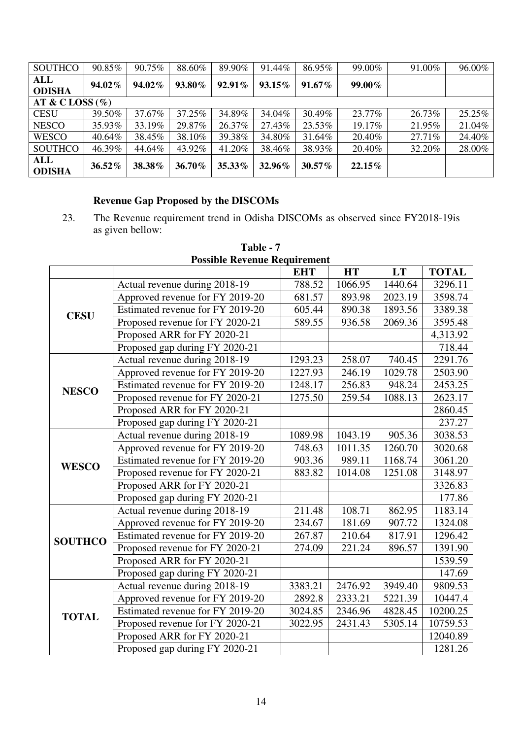| <b>SOUTHCO</b>              | 90.85%    | 90.75% | 88.60% | 89.90%    | 91.44% | 86.95%    | 99.00%    | 91.00% | 96.00% |  |
|-----------------------------|-----------|--------|--------|-----------|--------|-----------|-----------|--------|--------|--|
| <b>ALL</b><br><b>ODISHA</b> | 94.02%    | 94.02% | 93.80% | $92.91\%$ | 93.15% | $91.67\%$ | 99.00%    |        |        |  |
| AT & C LOSS $(\%)$          |           |        |        |           |        |           |           |        |        |  |
| <b>CESU</b>                 | 39.50%    | 37.67% | 37.25% | 34.89%    | 34.04% | 30.49%    | 23.77%    | 26.73% | 25.25% |  |
| <b>NESCO</b>                | 35.93%    | 33.19% | 29.87% | 26.37%    | 27.43% | 23.53%    | 19.17%    | 21.95% | 21.04% |  |
| <b>WESCO</b>                | 40.64%    | 38.45% | 38.10% | 39.38%    | 34.80% | 31.64%    | 20.40%    | 27.71% | 24.40% |  |
| <b>SOUTHCO</b>              | 46.39%    | 44.64% | 43.92% | 41.20%    | 38.46% | 38.93%    | 20.40%    | 32.20% | 28.00% |  |
| <b>ALL</b><br><b>ODISHA</b> | $36.52\%$ | 38.38% | 36.70% | $35.33\%$ | 32.96% | $30.57\%$ | $22.15\%$ |        |        |  |

# **Revenue Gap Proposed by the DISCOMs**

23. The Revenue requirement trend in Odisha DISCOMs as observed since FY2018-19is as given bellow:

|                |                                  | <b>EHT</b>           | <b>HT</b> | <b>LT</b> | <b>TOTAL</b> |
|----------------|----------------------------------|----------------------|-----------|-----------|--------------|
|                | Actual revenue during 2018-19    | 788.52               | 1066.95   | 1440.64   | 3296.11      |
|                | Approved revenue for FY 2019-20  | 681.57               | 893.98    | 2023.19   | 3598.74      |
| <b>CESU</b>    | Estimated revenue for FY 2019-20 | $\overline{605}$ .44 | 890.38    | 1893.56   | 3389.38      |
|                | Proposed revenue for FY 2020-21  | 589.55               | 936.58    | 2069.36   | 3595.48      |
|                | Proposed ARR for FY 2020-21      |                      |           |           | 4,313.92     |
|                | Proposed gap during FY 2020-21   |                      |           |           | 718.44       |
|                | Actual revenue during 2018-19    | 1293.23              | 258.07    | 740.45    | 2291.76      |
|                | Approved revenue for FY 2019-20  | 1227.93              | 246.19    | 1029.78   | 2503.90      |
| <b>NESCO</b>   | Estimated revenue for FY 2019-20 | 1248.17              | 256.83    | 948.24    | 2453.25      |
|                | Proposed revenue for FY 2020-21  | 1275.50              | 259.54    | 1088.13   | 2623.17      |
|                | Proposed ARR for FY 2020-21      |                      |           |           | 2860.45      |
|                | Proposed gap during FY 2020-21   |                      |           |           | 237.27       |
|                | Actual revenue during 2018-19    | 1089.98              | 1043.19   | 905.36    | 3038.53      |
|                | Approved revenue for FY 2019-20  | 748.63               | 1011.35   | 1260.70   | 3020.68      |
| <b>WESCO</b>   | Estimated revenue for FY 2019-20 | 903.36               | 989.11    | 1168.74   | 3061.20      |
|                | Proposed revenue for FY 2020-21  | 883.82               | 1014.08   | 1251.08   | 3148.97      |
|                | Proposed ARR for FY 2020-21      |                      |           |           | 3326.83      |
|                | Proposed gap during FY 2020-21   |                      |           |           | 177.86       |
|                | Actual revenue during 2018-19    | 211.48               | 108.71    | 862.95    | 1183.14      |
|                | Approved revenue for FY 2019-20  | 234.67               | 181.69    | 907.72    | 1324.08      |
| <b>SOUTHCO</b> | Estimated revenue for FY 2019-20 | 267.87               | 210.64    | 817.91    | 1296.42      |
|                | Proposed revenue for FY 2020-21  | 274.09               | 221.24    | 896.57    | 1391.90      |
|                | Proposed ARR for FY 2020-21      |                      |           |           | 1539.59      |
|                | Proposed gap during FY 2020-21   |                      |           |           | 147.69       |
|                | Actual revenue during 2018-19    | 3383.21              | 2476.92   | 3949.40   | 9809.53      |
|                | Approved revenue for FY 2019-20  | 2892.8               | 2333.21   | 5221.39   | 10447.4      |
| <b>TOTAL</b>   | Estimated revenue for FY 2019-20 | 3024.85              | 2346.96   | 4828.45   | 10200.25     |
|                | Proposed revenue for FY 2020-21  | 3022.95              | 2431.43   | 5305.14   | 10759.53     |
|                | Proposed ARR for FY 2020-21      |                      |           |           | 12040.89     |
|                | Proposed gap during FY 2020-21   |                      |           |           | 1281.26      |

**Table - 7 Possible Revenue Requirement**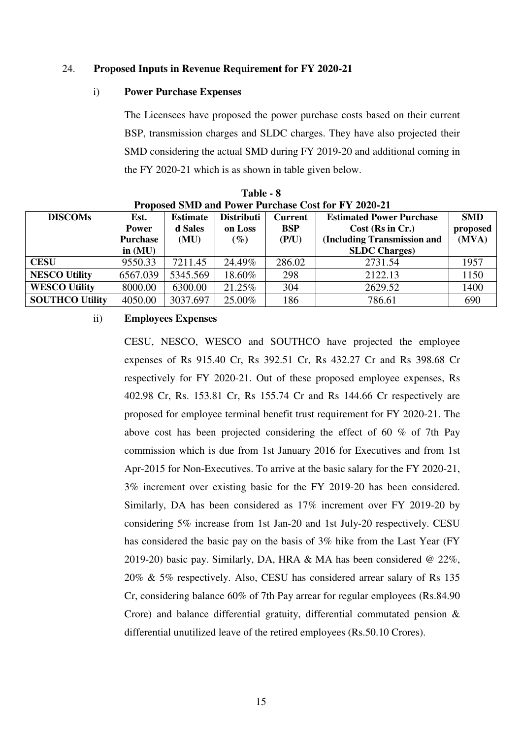#### 24. **Proposed Inputs in Revenue Requirement for FY 2020-21**

#### i) **Power Purchase Expenses**

The Licensees have proposed the power purchase costs based on their current BSP, transmission charges and SLDC charges. They have also projected their SMD considering the actual SMD during FY 2019-20 and additional coming in the FY 2020-21 which is as shown in table given below.

| Proposed SMD and Power Purchase Cost for FY 2020-21 |                 |                                                        |                   |                |                                 |            |  |  |  |  |  |
|-----------------------------------------------------|-----------------|--------------------------------------------------------|-------------------|----------------|---------------------------------|------------|--|--|--|--|--|
| <b>DISCOMs</b>                                      | Est.            | <b>Estimate</b>                                        | <b>Distributi</b> | <b>Current</b> | <b>Estimated Power Purchase</b> | <b>SMD</b> |  |  |  |  |  |
|                                                     | <b>Power</b>    | d Sales                                                | on Loss           | <b>BSP</b>     | $Cost$ (Rs in Cr.)              | proposed   |  |  |  |  |  |
|                                                     | <b>Purchase</b> | (Including Transmission and<br>(P/U)<br>(MU)<br>$(\%)$ |                   | (MVA)          |                                 |            |  |  |  |  |  |
|                                                     | in $(MU)$       |                                                        |                   |                | <b>SLDC</b> Charges)            |            |  |  |  |  |  |
| <b>CESU</b>                                         | 9550.33         | 7211.45                                                | 24.49%            | 286.02         | 2731.54                         | 1957       |  |  |  |  |  |
| <b>NESCO Utility</b>                                | 6567.039        | 5345.569                                               | 18.60%            | 298            | 2122.13                         | 1150       |  |  |  |  |  |
| <b>WESCO Utility</b>                                | 8000.00         | 6300.00                                                | 21.25%            | 304            | 2629.52                         | 1400       |  |  |  |  |  |
| <b>SOUTHCO Utility</b>                              | 4050.00         | 3037.697                                               | 25.00%            | 186            | 786.61                          | 690        |  |  |  |  |  |

**Table - 8 Proposed SMD and Power Purchase Cost for FY 2020-21** 

#### ii) **Employees Expenses**

CESU, NESCO, WESCO and SOUTHCO have projected the employee expenses of Rs 915.40 Cr, Rs 392.51 Cr, Rs 432.27 Cr and Rs 398.68 Cr respectively for FY 2020-21. Out of these proposed employee expenses, Rs 402.98 Cr, Rs. 153.81 Cr, Rs 155.74 Cr and Rs 144.66 Cr respectively are proposed for employee terminal benefit trust requirement for FY 2020-21. The above cost has been projected considering the effect of 60 % of 7th Pay commission which is due from 1st January 2016 for Executives and from 1st Apr-2015 for Non-Executives. To arrive at the basic salary for the FY 2020-21, 3% increment over existing basic for the FY 2019-20 has been considered. Similarly, DA has been considered as 17% increment over FY 2019-20 by considering 5% increase from 1st Jan-20 and 1st July-20 respectively. CESU has considered the basic pay on the basis of 3% hike from the Last Year (FY 2019-20) basic pay. Similarly, DA, HRA & MA has been considered @ 22%, 20% & 5% respectively. Also, CESU has considered arrear salary of Rs 135 Cr, considering balance 60% of 7th Pay arrear for regular employees (Rs.84.90 Crore) and balance differential gratuity, differential commutated pension & differential unutilized leave of the retired employees (Rs.50.10 Crores).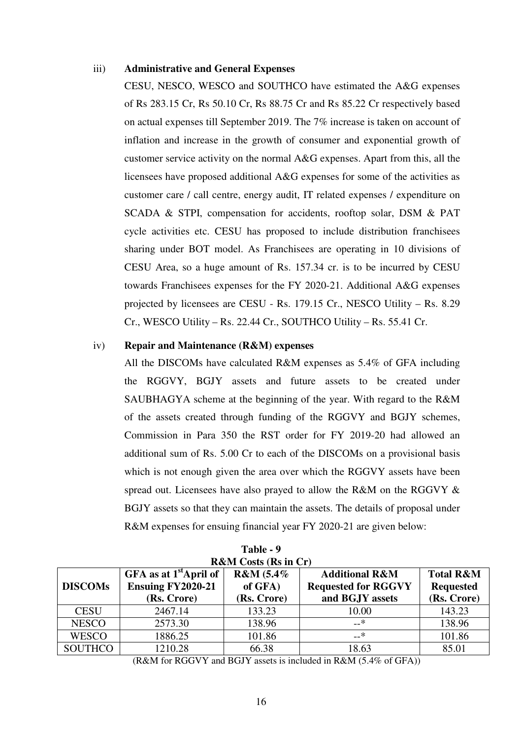#### iii) **Administrative and General Expenses**

CESU, NESCO, WESCO and SOUTHCO have estimated the A&G expenses of Rs 283.15 Cr, Rs 50.10 Cr, Rs 88.75 Cr and Rs 85.22 Cr respectively based on actual expenses till September 2019. The 7% increase is taken on account of inflation and increase in the growth of consumer and exponential growth of customer service activity on the normal A&G expenses. Apart from this, all the licensees have proposed additional A&G expenses for some of the activities as customer care / call centre, energy audit, IT related expenses / expenditure on SCADA & STPI, compensation for accidents, rooftop solar, DSM & PAT cycle activities etc. CESU has proposed to include distribution franchisees sharing under BOT model. As Franchisees are operating in 10 divisions of CESU Area, so a huge amount of Rs. 157.34 cr. is to be incurred by CESU towards Franchisees expenses for the FY 2020-21. Additional A&G expenses projected by licensees are CESU - Rs. 179.15 Cr., NESCO Utility – Rs. 8.29 Cr., WESCO Utility – Rs. 22.44 Cr., SOUTHCO Utility – Rs. 55.41 Cr.

#### iv) **Repair and Maintenance (R&M) expenses**

All the DISCOMs have calculated R&M expenses as 5.4% of GFA including the RGGVY, BGJY assets and future assets to be created under SAUBHAGYA scheme at the beginning of the year. With regard to the R&M of the assets created through funding of the RGGVY and BGJY schemes, Commission in Para 350 the RST order for FY 2019-20 had allowed an additional sum of Rs. 5.00 Cr to each of the DISCOMs on a provisional basis which is not enough given the area over which the RGGVY assets have been spread out. Licensees have also prayed to allow the R&M on the RGGVY & BGJY assets so that they can maintain the assets. The details of proposal under R&M expenses for ensuing financial year FY 2020-21 are given below:

| <b>R&amp;M</b> Costs (Rs in Cr) |                                                                     |                                                                                                                   |       |                                                         |  |
|---------------------------------|---------------------------------------------------------------------|-------------------------------------------------------------------------------------------------------------------|-------|---------------------------------------------------------|--|
| <b>DISCOMs</b>                  | GFA as at $1st$ April of<br><b>Ensuing FY2020-21</b><br>(Rs. Crore) | R&M (5.4%<br><b>Additional R&amp;M</b><br>of GFA)<br><b>Requested for RGGVY</b><br>and BGJY assets<br>(Rs. Crore) |       | <b>Total R&amp;M</b><br><b>Requested</b><br>(Rs. Crore) |  |
| <b>CESU</b>                     | 2467.14                                                             | 133.23                                                                                                            | 10.00 | 143.23                                                  |  |
| <b>NESCO</b>                    | 2573.30                                                             | 138.96                                                                                                            | —*    | 138.96                                                  |  |
| <b>WESCO</b>                    | 1886.25                                                             | 101.86                                                                                                            | –_*   | 101.86                                                  |  |
| <b>SOUTHCO</b>                  | 1210.28                                                             | 66.38                                                                                                             | 18.63 | 85.01                                                   |  |

| Table - 9 |                                                        |  |  |  |  |  |  |
|-----------|--------------------------------------------------------|--|--|--|--|--|--|
|           | $\mathbf{M} \cap \mathbf{M}$ . The set of $\mathbf{M}$ |  |  |  |  |  |  |

(R&M for RGGVY and BGJY assets is included in R&M (5.4% of GFA))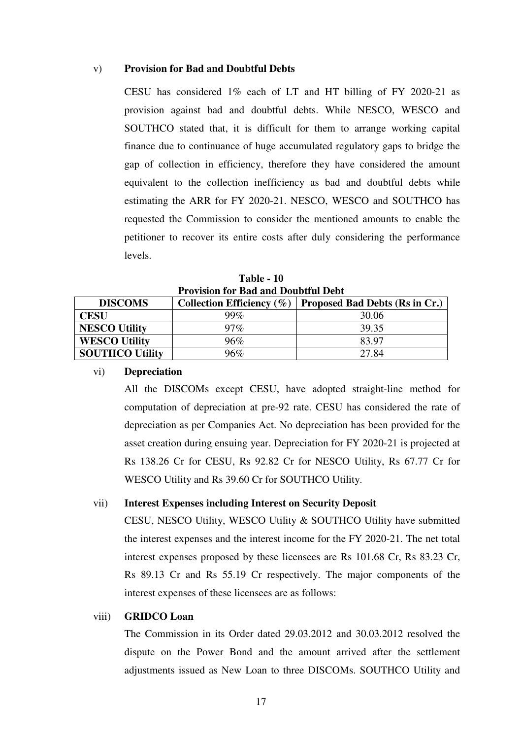## v) **Provision for Bad and Doubtful Debts**

CESU has considered 1% each of LT and HT billing of FY 2020-21 as provision against bad and doubtful debts. While NESCO, WESCO and SOUTHCO stated that, it is difficult for them to arrange working capital finance due to continuance of huge accumulated regulatory gaps to bridge the gap of collection in efficiency, therefore they have considered the amount equivalent to the collection inefficiency as bad and doubtful debts while estimating the ARR for FY 2020-21. NESCO, WESCO and SOUTHCO has requested the Commission to consider the mentioned amounts to enable the petitioner to recover its entire costs after duly considering the performance levels.

**Table - 10 Provision for Bad and Doubtful Debt** 

| <b>DISCOMS</b>         | Collection Efficiency $(\% )$ | Proposed Bad Debts (Rs in Cr.) |  |  |  |  |
|------------------------|-------------------------------|--------------------------------|--|--|--|--|
| CESU                   | 99 $\%$                       | 30.06                          |  |  |  |  |
| <b>NESCO Utility</b>   | $97\%$                        | 39.35                          |  |  |  |  |
| <b>WESCO Utility</b>   | 96%                           | 83.97                          |  |  |  |  |
| <b>SOUTHCO Utility</b> | 96%                           | 27.84                          |  |  |  |  |

#### vi) **Depreciation**

All the DISCOMs except CESU, have adopted straight-line method for computation of depreciation at pre-92 rate. CESU has considered the rate of depreciation as per Companies Act. No depreciation has been provided for the asset creation during ensuing year. Depreciation for FY 2020-21 is projected at Rs 138.26 Cr for CESU, Rs 92.82 Cr for NESCO Utility, Rs 67.77 Cr for WESCO Utility and Rs 39.60 Cr for SOUTHCO Utility.

### vii) **Interest Expenses including Interest on Security Deposit**

CESU, NESCO Utility, WESCO Utility & SOUTHCO Utility have submitted the interest expenses and the interest income for the FY 2020-21. The net total interest expenses proposed by these licensees are Rs 101.68 Cr, Rs 83.23 Cr, Rs 89.13 Cr and Rs 55.19 Cr respectively. The major components of the interest expenses of these licensees are as follows:

#### viii) **GRIDCO Loan**

The Commission in its Order dated 29.03.2012 and 30.03.2012 resolved the dispute on the Power Bond and the amount arrived after the settlement adjustments issued as New Loan to three DISCOMs. SOUTHCO Utility and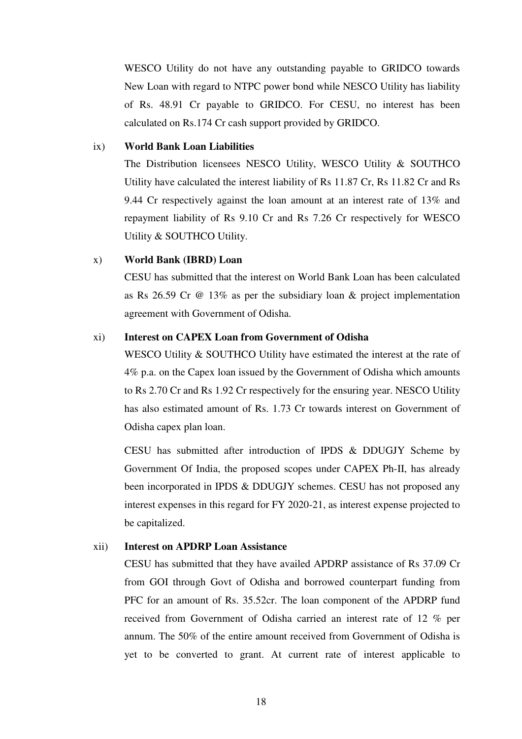WESCO Utility do not have any outstanding payable to GRIDCO towards New Loan with regard to NTPC power bond while NESCO Utility has liability of Rs. 48.91 Cr payable to GRIDCO. For CESU, no interest has been calculated on Rs.174 Cr cash support provided by GRIDCO.

#### ix) **World Bank Loan Liabilities**

The Distribution licensees NESCO Utility, WESCO Utility & SOUTHCO Utility have calculated the interest liability of Rs 11.87 Cr, Rs 11.82 Cr and Rs 9.44 Cr respectively against the loan amount at an interest rate of 13% and repayment liability of Rs 9.10 Cr and Rs 7.26 Cr respectively for WESCO Utility & SOUTHCO Utility.

## x) **World Bank (IBRD) Loan**

CESU has submitted that the interest on World Bank Loan has been calculated as Rs 26.59 Cr @ 13% as per the subsidiary loan & project implementation agreement with Government of Odisha.

#### xi) **Interest on CAPEX Loan from Government of Odisha**

WESCO Utility & SOUTHCO Utility have estimated the interest at the rate of 4% p.a. on the Capex loan issued by the Government of Odisha which amounts to Rs 2.70 Cr and Rs 1.92 Cr respectively for the ensuring year. NESCO Utility has also estimated amount of Rs. 1.73 Cr towards interest on Government of Odisha capex plan loan.

CESU has submitted after introduction of IPDS & DDUGJY Scheme by Government Of India, the proposed scopes under CAPEX Ph-II, has already been incorporated in IPDS & DDUGJY schemes. CESU has not proposed any interest expenses in this regard for FY 2020-21, as interest expense projected to be capitalized.

## xii) **Interest on APDRP Loan Assistance**

CESU has submitted that they have availed APDRP assistance of Rs 37.09 Cr from GOI through Govt of Odisha and borrowed counterpart funding from PFC for an amount of Rs. 35.52cr. The loan component of the APDRP fund received from Government of Odisha carried an interest rate of 12 % per annum. The 50% of the entire amount received from Government of Odisha is yet to be converted to grant. At current rate of interest applicable to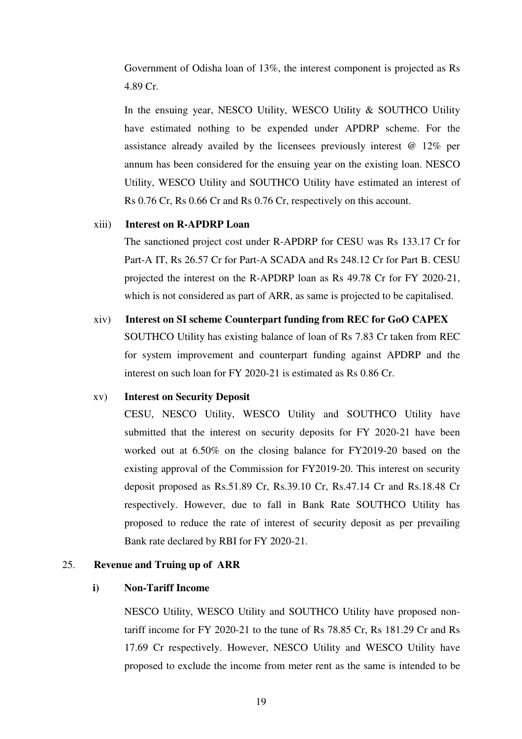Government of Odisha loan of 13%, the interest component is projected as Rs 4.89 Cr.

In the ensuing year, NESCO Utility, WESCO Utility & SOUTHCO Utility have estimated nothing to be expended under APDRP scheme. For the assistance already availed by the licensees previously interest @ 12% per annum has been considered for the ensuing year on the existing loan. NESCO Utility, WESCO Utility and SOUTHCO Utility have estimated an interest of Rs 0.76 Cr, Rs 0.66 Cr and Rs 0.76 Cr, respectively on this account.

#### xiii) **Interest on R-APDRP Loan**

The sanctioned project cost under R-APDRP for CESU was Rs 133.17 Cr for Part-A IT, Rs 26.57 Cr for Part-A SCADA and Rs 248.12 Cr for Part B. CESU projected the interest on the R-APDRP loan as Rs 49.78 Cr for FY 2020-21, which is not considered as part of ARR, as same is projected to be capitalised.

xiv) **Interest on SI scheme Counterpart funding from REC for GoO CAPEX**  SOUTHCO Utility has existing balance of loan of Rs 7.83 Cr taken from REC for system improvement and counterpart funding against APDRP and the interest on such loan for FY 2020-21 is estimated as Rs 0.86 Cr.

## xv) **Interest on Security Deposit**

CESU, NESCO Utility, WESCO Utility and SOUTHCO Utility have submitted that the interest on security deposits for FY 2020-21 have been worked out at 6.50% on the closing balance for FY2019-20 based on the existing approval of the Commission for FY2019-20. This interest on security deposit proposed as Rs.51.89 Cr, Rs.39.10 Cr, Rs.47.14 Cr and Rs.18.48 Cr respectively. However, due to fall in Bank Rate SOUTHCO Utility has proposed to reduce the rate of interest of security deposit as per prevailing Bank rate declared by RBI for FY 2020-21.

## 25. **Revenue and Truing up of ARR**

## **i) Non-Tariff Income**

NESCO Utility, WESCO Utility and SOUTHCO Utility have proposed nontariff income for FY 2020-21 to the tune of Rs 78.85 Cr, Rs 181.29 Cr and Rs 17.69 Cr respectively. However, NESCO Utility and WESCO Utility have proposed to exclude the income from meter rent as the same is intended to be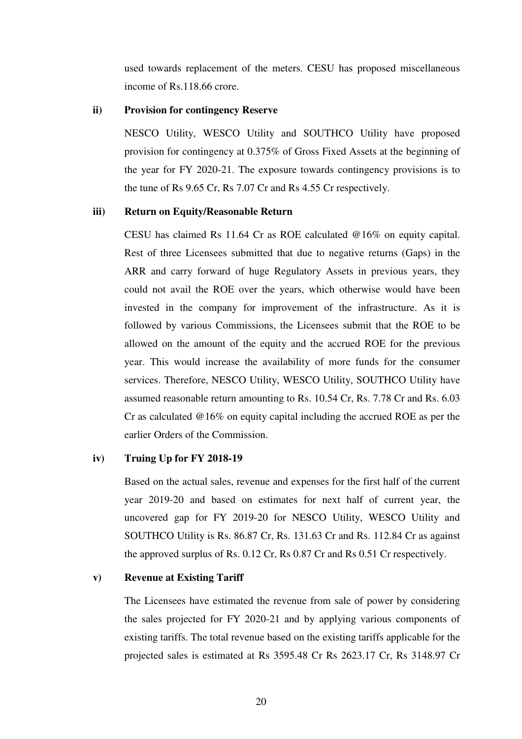used towards replacement of the meters. CESU has proposed miscellaneous income of Rs.118.66 crore.

## **ii) Provision for contingency Reserve**

NESCO Utility, WESCO Utility and SOUTHCO Utility have proposed provision for contingency at 0.375% of Gross Fixed Assets at the beginning of the year for FY 2020-21. The exposure towards contingency provisions is to the tune of Rs 9.65 Cr, Rs 7.07 Cr and Rs 4.55 Cr respectively.

#### **iii) Return on Equity/Reasonable Return**

CESU has claimed Rs 11.64 Cr as ROE calculated @16% on equity capital. Rest of three Licensees submitted that due to negative returns (Gaps) in the ARR and carry forward of huge Regulatory Assets in previous years, they could not avail the ROE over the years, which otherwise would have been invested in the company for improvement of the infrastructure. As it is followed by various Commissions, the Licensees submit that the ROE to be allowed on the amount of the equity and the accrued ROE for the previous year. This would increase the availability of more funds for the consumer services. Therefore, NESCO Utility, WESCO Utility, SOUTHCO Utility have assumed reasonable return amounting to Rs. 10.54 Cr, Rs. 7.78 Cr and Rs. 6.03 Cr as calculated @16% on equity capital including the accrued ROE as per the earlier Orders of the Commission.

## **iv) Truing Up for FY 2018-19**

Based on the actual sales, revenue and expenses for the first half of the current year 2019-20 and based on estimates for next half of current year, the uncovered gap for FY 2019-20 for NESCO Utility, WESCO Utility and SOUTHCO Utility is Rs. 86.87 Cr, Rs. 131.63 Cr and Rs. 112.84 Cr as against the approved surplus of Rs. 0.12 Cr, Rs 0.87 Cr and Rs 0.51 Cr respectively.

## **v) Revenue at Existing Tariff**

The Licensees have estimated the revenue from sale of power by considering the sales projected for FY 2020-21 and by applying various components of existing tariffs. The total revenue based on the existing tariffs applicable for the projected sales is estimated at Rs 3595.48 Cr Rs 2623.17 Cr, Rs 3148.97 Cr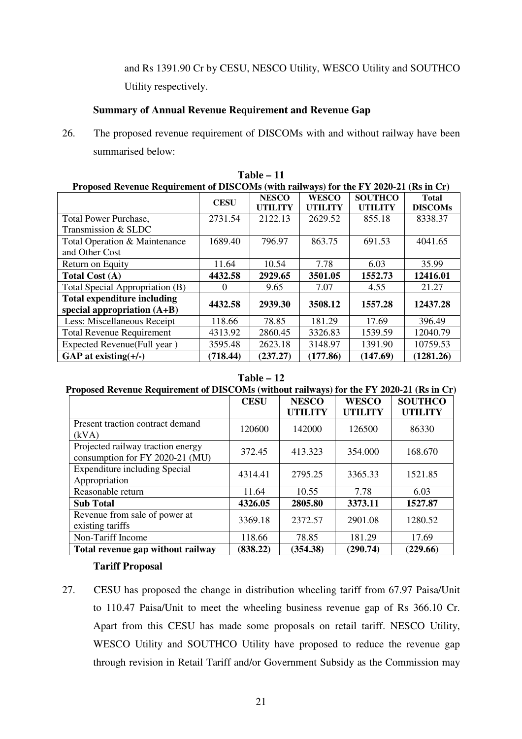and Rs 1391.90 Cr by CESU, NESCO Utility, WESCO Utility and SOUTHCO Utility respectively.

## **Summary of Annual Revenue Requirement and Revenue Gap**

26. The proposed revenue requirement of DISCOMs with and without railway have been summarised below:

| Proposed Revenue Requirement of DISCOMs (with railways) for the FY 2020-21 (Rs in Cr) |             |                |                |                |                |  |
|---------------------------------------------------------------------------------------|-------------|----------------|----------------|----------------|----------------|--|
|                                                                                       | <b>CESU</b> | <b>NESCO</b>   | <b>WESCO</b>   | <b>SOUTHCO</b> | <b>Total</b>   |  |
|                                                                                       |             | <b>UTILITY</b> | <b>UTILITY</b> | <b>UTILITY</b> | <b>DISCOMs</b> |  |
| <b>Total Power Purchase,</b>                                                          | 2731.54     | 2122.13        | 2629.52        | 855.18         | 8338.37        |  |
| Transmission & SLDC                                                                   |             |                |                |                |                |  |
| Total Operation & Maintenance                                                         | 1689.40     | 796.97         | 863.75         | 691.53         | 4041.65        |  |
| and Other Cost                                                                        |             |                |                |                |                |  |
| Return on Equity                                                                      | 11.64       | 10.54          | 7.78           | 6.03           | 35.99          |  |
| Total Cost (A)                                                                        | 4432.58     | 2929.65        | 3501.05        | 1552.73        | 12416.01       |  |
| Total Special Appropriation (B)                                                       | $\theta$    | 9.65           | 7.07           | 4.55           | 21.27          |  |
| <b>Total expenditure including</b>                                                    | 4432.58     | 2939.30        | 3508.12        | 1557.28        | 12437.28       |  |
| special appropriation $(A+B)$                                                         |             |                |                |                |                |  |
| Less: Miscellaneous Receipt                                                           | 118.66      | 78.85          | 181.29         | 17.69          | 396.49         |  |
| <b>Total Revenue Requirement</b>                                                      | 4313.92     | 2860.45        | 3326.83        | 1539.59        | 12040.79       |  |
| Expected Revenue(Full year)                                                           | 3595.48     | 2623.18        | 3148.97        | 1391.90        | 10759.53       |  |
| GAP at existing $(+/-)$                                                               | (718.44)    | (237.27)       | (177.86)       | (147.69)       | (1281.26)      |  |

**Table – 11** 

## **Table – 12**

## **Proposed Revenue Requirement of DISCOMs (without railways) for the FY 2020-21 (Rs in Cr)**

|                                                                      | <b>CESU</b> | <b>NESCO</b><br><b>UTILITY</b> | <b>WESCO</b><br><b>UTILITY</b> | <b>SOUTHCO</b><br><b>UTILITY</b> |
|----------------------------------------------------------------------|-------------|--------------------------------|--------------------------------|----------------------------------|
|                                                                      |             |                                |                                |                                  |
| Present traction contract demand                                     | 120600      | 142000                         | 126500                         | 86330                            |
| (kVA)                                                                |             |                                |                                |                                  |
| Projected railway traction energy<br>consumption for FY 2020-21 (MU) | 372.45      | 413.323                        | 354.000                        | 168.670                          |
| <b>Expenditure including Special</b>                                 |             |                                |                                |                                  |
| Appropriation                                                        | 4314.41     | 2795.25                        | 3365.33                        | 1521.85                          |
| Reasonable return                                                    | 11.64       | 10.55                          | 7.78                           | 6.03                             |
| <b>Sub Total</b>                                                     | 4326.05     | 2805.80                        | 3373.11                        | 1527.87                          |
| Revenue from sale of power at                                        |             |                                |                                |                                  |
| existing tariffs                                                     | 3369.18     | 2372.57                        | 2901.08                        | 1280.52                          |
| Non-Tariff Income                                                    | 118.66      | 78.85                          | 181.29                         | 17.69                            |
| Total revenue gap without railway                                    | (838.22)    | (354.38)                       | (290.74)                       | (229.66)                         |

## **Tariff Proposal**

27. CESU has proposed the change in distribution wheeling tariff from 67.97 Paisa/Unit to 110.47 Paisa/Unit to meet the wheeling business revenue gap of Rs 366.10 Cr. Apart from this CESU has made some proposals on retail tariff. NESCO Utility, WESCO Utility and SOUTHCO Utility have proposed to reduce the revenue gap through revision in Retail Tariff and/or Government Subsidy as the Commission may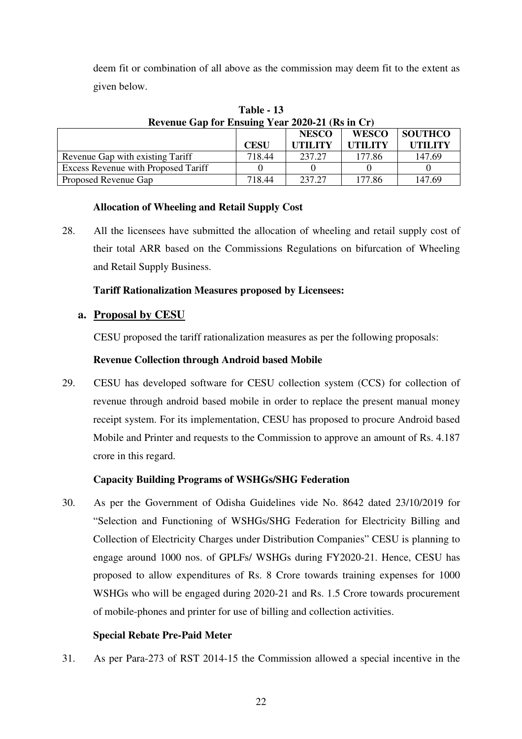deem fit or combination of all above as the commission may deem fit to the extent as given below.

| Revenue Gap for Ensuing Year 2020-21 (Rs in Cr) |             |                |                |                |  |
|-------------------------------------------------|-------------|----------------|----------------|----------------|--|
|                                                 |             | <b>NESCO</b>   | <b>WESCO</b>   | SOUTHCO        |  |
|                                                 | <b>CESU</b> | <b>UTH JTY</b> | <b>UTILITY</b> | <b>UTILITY</b> |  |
| Revenue Gap with existing Tariff                | 718.44      | 237.27         | 177.86         | 147.69         |  |
| <b>Excess Revenue with Proposed Tariff</b>      |             |                |                |                |  |
| Proposed Revenue Gap                            | 718.44      | 237.27         | 177.86         | 147.69         |  |

**Table - 13 Revenue Gap for Ensuing Year 2020-21 (Rs in Cr)** 

## **Allocation of Wheeling and Retail Supply Cost**

28. All the licensees have submitted the allocation of wheeling and retail supply cost of their total ARR based on the Commissions Regulations on bifurcation of Wheeling and Retail Supply Business.

# **Tariff Rationalization Measures proposed by Licensees:**

# **a. Proposal by CESU**

CESU proposed the tariff rationalization measures as per the following proposals:

# **Revenue Collection through Android based Mobile**

29. CESU has developed software for CESU collection system (CCS) for collection of revenue through android based mobile in order to replace the present manual money receipt system. For its implementation, CESU has proposed to procure Android based Mobile and Printer and requests to the Commission to approve an amount of Rs. 4.187 crore in this regard.

# **Capacity Building Programs of WSHGs/SHG Federation**

30. As per the Government of Odisha Guidelines vide No. 8642 dated 23/10/2019 for "Selection and Functioning of WSHGs/SHG Federation for Electricity Billing and Collection of Electricity Charges under Distribution Companies" CESU is planning to engage around 1000 nos. of GPLFs/ WSHGs during FY2020-21. Hence, CESU has proposed to allow expenditures of Rs. 8 Crore towards training expenses for 1000 WSHGs who will be engaged during 2020-21 and Rs. 1.5 Crore towards procurement of mobile-phones and printer for use of billing and collection activities.

## **Special Rebate Pre-Paid Meter**

31. As per Para-273 of RST 2014-15 the Commission allowed a special incentive in the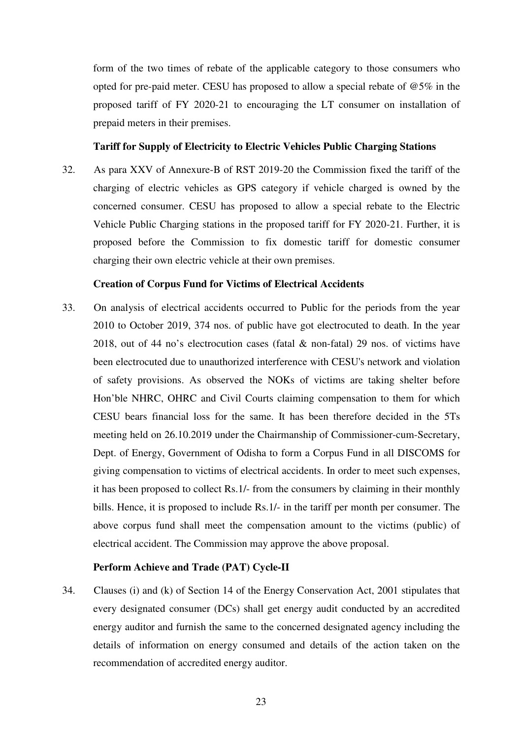form of the two times of rebate of the applicable category to those consumers who opted for pre-paid meter. CESU has proposed to allow a special rebate of @5% in the proposed tariff of FY 2020-21 to encouraging the LT consumer on installation of prepaid meters in their premises.

## **Tariff for Supply of Electricity to Electric Vehicles Public Charging Stations**

32. As para XXV of Annexure-B of RST 2019-20 the Commission fixed the tariff of the charging of electric vehicles as GPS category if vehicle charged is owned by the concerned consumer. CESU has proposed to allow a special rebate to the Electric Vehicle Public Charging stations in the proposed tariff for FY 2020-21. Further, it is proposed before the Commission to fix domestic tariff for domestic consumer charging their own electric vehicle at their own premises.

### **Creation of Corpus Fund for Victims of Electrical Accidents**

33. On analysis of electrical accidents occurred to Public for the periods from the year 2010 to October 2019, 374 nos. of public have got electrocuted to death. In the year 2018, out of 44 no's electrocution cases (fatal & non-fatal) 29 nos. of victims have been electrocuted due to unauthorized interference with CESU's network and violation of safety provisions. As observed the NOKs of victims are taking shelter before Hon'ble NHRC, OHRC and Civil Courts claiming compensation to them for which CESU bears financial loss for the same. It has been therefore decided in the 5Ts meeting held on 26.10.2019 under the Chairmanship of Commissioner-cum-Secretary, Dept. of Energy, Government of Odisha to form a Corpus Fund in all DISCOMS for giving compensation to victims of electrical accidents. In order to meet such expenses, it has been proposed to collect Rs.1/- from the consumers by claiming in their monthly bills. Hence, it is proposed to include Rs.1/- in the tariff per month per consumer. The above corpus fund shall meet the compensation amount to the victims (public) of electrical accident. The Commission may approve the above proposal.

## **Perform Achieve and Trade (PAT) Cycle-II**

34. Clauses (i) and (k) of Section 14 of the Energy Conservation Act, 2001 stipulates that every designated consumer (DCs) shall get energy audit conducted by an accredited energy auditor and furnish the same to the concerned designated agency including the details of information on energy consumed and details of the action taken on the recommendation of accredited energy auditor.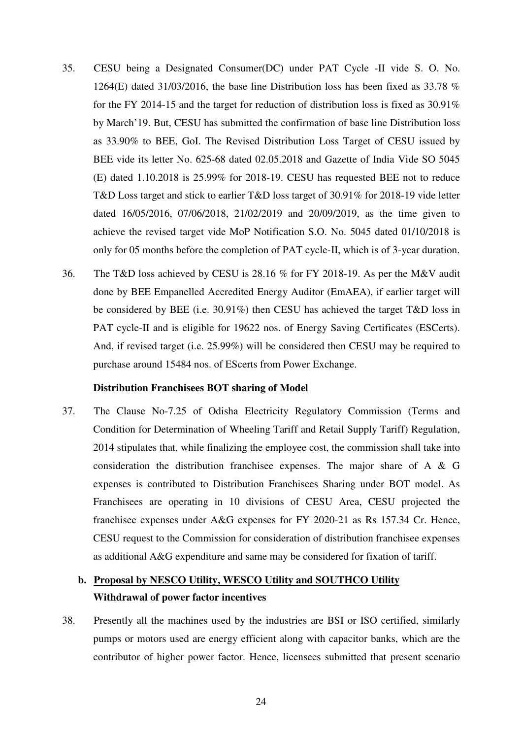- 35. CESU being a Designated Consumer(DC) under PAT Cycle -II vide S. O. No. 1264(E) dated 31/03/2016, the base line Distribution loss has been fixed as 33.78  $\%$ for the FY 2014-15 and the target for reduction of distribution loss is fixed as 30.91% by March'19. But, CESU has submitted the confirmation of base line Distribution loss as 33.90% to BEE, GoI. The Revised Distribution Loss Target of CESU issued by BEE vide its letter No. 625-68 dated 02.05.2018 and Gazette of India Vide SO 5045 (E) dated 1.10.2018 is 25.99% for 2018-19. CESU has requested BEE not to reduce T&D Loss target and stick to earlier T&D loss target of 30.91% for 2018-19 vide letter dated 16/05/2016, 07/06/2018, 21/02/2019 and 20/09/2019, as the time given to achieve the revised target vide MoP Notification S.O. No. 5045 dated 01/10/2018 is only for 05 months before the completion of PAT cycle-II, which is of 3-year duration.
- 36. The T&D loss achieved by CESU is 28.16 % for FY 2018-19. As per the M&V audit done by BEE Empanelled Accredited Energy Auditor (EmAEA), if earlier target will be considered by BEE (i.e. 30.91%) then CESU has achieved the target T&D loss in PAT cycle-II and is eligible for 19622 nos. of Energy Saving Certificates (ESCerts). And, if revised target (i.e. 25.99%) will be considered then CESU may be required to purchase around 15484 nos. of EScerts from Power Exchange.

#### **Distribution Franchisees BOT sharing of Model**

37. The Clause No-7.25 of Odisha Electricity Regulatory Commission (Terms and Condition for Determination of Wheeling Tariff and Retail Supply Tariff) Regulation, 2014 stipulates that, while finalizing the employee cost, the commission shall take into consideration the distribution franchisee expenses. The major share of A & G expenses is contributed to Distribution Franchisees Sharing under BOT model. As Franchisees are operating in 10 divisions of CESU Area, CESU projected the franchisee expenses under A&G expenses for FY 2020-21 as Rs 157.34 Cr. Hence, CESU request to the Commission for consideration of distribution franchisee expenses as additional A&G expenditure and same may be considered for fixation of tariff.

# **b. Proposal by NESCO Utility, WESCO Utility and SOUTHCO Utility Withdrawal of power factor incentives**

38. Presently all the machines used by the industries are BSI or ISO certified, similarly pumps or motors used are energy efficient along with capacitor banks, which are the contributor of higher power factor. Hence, licensees submitted that present scenario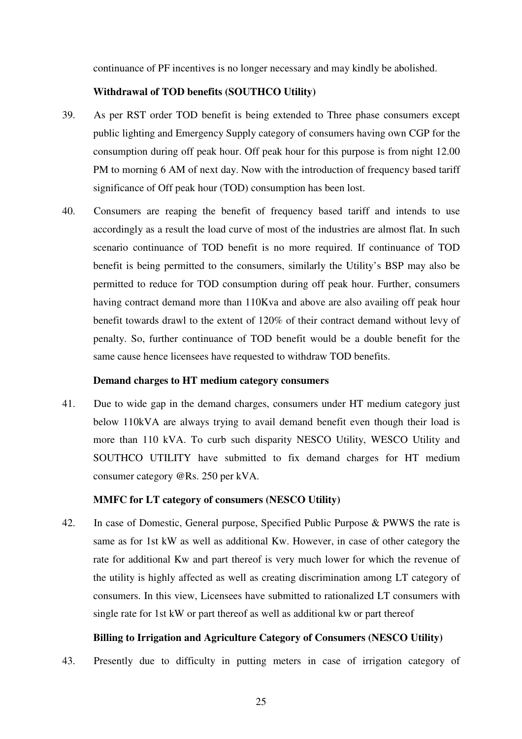continuance of PF incentives is no longer necessary and may kindly be abolished.

#### **Withdrawal of TOD benefits (SOUTHCO Utility)**

- 39. As per RST order TOD benefit is being extended to Three phase consumers except public lighting and Emergency Supply category of consumers having own CGP for the consumption during off peak hour. Off peak hour for this purpose is from night 12.00 PM to morning 6 AM of next day. Now with the introduction of frequency based tariff significance of Off peak hour (TOD) consumption has been lost.
- 40. Consumers are reaping the benefit of frequency based tariff and intends to use accordingly as a result the load curve of most of the industries are almost flat. In such scenario continuance of TOD benefit is no more required. If continuance of TOD benefit is being permitted to the consumers, similarly the Utility's BSP may also be permitted to reduce for TOD consumption during off peak hour. Further, consumers having contract demand more than 110Kva and above are also availing off peak hour benefit towards drawl to the extent of 120% of their contract demand without levy of penalty. So, further continuance of TOD benefit would be a double benefit for the same cause hence licensees have requested to withdraw TOD benefits.

#### **Demand charges to HT medium category consumers**

41. Due to wide gap in the demand charges, consumers under HT medium category just below 110kVA are always trying to avail demand benefit even though their load is more than 110 kVA. To curb such disparity NESCO Utility, WESCO Utility and SOUTHCO UTILITY have submitted to fix demand charges for HT medium consumer category @Rs. 250 per kVA.

#### **MMFC for LT category of consumers (NESCO Utility)**

42. In case of Domestic, General purpose, Specified Public Purpose & PWWS the rate is same as for 1st kW as well as additional Kw. However, in case of other category the rate for additional Kw and part thereof is very much lower for which the revenue of the utility is highly affected as well as creating discrimination among LT category of consumers. In this view, Licensees have submitted to rationalized LT consumers with single rate for 1st kW or part thereof as well as additional kw or part thereof

#### **Billing to Irrigation and Agriculture Category of Consumers (NESCO Utility)**

43. Presently due to difficulty in putting meters in case of irrigation category of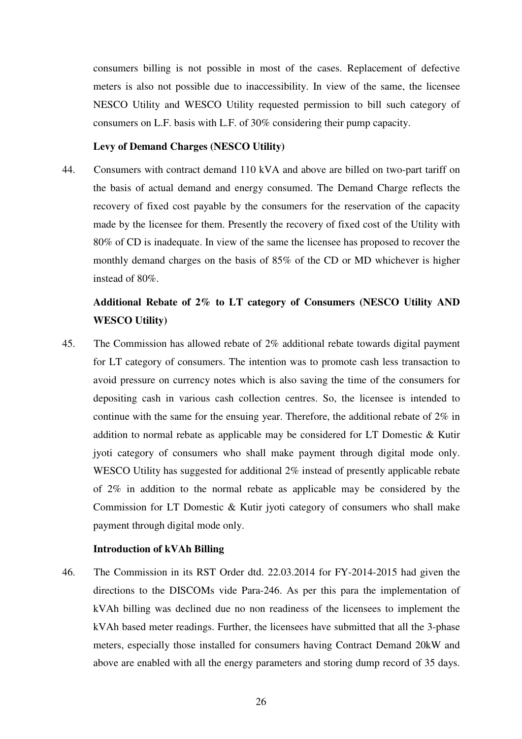consumers billing is not possible in most of the cases. Replacement of defective meters is also not possible due to inaccessibility. In view of the same, the licensee NESCO Utility and WESCO Utility requested permission to bill such category of consumers on L.F. basis with L.F. of 30% considering their pump capacity.

#### **Levy of Demand Charges (NESCO Utility)**

44. Consumers with contract demand 110 kVA and above are billed on two-part tariff on the basis of actual demand and energy consumed. The Demand Charge reflects the recovery of fixed cost payable by the consumers for the reservation of the capacity made by the licensee for them. Presently the recovery of fixed cost of the Utility with 80% of CD is inadequate. In view of the same the licensee has proposed to recover the monthly demand charges on the basis of 85% of the CD or MD whichever is higher instead of 80%.

# **Additional Rebate of 2% to LT category of Consumers (NESCO Utility AND WESCO Utility)**

45. The Commission has allowed rebate of 2% additional rebate towards digital payment for LT category of consumers. The intention was to promote cash less transaction to avoid pressure on currency notes which is also saving the time of the consumers for depositing cash in various cash collection centres. So, the licensee is intended to continue with the same for the ensuing year. Therefore, the additional rebate of 2% in addition to normal rebate as applicable may be considered for LT Domestic & Kutir jyoti category of consumers who shall make payment through digital mode only. WESCO Utility has suggested for additional 2% instead of presently applicable rebate of 2% in addition to the normal rebate as applicable may be considered by the Commission for LT Domestic & Kutir jyoti category of consumers who shall make payment through digital mode only.

## **Introduction of kVAh Billing**

46. The Commission in its RST Order dtd. 22.03.2014 for FY-2014-2015 had given the directions to the DISCOMs vide Para-246. As per this para the implementation of kVAh billing was declined due no non readiness of the licensees to implement the kVAh based meter readings. Further, the licensees have submitted that all the 3-phase meters, especially those installed for consumers having Contract Demand 20kW and above are enabled with all the energy parameters and storing dump record of 35 days.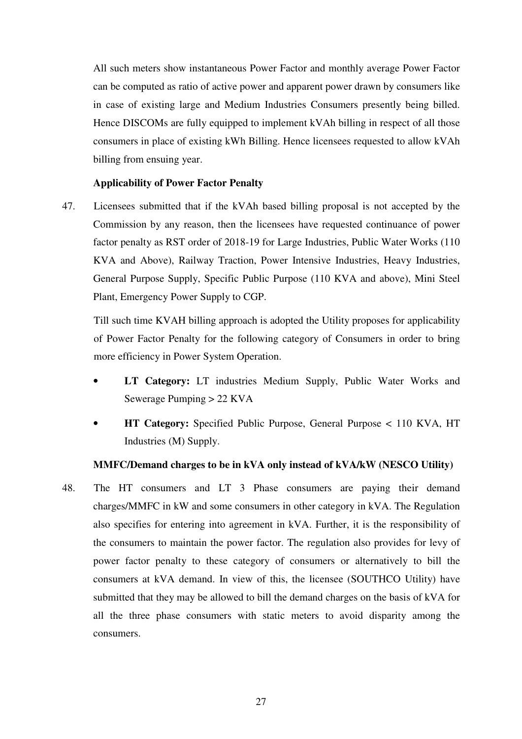All such meters show instantaneous Power Factor and monthly average Power Factor can be computed as ratio of active power and apparent power drawn by consumers like in case of existing large and Medium Industries Consumers presently being billed. Hence DISCOMs are fully equipped to implement kVAh billing in respect of all those consumers in place of existing kWh Billing. Hence licensees requested to allow kVAh billing from ensuing year.

## **Applicability of Power Factor Penalty**

47. Licensees submitted that if the kVAh based billing proposal is not accepted by the Commission by any reason, then the licensees have requested continuance of power factor penalty as RST order of 2018-19 for Large Industries, Public Water Works (110 KVA and Above), Railway Traction, Power Intensive Industries, Heavy Industries, General Purpose Supply, Specific Public Purpose (110 KVA and above), Mini Steel Plant, Emergency Power Supply to CGP.

Till such time KVAH billing approach is adopted the Utility proposes for applicability of Power Factor Penalty for the following category of Consumers in order to bring more efficiency in Power System Operation.

- **LT Category:** LT industries Medium Supply, Public Water Works and Sewerage Pumping > 22 KVA
- **HT Category:** Specified Public Purpose, General Purpose < 110 KVA, HT Industries (M) Supply.

## **MMFC/Demand charges to be in kVA only instead of kVA/kW (NESCO Utility)**

48. The HT consumers and LT 3 Phase consumers are paying their demand charges/MMFC in kW and some consumers in other category in kVA. The Regulation also specifies for entering into agreement in kVA. Further, it is the responsibility of the consumers to maintain the power factor. The regulation also provides for levy of power factor penalty to these category of consumers or alternatively to bill the consumers at kVA demand. In view of this, the licensee (SOUTHCO Utility) have submitted that they may be allowed to bill the demand charges on the basis of kVA for all the three phase consumers with static meters to avoid disparity among the consumers.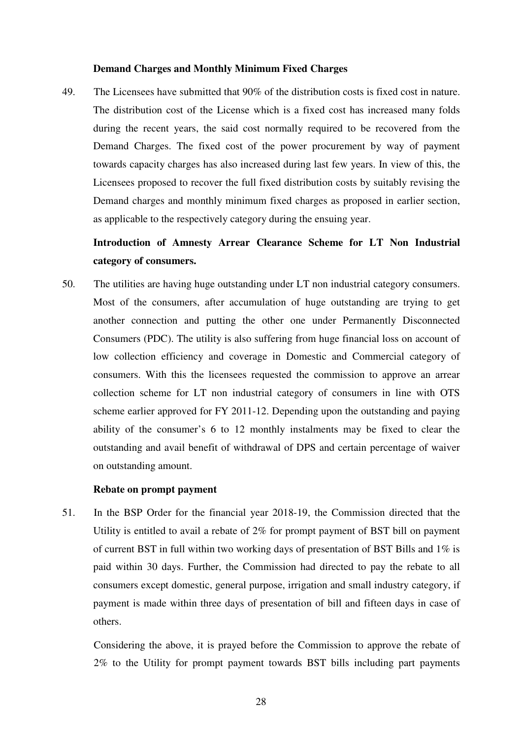#### **Demand Charges and Monthly Minimum Fixed Charges**

49. The Licensees have submitted that 90% of the distribution costs is fixed cost in nature. The distribution cost of the License which is a fixed cost has increased many folds during the recent years, the said cost normally required to be recovered from the Demand Charges. The fixed cost of the power procurement by way of payment towards capacity charges has also increased during last few years. In view of this, the Licensees proposed to recover the full fixed distribution costs by suitably revising the Demand charges and monthly minimum fixed charges as proposed in earlier section, as applicable to the respectively category during the ensuing year.

# **Introduction of Amnesty Arrear Clearance Scheme for LT Non Industrial category of consumers.**

50. The utilities are having huge outstanding under LT non industrial category consumers. Most of the consumers, after accumulation of huge outstanding are trying to get another connection and putting the other one under Permanently Disconnected Consumers (PDC). The utility is also suffering from huge financial loss on account of low collection efficiency and coverage in Domestic and Commercial category of consumers. With this the licensees requested the commission to approve an arrear collection scheme for LT non industrial category of consumers in line with OTS scheme earlier approved for FY 2011-12. Depending upon the outstanding and paying ability of the consumer's 6 to 12 monthly instalments may be fixed to clear the outstanding and avail benefit of withdrawal of DPS and certain percentage of waiver on outstanding amount.

#### **Rebate on prompt payment**

51. In the BSP Order for the financial year 2018-19, the Commission directed that the Utility is entitled to avail a rebate of 2% for prompt payment of BST bill on payment of current BST in full within two working days of presentation of BST Bills and 1% is paid within 30 days. Further, the Commission had directed to pay the rebate to all consumers except domestic, general purpose, irrigation and small industry category, if payment is made within three days of presentation of bill and fifteen days in case of others.

Considering the above, it is prayed before the Commission to approve the rebate of 2% to the Utility for prompt payment towards BST bills including part payments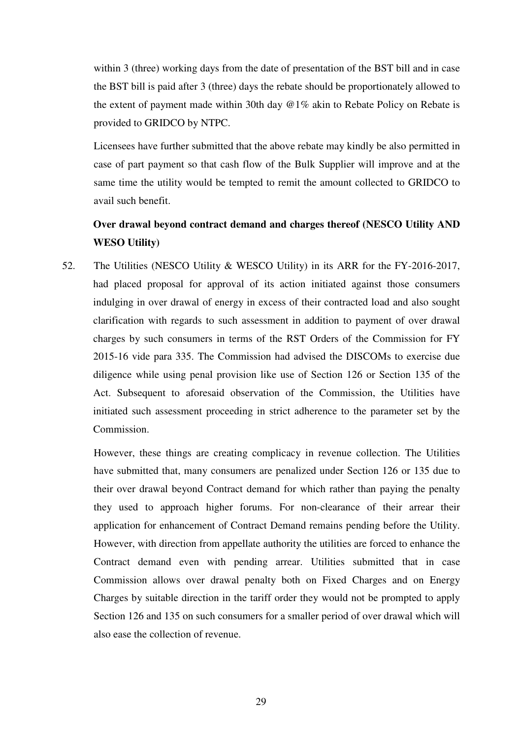within 3 (three) working days from the date of presentation of the BST bill and in case the BST bill is paid after 3 (three) days the rebate should be proportionately allowed to the extent of payment made within 30th day @1% akin to Rebate Policy on Rebate is provided to GRIDCO by NTPC.

Licensees have further submitted that the above rebate may kindly be also permitted in case of part payment so that cash flow of the Bulk Supplier will improve and at the same time the utility would be tempted to remit the amount collected to GRIDCO to avail such benefit.

# **Over drawal beyond contract demand and charges thereof (NESCO Utility AND WESO Utility)**

52. The Utilities (NESCO Utility & WESCO Utility) in its ARR for the FY-2016-2017, had placed proposal for approval of its action initiated against those consumers indulging in over drawal of energy in excess of their contracted load and also sought clarification with regards to such assessment in addition to payment of over drawal charges by such consumers in terms of the RST Orders of the Commission for FY 2015-16 vide para 335. The Commission had advised the DISCOMs to exercise due diligence while using penal provision like use of Section 126 or Section 135 of the Act. Subsequent to aforesaid observation of the Commission, the Utilities have initiated such assessment proceeding in strict adherence to the parameter set by the Commission.

However, these things are creating complicacy in revenue collection. The Utilities have submitted that, many consumers are penalized under Section 126 or 135 due to their over drawal beyond Contract demand for which rather than paying the penalty they used to approach higher forums. For non-clearance of their arrear their application for enhancement of Contract Demand remains pending before the Utility. However, with direction from appellate authority the utilities are forced to enhance the Contract demand even with pending arrear. Utilities submitted that in case Commission allows over drawal penalty both on Fixed Charges and on Energy Charges by suitable direction in the tariff order they would not be prompted to apply Section 126 and 135 on such consumers for a smaller period of over drawal which will also ease the collection of revenue.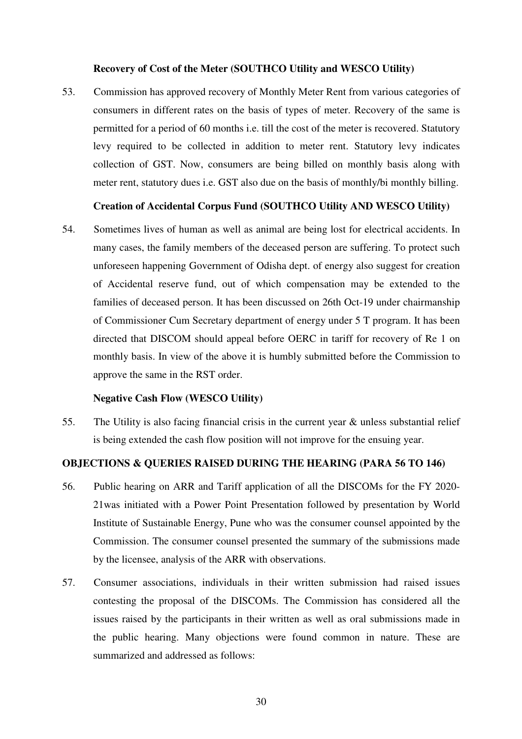#### **Recovery of Cost of the Meter (SOUTHCO Utility and WESCO Utility)**

53. Commission has approved recovery of Monthly Meter Rent from various categories of consumers in different rates on the basis of types of meter. Recovery of the same is permitted for a period of 60 months i.e. till the cost of the meter is recovered. Statutory levy required to be collected in addition to meter rent. Statutory levy indicates collection of GST. Now, consumers are being billed on monthly basis along with meter rent, statutory dues i.e. GST also due on the basis of monthly/bi monthly billing.

#### **Creation of Accidental Corpus Fund (SOUTHCO Utility AND WESCO Utility)**

54. Sometimes lives of human as well as animal are being lost for electrical accidents. In many cases, the family members of the deceased person are suffering. To protect such unforeseen happening Government of Odisha dept. of energy also suggest for creation of Accidental reserve fund, out of which compensation may be extended to the families of deceased person. It has been discussed on 26th Oct-19 under chairmanship of Commissioner Cum Secretary department of energy under 5 T program. It has been directed that DISCOM should appeal before OERC in tariff for recovery of Re 1 on monthly basis. In view of the above it is humbly submitted before the Commission to approve the same in the RST order.

## **Negative Cash Flow (WESCO Utility)**

55. The Utility is also facing financial crisis in the current year & unless substantial relief is being extended the cash flow position will not improve for the ensuing year.

## **OBJECTIONS & QUERIES RAISED DURING THE HEARING (PARA 56 TO 146)**

- 56. Public hearing on ARR and Tariff application of all the DISCOMs for the FY 2020- 21was initiated with a Power Point Presentation followed by presentation by World Institute of Sustainable Energy, Pune who was the consumer counsel appointed by the Commission. The consumer counsel presented the summary of the submissions made by the licensee, analysis of the ARR with observations.
- 57. Consumer associations, individuals in their written submission had raised issues contesting the proposal of the DISCOMs. The Commission has considered all the issues raised by the participants in their written as well as oral submissions made in the public hearing. Many objections were found common in nature. These are summarized and addressed as follows: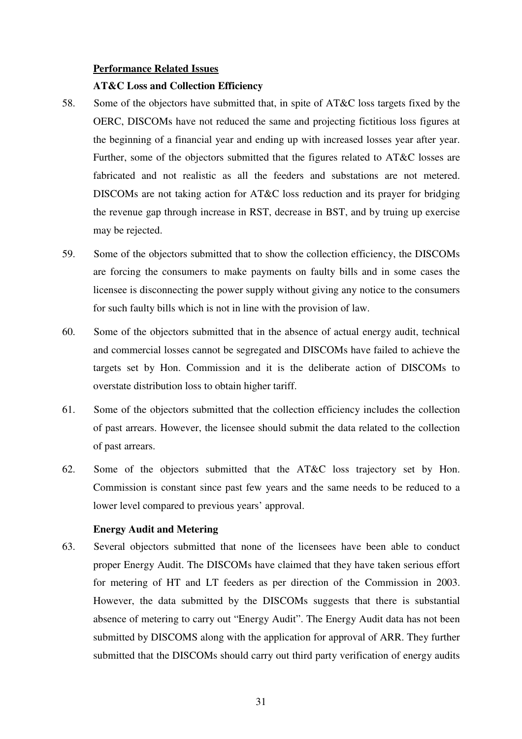#### **Performance Related Issues**

#### **AT&C Loss and Collection Efficiency**

- 58. Some of the objectors have submitted that, in spite of AT&C loss targets fixed by the OERC, DISCOMs have not reduced the same and projecting fictitious loss figures at the beginning of a financial year and ending up with increased losses year after year. Further, some of the objectors submitted that the figures related to AT&C losses are fabricated and not realistic as all the feeders and substations are not metered. DISCOMs are not taking action for AT&C loss reduction and its prayer for bridging the revenue gap through increase in RST, decrease in BST, and by truing up exercise may be rejected.
- 59. Some of the objectors submitted that to show the collection efficiency, the DISCOMs are forcing the consumers to make payments on faulty bills and in some cases the licensee is disconnecting the power supply without giving any notice to the consumers for such faulty bills which is not in line with the provision of law.
- 60. Some of the objectors submitted that in the absence of actual energy audit, technical and commercial losses cannot be segregated and DISCOMs have failed to achieve the targets set by Hon. Commission and it is the deliberate action of DISCOMs to overstate distribution loss to obtain higher tariff.
- 61. Some of the objectors submitted that the collection efficiency includes the collection of past arrears. However, the licensee should submit the data related to the collection of past arrears.
- 62. Some of the objectors submitted that the AT&C loss trajectory set by Hon. Commission is constant since past few years and the same needs to be reduced to a lower level compared to previous years' approval.

#### **Energy Audit and Metering**

63. Several objectors submitted that none of the licensees have been able to conduct proper Energy Audit. The DISCOMs have claimed that they have taken serious effort for metering of HT and LT feeders as per direction of the Commission in 2003. However, the data submitted by the DISCOMs suggests that there is substantial absence of metering to carry out "Energy Audit". The Energy Audit data has not been submitted by DISCOMS along with the application for approval of ARR. They further submitted that the DISCOMs should carry out third party verification of energy audits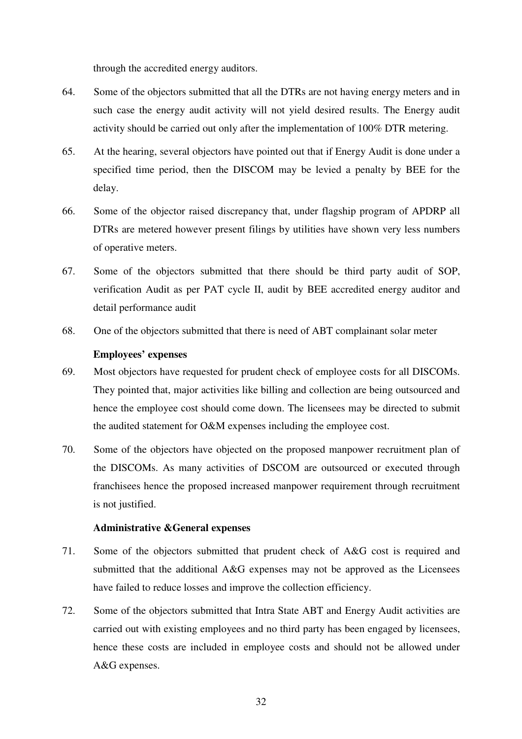through the accredited energy auditors.

- 64. Some of the objectors submitted that all the DTRs are not having energy meters and in such case the energy audit activity will not yield desired results. The Energy audit activity should be carried out only after the implementation of 100% DTR metering.
- 65. At the hearing, several objectors have pointed out that if Energy Audit is done under a specified time period, then the DISCOM may be levied a penalty by BEE for the delay.
- 66. Some of the objector raised discrepancy that, under flagship program of APDRP all DTRs are metered however present filings by utilities have shown very less numbers of operative meters.
- 67. Some of the objectors submitted that there should be third party audit of SOP, verification Audit as per PAT cycle II, audit by BEE accredited energy auditor and detail performance audit
- 68. One of the objectors submitted that there is need of ABT complainant solar meter

#### **Employees' expenses**

- 69. Most objectors have requested for prudent check of employee costs for all DISCOMs. They pointed that, major activities like billing and collection are being outsourced and hence the employee cost should come down. The licensees may be directed to submit the audited statement for O&M expenses including the employee cost.
- 70. Some of the objectors have objected on the proposed manpower recruitment plan of the DISCOMs. As many activities of DSCOM are outsourced or executed through franchisees hence the proposed increased manpower requirement through recruitment is not justified.

#### **Administrative &General expenses**

- 71. Some of the objectors submitted that prudent check of A&G cost is required and submitted that the additional A&G expenses may not be approved as the Licensees have failed to reduce losses and improve the collection efficiency.
- 72. Some of the objectors submitted that Intra State ABT and Energy Audit activities are carried out with existing employees and no third party has been engaged by licensees, hence these costs are included in employee costs and should not be allowed under A&G expenses.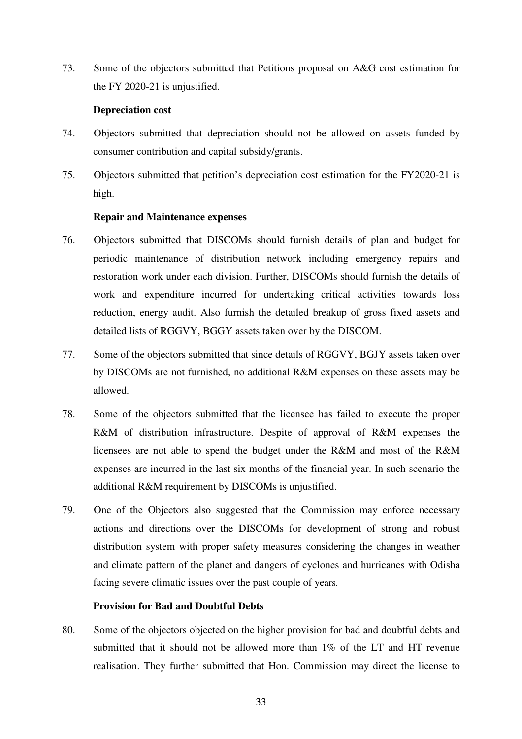73. Some of the objectors submitted that Petitions proposal on A&G cost estimation for the FY 2020-21 is unjustified.

## **Depreciation cost**

- 74. Objectors submitted that depreciation should not be allowed on assets funded by consumer contribution and capital subsidy/grants.
- 75. Objectors submitted that petition's depreciation cost estimation for the FY2020-21 is high.

#### **Repair and Maintenance expenses**

- 76. Objectors submitted that DISCOMs should furnish details of plan and budget for periodic maintenance of distribution network including emergency repairs and restoration work under each division. Further, DISCOMs should furnish the details of work and expenditure incurred for undertaking critical activities towards loss reduction, energy audit. Also furnish the detailed breakup of gross fixed assets and detailed lists of RGGVY, BGGY assets taken over by the DISCOM.
- 77. Some of the objectors submitted that since details of RGGVY, BGJY assets taken over by DISCOMs are not furnished, no additional R&M expenses on these assets may be allowed.
- 78. Some of the objectors submitted that the licensee has failed to execute the proper R&M of distribution infrastructure. Despite of approval of R&M expenses the licensees are not able to spend the budget under the R&M and most of the R&M expenses are incurred in the last six months of the financial year. In such scenario the additional R&M requirement by DISCOMs is unjustified.
- 79. One of the Objectors also suggested that the Commission may enforce necessary actions and directions over the DISCOMs for development of strong and robust distribution system with proper safety measures considering the changes in weather and climate pattern of the planet and dangers of cyclones and hurricanes with Odisha facing severe climatic issues over the past couple of years.

## **Provision for Bad and Doubtful Debts**

80. Some of the objectors objected on the higher provision for bad and doubtful debts and submitted that it should not be allowed more than 1% of the LT and HT revenue realisation. They further submitted that Hon. Commission may direct the license to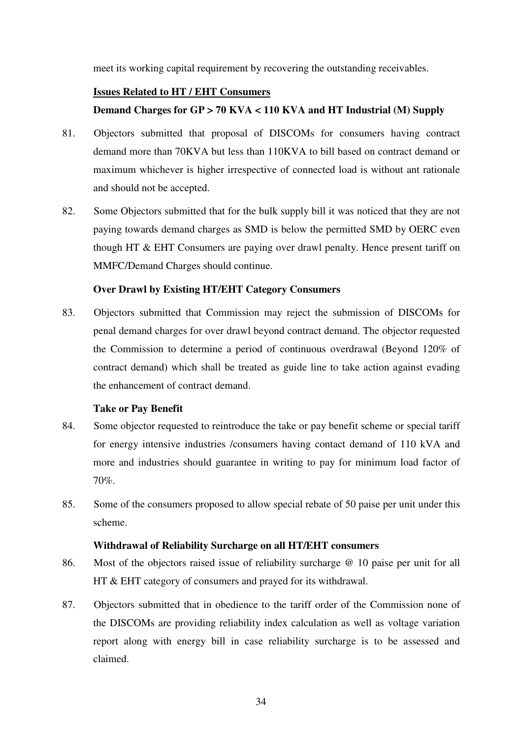meet its working capital requirement by recovering the outstanding receivables.

#### **Issues Related to HT / EHT Consumers**

## **Demand Charges for GP > 70 KVA < 110 KVA and HT Industrial (M) Supply**

- 81. Objectors submitted that proposal of DISCOMs for consumers having contract demand more than 70KVA but less than 110KVA to bill based on contract demand or maximum whichever is higher irrespective of connected load is without ant rationale and should not be accepted.
- 82. Some Objectors submitted that for the bulk supply bill it was noticed that they are not paying towards demand charges as SMD is below the permitted SMD by OERC even though HT & EHT Consumers are paying over drawl penalty. Hence present tariff on MMFC/Demand Charges should continue.

## **Over Drawl by Existing HT/EHT Category Consumers**

83. Objectors submitted that Commission may reject the submission of DISCOMs for penal demand charges for over drawl beyond contract demand. The objector requested the Commission to determine a period of continuous overdrawal (Beyond 120% of contract demand) which shall be treated as guide line to take action against evading the enhancement of contract demand.

## **Take or Pay Benefit**

- 84. Some objector requested to reintroduce the take or pay benefit scheme or special tariff for energy intensive industries /consumers having contact demand of 110 kVA and more and industries should guarantee in writing to pay for minimum load factor of 70%.
- 85. Some of the consumers proposed to allow special rebate of 50 paise per unit under this scheme.

## **Withdrawal of Reliability Surcharge on all HT/EHT consumers**

- 86. Most of the objectors raised issue of reliability surcharge @ 10 paise per unit for all HT & EHT category of consumers and prayed for its withdrawal.
- 87. Objectors submitted that in obedience to the tariff order of the Commission none of the DISCOMs are providing reliability index calculation as well as voltage variation report along with energy bill in case reliability surcharge is to be assessed and claimed.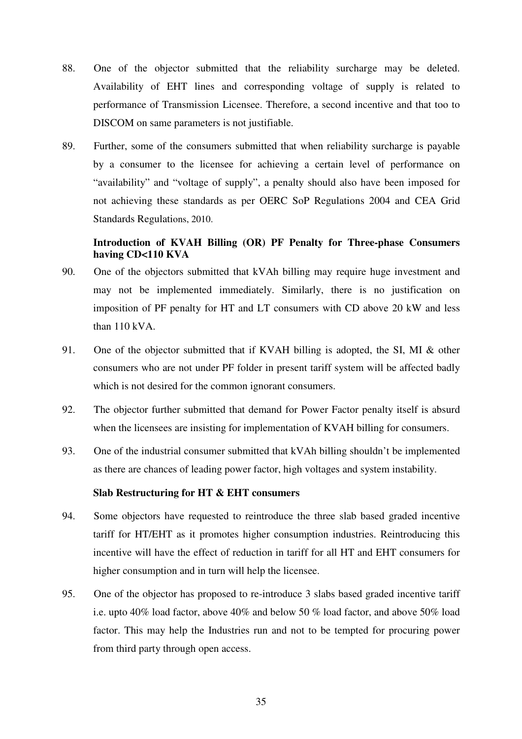- 88. One of the objector submitted that the reliability surcharge may be deleted. Availability of EHT lines and corresponding voltage of supply is related to performance of Transmission Licensee. Therefore, a second incentive and that too to DISCOM on same parameters is not justifiable.
- 89. Further, some of the consumers submitted that when reliability surcharge is payable by a consumer to the licensee for achieving a certain level of performance on "availability" and "voltage of supply", a penalty should also have been imposed for not achieving these standards as per OERC SoP Regulations 2004 and CEA Grid Standards Regulations, 2010.

# **Introduction of KVAH Billing (OR) PF Penalty for Three-phase Consumers having CD<110 KVA**

- 90. One of the objectors submitted that kVAh billing may require huge investment and may not be implemented immediately. Similarly, there is no justification on imposition of PF penalty for HT and LT consumers with CD above 20 kW and less than 110 kVA.
- 91. One of the objector submitted that if KVAH billing is adopted, the SI, MI & other consumers who are not under PF folder in present tariff system will be affected badly which is not desired for the common ignorant consumers.
- 92. The objector further submitted that demand for Power Factor penalty itself is absurd when the licensees are insisting for implementation of KVAH billing for consumers.
- 93. One of the industrial consumer submitted that kVAh billing shouldn't be implemented as there are chances of leading power factor, high voltages and system instability.

#### **Slab Restructuring for HT & EHT consumers**

- 94. Some objectors have requested to reintroduce the three slab based graded incentive tariff for HT/EHT as it promotes higher consumption industries. Reintroducing this incentive will have the effect of reduction in tariff for all HT and EHT consumers for higher consumption and in turn will help the licensee.
- 95. One of the objector has proposed to re-introduce 3 slabs based graded incentive tariff i.e. upto 40% load factor, above 40% and below 50 % load factor, and above 50% load factor. This may help the Industries run and not to be tempted for procuring power from third party through open access.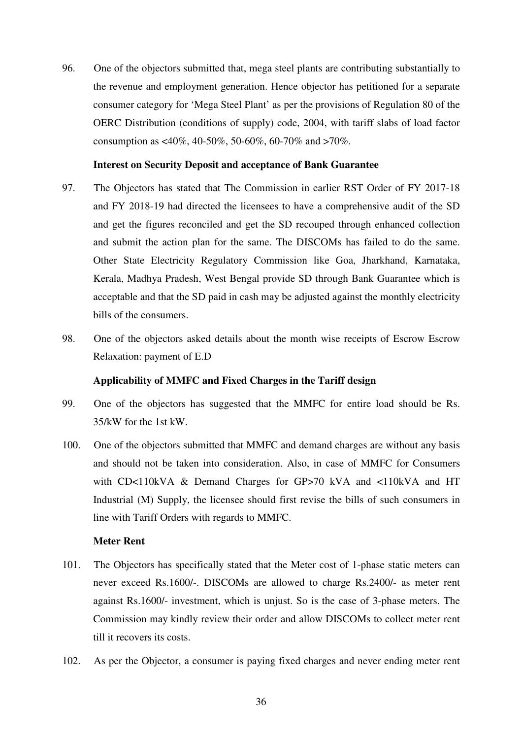96. One of the objectors submitted that, mega steel plants are contributing substantially to the revenue and employment generation. Hence objector has petitioned for a separate consumer category for 'Mega Steel Plant' as per the provisions of Regulation 80 of the OERC Distribution (conditions of supply) code, 2004, with tariff slabs of load factor consumption as <40%, 40-50%, 50-60%, 60-70% and >70%.

## **Interest on Security Deposit and acceptance of Bank Guarantee**

- 97. The Objectors has stated that The Commission in earlier RST Order of FY 2017-18 and FY 2018-19 had directed the licensees to have a comprehensive audit of the SD and get the figures reconciled and get the SD recouped through enhanced collection and submit the action plan for the same. The DISCOMs has failed to do the same. Other State Electricity Regulatory Commission like Goa, Jharkhand, Karnataka, Kerala, Madhya Pradesh, West Bengal provide SD through Bank Guarantee which is acceptable and that the SD paid in cash may be adjusted against the monthly electricity bills of the consumers.
- 98. One of the objectors asked details about the month wise receipts of Escrow Escrow Relaxation: payment of E.D

## **Applicability of MMFC and Fixed Charges in the Tariff design**

- 99. One of the objectors has suggested that the MMFC for entire load should be Rs. 35/kW for the 1st kW.
- 100. One of the objectors submitted that MMFC and demand charges are without any basis and should not be taken into consideration. Also, in case of MMFC for Consumers with CD<110kVA & Demand Charges for GP>70 kVA and <110kVA and HT Industrial (M) Supply, the licensee should first revise the bills of such consumers in line with Tariff Orders with regards to MMFC.

## **Meter Rent**

- 101. The Objectors has specifically stated that the Meter cost of 1-phase static meters can never exceed Rs.1600/-. DISCOMs are allowed to charge Rs.2400/- as meter rent against Rs.1600/- investment, which is unjust. So is the case of 3-phase meters. The Commission may kindly review their order and allow DISCOMs to collect meter rent till it recovers its costs.
- 102. As per the Objector, a consumer is paying fixed charges and never ending meter rent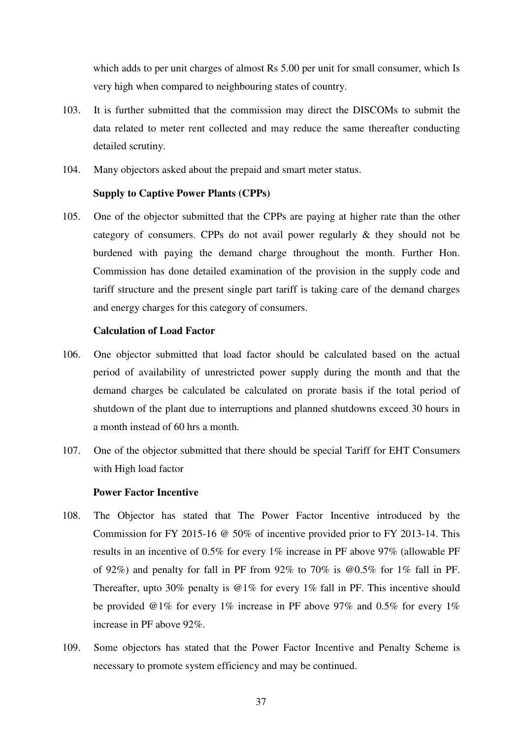which adds to per unit charges of almost Rs 5.00 per unit for small consumer, which Is very high when compared to neighbouring states of country.

- 103. It is further submitted that the commission may direct the DISCOMs to submit the data related to meter rent collected and may reduce the same thereafter conducting detailed scrutiny.
- 104. Many objectors asked about the prepaid and smart meter status.

# **Supply to Captive Power Plants (CPPs)**

105. One of the objector submitted that the CPPs are paying at higher rate than the other category of consumers. CPPs do not avail power regularly & they should not be burdened with paying the demand charge throughout the month. Further Hon. Commission has done detailed examination of the provision in the supply code and tariff structure and the present single part tariff is taking care of the demand charges and energy charges for this category of consumers.

# **Calculation of Load Factor**

- 106. One objector submitted that load factor should be calculated based on the actual period of availability of unrestricted power supply during the month and that the demand charges be calculated be calculated on prorate basis if the total period of shutdown of the plant due to interruptions and planned shutdowns exceed 30 hours in a month instead of 60 hrs a month.
- 107. One of the objector submitted that there should be special Tariff for EHT Consumers with High load factor

## **Power Factor Incentive**

- 108. The Objector has stated that The Power Factor Incentive introduced by the Commission for FY 2015-16 @ 50% of incentive provided prior to FY 2013-14. This results in an incentive of 0.5% for every 1% increase in PF above 97% (allowable PF of 92%) and penalty for fall in PF from 92% to 70% is @0.5% for 1% fall in PF. Thereafter, upto 30% penalty is @1% for every 1% fall in PF. This incentive should be provided @1% for every 1% increase in PF above 97% and 0.5% for every 1% increase in PF above 92%.
- 109. Some objectors has stated that the Power Factor Incentive and Penalty Scheme is necessary to promote system efficiency and may be continued.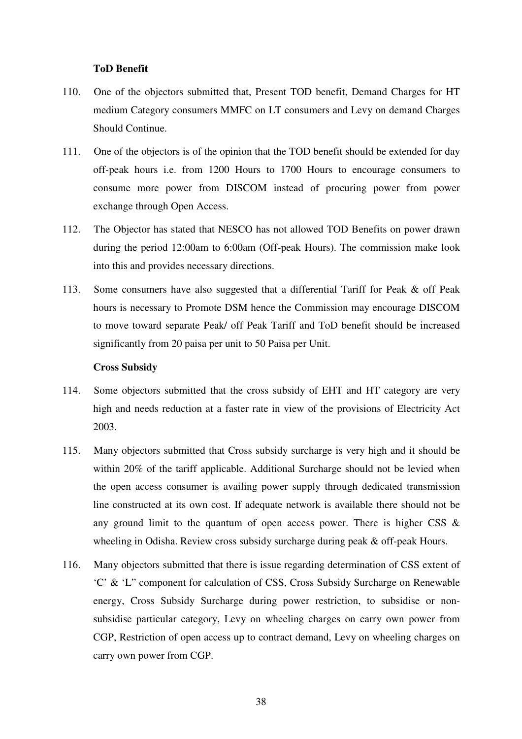# **ToD Benefit**

- 110. One of the objectors submitted that, Present TOD benefit, Demand Charges for HT medium Category consumers MMFC on LT consumers and Levy on demand Charges Should Continue.
- 111. One of the objectors is of the opinion that the TOD benefit should be extended for day off-peak hours i.e. from 1200 Hours to 1700 Hours to encourage consumers to consume more power from DISCOM instead of procuring power from power exchange through Open Access.
- 112. The Objector has stated that NESCO has not allowed TOD Benefits on power drawn during the period 12:00am to 6:00am (Off-peak Hours). The commission make look into this and provides necessary directions.
- 113. Some consumers have also suggested that a differential Tariff for Peak & off Peak hours is necessary to Promote DSM hence the Commission may encourage DISCOM to move toward separate Peak/ off Peak Tariff and ToD benefit should be increased significantly from 20 paisa per unit to 50 Paisa per Unit.

## **Cross Subsidy**

- 114. Some objectors submitted that the cross subsidy of EHT and HT category are very high and needs reduction at a faster rate in view of the provisions of Electricity Act 2003.
- 115. Many objectors submitted that Cross subsidy surcharge is very high and it should be within 20% of the tariff applicable. Additional Surcharge should not be levied when the open access consumer is availing power supply through dedicated transmission line constructed at its own cost. If adequate network is available there should not be any ground limit to the quantum of open access power. There is higher CSS  $\&$ wheeling in Odisha. Review cross subsidy surcharge during peak & off-peak Hours.
- 116. Many objectors submitted that there is issue regarding determination of CSS extent of 'C' & 'L" component for calculation of CSS, Cross Subsidy Surcharge on Renewable energy, Cross Subsidy Surcharge during power restriction, to subsidise or nonsubsidise particular category, Levy on wheeling charges on carry own power from CGP, Restriction of open access up to contract demand, Levy on wheeling charges on carry own power from CGP.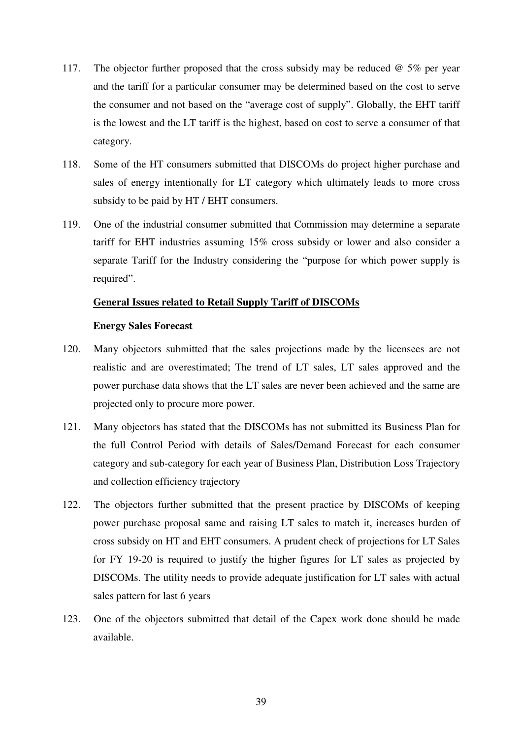- 117. The objector further proposed that the cross subsidy may be reduced @ 5% per year and the tariff for a particular consumer may be determined based on the cost to serve the consumer and not based on the "average cost of supply". Globally, the EHT tariff is the lowest and the LT tariff is the highest, based on cost to serve a consumer of that category.
- 118. Some of the HT consumers submitted that DISCOMs do project higher purchase and sales of energy intentionally for LT category which ultimately leads to more cross subsidy to be paid by HT / EHT consumers.
- 119. One of the industrial consumer submitted that Commission may determine a separate tariff for EHT industries assuming 15% cross subsidy or lower and also consider a separate Tariff for the Industry considering the "purpose for which power supply is required".

# **General Issues related to Retail Supply Tariff of DISCOMs**

# **Energy Sales Forecast**

- 120. Many objectors submitted that the sales projections made by the licensees are not realistic and are overestimated; The trend of LT sales, LT sales approved and the power purchase data shows that the LT sales are never been achieved and the same are projected only to procure more power.
- 121. Many objectors has stated that the DISCOMs has not submitted its Business Plan for the full Control Period with details of Sales/Demand Forecast for each consumer category and sub-category for each year of Business Plan, Distribution Loss Trajectory and collection efficiency trajectory
- 122. The objectors further submitted that the present practice by DISCOMs of keeping power purchase proposal same and raising LT sales to match it, increases burden of cross subsidy on HT and EHT consumers. A prudent check of projections for LT Sales for FY 19-20 is required to justify the higher figures for LT sales as projected by DISCOMs. The utility needs to provide adequate justification for LT sales with actual sales pattern for last 6 years
- 123. One of the objectors submitted that detail of the Capex work done should be made available.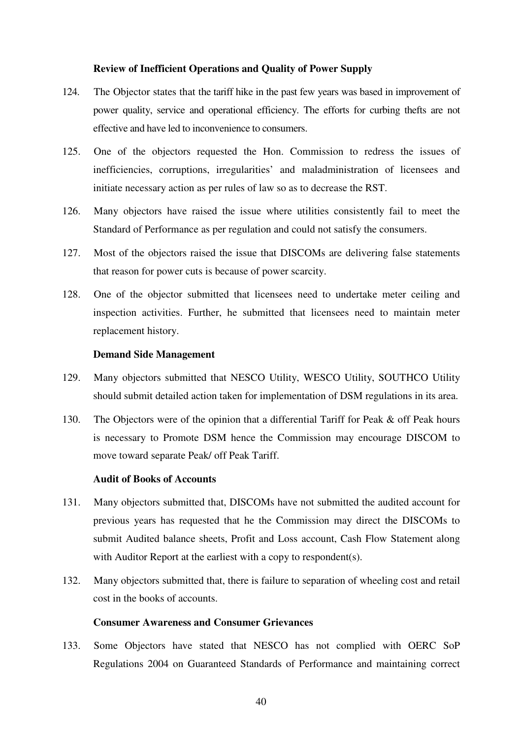## **Review of Inefficient Operations and Quality of Power Supply**

- 124. The Objector states that the tariff hike in the past few years was based in improvement of power quality, service and operational efficiency. The efforts for curbing thefts are not effective and have led to inconvenience to consumers.
- 125. One of the objectors requested the Hon. Commission to redress the issues of inefficiencies, corruptions, irregularities' and maladministration of licensees and initiate necessary action as per rules of law so as to decrease the RST.
- 126. Many objectors have raised the issue where utilities consistently fail to meet the Standard of Performance as per regulation and could not satisfy the consumers.
- 127. Most of the objectors raised the issue that DISCOMs are delivering false statements that reason for power cuts is because of power scarcity.
- 128. One of the objector submitted that licensees need to undertake meter ceiling and inspection activities. Further, he submitted that licensees need to maintain meter replacement history.

## **Demand Side Management**

- 129. Many objectors submitted that NESCO Utility, WESCO Utility, SOUTHCO Utility should submit detailed action taken for implementation of DSM regulations in its area.
- 130. The Objectors were of the opinion that a differential Tariff for Peak & off Peak hours is necessary to Promote DSM hence the Commission may encourage DISCOM to move toward separate Peak/ off Peak Tariff.

# **Audit of Books of Accounts**

- 131. Many objectors submitted that, DISCOMs have not submitted the audited account for previous years has requested that he the Commission may direct the DISCOMs to submit Audited balance sheets, Profit and Loss account, Cash Flow Statement along with Auditor Report at the earliest with a copy to respondent(s).
- 132. Many objectors submitted that, there is failure to separation of wheeling cost and retail cost in the books of accounts.

# **Consumer Awareness and Consumer Grievances**

133. Some Objectors have stated that NESCO has not complied with OERC SoP Regulations 2004 on Guaranteed Standards of Performance and maintaining correct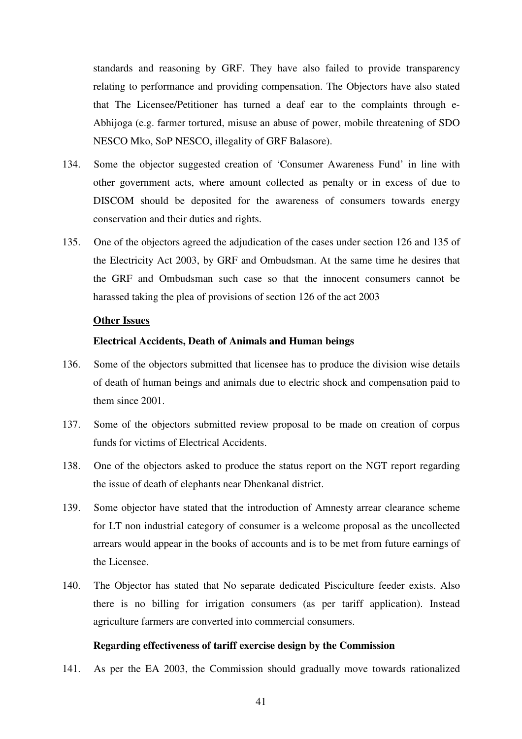standards and reasoning by GRF. They have also failed to provide transparency relating to performance and providing compensation. The Objectors have also stated that The Licensee/Petitioner has turned a deaf ear to the complaints through e-Abhijoga (e.g. farmer tortured, misuse an abuse of power, mobile threatening of SDO NESCO Mko, SoP NESCO, illegality of GRF Balasore).

- 134. Some the objector suggested creation of 'Consumer Awareness Fund' in line with other government acts, where amount collected as penalty or in excess of due to DISCOM should be deposited for the awareness of consumers towards energy conservation and their duties and rights.
- 135. One of the objectors agreed the adjudication of the cases under section 126 and 135 of the Electricity Act 2003, by GRF and Ombudsman. At the same time he desires that the GRF and Ombudsman such case so that the innocent consumers cannot be harassed taking the plea of provisions of section 126 of the act 2003

## **Other Issues**

# **Electrical Accidents, Death of Animals and Human beings**

- 136. Some of the objectors submitted that licensee has to produce the division wise details of death of human beings and animals due to electric shock and compensation paid to them since 2001.
- 137. Some of the objectors submitted review proposal to be made on creation of corpus funds for victims of Electrical Accidents.
- 138. One of the objectors asked to produce the status report on the NGT report regarding the issue of death of elephants near Dhenkanal district.
- 139. Some objector have stated that the introduction of Amnesty arrear clearance scheme for LT non industrial category of consumer is a welcome proposal as the uncollected arrears would appear in the books of accounts and is to be met from future earnings of the Licensee.
- 140. The Objector has stated that No separate dedicated Pisciculture feeder exists. Also there is no billing for irrigation consumers (as per tariff application). Instead agriculture farmers are converted into commercial consumers.

#### **Regarding effectiveness of tariff exercise design by the Commission**

141. As per the EA 2003, the Commission should gradually move towards rationalized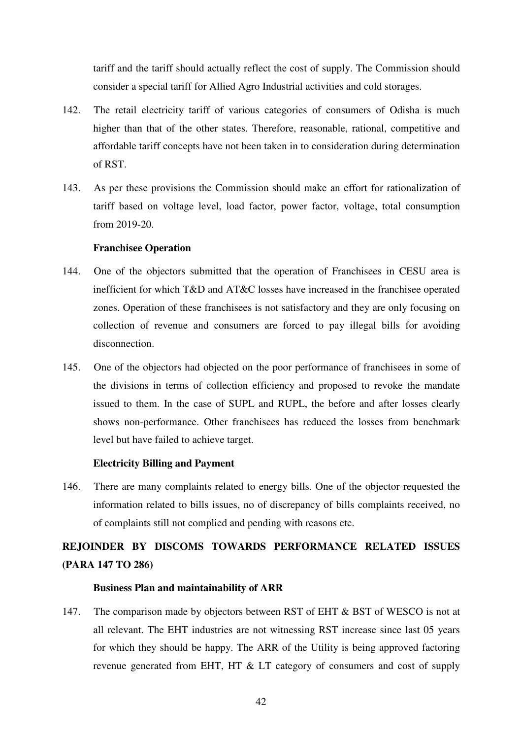tariff and the tariff should actually reflect the cost of supply. The Commission should consider a special tariff for Allied Agro Industrial activities and cold storages.

- 142. The retail electricity tariff of various categories of consumers of Odisha is much higher than that of the other states. Therefore, reasonable, rational, competitive and affordable tariff concepts have not been taken in to consideration during determination of RST.
- 143. As per these provisions the Commission should make an effort for rationalization of tariff based on voltage level, load factor, power factor, voltage, total consumption from 2019-20.

# **Franchisee Operation**

- 144. One of the objectors submitted that the operation of Franchisees in CESU area is inefficient for which T&D and AT&C losses have increased in the franchisee operated zones. Operation of these franchisees is not satisfactory and they are only focusing on collection of revenue and consumers are forced to pay illegal bills for avoiding disconnection.
- 145. One of the objectors had objected on the poor performance of franchisees in some of the divisions in terms of collection efficiency and proposed to revoke the mandate issued to them. In the case of SUPL and RUPL, the before and after losses clearly shows non-performance. Other franchisees has reduced the losses from benchmark level but have failed to achieve target.

# **Electricity Billing and Payment**

146. There are many complaints related to energy bills. One of the objector requested the information related to bills issues, no of discrepancy of bills complaints received, no of complaints still not complied and pending with reasons etc.

# **REJOINDER BY DISCOMS TOWARDS PERFORMANCE RELATED ISSUES (PARA 147 TO 286)**

## **Business Plan and maintainability of ARR**

147. The comparison made by objectors between RST of EHT & BST of WESCO is not at all relevant. The EHT industries are not witnessing RST increase since last 05 years for which they should be happy. The ARR of the Utility is being approved factoring revenue generated from EHT, HT & LT category of consumers and cost of supply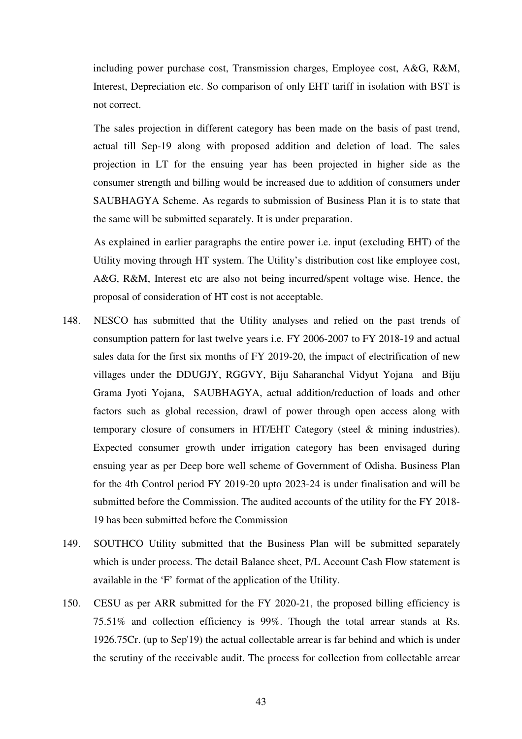including power purchase cost, Transmission charges, Employee cost, A&G, R&M, Interest, Depreciation etc. So comparison of only EHT tariff in isolation with BST is not correct.

The sales projection in different category has been made on the basis of past trend, actual till Sep-19 along with proposed addition and deletion of load. The sales projection in LT for the ensuing year has been projected in higher side as the consumer strength and billing would be increased due to addition of consumers under SAUBHAGYA Scheme. As regards to submission of Business Plan it is to state that the same will be submitted separately. It is under preparation.

As explained in earlier paragraphs the entire power i.e. input (excluding EHT) of the Utility moving through HT system. The Utility's distribution cost like employee cost, A&G, R&M, Interest etc are also not being incurred/spent voltage wise. Hence, the proposal of consideration of HT cost is not acceptable.

- 148. NESCO has submitted that the Utility analyses and relied on the past trends of consumption pattern for last twelve years i.e. FY 2006-2007 to FY 2018-19 and actual sales data for the first six months of FY 2019-20, the impact of electrification of new villages under the DDUGJY, RGGVY, Biju Saharanchal Vidyut Yojana and Biju Grama Jyoti Yojana, SAUBHAGYA, actual addition/reduction of loads and other factors such as global recession, drawl of power through open access along with temporary closure of consumers in HT/EHT Category (steel & mining industries). Expected consumer growth under irrigation category has been envisaged during ensuing year as per Deep bore well scheme of Government of Odisha. Business Plan for the 4th Control period FY 2019-20 upto 2023-24 is under finalisation and will be submitted before the Commission. The audited accounts of the utility for the FY 2018- 19 has been submitted before the Commission
- 149. SOUTHCO Utility submitted that the Business Plan will be submitted separately which is under process. The detail Balance sheet, P/L Account Cash Flow statement is available in the 'F' format of the application of the Utility.
- 150. CESU as per ARR submitted for the FY 2020-21, the proposed billing efficiency is 75.51% and collection efficiency is 99%. Though the total arrear stands at Rs. 1926.75Cr. (up to Sep'19) the actual collectable arrear is far behind and which is under the scrutiny of the receivable audit. The process for collection from collectable arrear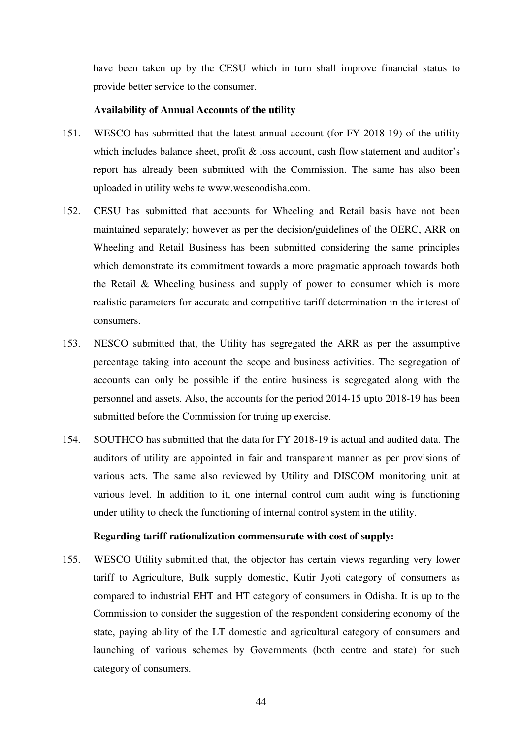have been taken up by the CESU which in turn shall improve financial status to provide better service to the consumer.

# **Availability of Annual Accounts of the utility**

- 151. WESCO has submitted that the latest annual account (for FY 2018-19) of the utility which includes balance sheet, profit  $\&$  loss account, cash flow statement and auditor's report has already been submitted with the Commission. The same has also been uploaded in utility website www.wescoodisha.com.
- 152. CESU has submitted that accounts for Wheeling and Retail basis have not been maintained separately; however as per the decision/guidelines of the OERC, ARR on Wheeling and Retail Business has been submitted considering the same principles which demonstrate its commitment towards a more pragmatic approach towards both the Retail & Wheeling business and supply of power to consumer which is more realistic parameters for accurate and competitive tariff determination in the interest of consumers.
- 153. NESCO submitted that, the Utility has segregated the ARR as per the assumptive percentage taking into account the scope and business activities. The segregation of accounts can only be possible if the entire business is segregated along with the personnel and assets. Also, the accounts for the period 2014-15 upto 2018-19 has been submitted before the Commission for truing up exercise.
- 154. SOUTHCO has submitted that the data for FY 2018-19 is actual and audited data. The auditors of utility are appointed in fair and transparent manner as per provisions of various acts. The same also reviewed by Utility and DISCOM monitoring unit at various level. In addition to it, one internal control cum audit wing is functioning under utility to check the functioning of internal control system in the utility.

# **Regarding tariff rationalization commensurate with cost of supply:**

155. WESCO Utility submitted that, the objector has certain views regarding very lower tariff to Agriculture, Bulk supply domestic, Kutir Jyoti category of consumers as compared to industrial EHT and HT category of consumers in Odisha. It is up to the Commission to consider the suggestion of the respondent considering economy of the state, paying ability of the LT domestic and agricultural category of consumers and launching of various schemes by Governments (both centre and state) for such category of consumers.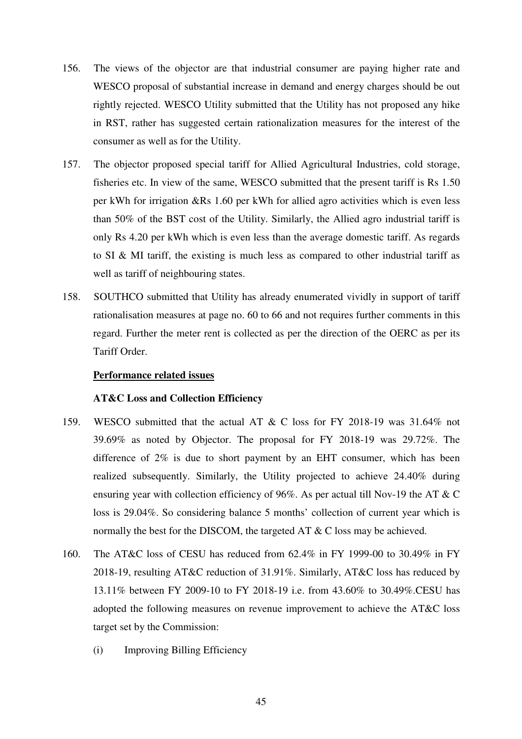- 156. The views of the objector are that industrial consumer are paying higher rate and WESCO proposal of substantial increase in demand and energy charges should be out rightly rejected. WESCO Utility submitted that the Utility has not proposed any hike in RST, rather has suggested certain rationalization measures for the interest of the consumer as well as for the Utility.
- 157. The objector proposed special tariff for Allied Agricultural Industries, cold storage, fisheries etc. In view of the same, WESCO submitted that the present tariff is Rs 1.50 per kWh for irrigation &Rs 1.60 per kWh for allied agro activities which is even less than 50% of the BST cost of the Utility. Similarly, the Allied agro industrial tariff is only Rs 4.20 per kWh which is even less than the average domestic tariff. As regards to SI & MI tariff, the existing is much less as compared to other industrial tariff as well as tariff of neighbouring states.
- 158. SOUTHCO submitted that Utility has already enumerated vividly in support of tariff rationalisation measures at page no. 60 to 66 and not requires further comments in this regard. Further the meter rent is collected as per the direction of the OERC as per its Tariff Order.

# **Performance related issues**

## **AT&C Loss and Collection Efficiency**

- 159. WESCO submitted that the actual AT & C loss for FY 2018-19 was 31.64% not 39.69% as noted by Objector. The proposal for FY 2018-19 was 29.72%. The difference of 2% is due to short payment by an EHT consumer, which has been realized subsequently. Similarly, the Utility projected to achieve 24.40% during ensuring year with collection efficiency of 96%. As per actual till Nov-19 the AT & C loss is 29.04%. So considering balance 5 months' collection of current year which is normally the best for the DISCOM, the targeted AT & C loss may be achieved.
- 160. The AT&C loss of CESU has reduced from 62.4% in FY 1999-00 to 30.49% in FY 2018-19, resulting AT&C reduction of 31.91%. Similarly, AT&C loss has reduced by 13.11% between FY 2009-10 to FY 2018-19 i.e. from 43.60% to 30.49%.CESU has adopted the following measures on revenue improvement to achieve the AT&C loss target set by the Commission:
	- (i) Improving Billing Efficiency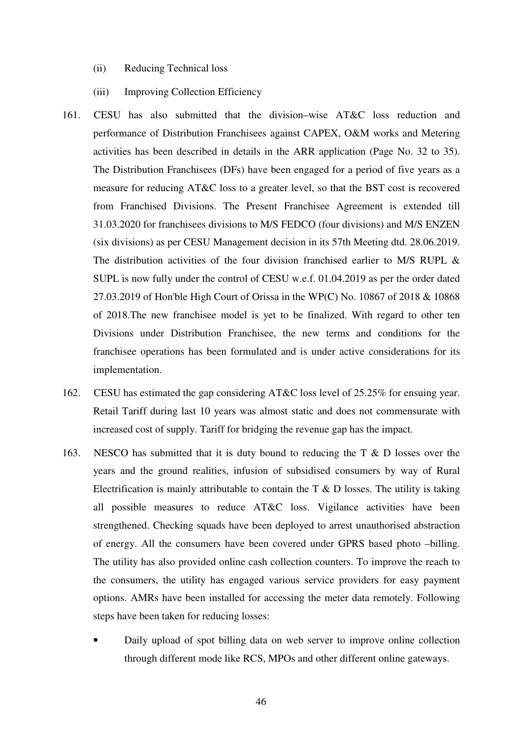- (ii) Reducing Technical loss
- (iii) Improving Collection Efficiency
- 161. CESU has also submitted that the division–wise AT&C loss reduction and performance of Distribution Franchisees against CAPEX, O&M works and Metering activities has been described in details in the ARR application (Page No. 32 to 35). The Distribution Franchisees (DFs) have been engaged for a period of five years as a measure for reducing AT&C loss to a greater level, so that the BST cost is recovered from Franchised Divisions. The Present Franchisee Agreement is extended till 31.03.2020 for franchisees divisions to M/S FEDCO (four divisions) and M/S ENZEN (six divisions) as per CESU Management decision in its 57th Meeting dtd. 28.06.2019. The distribution activities of the four division franchised earlier to M/S RUPL & SUPL is now fully under the control of CESU w.e.f. 01.04.2019 as per the order dated 27.03.2019 of Hon'ble High Court of Orissa in the WP(C) No. 10867 of 2018 & 10868 of 2018.The new franchisee model is yet to be finalized. With regard to other ten Divisions under Distribution Franchisee, the new terms and conditions for the franchisee operations has been formulated and is under active considerations for its implementation.
- 162. CESU has estimated the gap considering AT&C loss level of 25.25% for ensuing year. Retail Tariff during last 10 years was almost static and does not commensurate with increased cost of supply. Tariff for bridging the revenue gap has the impact.
- 163. NESCO has submitted that it is duty bound to reducing the T & D losses over the years and the ground realities, infusion of subsidised consumers by way of Rural Electrification is mainly attributable to contain the  $T \& D$  losses. The utility is taking all possible measures to reduce AT&C loss. Vigilance activities have been strengthened. Checking squads have been deployed to arrest unauthorised abstraction of energy. All the consumers have been covered under GPRS based photo –billing. The utility has also provided online cash collection counters. To improve the reach to the consumers, the utility has engaged various service providers for easy payment options. AMRs have been installed for accessing the meter data remotely. Following steps have been taken for reducing losses:
	- Daily upload of spot billing data on web server to improve online collection through different mode like RCS, MPOs and other different online gateways.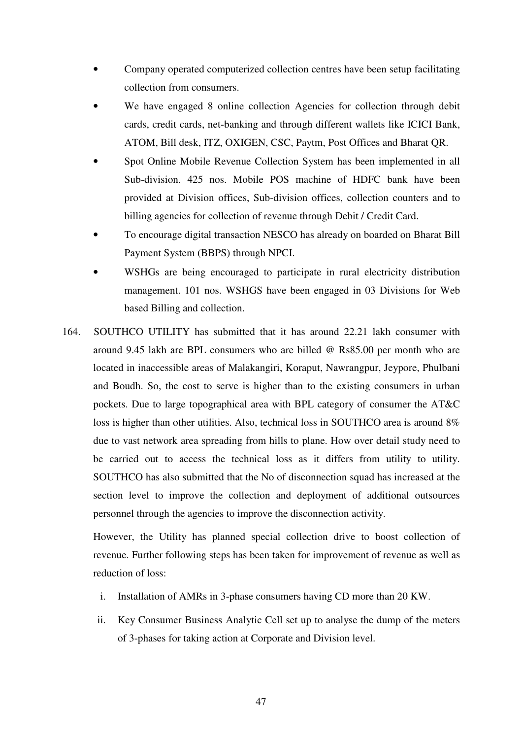- Company operated computerized collection centres have been setup facilitating collection from consumers.
- We have engaged 8 online collection Agencies for collection through debit cards, credit cards, net-banking and through different wallets like ICICI Bank, ATOM, Bill desk, ITZ, OXIGEN, CSC, Paytm, Post Offices and Bharat QR.
- Spot Online Mobile Revenue Collection System has been implemented in all Sub-division. 425 nos. Mobile POS machine of HDFC bank have been provided at Division offices, Sub-division offices, collection counters and to billing agencies for collection of revenue through Debit / Credit Card.
- To encourage digital transaction NESCO has already on boarded on Bharat Bill Payment System (BBPS) through NPCI.
- WSHGs are being encouraged to participate in rural electricity distribution management. 101 nos. WSHGS have been engaged in 03 Divisions for Web based Billing and collection.
- 164. SOUTHCO UTILITY has submitted that it has around 22.21 lakh consumer with around 9.45 lakh are BPL consumers who are billed @ Rs85.00 per month who are located in inaccessible areas of Malakangiri, Koraput, Nawrangpur, Jeypore, Phulbani and Boudh. So, the cost to serve is higher than to the existing consumers in urban pockets. Due to large topographical area with BPL category of consumer the AT&C loss is higher than other utilities. Also, technical loss in SOUTHCO area is around  $8\%$ due to vast network area spreading from hills to plane. How over detail study need to be carried out to access the technical loss as it differs from utility to utility. SOUTHCO has also submitted that the No of disconnection squad has increased at the section level to improve the collection and deployment of additional outsources personnel through the agencies to improve the disconnection activity.

However, the Utility has planned special collection drive to boost collection of revenue. Further following steps has been taken for improvement of revenue as well as reduction of loss:

- i. Installation of AMRs in 3-phase consumers having CD more than 20 KW.
- ii. Key Consumer Business Analytic Cell set up to analyse the dump of the meters of 3-phases for taking action at Corporate and Division level.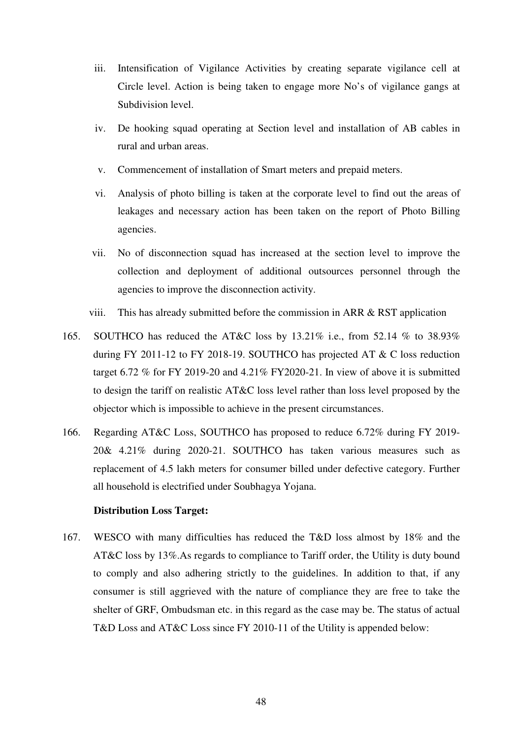- iii. Intensification of Vigilance Activities by creating separate vigilance cell at Circle level. Action is being taken to engage more No's of vigilance gangs at Subdivision level.
- iv. De hooking squad operating at Section level and installation of AB cables in rural and urban areas.
- v. Commencement of installation of Smart meters and prepaid meters.
- vi. Analysis of photo billing is taken at the corporate level to find out the areas of leakages and necessary action has been taken on the report of Photo Billing agencies.
- vii. No of disconnection squad has increased at the section level to improve the collection and deployment of additional outsources personnel through the agencies to improve the disconnection activity.
- viii. This has already submitted before the commission in ARR & RST application
- 165. SOUTHCO has reduced the AT&C loss by 13.21% i.e., from 52.14 % to 38.93% during FY 2011-12 to FY 2018-19. SOUTHCO has projected AT & C loss reduction target 6.72 % for FY 2019-20 and 4.21% FY2020-21. In view of above it is submitted to design the tariff on realistic AT&C loss level rather than loss level proposed by the objector which is impossible to achieve in the present circumstances.
- 166. Regarding AT&C Loss, SOUTHCO has proposed to reduce 6.72% during FY 2019- 20& 4.21% during 2020-21. SOUTHCO has taken various measures such as replacement of 4.5 lakh meters for consumer billed under defective category. Further all household is electrified under Soubhagya Yojana.

# **Distribution Loss Target:**

167. WESCO with many difficulties has reduced the T&D loss almost by 18% and the AT&C loss by 13%.As regards to compliance to Tariff order, the Utility is duty bound to comply and also adhering strictly to the guidelines. In addition to that, if any consumer is still aggrieved with the nature of compliance they are free to take the shelter of GRF, Ombudsman etc. in this regard as the case may be. The status of actual T&D Loss and AT&C Loss since FY 2010-11 of the Utility is appended below: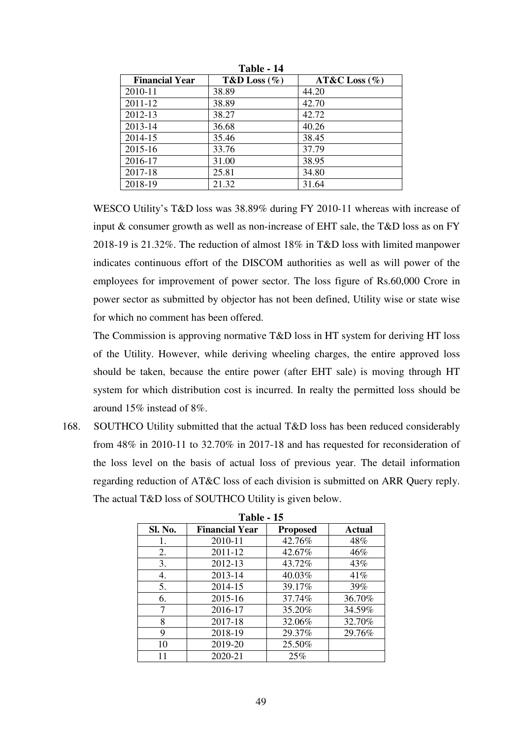| <b>Financial Year</b> | T&D Loss $(\% )$ | $AT&C$ Loss $(\% )$ |
|-----------------------|------------------|---------------------|
| 2010-11               | 38.89            | 44.20               |
| 2011-12               | 38.89            | 42.70               |
| 2012-13               | 38.27            | 42.72               |
| 2013-14               | 36.68            | 40.26               |
| 2014-15               | 35.46            | 38.45               |
| 2015-16               | 33.76            | 37.79               |
| 2016-17               | 31.00            | 38.95               |
| 2017-18               | 25.81            | 34.80               |
| 2018-19               | 21.32            | 31.64               |

**Table - 14** 

WESCO Utility's T&D loss was 38.89% during FY 2010-11 whereas with increase of input & consumer growth as well as non-increase of EHT sale, the T&D loss as on FY 2018-19 is 21.32%. The reduction of almost 18% in T&D loss with limited manpower indicates continuous effort of the DISCOM authorities as well as will power of the employees for improvement of power sector. The loss figure of Rs.60,000 Crore in power sector as submitted by objector has not been defined, Utility wise or state wise for which no comment has been offered.

The Commission is approving normative T&D loss in HT system for deriving HT loss of the Utility. However, while deriving wheeling charges, the entire approved loss should be taken, because the entire power (after EHT sale) is moving through HT system for which distribution cost is incurred. In realty the permitted loss should be around 15% instead of 8%.

168. SOUTHCO Utility submitted that the actual T&D loss has been reduced considerably from 48% in 2010-11 to 32.70% in 2017-18 and has requested for reconsideration of the loss level on the basis of actual loss of previous year. The detail information regarding reduction of AT&C loss of each division is submitted on ARR Query reply. The actual T&D loss of SOUTHCO Utility is given below.

| 1 avie - 15 |                       |                 |               |
|-------------|-----------------------|-----------------|---------------|
| Sl. No.     | <b>Financial Year</b> | <b>Proposed</b> | <b>Actual</b> |
| 1.          | 2010-11               | 42.76%          | 48%           |
| 2.          | 2011-12               | 42.67%          | 46%           |
| 3.          | 2012-13               | 43.72%          | 43%           |
| 4.          | 2013-14               | 40.03%          | 41%           |
| 5.          | 2014-15               | 39.17%          | 39%           |
| 6.          | 2015-16               | 37.74%          | 36.70%        |
|             | 2016-17               | 35.20%          | 34.59%        |
| 8           | 2017-18               | 32.06%          | 32.70%        |
| 9           | 2018-19               | 29.37%          | 29.76%        |
| 10          | 2019-20               | 25.50%          |               |
|             | 2020-21               | 25%             |               |

**Table - 15**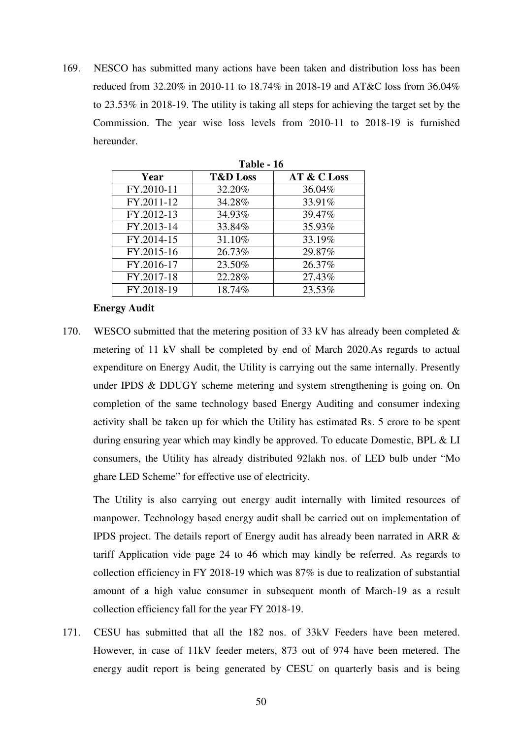169. NESCO has submitted many actions have been taken and distribution loss has been reduced from 32.20% in 2010-11 to 18.74% in 2018-19 and AT&C loss from 36.04% to 23.53% in 2018-19. The utility is taking all steps for achieving the target set by the Commission. The year wise loss levels from 2010-11 to 2018-19 is furnished hereunder.

|            | 1 avit - 10         |             |
|------------|---------------------|-------------|
| Year       | <b>T&amp;D</b> Loss | AT & C Loss |
| FY.2010-11 | 32.20%              | 36.04%      |
| FY.2011-12 | 34.28%              | 33.91%      |
| FY.2012-13 | 34.93%              | 39.47%      |
| FY.2013-14 | 33.84%              | 35.93%      |
| FY.2014-15 | 31.10%              | 33.19%      |
| FY.2015-16 | 26.73%              | 29.87%      |
| FY.2016-17 | 23.50%              | 26.37%      |
| FY.2017-18 | 22.28%              | 27.43%      |
| FY.2018-19 | 18.74%              | 23.53%      |

**Table 16** 

## **Energy Audit**

170. WESCO submitted that the metering position of 33 kV has already been completed  $\&$ metering of 11 kV shall be completed by end of March 2020.As regards to actual expenditure on Energy Audit, the Utility is carrying out the same internally. Presently under IPDS & DDUGY scheme metering and system strengthening is going on. On completion of the same technology based Energy Auditing and consumer indexing activity shall be taken up for which the Utility has estimated Rs. 5 crore to be spent during ensuring year which may kindly be approved. To educate Domestic, BPL & LI consumers, the Utility has already distributed 92lakh nos. of LED bulb under "Mo ghare LED Scheme" for effective use of electricity.

The Utility is also carrying out energy audit internally with limited resources of manpower. Technology based energy audit shall be carried out on implementation of IPDS project. The details report of Energy audit has already been narrated in ARR & tariff Application vide page 24 to 46 which may kindly be referred. As regards to collection efficiency in FY 2018-19 which was 87% is due to realization of substantial amount of a high value consumer in subsequent month of March-19 as a result collection efficiency fall for the year FY 2018-19.

171. CESU has submitted that all the 182 nos. of 33kV Feeders have been metered. However, in case of 11kV feeder meters, 873 out of 974 have been metered. The energy audit report is being generated by CESU on quarterly basis and is being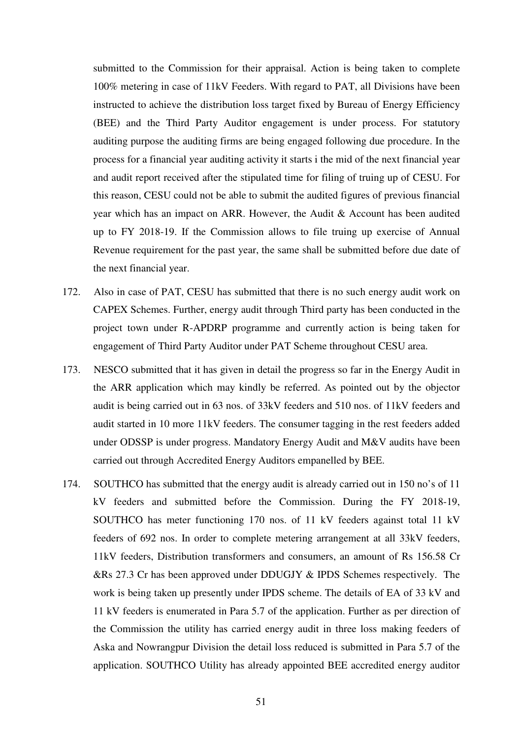submitted to the Commission for their appraisal. Action is being taken to complete 100% metering in case of 11kV Feeders. With regard to PAT, all Divisions have been instructed to achieve the distribution loss target fixed by Bureau of Energy Efficiency (BEE) and the Third Party Auditor engagement is under process. For statutory auditing purpose the auditing firms are being engaged following due procedure. In the process for a financial year auditing activity it starts i the mid of the next financial year and audit report received after the stipulated time for filing of truing up of CESU. For this reason, CESU could not be able to submit the audited figures of previous financial year which has an impact on ARR. However, the Audit & Account has been audited up to FY 2018-19. If the Commission allows to file truing up exercise of Annual Revenue requirement for the past year, the same shall be submitted before due date of the next financial year.

- 172. Also in case of PAT, CESU has submitted that there is no such energy audit work on CAPEX Schemes. Further, energy audit through Third party has been conducted in the project town under R-APDRP programme and currently action is being taken for engagement of Third Party Auditor under PAT Scheme throughout CESU area.
- 173. NESCO submitted that it has given in detail the progress so far in the Energy Audit in the ARR application which may kindly be referred. As pointed out by the objector audit is being carried out in 63 nos. of 33kV feeders and 510 nos. of 11kV feeders and audit started in 10 more 11kV feeders. The consumer tagging in the rest feeders added under ODSSP is under progress. Mandatory Energy Audit and M&V audits have been carried out through Accredited Energy Auditors empanelled by BEE.
- 174. SOUTHCO has submitted that the energy audit is already carried out in 150 no's of 11 kV feeders and submitted before the Commission. During the FY 2018-19, SOUTHCO has meter functioning 170 nos. of 11 kV feeders against total 11 kV feeders of 692 nos. In order to complete metering arrangement at all 33kV feeders, 11kV feeders, Distribution transformers and consumers, an amount of Rs 156.58 Cr &Rs 27.3 Cr has been approved under DDUGJY & IPDS Schemes respectively. The work is being taken up presently under IPDS scheme. The details of EA of 33 kV and 11 kV feeders is enumerated in Para 5.7 of the application. Further as per direction of the Commission the utility has carried energy audit in three loss making feeders of Aska and Nowrangpur Division the detail loss reduced is submitted in Para 5.7 of the application. SOUTHCO Utility has already appointed BEE accredited energy auditor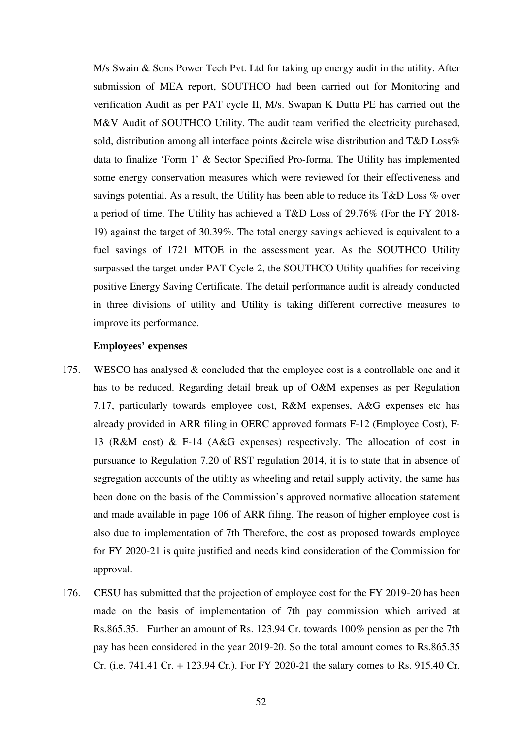M/s Swain & Sons Power Tech Pvt. Ltd for taking up energy audit in the utility. After submission of MEA report, SOUTHCO had been carried out for Monitoring and verification Audit as per PAT cycle II, M/s. Swapan K Dutta PE has carried out the M&V Audit of SOUTHCO Utility. The audit team verified the electricity purchased, sold, distribution among all interface points &circle wise distribution and T&D Loss% data to finalize 'Form 1' & Sector Specified Pro-forma. The Utility has implemented some energy conservation measures which were reviewed for their effectiveness and savings potential. As a result, the Utility has been able to reduce its T&D Loss % over a period of time. The Utility has achieved a T&D Loss of 29.76% (For the FY 2018- 19) against the target of 30.39%. The total energy savings achieved is equivalent to a fuel savings of 1721 MTOE in the assessment year. As the SOUTHCO Utility surpassed the target under PAT Cycle-2, the SOUTHCO Utility qualifies for receiving positive Energy Saving Certificate. The detail performance audit is already conducted in three divisions of utility and Utility is taking different corrective measures to improve its performance.

#### **Employees' expenses**

- 175. WESCO has analysed & concluded that the employee cost is a controllable one and it has to be reduced. Regarding detail break up of O&M expenses as per Regulation 7.17, particularly towards employee cost, R&M expenses, A&G expenses etc has already provided in ARR filing in OERC approved formats F-12 (Employee Cost), F-13 (R&M cost) & F-14 (A&G expenses) respectively. The allocation of cost in pursuance to Regulation 7.20 of RST regulation 2014, it is to state that in absence of segregation accounts of the utility as wheeling and retail supply activity, the same has been done on the basis of the Commission's approved normative allocation statement and made available in page 106 of ARR filing. The reason of higher employee cost is also due to implementation of 7th Therefore, the cost as proposed towards employee for FY 2020-21 is quite justified and needs kind consideration of the Commission for approval.
- 176. CESU has submitted that the projection of employee cost for the FY 2019-20 has been made on the basis of implementation of 7th pay commission which arrived at Rs.865.35. Further an amount of Rs. 123.94 Cr. towards 100% pension as per the 7th pay has been considered in the year 2019-20. So the total amount comes to Rs.865.35 Cr. (i.e. 741.41 Cr. + 123.94 Cr.). For FY 2020-21 the salary comes to Rs. 915.40 Cr.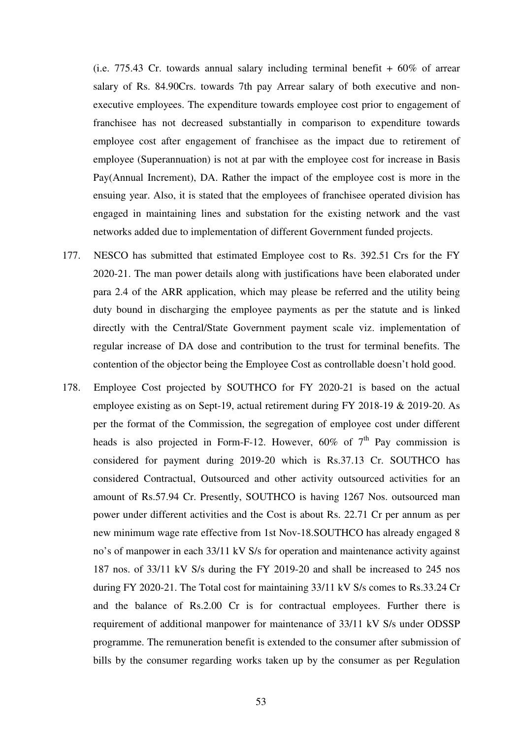(i.e. 775.43 Cr. towards annual salary including terminal benefit  $+60\%$  of arrear salary of Rs. 84.90Crs. towards 7th pay Arrear salary of both executive and nonexecutive employees. The expenditure towards employee cost prior to engagement of franchisee has not decreased substantially in comparison to expenditure towards employee cost after engagement of franchisee as the impact due to retirement of employee (Superannuation) is not at par with the employee cost for increase in Basis Pay(Annual Increment), DA. Rather the impact of the employee cost is more in the ensuing year. Also, it is stated that the employees of franchisee operated division has engaged in maintaining lines and substation for the existing network and the vast networks added due to implementation of different Government funded projects.

- 177. NESCO has submitted that estimated Employee cost to Rs. 392.51 Crs for the FY 2020-21. The man power details along with justifications have been elaborated under para 2.4 of the ARR application, which may please be referred and the utility being duty bound in discharging the employee payments as per the statute and is linked directly with the Central/State Government payment scale viz. implementation of regular increase of DA dose and contribution to the trust for terminal benefits. The contention of the objector being the Employee Cost as controllable doesn't hold good.
- 178. Employee Cost projected by SOUTHCO for FY 2020-21 is based on the actual employee existing as on Sept-19, actual retirement during FY 2018-19 & 2019-20. As per the format of the Commission, the segregation of employee cost under different heads is also projected in Form-F-12. However,  $60\%$  of  $7<sup>th</sup>$  Pay commission is considered for payment during 2019-20 which is Rs.37.13 Cr. SOUTHCO has considered Contractual, Outsourced and other activity outsourced activities for an amount of Rs.57.94 Cr. Presently, SOUTHCO is having 1267 Nos. outsourced man power under different activities and the Cost is about Rs. 22.71 Cr per annum as per new minimum wage rate effective from 1st Nov-18.SOUTHCO has already engaged 8 no's of manpower in each 33/11 kV S/s for operation and maintenance activity against 187 nos. of 33/11 kV S/s during the FY 2019-20 and shall be increased to 245 nos during FY 2020-21. The Total cost for maintaining 33/11 kV S/s comes to Rs.33.24 Cr and the balance of Rs.2.00 Cr is for contractual employees. Further there is requirement of additional manpower for maintenance of 33/11 kV S/s under ODSSP programme. The remuneration benefit is extended to the consumer after submission of bills by the consumer regarding works taken up by the consumer as per Regulation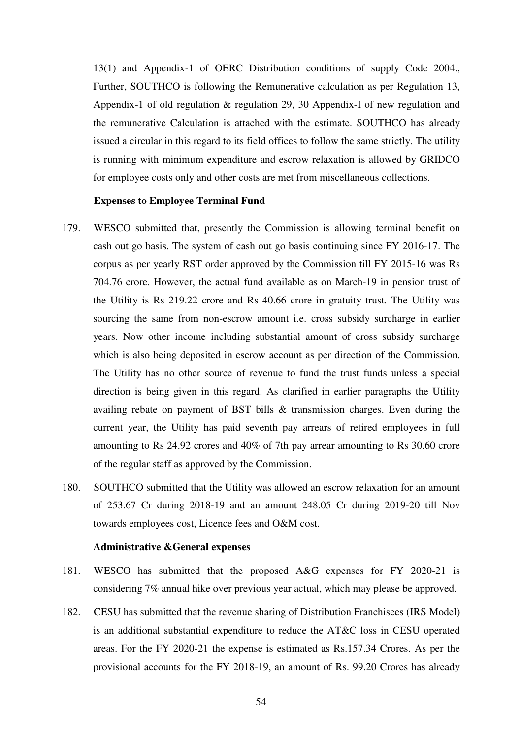13(1) and Appendix-1 of OERC Distribution conditions of supply Code 2004., Further, SOUTHCO is following the Remunerative calculation as per Regulation 13, Appendix-1 of old regulation & regulation 29, 30 Appendix-I of new regulation and the remunerative Calculation is attached with the estimate. SOUTHCO has already issued a circular in this regard to its field offices to follow the same strictly. The utility is running with minimum expenditure and escrow relaxation is allowed by GRIDCO for employee costs only and other costs are met from miscellaneous collections.

## **Expenses to Employee Terminal Fund**

- 179. WESCO submitted that, presently the Commission is allowing terminal benefit on cash out go basis. The system of cash out go basis continuing since FY 2016-17. The corpus as per yearly RST order approved by the Commission till FY 2015-16 was Rs 704.76 crore. However, the actual fund available as on March-19 in pension trust of the Utility is Rs 219.22 crore and Rs 40.66 crore in gratuity trust. The Utility was sourcing the same from non-escrow amount i.e. cross subsidy surcharge in earlier years. Now other income including substantial amount of cross subsidy surcharge which is also being deposited in escrow account as per direction of the Commission. The Utility has no other source of revenue to fund the trust funds unless a special direction is being given in this regard. As clarified in earlier paragraphs the Utility availing rebate on payment of BST bills & transmission charges. Even during the current year, the Utility has paid seventh pay arrears of retired employees in full amounting to Rs 24.92 crores and 40% of 7th pay arrear amounting to Rs 30.60 crore of the regular staff as approved by the Commission.
- 180. SOUTHCO submitted that the Utility was allowed an escrow relaxation for an amount of 253.67 Cr during 2018-19 and an amount 248.05 Cr during 2019-20 till Nov towards employees cost, Licence fees and O&M cost.

#### **Administrative &General expenses**

- 181. WESCO has submitted that the proposed A&G expenses for FY 2020-21 is considering 7% annual hike over previous year actual, which may please be approved.
- 182. CESU has submitted that the revenue sharing of Distribution Franchisees (IRS Model) is an additional substantial expenditure to reduce the AT&C loss in CESU operated areas. For the FY 2020-21 the expense is estimated as Rs.157.34 Crores. As per the provisional accounts for the FY 2018-19, an amount of Rs. 99.20 Crores has already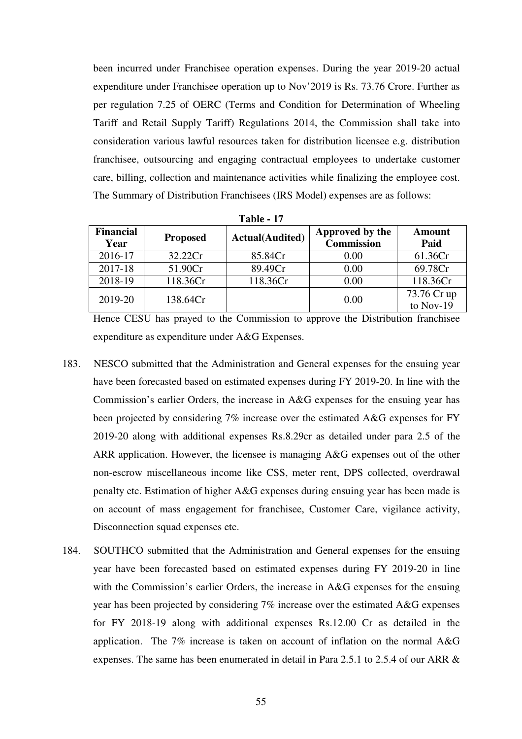been incurred under Franchisee operation expenses. During the year 2019-20 actual expenditure under Franchisee operation up to Nov'2019 is Rs. 73.76 Crore. Further as per regulation 7.25 of OERC (Terms and Condition for Determination of Wheeling Tariff and Retail Supply Tariff) Regulations 2014, the Commission shall take into consideration various lawful resources taken for distribution licensee e.g. distribution franchisee, outsourcing and engaging contractual employees to undertake customer care, billing, collection and maintenance activities while finalizing the employee cost. The Summary of Distribution Franchisees (IRS Model) expenses are as follows:

| <b>Financial</b><br>Year | <b>Proposed</b> | <b>Actual</b> (Audited) | Approved by the<br><b>Commission</b> | <b>Amount</b><br>Paid |
|--------------------------|-----------------|-------------------------|--------------------------------------|-----------------------|
| 2016-17                  | 32.22Cr         | 85.84Cr                 | 0.00                                 | 61.36Cr               |
| 2017-18                  | 51.90Cr         | 89.49Cr                 | 0.00                                 | 69.78Cr               |
| 2018-19                  | 118.36Cr        | 118.36Cr                | 0.00                                 | 118.36Cr              |
| 2019-20                  | 138.64Cr        |                         | 0.00                                 | 73.76 Cr up           |
|                          |                 |                         |                                      | to Nov-19             |

**Table - 17** 

Hence CESU has prayed to the Commission to approve the Distribution franchisee expenditure as expenditure under A&G Expenses.

- 183. NESCO submitted that the Administration and General expenses for the ensuing year have been forecasted based on estimated expenses during FY 2019-20. In line with the Commission's earlier Orders, the increase in A&G expenses for the ensuing year has been projected by considering 7% increase over the estimated A&G expenses for FY 2019-20 along with additional expenses Rs.8.29cr as detailed under para 2.5 of the ARR application. However, the licensee is managing A&G expenses out of the other non-escrow miscellaneous income like CSS, meter rent, DPS collected, overdrawal penalty etc. Estimation of higher A&G expenses during ensuing year has been made is on account of mass engagement for franchisee, Customer Care, vigilance activity, Disconnection squad expenses etc.
- 184. SOUTHCO submitted that the Administration and General expenses for the ensuing year have been forecasted based on estimated expenses during FY 2019-20 in line with the Commission's earlier Orders, the increase in A&G expenses for the ensuing year has been projected by considering 7% increase over the estimated A&G expenses for FY 2018-19 along with additional expenses Rs.12.00 Cr as detailed in the application. The 7% increase is taken on account of inflation on the normal A&G expenses. The same has been enumerated in detail in Para 2.5.1 to 2.5.4 of our ARR &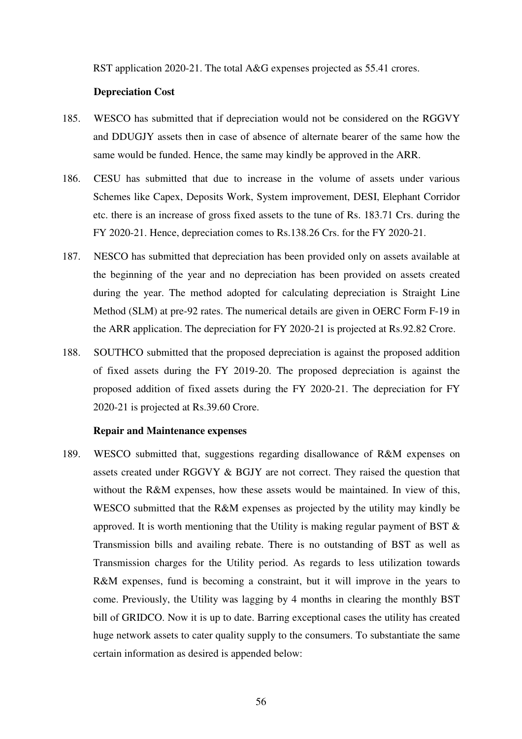RST application 2020-21. The total A&G expenses projected as 55.41 crores.

# **Depreciation Cost**

- 185. WESCO has submitted that if depreciation would not be considered on the RGGVY and DDUGJY assets then in case of absence of alternate bearer of the same how the same would be funded. Hence, the same may kindly be approved in the ARR.
- 186. CESU has submitted that due to increase in the volume of assets under various Schemes like Capex, Deposits Work, System improvement, DESI, Elephant Corridor etc. there is an increase of gross fixed assets to the tune of Rs. 183.71 Crs. during the FY 2020-21. Hence, depreciation comes to Rs.138.26 Crs. for the FY 2020-21.
- 187. NESCO has submitted that depreciation has been provided only on assets available at the beginning of the year and no depreciation has been provided on assets created during the year. The method adopted for calculating depreciation is Straight Line Method (SLM) at pre-92 rates. The numerical details are given in OERC Form F-19 in the ARR application. The depreciation for FY 2020-21 is projected at Rs.92.82 Crore.
- 188. SOUTHCO submitted that the proposed depreciation is against the proposed addition of fixed assets during the FY 2019-20. The proposed depreciation is against the proposed addition of fixed assets during the FY 2020-21. The depreciation for FY 2020-21 is projected at Rs.39.60 Crore.

#### **Repair and Maintenance expenses**

189. WESCO submitted that, suggestions regarding disallowance of R&M expenses on assets created under RGGVY & BGJY are not correct. They raised the question that without the R&M expenses, how these assets would be maintained. In view of this, WESCO submitted that the R&M expenses as projected by the utility may kindly be approved. It is worth mentioning that the Utility is making regular payment of BST & Transmission bills and availing rebate. There is no outstanding of BST as well as Transmission charges for the Utility period. As regards to less utilization towards R&M expenses, fund is becoming a constraint, but it will improve in the years to come. Previously, the Utility was lagging by 4 months in clearing the monthly BST bill of GRIDCO. Now it is up to date. Barring exceptional cases the utility has created huge network assets to cater quality supply to the consumers. To substantiate the same certain information as desired is appended below: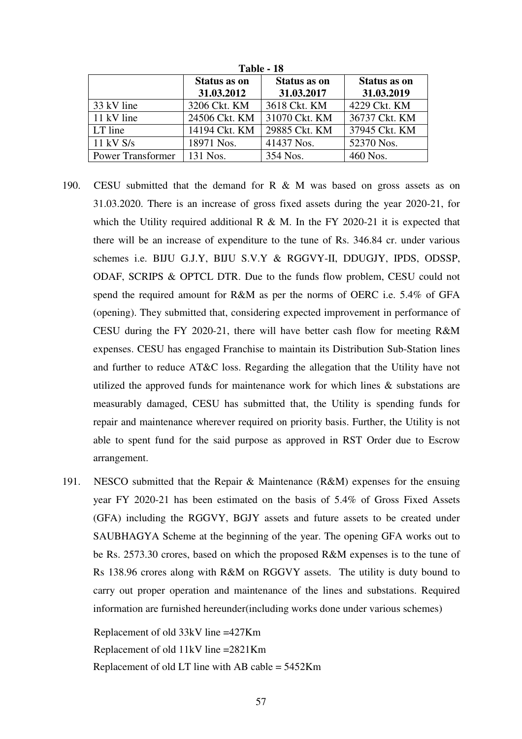| 1 avit - 10              |                     |                     |                     |
|--------------------------|---------------------|---------------------|---------------------|
|                          | <b>Status as on</b> | <b>Status as on</b> | <b>Status as on</b> |
|                          | 31.03.2012          | 31.03.2017          | 31.03.2019          |
| 33 kV line               | 3206 Ckt. KM        | 3618 Ckt. KM        | 4229 Ckt. KM        |
| 11 kV line               | 24506 Ckt. KM       | 31070 Ckt. KM       | 36737 Ckt. KM       |
| LT line                  | 14194 Ckt. KM       | 29885 Ckt. KM       | 37945 Ckt. KM       |
| $11$ kV S/s              | 18971 Nos.          | 41437 Nos.          | 52370 Nos.          |
| <b>Power Transformer</b> | 131 Nos.            | 354 Nos.            | 460 Nos.            |

**Table - 18** 

- 190. CESU submitted that the demand for R & M was based on gross assets as on 31.03.2020. There is an increase of gross fixed assets during the year 2020-21, for which the Utility required additional R  $\&$  M. In the FY 2020-21 it is expected that there will be an increase of expenditure to the tune of Rs. 346.84 cr. under various schemes i.e. BIJU G.J.Y, BIJU S.V.Y & RGGVY-II, DDUGJY, IPDS, ODSSP, ODAF, SCRIPS & OPTCL DTR. Due to the funds flow problem, CESU could not spend the required amount for R&M as per the norms of OERC i.e. 5.4% of GFA (opening). They submitted that, considering expected improvement in performance of CESU during the FY 2020-21, there will have better cash flow for meeting R&M expenses. CESU has engaged Franchise to maintain its Distribution Sub-Station lines and further to reduce AT&C loss. Regarding the allegation that the Utility have not utilized the approved funds for maintenance work for which lines & substations are measurably damaged, CESU has submitted that, the Utility is spending funds for repair and maintenance wherever required on priority basis. Further, the Utility is not able to spent fund for the said purpose as approved in RST Order due to Escrow arrangement.
- 191. NESCO submitted that the Repair & Maintenance (R&M) expenses for the ensuing year FY 2020-21 has been estimated on the basis of 5.4% of Gross Fixed Assets (GFA) including the RGGVY, BGJY assets and future assets to be created under SAUBHAGYA Scheme at the beginning of the year. The opening GFA works out to be Rs. 2573.30 crores, based on which the proposed R&M expenses is to the tune of Rs 138.96 crores along with R&M on RGGVY assets. The utility is duty bound to carry out proper operation and maintenance of the lines and substations. Required information are furnished hereunder(including works done under various schemes)

 Replacement of old 33kV line =427Km Replacement of old 11kV line =2821Km Replacement of old LT line with AB cable = 5452Km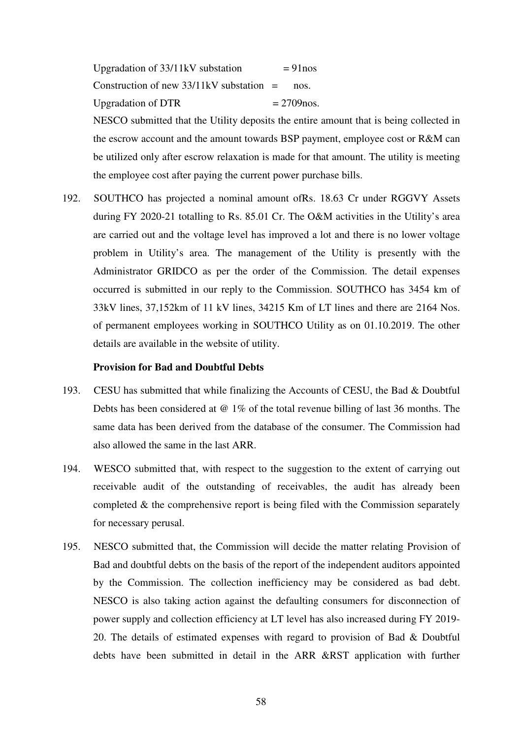| Upgradation of 33/11 kV substation          | $= 91$ nos    |
|---------------------------------------------|---------------|
| Construction of new $33/11$ kV substation = | nos.          |
| <b>Upgradation of DTR</b>                   | $= 2709$ nos. |

NESCO submitted that the Utility deposits the entire amount that is being collected in the escrow account and the amount towards BSP payment, employee cost or R&M can be utilized only after escrow relaxation is made for that amount. The utility is meeting the employee cost after paying the current power purchase bills.

192. SOUTHCO has projected a nominal amount ofRs. 18.63 Cr under RGGVY Assets during FY 2020-21 totalling to Rs. 85.01 Cr. The O&M activities in the Utility's area are carried out and the voltage level has improved a lot and there is no lower voltage problem in Utility's area. The management of the Utility is presently with the Administrator GRIDCO as per the order of the Commission. The detail expenses occurred is submitted in our reply to the Commission. SOUTHCO has 3454 km of 33kV lines, 37,152km of 11 kV lines, 34215 Km of LT lines and there are 2164 Nos. of permanent employees working in SOUTHCO Utility as on 01.10.2019. The other details are available in the website of utility.

## **Provision for Bad and Doubtful Debts**

- 193. CESU has submitted that while finalizing the Accounts of CESU, the Bad & Doubtful Debts has been considered at @ 1% of the total revenue billing of last 36 months. The same data has been derived from the database of the consumer. The Commission had also allowed the same in the last ARR.
- 194. WESCO submitted that, with respect to the suggestion to the extent of carrying out receivable audit of the outstanding of receivables, the audit has already been completed  $\&$  the comprehensive report is being filed with the Commission separately for necessary perusal.
- 195. NESCO submitted that, the Commission will decide the matter relating Provision of Bad and doubtful debts on the basis of the report of the independent auditors appointed by the Commission. The collection inefficiency may be considered as bad debt. NESCO is also taking action against the defaulting consumers for disconnection of power supply and collection efficiency at LT level has also increased during FY 2019- 20. The details of estimated expenses with regard to provision of Bad & Doubtful debts have been submitted in detail in the ARR &RST application with further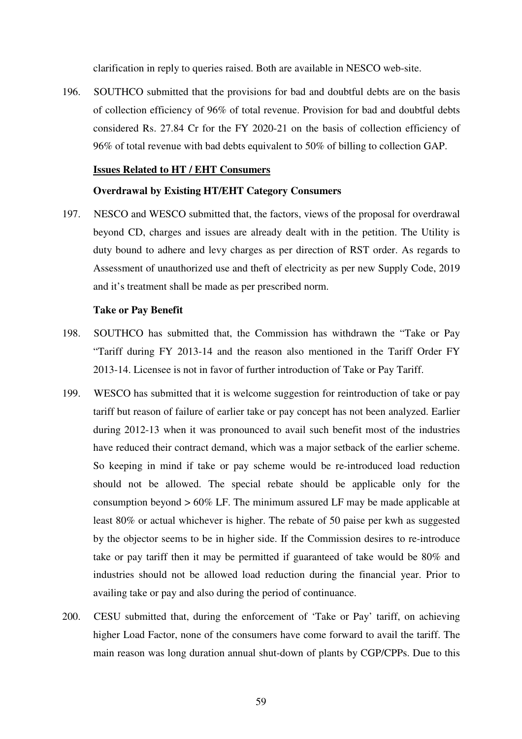clarification in reply to queries raised. Both are available in NESCO web-site.

196. SOUTHCO submitted that the provisions for bad and doubtful debts are on the basis of collection efficiency of 96% of total revenue. Provision for bad and doubtful debts considered Rs. 27.84 Cr for the FY 2020-21 on the basis of collection efficiency of 96% of total revenue with bad debts equivalent to 50% of billing to collection GAP.

## **Issues Related to HT / EHT Consumers**

#### **Overdrawal by Existing HT/EHT Category Consumers**

197. NESCO and WESCO submitted that, the factors, views of the proposal for overdrawal beyond CD, charges and issues are already dealt with in the petition. The Utility is duty bound to adhere and levy charges as per direction of RST order. As regards to Assessment of unauthorized use and theft of electricity as per new Supply Code, 2019 and it's treatment shall be made as per prescribed norm.

#### **Take or Pay Benefit**

- 198. SOUTHCO has submitted that, the Commission has withdrawn the "Take or Pay "Tariff during FY 2013-14 and the reason also mentioned in the Tariff Order FY 2013-14. Licensee is not in favor of further introduction of Take or Pay Tariff.
- 199. WESCO has submitted that it is welcome suggestion for reintroduction of take or pay tariff but reason of failure of earlier take or pay concept has not been analyzed. Earlier during 2012-13 when it was pronounced to avail such benefit most of the industries have reduced their contract demand, which was a major setback of the earlier scheme. So keeping in mind if take or pay scheme would be re-introduced load reduction should not be allowed. The special rebate should be applicable only for the consumption beyond > 60% LF. The minimum assured LF may be made applicable at least 80% or actual whichever is higher. The rebate of 50 paise per kwh as suggested by the objector seems to be in higher side. If the Commission desires to re-introduce take or pay tariff then it may be permitted if guaranteed of take would be 80% and industries should not be allowed load reduction during the financial year. Prior to availing take or pay and also during the period of continuance.
- 200. CESU submitted that, during the enforcement of 'Take or Pay' tariff, on achieving higher Load Factor, none of the consumers have come forward to avail the tariff. The main reason was long duration annual shut-down of plants by CGP/CPPs. Due to this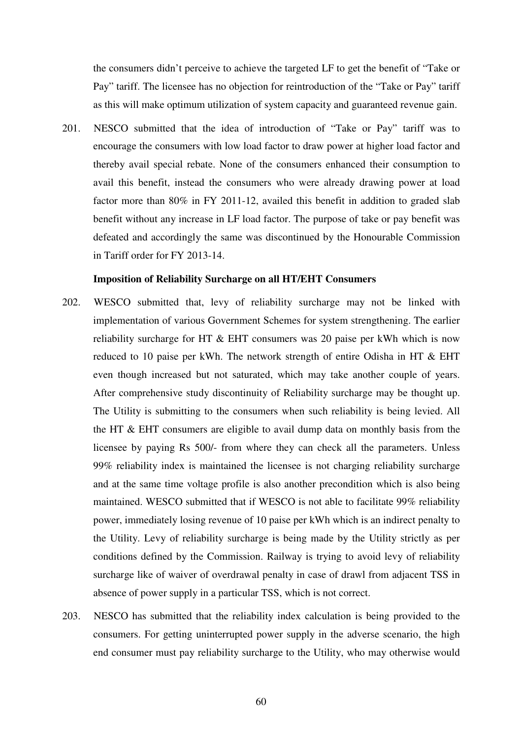the consumers didn't perceive to achieve the targeted LF to get the benefit of "Take or Pay" tariff. The licensee has no objection for reintroduction of the "Take or Pay" tariff as this will make optimum utilization of system capacity and guaranteed revenue gain.

201. NESCO submitted that the idea of introduction of "Take or Pay" tariff was to encourage the consumers with low load factor to draw power at higher load factor and thereby avail special rebate. None of the consumers enhanced their consumption to avail this benefit, instead the consumers who were already drawing power at load factor more than 80% in FY 2011-12, availed this benefit in addition to graded slab benefit without any increase in LF load factor. The purpose of take or pay benefit was defeated and accordingly the same was discontinued by the Honourable Commission in Tariff order for FY 2013-14.

#### **Imposition of Reliability Surcharge on all HT/EHT Consumers**

- 202. WESCO submitted that, levy of reliability surcharge may not be linked with implementation of various Government Schemes for system strengthening. The earlier reliability surcharge for HT & EHT consumers was 20 paise per kWh which is now reduced to 10 paise per kWh. The network strength of entire Odisha in HT & EHT even though increased but not saturated, which may take another couple of years. After comprehensive study discontinuity of Reliability surcharge may be thought up. The Utility is submitting to the consumers when such reliability is being levied. All the HT & EHT consumers are eligible to avail dump data on monthly basis from the licensee by paying Rs 500/- from where they can check all the parameters. Unless 99% reliability index is maintained the licensee is not charging reliability surcharge and at the same time voltage profile is also another precondition which is also being maintained. WESCO submitted that if WESCO is not able to facilitate 99% reliability power, immediately losing revenue of 10 paise per kWh which is an indirect penalty to the Utility. Levy of reliability surcharge is being made by the Utility strictly as per conditions defined by the Commission. Railway is trying to avoid levy of reliability surcharge like of waiver of overdrawal penalty in case of drawl from adjacent TSS in absence of power supply in a particular TSS, which is not correct.
- 203. NESCO has submitted that the reliability index calculation is being provided to the consumers. For getting uninterrupted power supply in the adverse scenario, the high end consumer must pay reliability surcharge to the Utility, who may otherwise would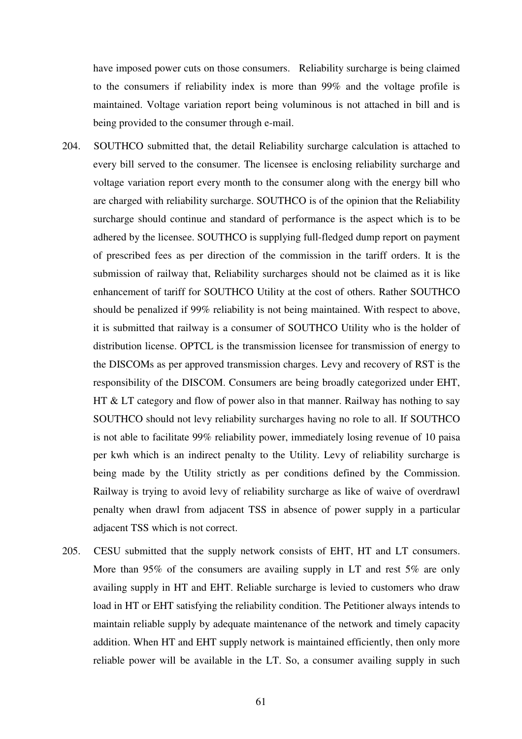have imposed power cuts on those consumers. Reliability surcharge is being claimed to the consumers if reliability index is more than 99% and the voltage profile is maintained. Voltage variation report being voluminous is not attached in bill and is being provided to the consumer through e-mail.

- 204. SOUTHCO submitted that, the detail Reliability surcharge calculation is attached to every bill served to the consumer. The licensee is enclosing reliability surcharge and voltage variation report every month to the consumer along with the energy bill who are charged with reliability surcharge. SOUTHCO is of the opinion that the Reliability surcharge should continue and standard of performance is the aspect which is to be adhered by the licensee. SOUTHCO is supplying full-fledged dump report on payment of prescribed fees as per direction of the commission in the tariff orders. It is the submission of railway that, Reliability surcharges should not be claimed as it is like enhancement of tariff for SOUTHCO Utility at the cost of others. Rather SOUTHCO should be penalized if 99% reliability is not being maintained. With respect to above, it is submitted that railway is a consumer of SOUTHCO Utility who is the holder of distribution license. OPTCL is the transmission licensee for transmission of energy to the DISCOMs as per approved transmission charges. Levy and recovery of RST is the responsibility of the DISCOM. Consumers are being broadly categorized under EHT, HT & LT category and flow of power also in that manner. Railway has nothing to say SOUTHCO should not levy reliability surcharges having no role to all. If SOUTHCO is not able to facilitate 99% reliability power, immediately losing revenue of 10 paisa per kwh which is an indirect penalty to the Utility. Levy of reliability surcharge is being made by the Utility strictly as per conditions defined by the Commission. Railway is trying to avoid levy of reliability surcharge as like of waive of overdrawl penalty when drawl from adjacent TSS in absence of power supply in a particular adjacent TSS which is not correct.
- 205. CESU submitted that the supply network consists of EHT, HT and LT consumers. More than 95% of the consumers are availing supply in LT and rest 5% are only availing supply in HT and EHT. Reliable surcharge is levied to customers who draw load in HT or EHT satisfying the reliability condition. The Petitioner always intends to maintain reliable supply by adequate maintenance of the network and timely capacity addition. When HT and EHT supply network is maintained efficiently, then only more reliable power will be available in the LT. So, a consumer availing supply in such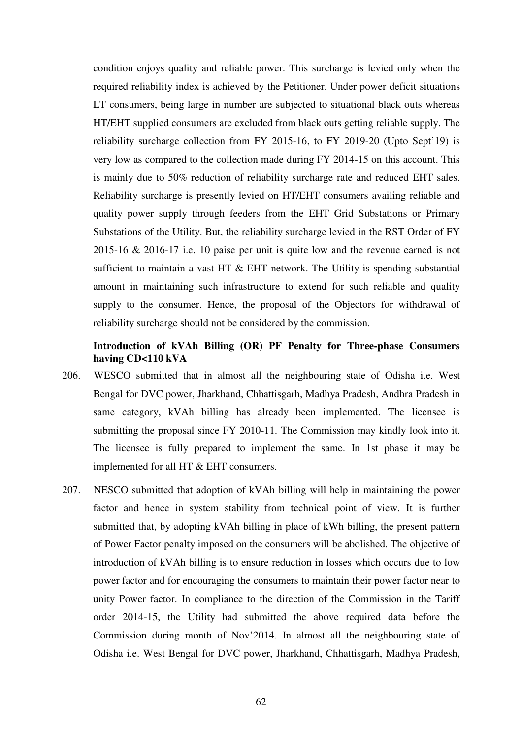condition enjoys quality and reliable power. This surcharge is levied only when the required reliability index is achieved by the Petitioner. Under power deficit situations LT consumers, being large in number are subjected to situational black outs whereas HT/EHT supplied consumers are excluded from black outs getting reliable supply. The reliability surcharge collection from FY 2015-16, to FY 2019-20 (Upto Sept'19) is very low as compared to the collection made during FY 2014-15 on this account. This is mainly due to 50% reduction of reliability surcharge rate and reduced EHT sales. Reliability surcharge is presently levied on HT/EHT consumers availing reliable and quality power supply through feeders from the EHT Grid Substations or Primary Substations of the Utility. But, the reliability surcharge levied in the RST Order of FY 2015-16 & 2016-17 i.e. 10 paise per unit is quite low and the revenue earned is not sufficient to maintain a vast HT  $\&$  EHT network. The Utility is spending substantial amount in maintaining such infrastructure to extend for such reliable and quality supply to the consumer. Hence, the proposal of the Objectors for withdrawal of reliability surcharge should not be considered by the commission.

# **Introduction of kVAh Billing (OR) PF Penalty for Three-phase Consumers having CD<110 kVA**

- 206. WESCO submitted that in almost all the neighbouring state of Odisha i.e. West Bengal for DVC power, Jharkhand, Chhattisgarh, Madhya Pradesh, Andhra Pradesh in same category, kVAh billing has already been implemented. The licensee is submitting the proposal since FY 2010-11. The Commission may kindly look into it. The licensee is fully prepared to implement the same. In 1st phase it may be implemented for all HT & EHT consumers.
- 207. NESCO submitted that adoption of kVAh billing will help in maintaining the power factor and hence in system stability from technical point of view. It is further submitted that, by adopting kVAh billing in place of kWh billing, the present pattern of Power Factor penalty imposed on the consumers will be abolished. The objective of introduction of kVAh billing is to ensure reduction in losses which occurs due to low power factor and for encouraging the consumers to maintain their power factor near to unity Power factor. In compliance to the direction of the Commission in the Tariff order 2014-15, the Utility had submitted the above required data before the Commission during month of Nov'2014. In almost all the neighbouring state of Odisha i.e. West Bengal for DVC power, Jharkhand, Chhattisgarh, Madhya Pradesh,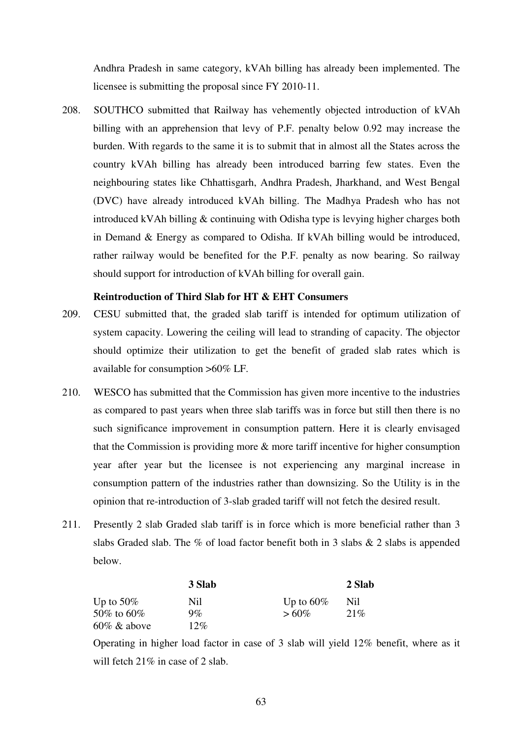Andhra Pradesh in same category, kVAh billing has already been implemented. The licensee is submitting the proposal since FY 2010-11.

208. SOUTHCO submitted that Railway has vehemently objected introduction of kVAh billing with an apprehension that levy of P.F. penalty below 0.92 may increase the burden. With regards to the same it is to submit that in almost all the States across the country kVAh billing has already been introduced barring few states. Even the neighbouring states like Chhattisgarh, Andhra Pradesh, Jharkhand, and West Bengal (DVC) have already introduced kVAh billing. The Madhya Pradesh who has not introduced kVAh billing & continuing with Odisha type is levying higher charges both in Demand & Energy as compared to Odisha. If kVAh billing would be introduced, rather railway would be benefited for the P.F. penalty as now bearing. So railway should support for introduction of kVAh billing for overall gain.

# **Reintroduction of Third Slab for HT & EHT Consumers**

- 209. CESU submitted that, the graded slab tariff is intended for optimum utilization of system capacity. Lowering the ceiling will lead to stranding of capacity. The objector should optimize their utilization to get the benefit of graded slab rates which is available for consumption >60% LF.
- 210. WESCO has submitted that the Commission has given more incentive to the industries as compared to past years when three slab tariffs was in force but still then there is no such significance improvement in consumption pattern. Here it is clearly envisaged that the Commission is providing more & more tariff incentive for higher consumption year after year but the licensee is not experiencing any marginal increase in consumption pattern of the industries rather than downsizing. So the Utility is in the opinion that re-introduction of 3-slab graded tariff will not fetch the desired result.
- 211. Presently 2 slab Graded slab tariff is in force which is more beneficial rather than 3 slabs Graded slab. The % of load factor benefit both in 3 slabs  $\&$  2 slabs is appended below.

|                | 3 Slab | 2 Slab       |      |
|----------------|--------|--------------|------|
| Up to $50\%$   | Nil    | Up to $60\%$ | Nil. |
| 50\% to 60\%   | $9\%$  | $>60\%$      | 21%  |
| $60\%$ & above | 12%    |              |      |

Operating in higher load factor in case of 3 slab will yield 12% benefit, where as it will fetch 21% in case of 2 slab.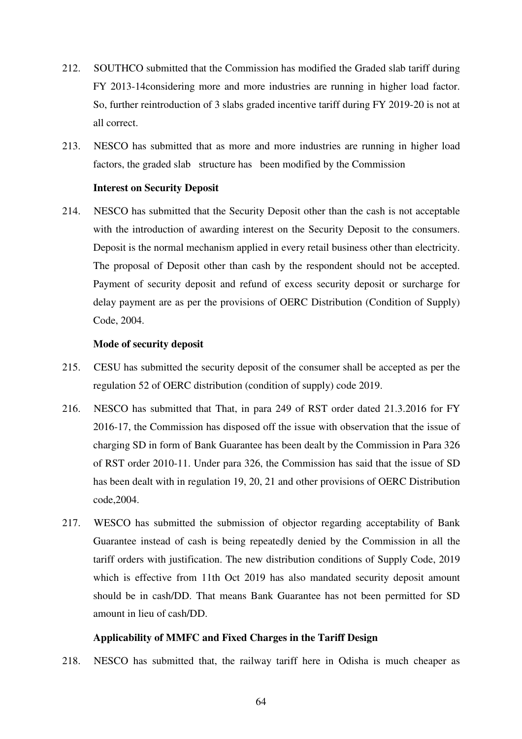- 212. SOUTHCO submitted that the Commission has modified the Graded slab tariff during FY 2013-14considering more and more industries are running in higher load factor. So, further reintroduction of 3 slabs graded incentive tariff during FY 2019-20 is not at all correct.
- 213. NESCO has submitted that as more and more industries are running in higher load factors, the graded slab structure has been modified by the Commission

# **Interest on Security Deposit**

214. NESCO has submitted that the Security Deposit other than the cash is not acceptable with the introduction of awarding interest on the Security Deposit to the consumers. Deposit is the normal mechanism applied in every retail business other than electricity. The proposal of Deposit other than cash by the respondent should not be accepted. Payment of security deposit and refund of excess security deposit or surcharge for delay payment are as per the provisions of OERC Distribution (Condition of Supply) Code, 2004.

# **Mode of security deposit**

- 215. CESU has submitted the security deposit of the consumer shall be accepted as per the regulation 52 of OERC distribution (condition of supply) code 2019.
- 216. NESCO has submitted that That, in para 249 of RST order dated 21.3.2016 for FY 2016-17, the Commission has disposed off the issue with observation that the issue of charging SD in form of Bank Guarantee has been dealt by the Commission in Para 326 of RST order 2010-11. Under para 326, the Commission has said that the issue of SD has been dealt with in regulation 19, 20, 21 and other provisions of OERC Distribution code,2004.
- 217. WESCO has submitted the submission of objector regarding acceptability of Bank Guarantee instead of cash is being repeatedly denied by the Commission in all the tariff orders with justification. The new distribution conditions of Supply Code, 2019 which is effective from 11th Oct 2019 has also mandated security deposit amount should be in cash/DD. That means Bank Guarantee has not been permitted for SD amount in lieu of cash/DD.

# **Applicability of MMFC and Fixed Charges in the Tariff Design**

218. NESCO has submitted that, the railway tariff here in Odisha is much cheaper as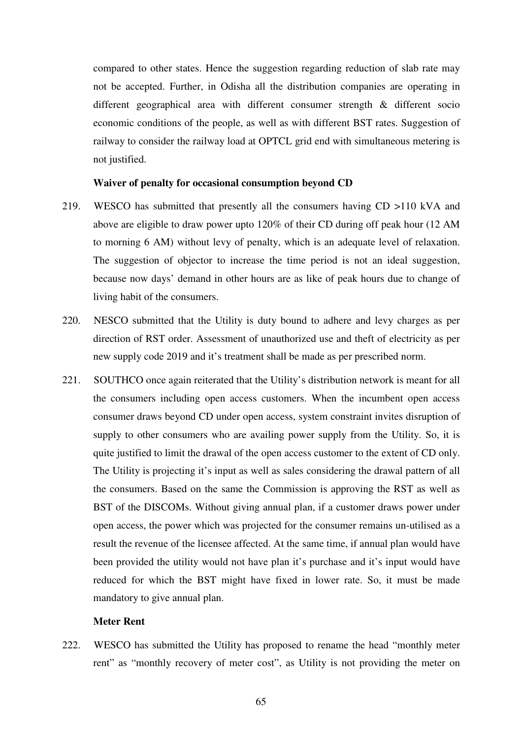compared to other states. Hence the suggestion regarding reduction of slab rate may not be accepted. Further, in Odisha all the distribution companies are operating in different geographical area with different consumer strength & different socio economic conditions of the people, as well as with different BST rates. Suggestion of railway to consider the railway load at OPTCL grid end with simultaneous metering is not justified.

## **Waiver of penalty for occasional consumption beyond CD**

- 219. WESCO has submitted that presently all the consumers having CD >110 kVA and above are eligible to draw power upto 120% of their CD during off peak hour (12 AM to morning 6 AM) without levy of penalty, which is an adequate level of relaxation. The suggestion of objector to increase the time period is not an ideal suggestion, because now days' demand in other hours are as like of peak hours due to change of living habit of the consumers.
- 220. NESCO submitted that the Utility is duty bound to adhere and levy charges as per direction of RST order. Assessment of unauthorized use and theft of electricity as per new supply code 2019 and it's treatment shall be made as per prescribed norm.
- 221. SOUTHCO once again reiterated that the Utility's distribution network is meant for all the consumers including open access customers. When the incumbent open access consumer draws beyond CD under open access, system constraint invites disruption of supply to other consumers who are availing power supply from the Utility. So, it is quite justified to limit the drawal of the open access customer to the extent of CD only. The Utility is projecting it's input as well as sales considering the drawal pattern of all the consumers. Based on the same the Commission is approving the RST as well as BST of the DISCOMs. Without giving annual plan, if a customer draws power under open access, the power which was projected for the consumer remains un-utilised as a result the revenue of the licensee affected. At the same time, if annual plan would have been provided the utility would not have plan it's purchase and it's input would have reduced for which the BST might have fixed in lower rate. So, it must be made mandatory to give annual plan.

# **Meter Rent**

222. WESCO has submitted the Utility has proposed to rename the head "monthly meter rent" as "monthly recovery of meter cost", as Utility is not providing the meter on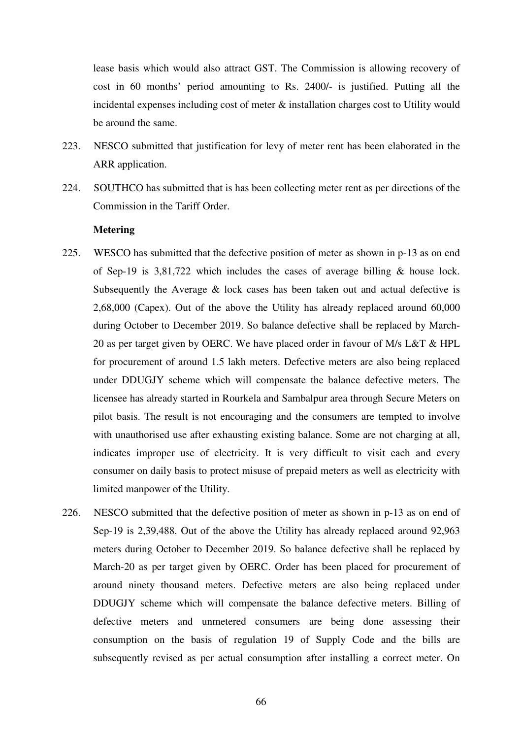lease basis which would also attract GST. The Commission is allowing recovery of cost in 60 months' period amounting to Rs. 2400/- is justified. Putting all the incidental expenses including cost of meter & installation charges cost to Utility would be around the same.

- 223. NESCO submitted that justification for levy of meter rent has been elaborated in the ARR application.
- 224. SOUTHCO has submitted that is has been collecting meter rent as per directions of the Commission in the Tariff Order.

# **Metering**

- 225. WESCO has submitted that the defective position of meter as shown in p-13 as on end of Sep-19 is  $3,81,722$  which includes the cases of average billing & house lock. Subsequently the Average & lock cases has been taken out and actual defective is 2,68,000 (Capex). Out of the above the Utility has already replaced around 60,000 during October to December 2019. So balance defective shall be replaced by March-20 as per target given by OERC. We have placed order in favour of M/s L&T & HPL for procurement of around 1.5 lakh meters. Defective meters are also being replaced under DDUGJY scheme which will compensate the balance defective meters. The licensee has already started in Rourkela and Sambalpur area through Secure Meters on pilot basis. The result is not encouraging and the consumers are tempted to involve with unauthorised use after exhausting existing balance. Some are not charging at all, indicates improper use of electricity. It is very difficult to visit each and every consumer on daily basis to protect misuse of prepaid meters as well as electricity with limited manpower of the Utility.
- 226. NESCO submitted that the defective position of meter as shown in p-13 as on end of Sep-19 is 2,39,488. Out of the above the Utility has already replaced around 92,963 meters during October to December 2019. So balance defective shall be replaced by March-20 as per target given by OERC. Order has been placed for procurement of around ninety thousand meters. Defective meters are also being replaced under DDUGJY scheme which will compensate the balance defective meters. Billing of defective meters and unmetered consumers are being done assessing their consumption on the basis of regulation 19 of Supply Code and the bills are subsequently revised as per actual consumption after installing a correct meter. On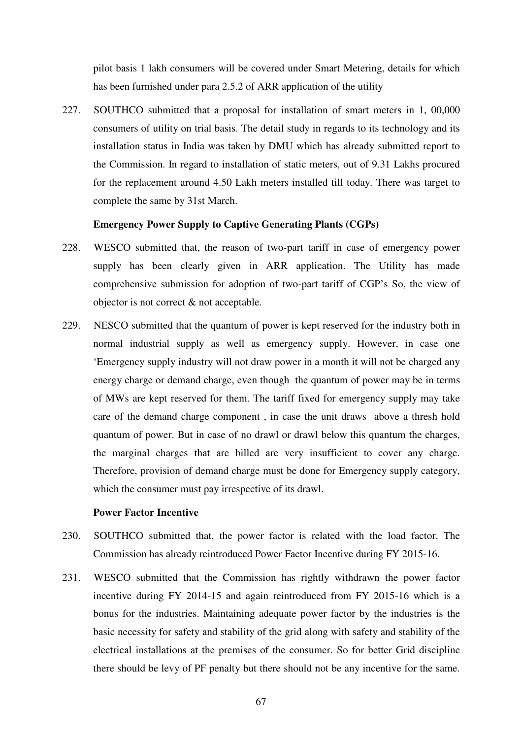pilot basis 1 lakh consumers will be covered under Smart Metering, details for which has been furnished under para 2.5.2 of ARR application of the utility

227. SOUTHCO submitted that a proposal for installation of smart meters in 1, 00,000 consumers of utility on trial basis. The detail study in regards to its technology and its installation status in India was taken by DMU which has already submitted report to the Commission. In regard to installation of static meters, out of 9.31 Lakhs procured for the replacement around 4.50 Lakh meters installed till today. There was target to complete the same by 31st March.

# **Emergency Power Supply to Captive Generating Plants (CGPs)**

- 228. WESCO submitted that, the reason of two-part tariff in case of emergency power supply has been clearly given in ARR application. The Utility has made comprehensive submission for adoption of two-part tariff of CGP's So, the view of objector is not correct & not acceptable.
- 229. NESCO submitted that the quantum of power is kept reserved for the industry both in normal industrial supply as well as emergency supply. However, in case one 'Emergency supply industry will not draw power in a month it will not be charged any energy charge or demand charge, even though the quantum of power may be in terms of MWs are kept reserved for them. The tariff fixed for emergency supply may take care of the demand charge component , in case the unit draws above a thresh hold quantum of power. But in case of no drawl or drawl below this quantum the charges, the marginal charges that are billed are very insufficient to cover any charge. Therefore, provision of demand charge must be done for Emergency supply category, which the consumer must pay irrespective of its drawl.

## **Power Factor Incentive**

- 230. SOUTHCO submitted that, the power factor is related with the load factor. The Commission has already reintroduced Power Factor Incentive during FY 2015-16.
- 231. WESCO submitted that the Commission has rightly withdrawn the power factor incentive during FY 2014-15 and again reintroduced from FY 2015-16 which is a bonus for the industries. Maintaining adequate power factor by the industries is the basic necessity for safety and stability of the grid along with safety and stability of the electrical installations at the premises of the consumer. So for better Grid discipline there should be levy of PF penalty but there should not be any incentive for the same.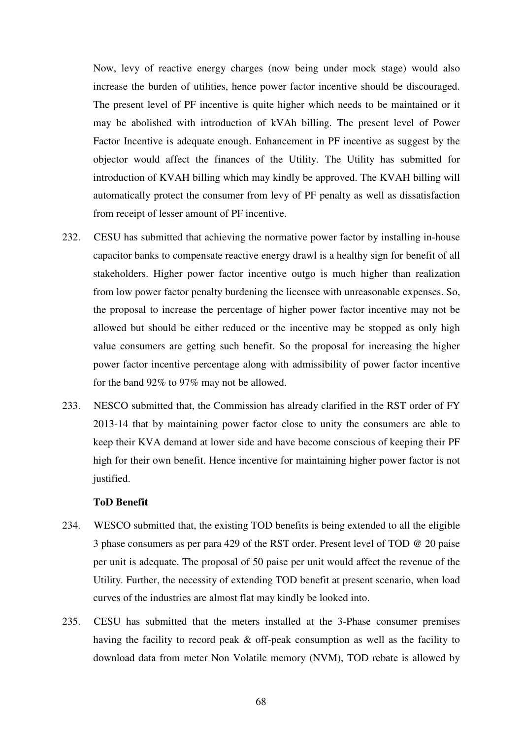Now, levy of reactive energy charges (now being under mock stage) would also increase the burden of utilities, hence power factor incentive should be discouraged. The present level of PF incentive is quite higher which needs to be maintained or it may be abolished with introduction of kVAh billing. The present level of Power Factor Incentive is adequate enough. Enhancement in PF incentive as suggest by the objector would affect the finances of the Utility. The Utility has submitted for introduction of KVAH billing which may kindly be approved. The KVAH billing will automatically protect the consumer from levy of PF penalty as well as dissatisfaction from receipt of lesser amount of PF incentive.

- 232. CESU has submitted that achieving the normative power factor by installing in-house capacitor banks to compensate reactive energy drawl is a healthy sign for benefit of all stakeholders. Higher power factor incentive outgo is much higher than realization from low power factor penalty burdening the licensee with unreasonable expenses. So, the proposal to increase the percentage of higher power factor incentive may not be allowed but should be either reduced or the incentive may be stopped as only high value consumers are getting such benefit. So the proposal for increasing the higher power factor incentive percentage along with admissibility of power factor incentive for the band 92% to 97% may not be allowed.
- 233. NESCO submitted that, the Commission has already clarified in the RST order of FY 2013-14 that by maintaining power factor close to unity the consumers are able to keep their KVA demand at lower side and have become conscious of keeping their PF high for their own benefit. Hence incentive for maintaining higher power factor is not justified.

#### **ToD Benefit**

- 234. WESCO submitted that, the existing TOD benefits is being extended to all the eligible 3 phase consumers as per para 429 of the RST order. Present level of TOD @ 20 paise per unit is adequate. The proposal of 50 paise per unit would affect the revenue of the Utility. Further, the necessity of extending TOD benefit at present scenario, when load curves of the industries are almost flat may kindly be looked into.
- 235. CESU has submitted that the meters installed at the 3-Phase consumer premises having the facility to record peak & off-peak consumption as well as the facility to download data from meter Non Volatile memory (NVM), TOD rebate is allowed by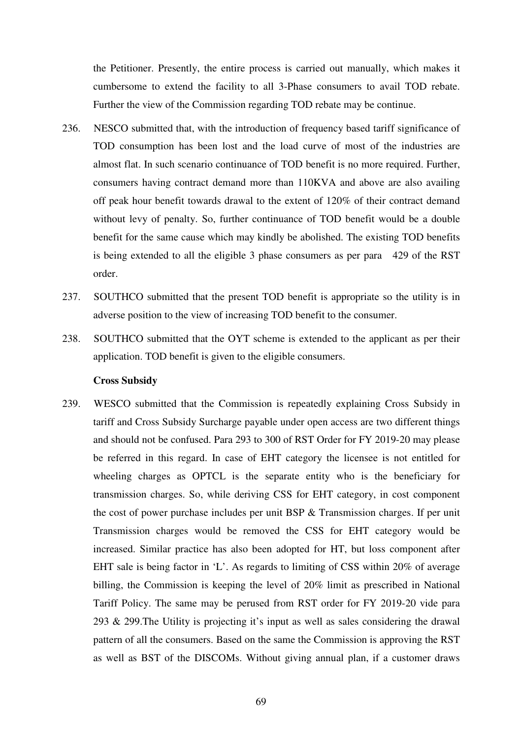the Petitioner. Presently, the entire process is carried out manually, which makes it cumbersome to extend the facility to all 3-Phase consumers to avail TOD rebate. Further the view of the Commission regarding TOD rebate may be continue.

- 236. NESCO submitted that, with the introduction of frequency based tariff significance of TOD consumption has been lost and the load curve of most of the industries are almost flat. In such scenario continuance of TOD benefit is no more required. Further, consumers having contract demand more than 110KVA and above are also availing off peak hour benefit towards drawal to the extent of 120% of their contract demand without levy of penalty. So, further continuance of TOD benefit would be a double benefit for the same cause which may kindly be abolished. The existing TOD benefits is being extended to all the eligible 3 phase consumers as per para 429 of the RST order.
- 237. SOUTHCO submitted that the present TOD benefit is appropriate so the utility is in adverse position to the view of increasing TOD benefit to the consumer.
- 238. SOUTHCO submitted that the OYT scheme is extended to the applicant as per their application. TOD benefit is given to the eligible consumers.

# **Cross Subsidy**

239. WESCO submitted that the Commission is repeatedly explaining Cross Subsidy in tariff and Cross Subsidy Surcharge payable under open access are two different things and should not be confused. Para 293 to 300 of RST Order for FY 2019-20 may please be referred in this regard. In case of EHT category the licensee is not entitled for wheeling charges as OPTCL is the separate entity who is the beneficiary for transmission charges. So, while deriving CSS for EHT category, in cost component the cost of power purchase includes per unit BSP & Transmission charges. If per unit Transmission charges would be removed the CSS for EHT category would be increased. Similar practice has also been adopted for HT, but loss component after EHT sale is being factor in 'L'. As regards to limiting of CSS within 20% of average billing, the Commission is keeping the level of 20% limit as prescribed in National Tariff Policy. The same may be perused from RST order for FY 2019-20 vide para 293 & 299.The Utility is projecting it's input as well as sales considering the drawal pattern of all the consumers. Based on the same the Commission is approving the RST as well as BST of the DISCOMs. Without giving annual plan, if a customer draws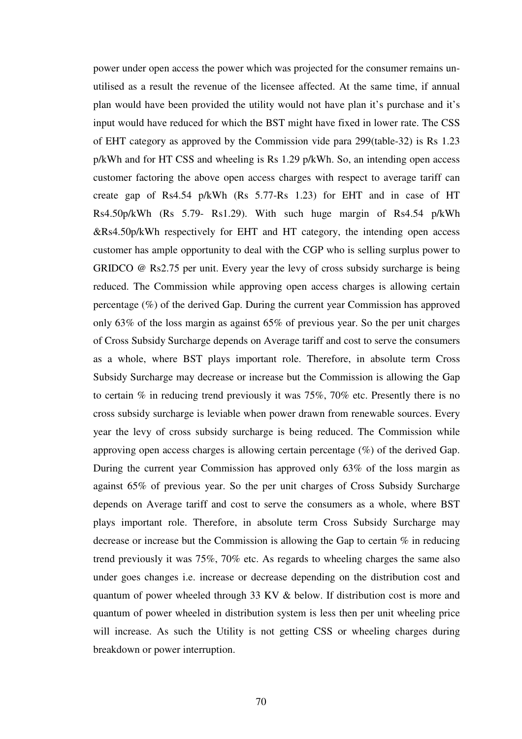power under open access the power which was projected for the consumer remains unutilised as a result the revenue of the licensee affected. At the same time, if annual plan would have been provided the utility would not have plan it's purchase and it's input would have reduced for which the BST might have fixed in lower rate. The CSS of EHT category as approved by the Commission vide para 299(table-32) is Rs 1.23 p/kWh and for HT CSS and wheeling is Rs 1.29 p/kWh. So, an intending open access customer factoring the above open access charges with respect to average tariff can create gap of Rs4.54 p/kWh (Rs 5.77-Rs 1.23) for EHT and in case of HT Rs4.50p/kWh (Rs 5.79- Rs1.29). With such huge margin of Rs4.54 p/kWh &Rs4.50p/kWh respectively for EHT and HT category, the intending open access customer has ample opportunity to deal with the CGP who is selling surplus power to GRIDCO @ Rs2.75 per unit. Every year the levy of cross subsidy surcharge is being reduced. The Commission while approving open access charges is allowing certain percentage (%) of the derived Gap. During the current year Commission has approved only 63% of the loss margin as against 65% of previous year. So the per unit charges of Cross Subsidy Surcharge depends on Average tariff and cost to serve the consumers as a whole, where BST plays important role. Therefore, in absolute term Cross Subsidy Surcharge may decrease or increase but the Commission is allowing the Gap to certain % in reducing trend previously it was 75%, 70% etc. Presently there is no cross subsidy surcharge is leviable when power drawn from renewable sources. Every year the levy of cross subsidy surcharge is being reduced. The Commission while approving open access charges is allowing certain percentage (%) of the derived Gap. During the current year Commission has approved only 63% of the loss margin as against 65% of previous year. So the per unit charges of Cross Subsidy Surcharge depends on Average tariff and cost to serve the consumers as a whole, where BST plays important role. Therefore, in absolute term Cross Subsidy Surcharge may decrease or increase but the Commission is allowing the Gap to certain % in reducing trend previously it was 75%, 70% etc. As regards to wheeling charges the same also under goes changes i.e. increase or decrease depending on the distribution cost and quantum of power wheeled through 33 KV & below. If distribution cost is more and quantum of power wheeled in distribution system is less then per unit wheeling price will increase. As such the Utility is not getting CSS or wheeling charges during breakdown or power interruption.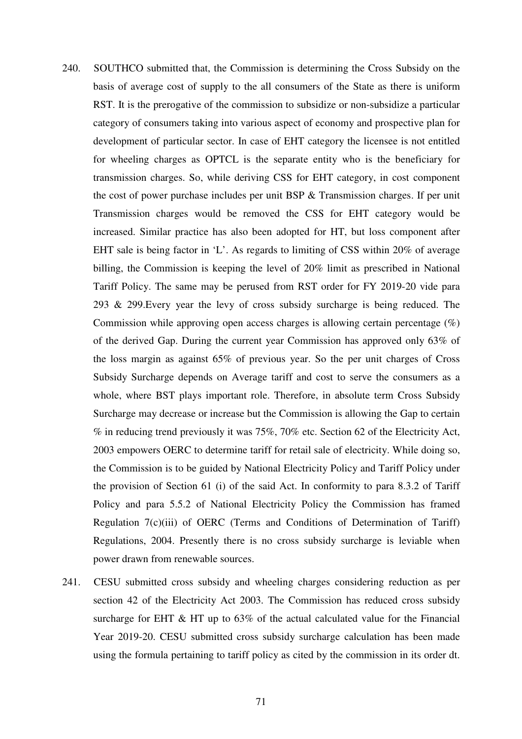- 240. SOUTHCO submitted that, the Commission is determining the Cross Subsidy on the basis of average cost of supply to the all consumers of the State as there is uniform RST. It is the prerogative of the commission to subsidize or non-subsidize a particular category of consumers taking into various aspect of economy and prospective plan for development of particular sector. In case of EHT category the licensee is not entitled for wheeling charges as OPTCL is the separate entity who is the beneficiary for transmission charges. So, while deriving CSS for EHT category, in cost component the cost of power purchase includes per unit BSP & Transmission charges. If per unit Transmission charges would be removed the CSS for EHT category would be increased. Similar practice has also been adopted for HT, but loss component after EHT sale is being factor in 'L'. As regards to limiting of CSS within 20% of average billing, the Commission is keeping the level of 20% limit as prescribed in National Tariff Policy. The same may be perused from RST order for FY 2019-20 vide para 293 & 299.Every year the levy of cross subsidy surcharge is being reduced. The Commission while approving open access charges is allowing certain percentage (%) of the derived Gap. During the current year Commission has approved only 63% of the loss margin as against 65% of previous year. So the per unit charges of Cross Subsidy Surcharge depends on Average tariff and cost to serve the consumers as a whole, where BST plays important role. Therefore, in absolute term Cross Subsidy Surcharge may decrease or increase but the Commission is allowing the Gap to certain % in reducing trend previously it was 75%, 70% etc. Section 62 of the Electricity Act, 2003 empowers OERC to determine tariff for retail sale of electricity. While doing so, the Commission is to be guided by National Electricity Policy and Tariff Policy under the provision of Section 61 (i) of the said Act. In conformity to para 8.3.2 of Tariff Policy and para 5.5.2 of National Electricity Policy the Commission has framed Regulation 7(c)(iii) of OERC (Terms and Conditions of Determination of Tariff) Regulations, 2004. Presently there is no cross subsidy surcharge is leviable when power drawn from renewable sources.
- 241. CESU submitted cross subsidy and wheeling charges considering reduction as per section 42 of the Electricity Act 2003. The Commission has reduced cross subsidy surcharge for EHT & HT up to 63% of the actual calculated value for the Financial Year 2019-20. CESU submitted cross subsidy surcharge calculation has been made using the formula pertaining to tariff policy as cited by the commission in its order dt.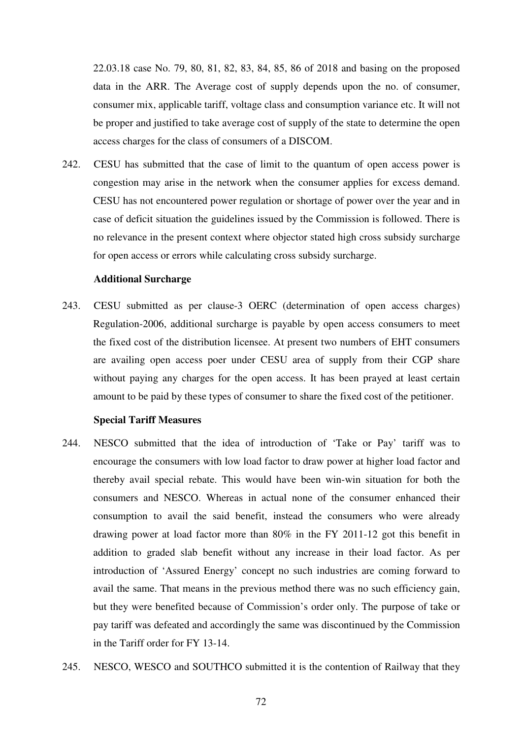22.03.18 case No. 79, 80, 81, 82, 83, 84, 85, 86 of 2018 and basing on the proposed data in the ARR. The Average cost of supply depends upon the no. of consumer, consumer mix, applicable tariff, voltage class and consumption variance etc. It will not be proper and justified to take average cost of supply of the state to determine the open access charges for the class of consumers of a DISCOM.

242. CESU has submitted that the case of limit to the quantum of open access power is congestion may arise in the network when the consumer applies for excess demand. CESU has not encountered power regulation or shortage of power over the year and in case of deficit situation the guidelines issued by the Commission is followed. There is no relevance in the present context where objector stated high cross subsidy surcharge for open access or errors while calculating cross subsidy surcharge.

## **Additional Surcharge**

243. CESU submitted as per clause-3 OERC (determination of open access charges) Regulation-2006, additional surcharge is payable by open access consumers to meet the fixed cost of the distribution licensee. At present two numbers of EHT consumers are availing open access poer under CESU area of supply from their CGP share without paying any charges for the open access. It has been prayed at least certain amount to be paid by these types of consumer to share the fixed cost of the petitioner.

## **Special Tariff Measures**

- 244. NESCO submitted that the idea of introduction of 'Take or Pay' tariff was to encourage the consumers with low load factor to draw power at higher load factor and thereby avail special rebate. This would have been win-win situation for both the consumers and NESCO. Whereas in actual none of the consumer enhanced their consumption to avail the said benefit, instead the consumers who were already drawing power at load factor more than 80% in the FY 2011-12 got this benefit in addition to graded slab benefit without any increase in their load factor. As per introduction of 'Assured Energy' concept no such industries are coming forward to avail the same. That means in the previous method there was no such efficiency gain, but they were benefited because of Commission's order only. The purpose of take or pay tariff was defeated and accordingly the same was discontinued by the Commission in the Tariff order for FY 13-14.
- 245. NESCO, WESCO and SOUTHCO submitted it is the contention of Railway that they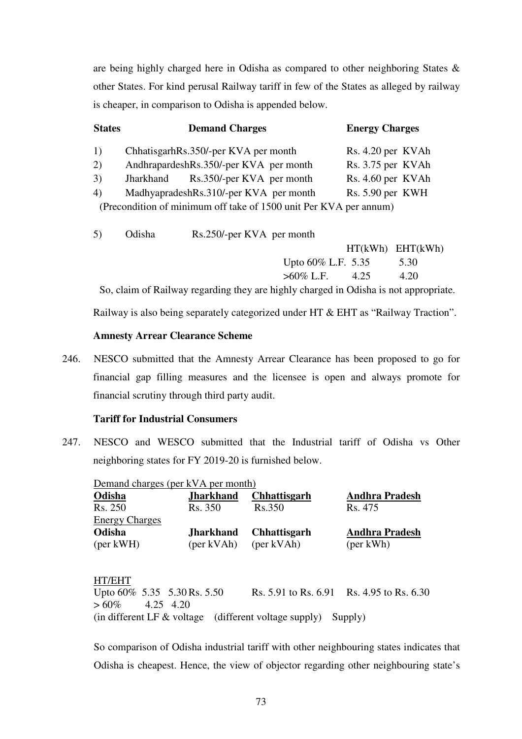are being highly charged here in Odisha as compared to other neighboring States & other States. For kind perusal Railway tariff in few of the States as alleged by railway is cheaper, in comparison to Odisha is appended below.

| <b>States</b> |        | <b>Demand Charges</b>                                             | <b>Energy Charges</b> |  |  |  |  |
|---------------|--------|-------------------------------------------------------------------|-----------------------|--|--|--|--|
| 1)            |        | ChhatisgarhRs.350/-per KVA per month                              | Rs. 4.20 per KVAh     |  |  |  |  |
| 2)            |        | AndhrapardeshRs.350/-per KVA per month                            | Rs. 3.75 per KVAh     |  |  |  |  |
| 3)            |        | Jharkhand Rs.350/-per KVA per month                               | Rs. 4.60 per KVAh     |  |  |  |  |
| 4)            |        | MadhyapradeshRs.310/-per KVA per month                            | Rs. 5.90 per KWH      |  |  |  |  |
|               |        | (Precondition of minimum off take of 1500 unit Per KVA per annum) |                       |  |  |  |  |
|               |        |                                                                   |                       |  |  |  |  |
| 5)            | Odisha | Rs.250/-per KVA per month                                         |                       |  |  |  |  |

|  |                                                      |  |                                                                                                                                                                                                                                                                                                                                                   | $HT(kWh)$ $EHT(kWh)$ |
|--|------------------------------------------------------|--|---------------------------------------------------------------------------------------------------------------------------------------------------------------------------------------------------------------------------------------------------------------------------------------------------------------------------------------------------|----------------------|
|  |                                                      |  | Upto $60\%$ L.F. 5.35 5.30                                                                                                                                                                                                                                                                                                                        |                      |
|  |                                                      |  | $>60\%$ L.F. $4.25$                                                                                                                                                                                                                                                                                                                               | 4.20                 |
|  | $\alpha$ 1 $\alpha$ $\alpha$ $\beta$ $\beta$ $\beta$ |  | $\mathbf{1}^{\prime}$ and $\mathbf{1}^{\prime}$ and $\mathbf{1}^{\prime}$ and $\mathbf{1}^{\prime}$ and $\mathbf{1}^{\prime}$ and $\mathbf{1}^{\prime}$ and $\mathbf{1}^{\prime}$ and $\mathbf{1}^{\prime}$ and $\mathbf{1}^{\prime}$ and $\mathbf{1}^{\prime}$ and $\mathbf{1}^{\prime}$ and $\mathbf{1}^{\prime}$ and $\mathbf{1}^{\prime}$ and |                      |

So, claim of Railway regarding they are highly charged in Odisha is not appropriate.

Railway is also being separately categorized under HT & EHT as "Railway Traction".

## **Amnesty Arrear Clearance Scheme**

246. NESCO submitted that the Amnesty Arrear Clearance has been proposed to go for financial gap filling measures and the licensee is open and always promote for financial scrutiny through third party audit.

# **Tariff for Industrial Consumers**

247. NESCO and WESCO submitted that the Industrial tariff of Odisha vs Other neighboring states for FY 2019-20 is furnished below.

| Demand charges (per kVA per month) |                  |                     |                       |  |  |  |  |  |  |
|------------------------------------|------------------|---------------------|-----------------------|--|--|--|--|--|--|
| <b>Odisha</b>                      | <b>Jharkhand</b> | <b>Chhattisgarh</b> | <b>Andhra Pradesh</b> |  |  |  |  |  |  |
| Rs. 250                            | Rs. 350          | Rs.350              | Rs. 475               |  |  |  |  |  |  |
| <b>Energy Charges</b>              |                  |                     |                       |  |  |  |  |  |  |
| Odisha                             | <b>Jharkhand</b> | <b>Chhattisgarh</b> | <b>Andhra Pradesh</b> |  |  |  |  |  |  |
| $(\text{per} \,\text{kWH})$        | (per kVAh)       | (per kVAh)          | ${\rm (per\, kWh)}$   |  |  |  |  |  |  |

HT/EHT Upto  $60\%$  5.35 5.30 Rs. 5.50 Rs. 5.91 to Rs. 6.91 Rs. 4.95 to Rs. 6.30  $> 60\%$  4.25 4.20 (in different LF & voltage (different voltage supply) Supply)

So comparison of Odisha industrial tariff with other neighbouring states indicates that Odisha is cheapest. Hence, the view of objector regarding other neighbouring state's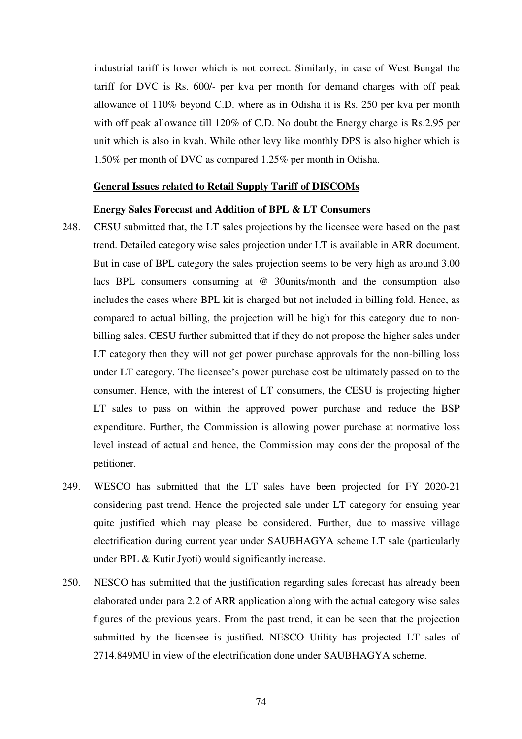industrial tariff is lower which is not correct. Similarly, in case of West Bengal the tariff for DVC is Rs. 600/- per kva per month for demand charges with off peak allowance of 110% beyond C.D. where as in Odisha it is Rs. 250 per kva per month with off peak allowance till 120% of C.D. No doubt the Energy charge is Rs.2.95 per unit which is also in kvah. While other levy like monthly DPS is also higher which is 1.50% per month of DVC as compared 1.25% per month in Odisha.

#### **General Issues related to Retail Supply Tariff of DISCOMs**

## **Energy Sales Forecast and Addition of BPL & LT Consumers**

- 248. CESU submitted that, the LT sales projections by the licensee were based on the past trend. Detailed category wise sales projection under LT is available in ARR document. But in case of BPL category the sales projection seems to be very high as around 3.00 lacs BPL consumers consuming at @ 30units/month and the consumption also includes the cases where BPL kit is charged but not included in billing fold. Hence, as compared to actual billing, the projection will be high for this category due to nonbilling sales. CESU further submitted that if they do not propose the higher sales under LT category then they will not get power purchase approvals for the non-billing loss under LT category. The licensee's power purchase cost be ultimately passed on to the consumer. Hence, with the interest of LT consumers, the CESU is projecting higher LT sales to pass on within the approved power purchase and reduce the BSP expenditure. Further, the Commission is allowing power purchase at normative loss level instead of actual and hence, the Commission may consider the proposal of the petitioner.
- 249. WESCO has submitted that the LT sales have been projected for FY 2020-21 considering past trend. Hence the projected sale under LT category for ensuing year quite justified which may please be considered. Further, due to massive village electrification during current year under SAUBHAGYA scheme LT sale (particularly under BPL & Kutir Jyoti) would significantly increase.
- 250. NESCO has submitted that the justification regarding sales forecast has already been elaborated under para 2.2 of ARR application along with the actual category wise sales figures of the previous years. From the past trend, it can be seen that the projection submitted by the licensee is justified. NESCO Utility has projected LT sales of 2714.849MU in view of the electrification done under SAUBHAGYA scheme.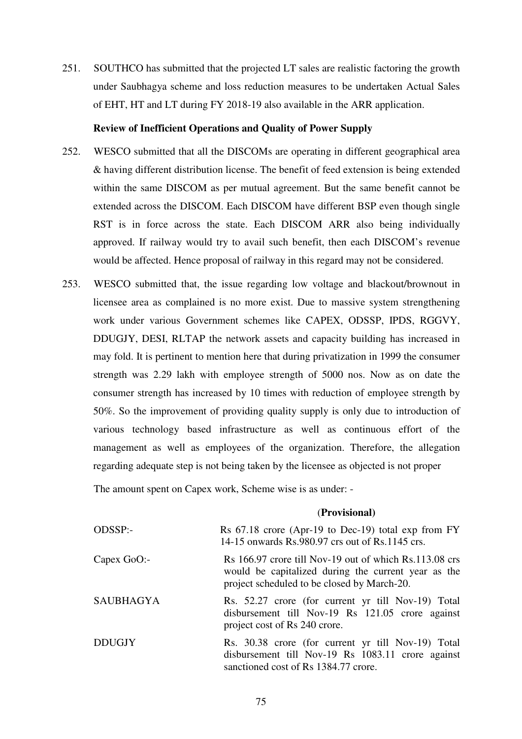251. SOUTHCO has submitted that the projected LT sales are realistic factoring the growth under Saubhagya scheme and loss reduction measures to be undertaken Actual Sales of EHT, HT and LT during FY 2018-19 also available in the ARR application.

## **Review of Inefficient Operations and Quality of Power Supply**

- 252. WESCO submitted that all the DISCOMs are operating in different geographical area & having different distribution license. The benefit of feed extension is being extended within the same DISCOM as per mutual agreement. But the same benefit cannot be extended across the DISCOM. Each DISCOM have different BSP even though single RST is in force across the state. Each DISCOM ARR also being individually approved. If railway would try to avail such benefit, then each DISCOM's revenue would be affected. Hence proposal of railway in this regard may not be considered.
- 253. WESCO submitted that, the issue regarding low voltage and blackout/brownout in licensee area as complained is no more exist. Due to massive system strengthening work under various Government schemes like CAPEX, ODSSP, IPDS, RGGVY, DDUGJY, DESI, RLTAP the network assets and capacity building has increased in may fold. It is pertinent to mention here that during privatization in 1999 the consumer strength was 2.29 lakh with employee strength of 5000 nos. Now as on date the consumer strength has increased by 10 times with reduction of employee strength by 50%. So the improvement of providing quality supply is only due to introduction of various technology based infrastructure as well as continuous effort of the management as well as employees of the organization. Therefore, the allegation regarding adequate step is not being taken by the licensee as objected is not proper

The amount spent on Capex work, Scheme wise is as under: -

#### (**Provisional)**

| ODSSP:-       | Rs $67.18$ crore (Apr-19 to Dec-19) total exp from FY<br>14-15 onwards Rs.980.97 crs out of Rs.1145 crs.                                                                         |
|---------------|----------------------------------------------------------------------------------------------------------------------------------------------------------------------------------|
| $Capex$ GoO:- | $\text{Rs } 166.97$ crore till Nov-19 out of which $\text{Rs } 113.08$ crs<br>would be capitalized during the current year as the<br>project scheduled to be closed by March-20. |
| SAUBHAGYA     | Rs. 52.27 crore (for current yr till Nov-19) Total<br>disbursement till Nov-19 Rs 121.05 crore against<br>project cost of Rs 240 crore.                                          |
| <b>DDUGJY</b> | Rs. 30.38 crore (for current yr till Nov-19) Total<br>disbursement till Nov-19 Rs 1083.11 crore against<br>sanctioned cost of Rs 1384.77 crore.                                  |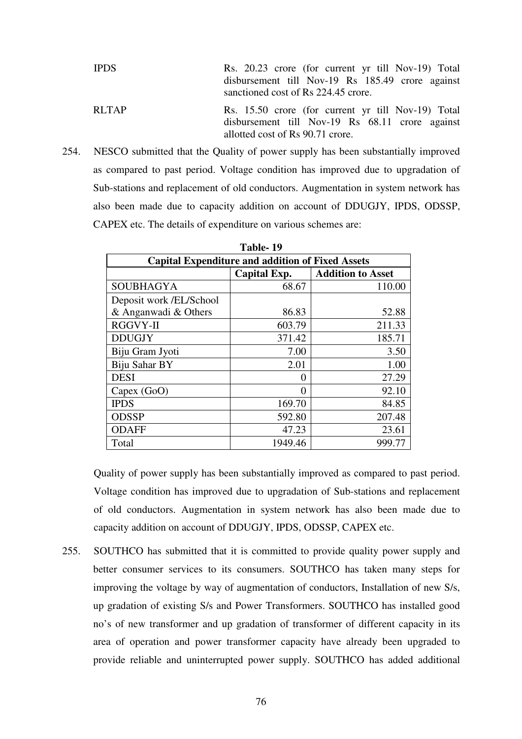| <b>IPDS</b>  | Rs. 20.23 crore (for current yr till Nov-19) Total |
|--------------|----------------------------------------------------|
|              | disbursement till Nov-19 Rs 185.49 crore against   |
|              | sanctioned cost of Rs 224.45 crore.                |
| <b>RLTAP</b> | Rs. 15.50 crore (for current yr till Nov-19) Total |
|              | disbursement till Nov-19 Rs 68.11 crore against    |
|              | allotted cost of Rs 90.71 crore.                   |

254. NESCO submitted that the Quality of power supply has been substantially improved as compared to past period. Voltage condition has improved due to upgradation of Sub-stations and replacement of old conductors. Augmentation in system network has also been made due to capacity addition on account of DDUGJY, IPDS, ODSSP, CAPEX etc. The details of expenditure on various schemes are:

| Table-19                                                |         |        |  |  |  |  |  |  |
|---------------------------------------------------------|---------|--------|--|--|--|--|--|--|
| <b>Capital Expenditure and addition of Fixed Assets</b> |         |        |  |  |  |  |  |  |
| Capital Exp.<br><b>Addition to Asset</b>                |         |        |  |  |  |  |  |  |
| <b>SOUBHAGYA</b>                                        | 68.67   | 110.00 |  |  |  |  |  |  |
| Deposit work /EL/School                                 |         |        |  |  |  |  |  |  |
| & Anganwadi & Others                                    | 86.83   | 52.88  |  |  |  |  |  |  |
| <b>RGGVY-II</b>                                         | 603.79  | 211.33 |  |  |  |  |  |  |
| <b>DDUGJY</b>                                           | 371.42  | 185.71 |  |  |  |  |  |  |
| Biju Gram Jyoti                                         | 7.00    | 3.50   |  |  |  |  |  |  |
| Biju Sahar BY                                           | 2.01    | 1.00   |  |  |  |  |  |  |
| <b>DESI</b>                                             | 0       | 27.29  |  |  |  |  |  |  |
| Capex(GoO)                                              | 0       | 92.10  |  |  |  |  |  |  |
| <b>IPDS</b>                                             | 169.70  | 84.85  |  |  |  |  |  |  |
| <b>ODSSP</b>                                            | 592.80  | 207.48 |  |  |  |  |  |  |
| <b>ODAFF</b>                                            | 47.23   | 23.61  |  |  |  |  |  |  |
| Total                                                   | 1949.46 | 999.77 |  |  |  |  |  |  |

Quality of power supply has been substantially improved as compared to past period. Voltage condition has improved due to upgradation of Sub-stations and replacement of old conductors. Augmentation in system network has also been made due to capacity addition on account of DDUGJY, IPDS, ODSSP, CAPEX etc.

255. SOUTHCO has submitted that it is committed to provide quality power supply and better consumer services to its consumers. SOUTHCO has taken many steps for improving the voltage by way of augmentation of conductors, Installation of new S/s, up gradation of existing S/s and Power Transformers. SOUTHCO has installed good no's of new transformer and up gradation of transformer of different capacity in its area of operation and power transformer capacity have already been upgraded to provide reliable and uninterrupted power supply. SOUTHCO has added additional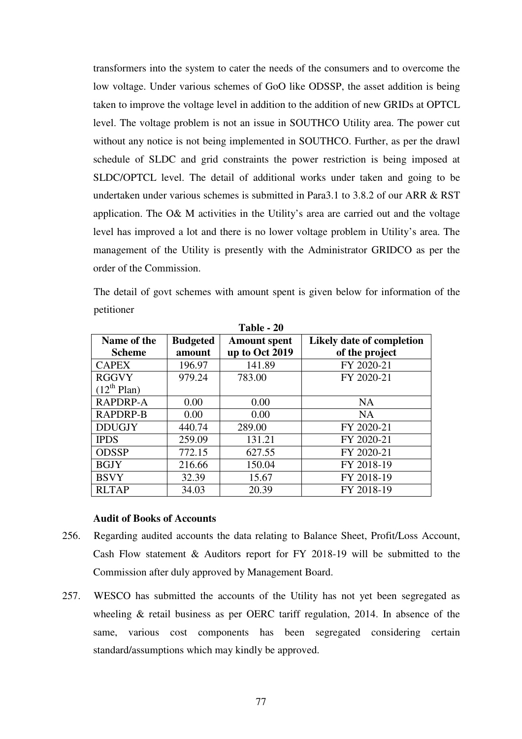transformers into the system to cater the needs of the consumers and to overcome the low voltage. Under various schemes of GoO like ODSSP, the asset addition is being taken to improve the voltage level in addition to the addition of new GRIDs at OPTCL level. The voltage problem is not an issue in SOUTHCO Utility area. The power cut without any notice is not being implemented in SOUTHCO. Further, as per the drawl schedule of SLDC and grid constraints the power restriction is being imposed at SLDC/OPTCL level. The detail of additional works under taken and going to be undertaken under various schemes is submitted in Para3.1 to 3.8.2 of our ARR & RST application. The O& M activities in the Utility's area are carried out and the voltage level has improved a lot and there is no lower voltage problem in Utility's area. The management of the Utility is presently with the Administrator GRIDCO as per the order of the Commission.

The detail of govt schemes with amount spent is given below for information of the petitioner

| Table - 20       |                 |                     |                           |  |  |  |  |  |
|------------------|-----------------|---------------------|---------------------------|--|--|--|--|--|
| Name of the      | <b>Budgeted</b> | <b>Amount spent</b> | Likely date of completion |  |  |  |  |  |
| <b>Scheme</b>    | amount          | up to Oct 2019      | of the project            |  |  |  |  |  |
| <b>CAPEX</b>     | 196.97          | 141.89              | FY 2020-21                |  |  |  |  |  |
| <b>RGGVY</b>     | 979.24          | 783.00              | FY 2020-21                |  |  |  |  |  |
| $(12^{th}$ Plan) |                 |                     |                           |  |  |  |  |  |
| RAPDRP-A         | 0.00            | 0.00                | <b>NA</b>                 |  |  |  |  |  |
| <b>RAPDRP-B</b>  | 0.00            | 0.00                | <b>NA</b>                 |  |  |  |  |  |
| <b>DDUGJY</b>    | 440.74          | 289.00              | FY 2020-21                |  |  |  |  |  |
| <b>IPDS</b>      | 259.09          | 131.21              | FY 2020-21                |  |  |  |  |  |
| <b>ODSSP</b>     | 772.15          | 627.55              | FY 2020-21                |  |  |  |  |  |
| <b>BGJY</b>      | 216.66          | 150.04              | FY 2018-19                |  |  |  |  |  |
| <b>BSVY</b>      | 32.39           | 15.67               | FY 2018-19                |  |  |  |  |  |
| <b>RLTAP</b>     | 34.03           | 20.39               | FY 2018-19                |  |  |  |  |  |

**Table - 20** 

#### **Audit of Books of Accounts**

- 256. Regarding audited accounts the data relating to Balance Sheet, Profit/Loss Account, Cash Flow statement & Auditors report for FY 2018-19 will be submitted to the Commission after duly approved by Management Board.
- 257. WESCO has submitted the accounts of the Utility has not yet been segregated as wheeling & retail business as per OERC tariff regulation, 2014. In absence of the same, various cost components has been segregated considering certain standard/assumptions which may kindly be approved.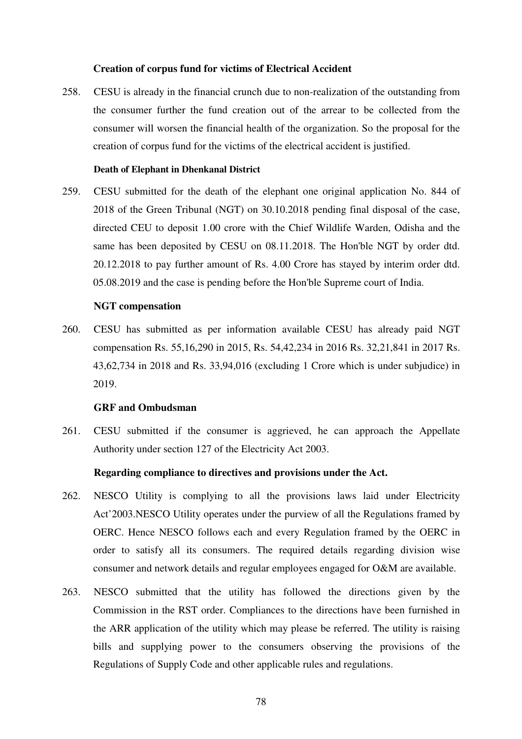#### **Creation of corpus fund for victims of Electrical Accident**

258. CESU is already in the financial crunch due to non-realization of the outstanding from the consumer further the fund creation out of the arrear to be collected from the consumer will worsen the financial health of the organization. So the proposal for the creation of corpus fund for the victims of the electrical accident is justified.

## **Death of Elephant in Dhenkanal District**

259. CESU submitted for the death of the elephant one original application No. 844 of 2018 of the Green Tribunal (NGT) on 30.10.2018 pending final disposal of the case, directed CEU to deposit 1.00 crore with the Chief Wildlife Warden, Odisha and the same has been deposited by CESU on 08.11.2018. The Hon'ble NGT by order dtd. 20.12.2018 to pay further amount of Rs. 4.00 Crore has stayed by interim order dtd. 05.08.2019 and the case is pending before the Hon'ble Supreme court of India.

## **NGT compensation**

260. CESU has submitted as per information available CESU has already paid NGT compensation Rs. 55,16,290 in 2015, Rs. 54,42,234 in 2016 Rs. 32,21,841 in 2017 Rs. 43,62,734 in 2018 and Rs. 33,94,016 (excluding 1 Crore which is under subjudice) in 2019.

### **GRF and Ombudsman**

261. CESU submitted if the consumer is aggrieved, he can approach the Appellate Authority under section 127 of the Electricity Act 2003.

#### **Regarding compliance to directives and provisions under the Act.**

- 262. NESCO Utility is complying to all the provisions laws laid under Electricity Act'2003.NESCO Utility operates under the purview of all the Regulations framed by OERC. Hence NESCO follows each and every Regulation framed by the OERC in order to satisfy all its consumers. The required details regarding division wise consumer and network details and regular employees engaged for O&M are available.
- 263. NESCO submitted that the utility has followed the directions given by the Commission in the RST order. Compliances to the directions have been furnished in the ARR application of the utility which may please be referred. The utility is raising bills and supplying power to the consumers observing the provisions of the Regulations of Supply Code and other applicable rules and regulations.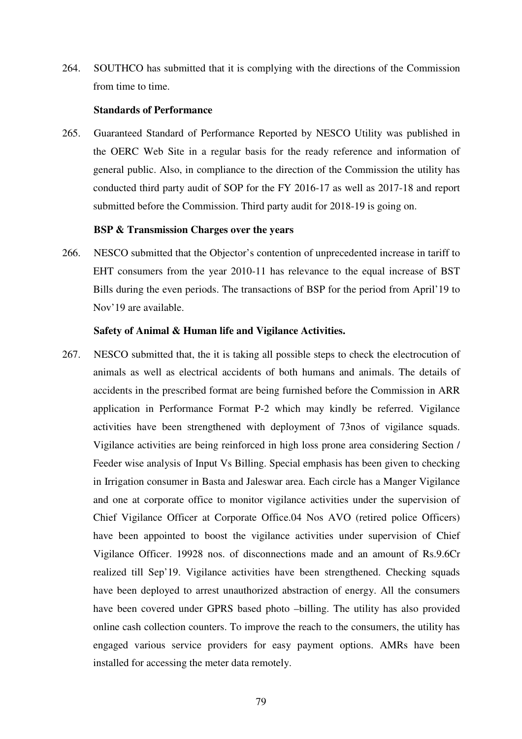264. SOUTHCO has submitted that it is complying with the directions of the Commission from time to time.

## **Standards of Performance**

265. Guaranteed Standard of Performance Reported by NESCO Utility was published in the OERC Web Site in a regular basis for the ready reference and information of general public. Also, in compliance to the direction of the Commission the utility has conducted third party audit of SOP for the FY 2016-17 as well as 2017-18 and report submitted before the Commission. Third party audit for 2018-19 is going on.

#### **BSP & Transmission Charges over the years**

266. NESCO submitted that the Objector's contention of unprecedented increase in tariff to EHT consumers from the year 2010-11 has relevance to the equal increase of BST Bills during the even periods. The transactions of BSP for the period from April'19 to Nov'19 are available.

## **Safety of Animal & Human life and Vigilance Activities.**

267. NESCO submitted that, the it is taking all possible steps to check the electrocution of animals as well as electrical accidents of both humans and animals. The details of accidents in the prescribed format are being furnished before the Commission in ARR application in Performance Format P-2 which may kindly be referred. Vigilance activities have been strengthened with deployment of 73nos of vigilance squads. Vigilance activities are being reinforced in high loss prone area considering Section / Feeder wise analysis of Input Vs Billing. Special emphasis has been given to checking in Irrigation consumer in Basta and Jaleswar area. Each circle has a Manger Vigilance and one at corporate office to monitor vigilance activities under the supervision of Chief Vigilance Officer at Corporate Office.04 Nos AVO (retired police Officers) have been appointed to boost the vigilance activities under supervision of Chief Vigilance Officer. 19928 nos. of disconnections made and an amount of Rs.9.6Cr realized till Sep'19. Vigilance activities have been strengthened. Checking squads have been deployed to arrest unauthorized abstraction of energy. All the consumers have been covered under GPRS based photo –billing. The utility has also provided online cash collection counters. To improve the reach to the consumers, the utility has engaged various service providers for easy payment options. AMRs have been installed for accessing the meter data remotely.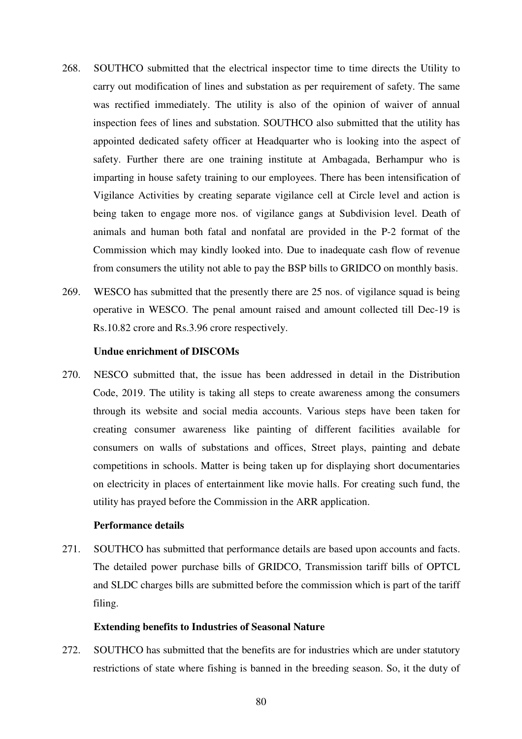- 268. SOUTHCO submitted that the electrical inspector time to time directs the Utility to carry out modification of lines and substation as per requirement of safety. The same was rectified immediately. The utility is also of the opinion of waiver of annual inspection fees of lines and substation. SOUTHCO also submitted that the utility has appointed dedicated safety officer at Headquarter who is looking into the aspect of safety. Further there are one training institute at Ambagada, Berhampur who is imparting in house safety training to our employees. There has been intensification of Vigilance Activities by creating separate vigilance cell at Circle level and action is being taken to engage more nos. of vigilance gangs at Subdivision level. Death of animals and human both fatal and nonfatal are provided in the P-2 format of the Commission which may kindly looked into. Due to inadequate cash flow of revenue from consumers the utility not able to pay the BSP bills to GRIDCO on monthly basis.
- 269. WESCO has submitted that the presently there are 25 nos. of vigilance squad is being operative in WESCO. The penal amount raised and amount collected till Dec-19 is Rs.10.82 crore and Rs.3.96 crore respectively.

#### **Undue enrichment of DISCOMs**

270. NESCO submitted that, the issue has been addressed in detail in the Distribution Code, 2019. The utility is taking all steps to create awareness among the consumers through its website and social media accounts. Various steps have been taken for creating consumer awareness like painting of different facilities available for consumers on walls of substations and offices, Street plays, painting and debate competitions in schools. Matter is being taken up for displaying short documentaries on electricity in places of entertainment like movie halls. For creating such fund, the utility has prayed before the Commission in the ARR application.

#### **Performance details**

271. SOUTHCO has submitted that performance details are based upon accounts and facts. The detailed power purchase bills of GRIDCO, Transmission tariff bills of OPTCL and SLDC charges bills are submitted before the commission which is part of the tariff filing.

#### **Extending benefits to Industries of Seasonal Nature**

272. SOUTHCO has submitted that the benefits are for industries which are under statutory restrictions of state where fishing is banned in the breeding season. So, it the duty of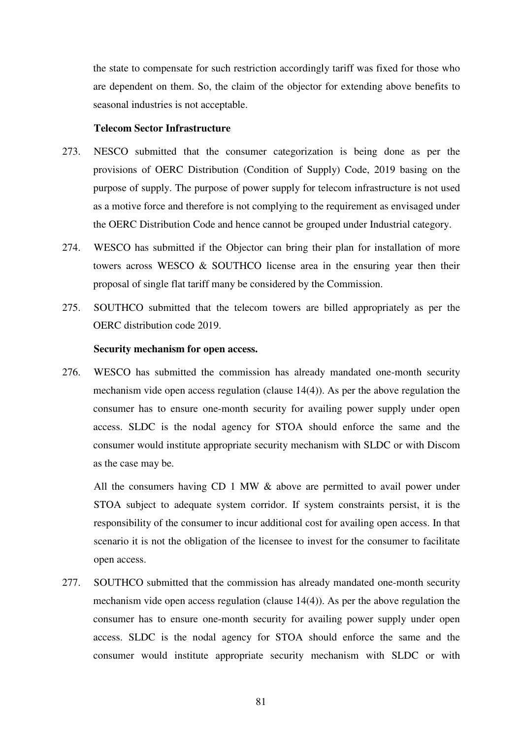the state to compensate for such restriction accordingly tariff was fixed for those who are dependent on them. So, the claim of the objector for extending above benefits to seasonal industries is not acceptable.

#### **Telecom Sector Infrastructure**

- 273. NESCO submitted that the consumer categorization is being done as per the provisions of OERC Distribution (Condition of Supply) Code, 2019 basing on the purpose of supply. The purpose of power supply for telecom infrastructure is not used as a motive force and therefore is not complying to the requirement as envisaged under the OERC Distribution Code and hence cannot be grouped under Industrial category.
- 274. WESCO has submitted if the Objector can bring their plan for installation of more towers across WESCO  $\&$  SOUTHCO license area in the ensuring year then their proposal of single flat tariff many be considered by the Commission.
- 275. SOUTHCO submitted that the telecom towers are billed appropriately as per the OERC distribution code 2019.

#### **Security mechanism for open access.**

276. WESCO has submitted the commission has already mandated one-month security mechanism vide open access regulation (clause 14(4)). As per the above regulation the consumer has to ensure one-month security for availing power supply under open access. SLDC is the nodal agency for STOA should enforce the same and the consumer would institute appropriate security mechanism with SLDC or with Discom as the case may be.

All the consumers having CD 1 MW  $\&$  above are permitted to avail power under STOA subject to adequate system corridor. If system constraints persist, it is the responsibility of the consumer to incur additional cost for availing open access. In that scenario it is not the obligation of the licensee to invest for the consumer to facilitate open access.

277. SOUTHCO submitted that the commission has already mandated one-month security mechanism vide open access regulation (clause 14(4)). As per the above regulation the consumer has to ensure one-month security for availing power supply under open access. SLDC is the nodal agency for STOA should enforce the same and the consumer would institute appropriate security mechanism with SLDC or with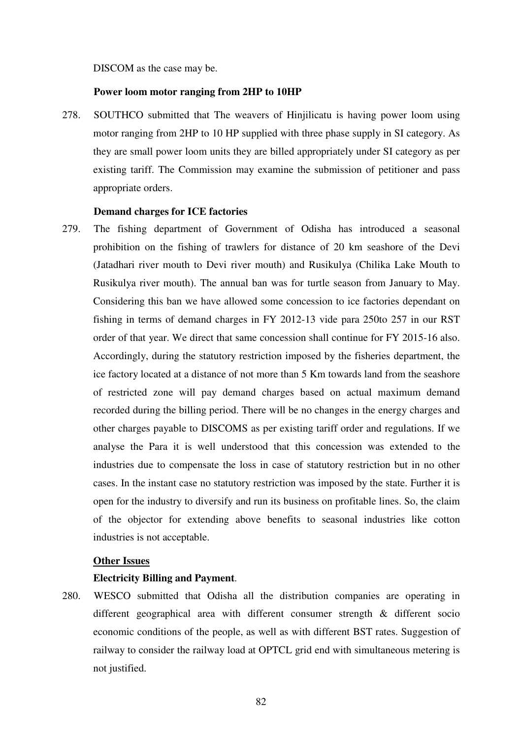#### DISCOM as the case may be.

#### **Power loom motor ranging from 2HP to 10HP**

278. SOUTHCO submitted that The weavers of Hinjilicatu is having power loom using motor ranging from 2HP to 10 HP supplied with three phase supply in SI category. As they are small power loom units they are billed appropriately under SI category as per existing tariff. The Commission may examine the submission of petitioner and pass appropriate orders.

#### **Demand charges for ICE factories**

279. The fishing department of Government of Odisha has introduced a seasonal prohibition on the fishing of trawlers for distance of 20 km seashore of the Devi (Jatadhari river mouth to Devi river mouth) and Rusikulya (Chilika Lake Mouth to Rusikulya river mouth). The annual ban was for turtle season from January to May. Considering this ban we have allowed some concession to ice factories dependant on fishing in terms of demand charges in FY 2012-13 vide para 250to 257 in our RST order of that year. We direct that same concession shall continue for FY 2015-16 also. Accordingly, during the statutory restriction imposed by the fisheries department, the ice factory located at a distance of not more than 5 Km towards land from the seashore of restricted zone will pay demand charges based on actual maximum demand recorded during the billing period. There will be no changes in the energy charges and other charges payable to DISCOMS as per existing tariff order and regulations. If we analyse the Para it is well understood that this concession was extended to the industries due to compensate the loss in case of statutory restriction but in no other cases. In the instant case no statutory restriction was imposed by the state. Further it is open for the industry to diversify and run its business on profitable lines. So, the claim of the objector for extending above benefits to seasonal industries like cotton industries is not acceptable.

## **Other Issues**

#### **Electricity Billing and Payment**.

280. WESCO submitted that Odisha all the distribution companies are operating in different geographical area with different consumer strength & different socio economic conditions of the people, as well as with different BST rates. Suggestion of railway to consider the railway load at OPTCL grid end with simultaneous metering is not justified.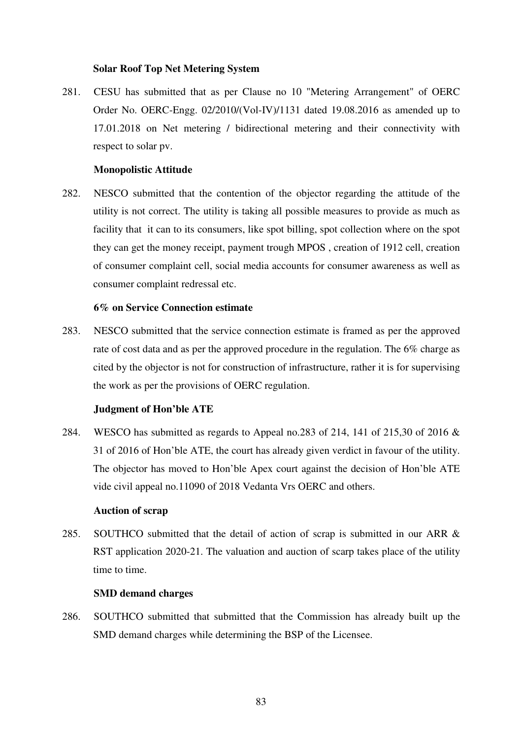## **Solar Roof Top Net Metering System**

281. CESU has submitted that as per Clause no 10 "Metering Arrangement" of OERC Order No. OERC-Engg. 02/2010/(Vol-IV)/1131 dated 19.08.2016 as amended up to 17.01.2018 on Net metering / bidirectional metering and their connectivity with respect to solar pv.

## **Monopolistic Attitude**

282. NESCO submitted that the contention of the objector regarding the attitude of the utility is not correct. The utility is taking all possible measures to provide as much as facility that it can to its consumers, like spot billing, spot collection where on the spot they can get the money receipt, payment trough MPOS , creation of 1912 cell, creation of consumer complaint cell, social media accounts for consumer awareness as well as consumer complaint redressal etc.

## **6% on Service Connection estimate**

283. NESCO submitted that the service connection estimate is framed as per the approved rate of cost data and as per the approved procedure in the regulation. The 6% charge as cited by the objector is not for construction of infrastructure, rather it is for supervising the work as per the provisions of OERC regulation.

## **Judgment of Hon'ble ATE**

284. WESCO has submitted as regards to Appeal no.283 of 214, 141 of 215,30 of 2016 & 31 of 2016 of Hon'ble ATE, the court has already given verdict in favour of the utility. The objector has moved to Hon'ble Apex court against the decision of Hon'ble ATE vide civil appeal no.11090 of 2018 Vedanta Vrs OERC and others.

#### **Auction of scrap**

285. SOUTHCO submitted that the detail of action of scrap is submitted in our ARR & RST application 2020-21. The valuation and auction of scarp takes place of the utility time to time.

#### **SMD demand charges**

286. SOUTHCO submitted that submitted that the Commission has already built up the SMD demand charges while determining the BSP of the Licensee.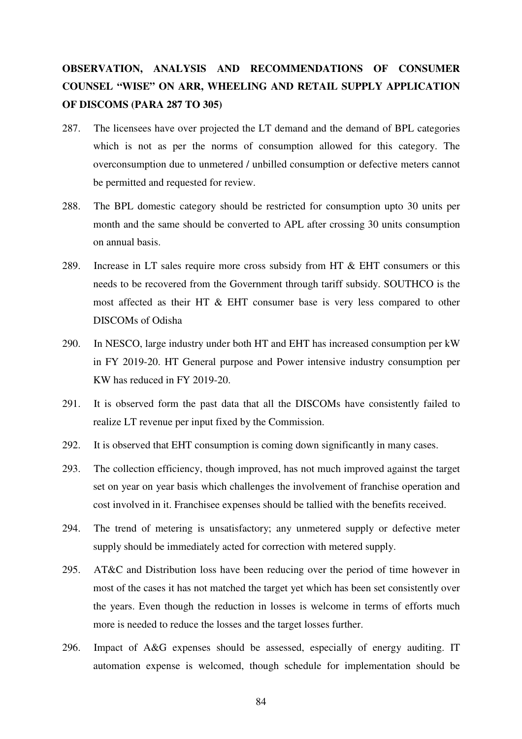# **OBSERVATION, ANALYSIS AND RECOMMENDATIONS OF CONSUMER COUNSEL "WISE" ON ARR, WHEELING AND RETAIL SUPPLY APPLICATION OF DISCOMS (PARA 287 TO 305)**

- 287. The licensees have over projected the LT demand and the demand of BPL categories which is not as per the norms of consumption allowed for this category. The overconsumption due to unmetered / unbilled consumption or defective meters cannot be permitted and requested for review.
- 288. The BPL domestic category should be restricted for consumption upto 30 units per month and the same should be converted to APL after crossing 30 units consumption on annual basis.
- 289. Increase in LT sales require more cross subsidy from HT & EHT consumers or this needs to be recovered from the Government through tariff subsidy. SOUTHCO is the most affected as their HT & EHT consumer base is very less compared to other DISCOMs of Odisha
- 290. In NESCO, large industry under both HT and EHT has increased consumption per kW in FY 2019-20. HT General purpose and Power intensive industry consumption per KW has reduced in FY 2019-20.
- 291. It is observed form the past data that all the DISCOMs have consistently failed to realize LT revenue per input fixed by the Commission.
- 292. It is observed that EHT consumption is coming down significantly in many cases.
- 293. The collection efficiency, though improved, has not much improved against the target set on year on year basis which challenges the involvement of franchise operation and cost involved in it. Franchisee expenses should be tallied with the benefits received.
- 294. The trend of metering is unsatisfactory; any unmetered supply or defective meter supply should be immediately acted for correction with metered supply.
- 295. AT&C and Distribution loss have been reducing over the period of time however in most of the cases it has not matched the target yet which has been set consistently over the years. Even though the reduction in losses is welcome in terms of efforts much more is needed to reduce the losses and the target losses further.
- 296. Impact of A&G expenses should be assessed, especially of energy auditing. IT automation expense is welcomed, though schedule for implementation should be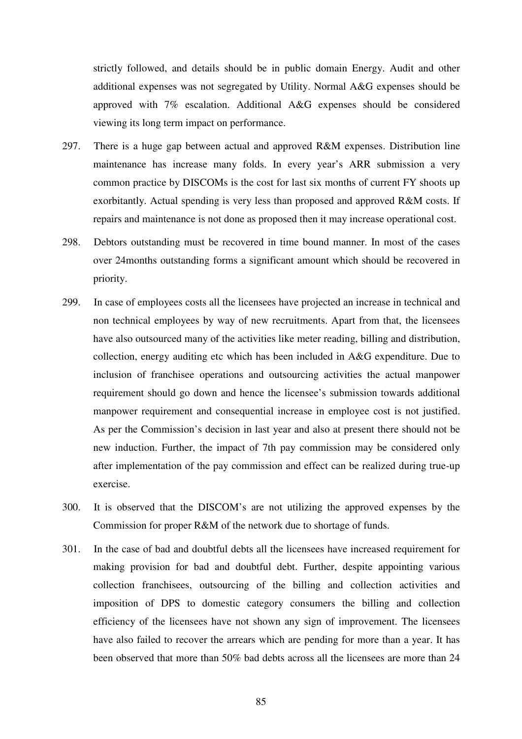strictly followed, and details should be in public domain Energy. Audit and other additional expenses was not segregated by Utility. Normal A&G expenses should be approved with 7% escalation. Additional A&G expenses should be considered viewing its long term impact on performance.

- 297. There is a huge gap between actual and approved R&M expenses. Distribution line maintenance has increase many folds. In every year's ARR submission a very common practice by DISCOMs is the cost for last six months of current FY shoots up exorbitantly. Actual spending is very less than proposed and approved R&M costs. If repairs and maintenance is not done as proposed then it may increase operational cost.
- 298. Debtors outstanding must be recovered in time bound manner. In most of the cases over 24months outstanding forms a significant amount which should be recovered in priority.
- 299. In case of employees costs all the licensees have projected an increase in technical and non technical employees by way of new recruitments. Apart from that, the licensees have also outsourced many of the activities like meter reading, billing and distribution, collection, energy auditing etc which has been included in A&G expenditure. Due to inclusion of franchisee operations and outsourcing activities the actual manpower requirement should go down and hence the licensee's submission towards additional manpower requirement and consequential increase in employee cost is not justified. As per the Commission's decision in last year and also at present there should not be new induction. Further, the impact of 7th pay commission may be considered only after implementation of the pay commission and effect can be realized during true-up exercise.
- 300. It is observed that the DISCOM's are not utilizing the approved expenses by the Commission for proper R&M of the network due to shortage of funds.
- 301. In the case of bad and doubtful debts all the licensees have increased requirement for making provision for bad and doubtful debt. Further, despite appointing various collection franchisees, outsourcing of the billing and collection activities and imposition of DPS to domestic category consumers the billing and collection efficiency of the licensees have not shown any sign of improvement. The licensees have also failed to recover the arrears which are pending for more than a year. It has been observed that more than 50% bad debts across all the licensees are more than 24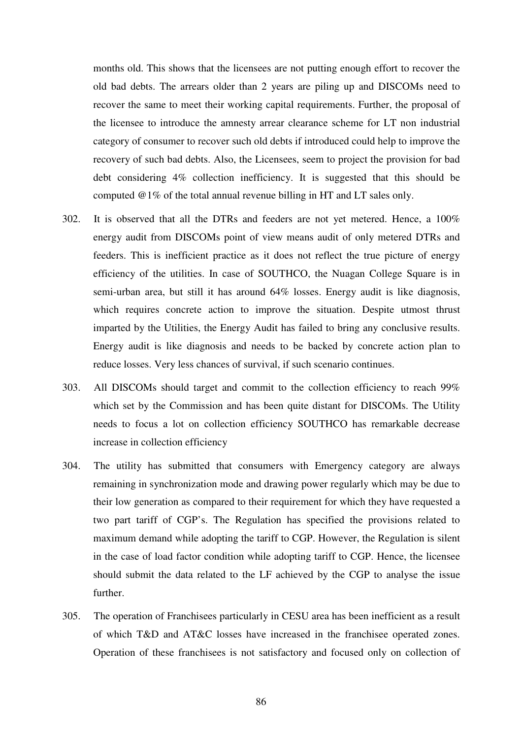months old. This shows that the licensees are not putting enough effort to recover the old bad debts. The arrears older than 2 years are piling up and DISCOMs need to recover the same to meet their working capital requirements. Further, the proposal of the licensee to introduce the amnesty arrear clearance scheme for LT non industrial category of consumer to recover such old debts if introduced could help to improve the recovery of such bad debts. Also, the Licensees, seem to project the provision for bad debt considering 4% collection inefficiency. It is suggested that this should be computed @1% of the total annual revenue billing in HT and LT sales only.

- 302. It is observed that all the DTRs and feeders are not yet metered. Hence, a 100% energy audit from DISCOMs point of view means audit of only metered DTRs and feeders. This is inefficient practice as it does not reflect the true picture of energy efficiency of the utilities. In case of SOUTHCO, the Nuagan College Square is in semi-urban area, but still it has around 64% losses. Energy audit is like diagnosis, which requires concrete action to improve the situation. Despite utmost thrust imparted by the Utilities, the Energy Audit has failed to bring any conclusive results. Energy audit is like diagnosis and needs to be backed by concrete action plan to reduce losses. Very less chances of survival, if such scenario continues.
- 303. All DISCOMs should target and commit to the collection efficiency to reach 99% which set by the Commission and has been quite distant for DISCOMs. The Utility needs to focus a lot on collection efficiency SOUTHCO has remarkable decrease increase in collection efficiency
- 304. The utility has submitted that consumers with Emergency category are always remaining in synchronization mode and drawing power regularly which may be due to their low generation as compared to their requirement for which they have requested a two part tariff of CGP's. The Regulation has specified the provisions related to maximum demand while adopting the tariff to CGP. However, the Regulation is silent in the case of load factor condition while adopting tariff to CGP. Hence, the licensee should submit the data related to the LF achieved by the CGP to analyse the issue further.
- 305. The operation of Franchisees particularly in CESU area has been inefficient as a result of which T&D and AT&C losses have increased in the franchisee operated zones. Operation of these franchisees is not satisfactory and focused only on collection of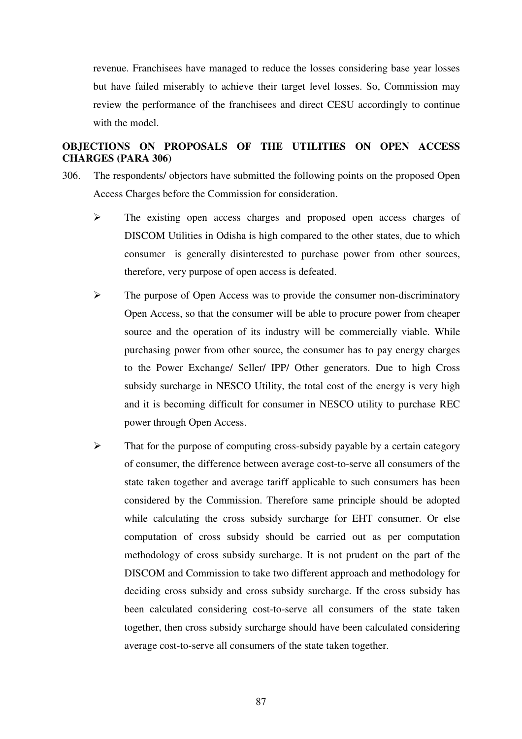revenue. Franchisees have managed to reduce the losses considering base year losses but have failed miserably to achieve their target level losses. So, Commission may review the performance of the franchisees and direct CESU accordingly to continue with the model.

# **OBJECTIONS ON PROPOSALS OF THE UTILITIES ON OPEN ACCESS CHARGES (PARA 306)**

- 306. The respondents/ objectors have submitted the following points on the proposed Open Access Charges before the Commission for consideration.
	- $\triangleright$  The existing open access charges and proposed open access charges of DISCOM Utilities in Odisha is high compared to the other states, due to which consumer is generally disinterested to purchase power from other sources, therefore, very purpose of open access is defeated.
	- $\triangleright$  The purpose of Open Access was to provide the consumer non-discriminatory Open Access, so that the consumer will be able to procure power from cheaper source and the operation of its industry will be commercially viable. While purchasing power from other source, the consumer has to pay energy charges to the Power Exchange/ Seller/ IPP/ Other generators. Due to high Cross subsidy surcharge in NESCO Utility, the total cost of the energy is very high and it is becoming difficult for consumer in NESCO utility to purchase REC power through Open Access.
	- $\triangleright$  That for the purpose of computing cross-subsidy payable by a certain category of consumer, the difference between average cost-to-serve all consumers of the state taken together and average tariff applicable to such consumers has been considered by the Commission. Therefore same principle should be adopted while calculating the cross subsidy surcharge for EHT consumer. Or else computation of cross subsidy should be carried out as per computation methodology of cross subsidy surcharge. It is not prudent on the part of the DISCOM and Commission to take two different approach and methodology for deciding cross subsidy and cross subsidy surcharge. If the cross subsidy has been calculated considering cost-to-serve all consumers of the state taken together, then cross subsidy surcharge should have been calculated considering average cost-to-serve all consumers of the state taken together.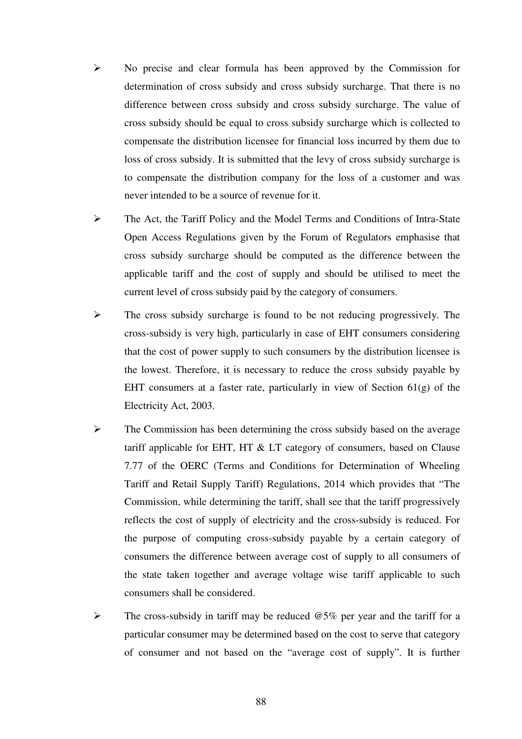- $\triangleright$  No precise and clear formula has been approved by the Commission for determination of cross subsidy and cross subsidy surcharge. That there is no difference between cross subsidy and cross subsidy surcharge. The value of cross subsidy should be equal to cross subsidy surcharge which is collected to compensate the distribution licensee for financial loss incurred by them due to loss of cross subsidy. It is submitted that the levy of cross subsidy surcharge is to compensate the distribution company for the loss of a customer and was never intended to be a source of revenue for it.
- The Act, the Tariff Policy and the Model Terms and Conditions of Intra-State Open Access Regulations given by the Forum of Regulators emphasise that cross subsidy surcharge should be computed as the difference between the applicable tariff and the cost of supply and should be utilised to meet the current level of cross subsidy paid by the category of consumers.
- $\triangleright$  The cross subsidy surcharge is found to be not reducing progressively. The cross-subsidy is very high, particularly in case of EHT consumers considering that the cost of power supply to such consumers by the distribution licensee is the lowest. Therefore, it is necessary to reduce the cross subsidy payable by EHT consumers at a faster rate, particularly in view of Section 61(g) of the Electricity Act, 2003.
- $\triangleright$  The Commission has been determining the cross subsidy based on the average tariff applicable for EHT, HT & LT category of consumers, based on Clause 7.77 of the OERC (Terms and Conditions for Determination of Wheeling Tariff and Retail Supply Tariff) Regulations, 2014 which provides that "The Commission, while determining the tariff, shall see that the tariff progressively reflects the cost of supply of electricity and the cross-subsidy is reduced. For the purpose of computing cross-subsidy payable by a certain category of consumers the difference between average cost of supply to all consumers of the state taken together and average voltage wise tariff applicable to such consumers shall be considered.
- $\triangleright$  The cross-subsidy in tariff may be reduced  $@5\%$  per year and the tariff for a particular consumer may be determined based on the cost to serve that category of consumer and not based on the "average cost of supply". It is further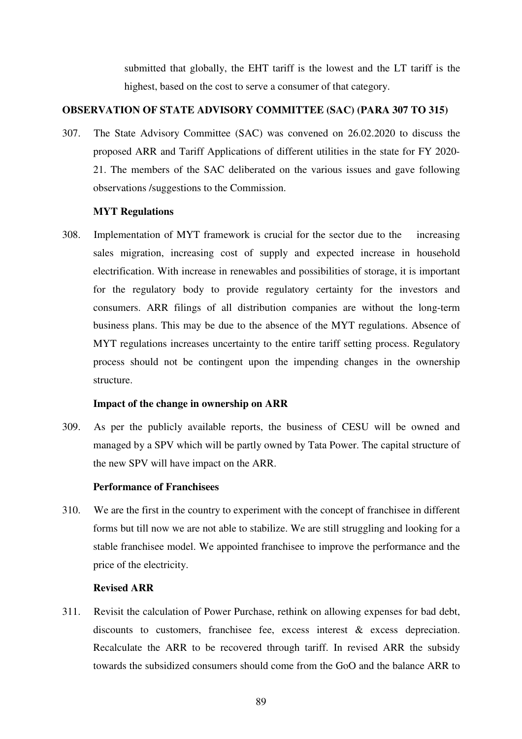submitted that globally, the EHT tariff is the lowest and the LT tariff is the highest, based on the cost to serve a consumer of that category.

# **OBSERVATION OF STATE ADVISORY COMMITTEE (SAC) (PARA 307 TO 315)**

307. The State Advisory Committee (SAC) was convened on 26.02.2020 to discuss the proposed ARR and Tariff Applications of different utilities in the state for FY 2020- 21. The members of the SAC deliberated on the various issues and gave following observations /suggestions to the Commission.

## **MYT Regulations**

308. Implementation of MYT framework is crucial for the sector due to the increasing sales migration, increasing cost of supply and expected increase in household electrification. With increase in renewables and possibilities of storage, it is important for the regulatory body to provide regulatory certainty for the investors and consumers. ARR filings of all distribution companies are without the long-term business plans. This may be due to the absence of the MYT regulations. Absence of MYT regulations increases uncertainty to the entire tariff setting process. Regulatory process should not be contingent upon the impending changes in the ownership structure.

## **Impact of the change in ownership on ARR**

309. As per the publicly available reports, the business of CESU will be owned and managed by a SPV which will be partly owned by Tata Power. The capital structure of the new SPV will have impact on the ARR.

## **Performance of Franchisees**

310. We are the first in the country to experiment with the concept of franchisee in different forms but till now we are not able to stabilize. We are still struggling and looking for a stable franchisee model. We appointed franchisee to improve the performance and the price of the electricity.

## **Revised ARR**

311. Revisit the calculation of Power Purchase, rethink on allowing expenses for bad debt, discounts to customers, franchisee fee, excess interest & excess depreciation. Recalculate the ARR to be recovered through tariff. In revised ARR the subsidy towards the subsidized consumers should come from the GoO and the balance ARR to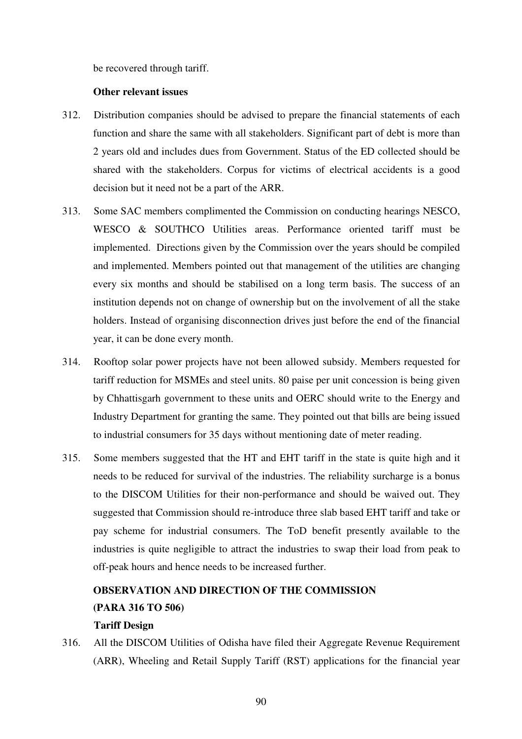be recovered through tariff.

#### **Other relevant issues**

- 312. Distribution companies should be advised to prepare the financial statements of each function and share the same with all stakeholders. Significant part of debt is more than 2 years old and includes dues from Government. Status of the ED collected should be shared with the stakeholders. Corpus for victims of electrical accidents is a good decision but it need not be a part of the ARR.
- 313. Some SAC members complimented the Commission on conducting hearings NESCO, WESCO & SOUTHCO Utilities areas. Performance oriented tariff must be implemented. Directions given by the Commission over the years should be compiled and implemented. Members pointed out that management of the utilities are changing every six months and should be stabilised on a long term basis. The success of an institution depends not on change of ownership but on the involvement of all the stake holders. Instead of organising disconnection drives just before the end of the financial year, it can be done every month.
- 314. Rooftop solar power projects have not been allowed subsidy. Members requested for tariff reduction for MSMEs and steel units. 80 paise per unit concession is being given by Chhattisgarh government to these units and OERC should write to the Energy and Industry Department for granting the same. They pointed out that bills are being issued to industrial consumers for 35 days without mentioning date of meter reading.
- 315. Some members suggested that the HT and EHT tariff in the state is quite high and it needs to be reduced for survival of the industries. The reliability surcharge is a bonus to the DISCOM Utilities for their non-performance and should be waived out. They suggested that Commission should re-introduce three slab based EHT tariff and take or pay scheme for industrial consumers. The ToD benefit presently available to the industries is quite negligible to attract the industries to swap their load from peak to off-peak hours and hence needs to be increased further.

# **OBSERVATION AND DIRECTION OF THE COMMISSION (PARA 316 TO 506) Tariff Design**

316. All the DISCOM Utilities of Odisha have filed their Aggregate Revenue Requirement (ARR), Wheeling and Retail Supply Tariff (RST) applications for the financial year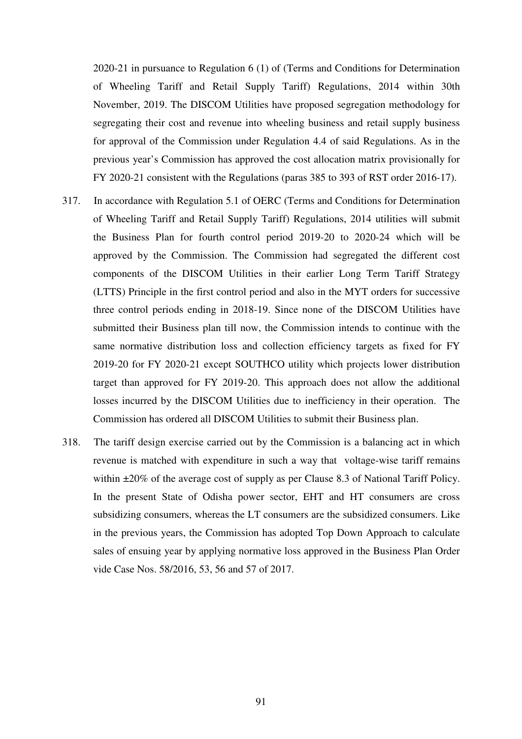2020-21 in pursuance to Regulation 6 (1) of (Terms and Conditions for Determination of Wheeling Tariff and Retail Supply Tariff) Regulations, 2014 within 30th November, 2019. The DISCOM Utilities have proposed segregation methodology for segregating their cost and revenue into wheeling business and retail supply business for approval of the Commission under Regulation 4.4 of said Regulations. As in the previous year's Commission has approved the cost allocation matrix provisionally for FY 2020-21 consistent with the Regulations (paras 385 to 393 of RST order 2016-17).

- 317. In accordance with Regulation 5.1 of OERC (Terms and Conditions for Determination of Wheeling Tariff and Retail Supply Tariff) Regulations, 2014 utilities will submit the Business Plan for fourth control period 2019-20 to 2020-24 which will be approved by the Commission. The Commission had segregated the different cost components of the DISCOM Utilities in their earlier Long Term Tariff Strategy (LTTS) Principle in the first control period and also in the MYT orders for successive three control periods ending in 2018-19. Since none of the DISCOM Utilities have submitted their Business plan till now, the Commission intends to continue with the same normative distribution loss and collection efficiency targets as fixed for FY 2019-20 for FY 2020-21 except SOUTHCO utility which projects lower distribution target than approved for FY 2019-20. This approach does not allow the additional losses incurred by the DISCOM Utilities due to inefficiency in their operation. The Commission has ordered all DISCOM Utilities to submit their Business plan.
- 318. The tariff design exercise carried out by the Commission is a balancing act in which revenue is matched with expenditure in such a way that voltage-wise tariff remains within  $\pm 20\%$  of the average cost of supply as per Clause 8.3 of National Tariff Policy. In the present State of Odisha power sector, EHT and HT consumers are cross subsidizing consumers, whereas the LT consumers are the subsidized consumers. Like in the previous years, the Commission has adopted Top Down Approach to calculate sales of ensuing year by applying normative loss approved in the Business Plan Order vide Case Nos. 58/2016, 53, 56 and 57 of 2017.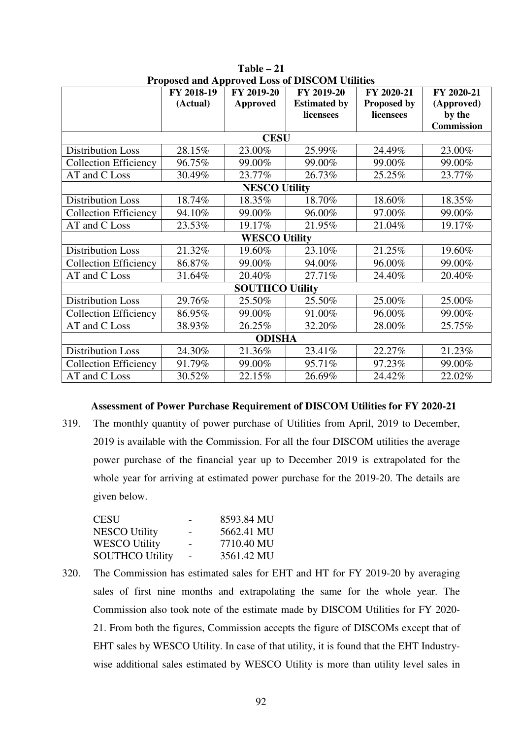|                              | FY 2018-19  | FY 2019-20             | Troposed and repproved hoss of DTS COM Culture<br>FY 2019-20 | FY 2020-21         | FY 2020-21        |  |  |  |  |
|------------------------------|-------------|------------------------|--------------------------------------------------------------|--------------------|-------------------|--|--|--|--|
|                              | (Actual)    | <b>Approved</b>        | <b>Estimated by</b>                                          | <b>Proposed by</b> | (Approved)        |  |  |  |  |
|                              |             |                        | licensees                                                    | licensees          | by the            |  |  |  |  |
|                              |             |                        |                                                              |                    | <b>Commission</b> |  |  |  |  |
|                              | <b>CESU</b> |                        |                                                              |                    |                   |  |  |  |  |
| <b>Distribution Loss</b>     | 28.15%      | 23.00%                 | 25.99%                                                       | 24.49%             | 23.00%            |  |  |  |  |
| <b>Collection Efficiency</b> | 96.75%      | 99.00%                 | 99.00%                                                       | 99.00%             | 99.00%            |  |  |  |  |
| AT and C Loss                | 30.49%      | 23.77%                 | 26.73%                                                       | 25.25%             | 23.77%            |  |  |  |  |
|                              |             | <b>NESCO Utility</b>   |                                                              |                    |                   |  |  |  |  |
| <b>Distribution Loss</b>     | 18.74%      | 18.35%                 | 18.70%                                                       | 18.60%             | 18.35%            |  |  |  |  |
| <b>Collection Efficiency</b> | 94.10%      | 99.00%                 | 96.00%                                                       | 97.00%             | 99.00%            |  |  |  |  |
| AT and C Loss                | 23.53%      | 19.17%                 | 21.95%                                                       | 21.04%             | 19.17%            |  |  |  |  |
|                              |             | <b>WESCO Utility</b>   |                                                              |                    |                   |  |  |  |  |
| <b>Distribution Loss</b>     | 21.32%      | 19.60%                 | 23.10%                                                       | 21.25%             | 19.60%            |  |  |  |  |
| <b>Collection Efficiency</b> | 86.87%      | 99.00%                 | 94.00%                                                       | 96.00%             | 99.00%            |  |  |  |  |
| AT and C Loss                | 31.64%      | 20.40%                 | 27.71%                                                       | 24.40%             | 20.40%            |  |  |  |  |
|                              |             | <b>SOUTHCO Utility</b> |                                                              |                    |                   |  |  |  |  |
| <b>Distribution Loss</b>     | 29.76%      | 25.50%                 | 25.50%                                                       | 25.00%             | 25.00%            |  |  |  |  |
| <b>Collection Efficiency</b> | 86.95%      | 99.00%                 | 91.00%                                                       | 96.00%             | 99.00%            |  |  |  |  |
| AT and C Loss                | 38.93%      | 26.25%                 | 32.20%                                                       | 28.00%             | 25.75%            |  |  |  |  |
| <b>ODISHA</b>                |             |                        |                                                              |                    |                   |  |  |  |  |
| <b>Distribution Loss</b>     | 24.30%      | 21.36%                 | 23.41%                                                       | 22.27%             | 21.23%            |  |  |  |  |
| <b>Collection Efficiency</b> | 91.79%      | 99.00%                 | 95.71%                                                       | 97.23%             | 99.00%            |  |  |  |  |
| AT and C Loss                | 30.52%      | 22.15%                 | 26.69%                                                       | 24.42%             | 22.02%            |  |  |  |  |

**Table – 21 Proposed and Approved Loss of DISCOM Utilities** 

## **Assessment of Power Purchase Requirement of DISCOM Utilities for FY 2020-21**

319. The monthly quantity of power purchase of Utilities from April, 2019 to December, 2019 is available with the Commission. For all the four DISCOM utilities the average power purchase of the financial year up to December 2019 is extrapolated for the whole year for arriving at estimated power purchase for the 2019-20. The details are given below.

| CESU            | 8593.84 MU |
|-----------------|------------|
| NESCO Utility   | 5662.41 MU |
| WESCO Utility   | 7710.40 MU |
| SOUTHCO Utility | 3561.42 MU |

320. The Commission has estimated sales for EHT and HT for FY 2019-20 by averaging sales of first nine months and extrapolating the same for the whole year. The Commission also took note of the estimate made by DISCOM Utilities for FY 2020- 21. From both the figures, Commission accepts the figure of DISCOMs except that of EHT sales by WESCO Utility. In case of that utility, it is found that the EHT Industrywise additional sales estimated by WESCO Utility is more than utility level sales in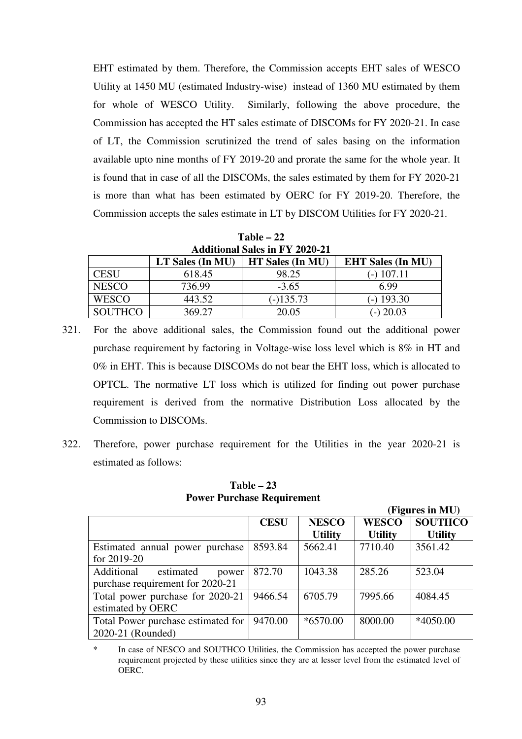EHT estimated by them. Therefore, the Commission accepts EHT sales of WESCO Utility at 1450 MU (estimated Industry-wise) instead of 1360 MU estimated by them for whole of WESCO Utility. Similarly, following the above procedure, the Commission has accepted the HT sales estimate of DISCOMs for FY 2020-21. In case of LT, the Commission scrutinized the trend of sales basing on the information available upto nine months of FY 2019-20 and prorate the same for the whole year. It is found that in case of all the DISCOMs, the sales estimated by them for FY 2020-21 is more than what has been estimated by OERC for FY 2019-20. Therefore, the Commission accepts the sales estimate in LT by DISCOM Utilities for FY 2020-21.

**Table – 22 Additional Sales in FY 2020-21** 

| <b>EHT Sales (In MU)</b><br><b>HT Sales (In MU)</b><br>LT Sales (In MU) |        |           |              |  |  |  |  |  |
|-------------------------------------------------------------------------|--------|-----------|--------------|--|--|--|--|--|
| <b>CESU</b>                                                             | 618.45 | 98.25     | (-) 107.11   |  |  |  |  |  |
| <b>NESCO</b>                                                            | 736.99 | $-3.65$   | 6.99         |  |  |  |  |  |
| <b>WESCO</b>                                                            | 443.52 | $-135.73$ | $(-)$ 193.30 |  |  |  |  |  |
| <b>SOUTHCO</b>                                                          | 369.27 | 20.05     | $-$ ) 20.03  |  |  |  |  |  |

- 321. For the above additional sales, the Commission found out the additional power purchase requirement by factoring in Voltage-wise loss level which is 8% in HT and 0% in EHT. This is because DISCOMs do not bear the EHT loss, which is allocated to OPTCL. The normative LT loss which is utilized for finding out power purchase requirement is derived from the normative Distribution Loss allocated by the Commission to DISCOMs.
- 322. Therefore, power purchase requirement for the Utilities in the year 2020-21 is estimated as follows:

**Table – 23 Power Purchase Requirement** 

 **(Figures in MU)** 

| $\left( -1 \right)$                                                  |             |                                |                                |                                  |  |  |  |
|----------------------------------------------------------------------|-------------|--------------------------------|--------------------------------|----------------------------------|--|--|--|
|                                                                      | <b>CESU</b> | <b>NESCO</b><br><b>Utility</b> | <b>WESCO</b><br><b>Utility</b> | <b>SOUTHCO</b><br><b>Utility</b> |  |  |  |
| Estimated annual power purchase<br>for 2019-20                       | 8593.84     | 5662.41                        | 7710.40                        | 3561.42                          |  |  |  |
| Additional<br>estimated<br>power<br>purchase requirement for 2020-21 | 872.70      | 1043.38                        | 285.26                         | 523.04                           |  |  |  |
| Total power purchase for 2020-21<br>estimated by OERC                | 9466.54     | 6705.79                        | 7995.66                        | 4084.45                          |  |  |  |
| Total Power purchase estimated for<br>2020-21 (Rounded)              | 9470.00     | $*6570.00$                     | 8000.00                        | *4050.00                         |  |  |  |

\* In case of NESCO and SOUTHCO Utilities, the Commission has accepted the power purchase requirement projected by these utilities since they are at lesser level from the estimated level of OERC.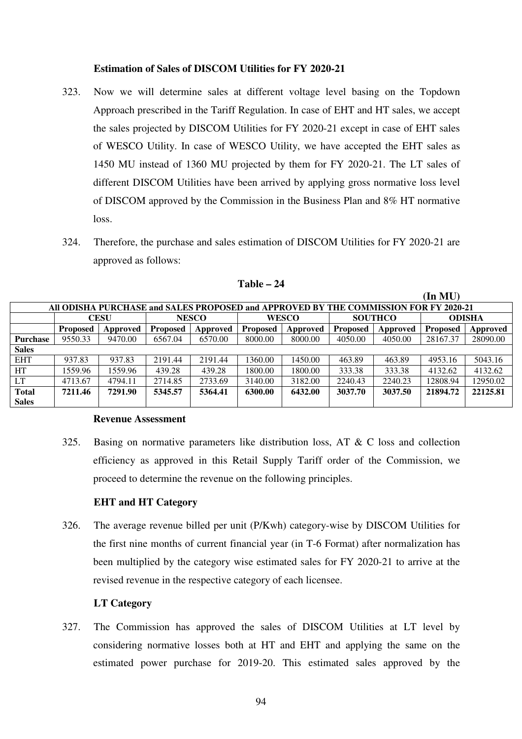## **Estimation of Sales of DISCOM Utilities for FY 2020-21**

- 323. Now we will determine sales at different voltage level basing on the Topdown Approach prescribed in the Tariff Regulation. In case of EHT and HT sales, we accept the sales projected by DISCOM Utilities for FY 2020-21 except in case of EHT sales of WESCO Utility. In case of WESCO Utility, we have accepted the EHT sales as 1450 MU instead of 1360 MU projected by them for FY 2020-21. The LT sales of different DISCOM Utilities have been arrived by applying gross normative loss level of DISCOM approved by the Commission in the Business Plan and 8% HT normative loss.
- 324. Therefore, the purchase and sales estimation of DISCOM Utilities for FY 2020-21 are approved as follows:

| All ODISHA PURCHASE and SALES PROPOSED and APPROVED BY THE COMMISSION FOR FY 2020-21 |                 |             |                 |          |                 |          |                 |          |                 |          |
|--------------------------------------------------------------------------------------|-----------------|-------------|-----------------|----------|-----------------|----------|-----------------|----------|-----------------|----------|
|                                                                                      |                 | <b>CESU</b> | <b>NESCO</b>    |          | <b>WESCO</b>    |          | <b>SOUTHCO</b>  |          | <b>ODISHA</b>   |          |
|                                                                                      | <b>Proposed</b> | Approved    | <b>Proposed</b> | Approved | <b>Proposed</b> | Approved | <b>Proposed</b> | Approved | <b>Proposed</b> | Approved |
| <b>Purchase</b>                                                                      | 9550.33         | 9470.00     | 6567.04         | 6570.00  | 8000.00         | 8000.00  | 4050.00         | 4050.00  | 28167.37        | 28090.00 |
| <b>Sales</b>                                                                         |                 |             |                 |          |                 |          |                 |          |                 |          |
| <b>EHT</b>                                                                           | 937.83          | 937.83      | 2191.44         | 2191.44  | 1360.00         | 1450.00  | 463.89          | 463.89   | 4953.16         | 5043.16  |
| HT                                                                                   | 1559.96         | 1559.96     | 439.28          | 439.28   | 1800.00         | 1800.00  | 333.38          | 333.38   | 4132.62         | 4132.62  |
| <b>LT</b>                                                                            | 4713.67         | 4794.11     | 2714.85         | 2733.69  | 3140.00         | 3182.00  | 2240.43         | 2240.23  | 12808.94        | 12950.02 |
| Total                                                                                | 7211.46         | 7291.90     | 5345.57         | 5364.41  | 6300.00         | 6432.00  | 3037.70         | 3037.50  | 21894.72        | 22125.81 |
| <b>Sales</b>                                                                         |                 |             |                 |          |                 |          |                 |          |                 |          |

## **Table – 24**

**(In MU)** 

### **Revenue Assessment**

325. Basing on normative parameters like distribution loss, AT & C loss and collection efficiency as approved in this Retail Supply Tariff order of the Commission, we proceed to determine the revenue on the following principles.

#### **EHT and HT Category**

326. The average revenue billed per unit (P/Kwh) category-wise by DISCOM Utilities for the first nine months of current financial year (in T-6 Format) after normalization has been multiplied by the category wise estimated sales for FY 2020-21 to arrive at the revised revenue in the respective category of each licensee.

## **LT Category**

327. The Commission has approved the sales of DISCOM Utilities at LT level by considering normative losses both at HT and EHT and applying the same on the estimated power purchase for 2019-20. This estimated sales approved by the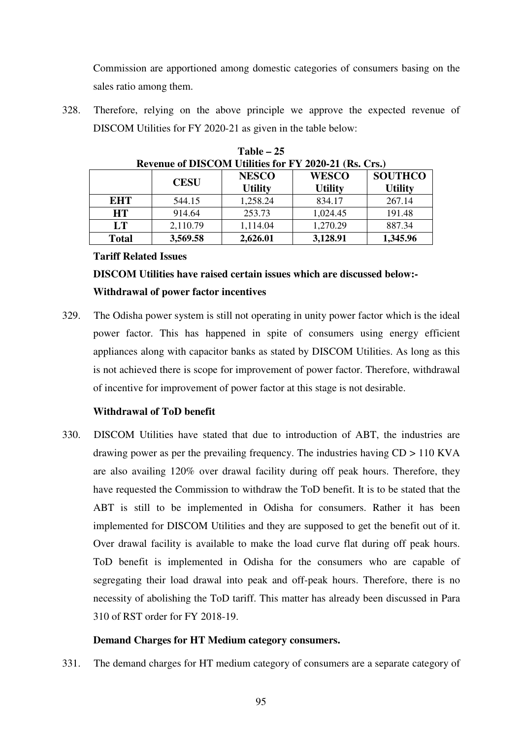Commission are apportioned among domestic categories of consumers basing on the sales ratio among them.

328. Therefore, relying on the above principle we approve the expected revenue of DISCOM Utilities for FY 2020-21 as given in the table below:

|              | Revenue of DISCOM Utilities for $\mathbf{r}$ 1 $2020$ -21 (RS, CrS,) |                                |                                |                                  |  |  |  |  |
|--------------|----------------------------------------------------------------------|--------------------------------|--------------------------------|----------------------------------|--|--|--|--|
|              | <b>CESU</b>                                                          | <b>NESCO</b><br><b>Utility</b> | <b>WESCO</b><br><b>Utility</b> | <b>SOUTHCO</b><br><b>Utility</b> |  |  |  |  |
| EHT          | 544.15                                                               | 1,258.24                       | 834.17                         | 267.14                           |  |  |  |  |
| <b>HT</b>    | 914.64                                                               | 253.73                         | 1,024.45                       | 191.48                           |  |  |  |  |
| LT           | 2,110.79                                                             | 1,114.04                       | 1,270.29                       | 887.34                           |  |  |  |  |
| <b>Total</b> | 3,569.58                                                             | 2,626.01                       | 3,128.91                       | 1,345.96                         |  |  |  |  |

**Table – 25 Revenue of DISCOM Utilities for FY 2020-21 (Rs. Crs.)** 

## **Tariff Related Issues**

# **DISCOM Utilities have raised certain issues which are discussed below:- Withdrawal of power factor incentives**

329. The Odisha power system is still not operating in unity power factor which is the ideal power factor. This has happened in spite of consumers using energy efficient appliances along with capacitor banks as stated by DISCOM Utilities. As long as this is not achieved there is scope for improvement of power factor. Therefore, withdrawal of incentive for improvement of power factor at this stage is not desirable.

# **Withdrawal of ToD benefit**

330. DISCOM Utilities have stated that due to introduction of ABT, the industries are drawing power as per the prevailing frequency. The industries having  $CD > 110$  KVA are also availing 120% over drawal facility during off peak hours. Therefore, they have requested the Commission to withdraw the ToD benefit. It is to be stated that the ABT is still to be implemented in Odisha for consumers. Rather it has been implemented for DISCOM Utilities and they are supposed to get the benefit out of it. Over drawal facility is available to make the load curve flat during off peak hours. ToD benefit is implemented in Odisha for the consumers who are capable of segregating their load drawal into peak and off-peak hours. Therefore, there is no necessity of abolishing the ToD tariff. This matter has already been discussed in Para 310 of RST order for FY 2018-19.

# **Demand Charges for HT Medium category consumers.**

331. The demand charges for HT medium category of consumers are a separate category of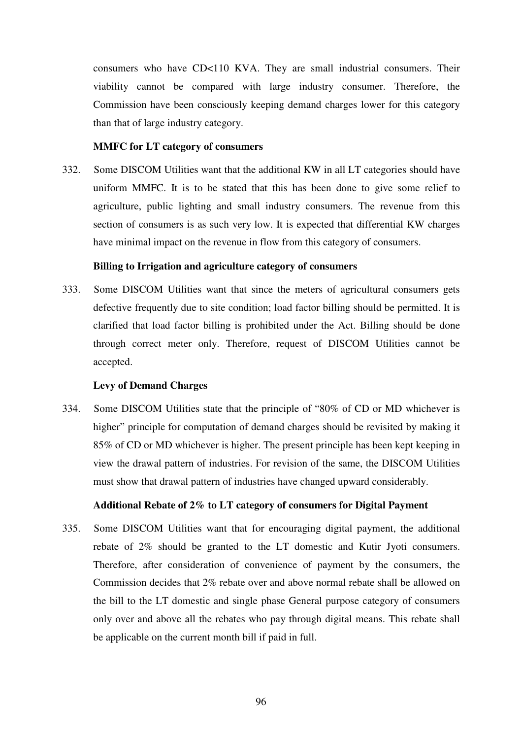consumers who have CD<110 KVA. They are small industrial consumers. Their viability cannot be compared with large industry consumer. Therefore, the Commission have been consciously keeping demand charges lower for this category than that of large industry category.

## **MMFC for LT category of consumers**

332. Some DISCOM Utilities want that the additional KW in all LT categories should have uniform MMFC. It is to be stated that this has been done to give some relief to agriculture, public lighting and small industry consumers. The revenue from this section of consumers is as such very low. It is expected that differential KW charges have minimal impact on the revenue in flow from this category of consumers.

#### **Billing to Irrigation and agriculture category of consumers**

333. Some DISCOM Utilities want that since the meters of agricultural consumers gets defective frequently due to site condition; load factor billing should be permitted. It is clarified that load factor billing is prohibited under the Act. Billing should be done through correct meter only. Therefore, request of DISCOM Utilities cannot be accepted.

#### **Levy of Demand Charges**

334. Some DISCOM Utilities state that the principle of "80% of CD or MD whichever is higher" principle for computation of demand charges should be revisited by making it 85% of CD or MD whichever is higher. The present principle has been kept keeping in view the drawal pattern of industries. For revision of the same, the DISCOM Utilities must show that drawal pattern of industries have changed upward considerably.

## **Additional Rebate of 2% to LT category of consumers for Digital Payment**

335. Some DISCOM Utilities want that for encouraging digital payment, the additional rebate of 2% should be granted to the LT domestic and Kutir Jyoti consumers. Therefore, after consideration of convenience of payment by the consumers, the Commission decides that 2% rebate over and above normal rebate shall be allowed on the bill to the LT domestic and single phase General purpose category of consumers only over and above all the rebates who pay through digital means. This rebate shall be applicable on the current month bill if paid in full.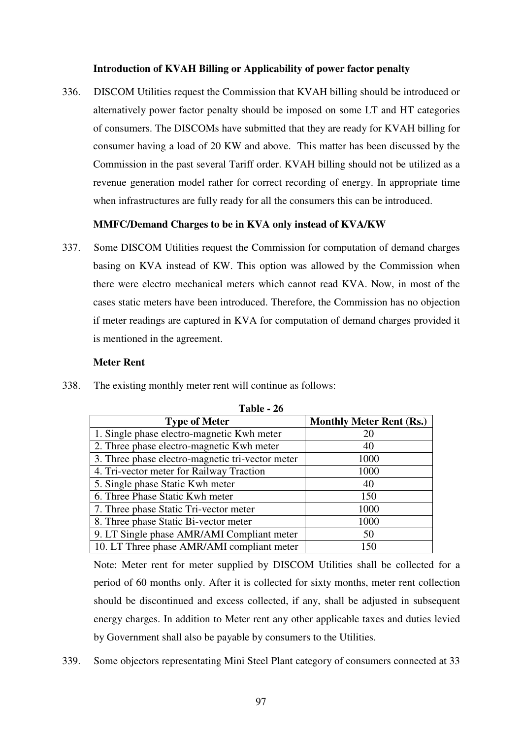## **Introduction of KVAH Billing or Applicability of power factor penalty**

336. DISCOM Utilities request the Commission that KVAH billing should be introduced or alternatively power factor penalty should be imposed on some LT and HT categories of consumers. The DISCOMs have submitted that they are ready for KVAH billing for consumer having a load of 20 KW and above. This matter has been discussed by the Commission in the past several Tariff order. KVAH billing should not be utilized as a revenue generation model rather for correct recording of energy. In appropriate time when infrastructures are fully ready for all the consumers this can be introduced.

# **MMFC/Demand Charges to be in KVA only instead of KVA/KW**

337. Some DISCOM Utilities request the Commission for computation of demand charges basing on KVA instead of KW. This option was allowed by the Commission when there were electro mechanical meters which cannot read KVA. Now, in most of the cases static meters have been introduced. Therefore, the Commission has no objection if meter readings are captured in KVA for computation of demand charges provided it is mentioned in the agreement.

## **Meter Rent**

| Table - 26                                       |                                 |
|--------------------------------------------------|---------------------------------|
| <b>Type of Meter</b>                             | <b>Monthly Meter Rent (Rs.)</b> |
| 1. Single phase electro-magnetic Kwh meter       | 20                              |
| 2. Three phase electro-magnetic Kwh meter        | 40                              |
| 3. Three phase electro-magnetic tri-vector meter | 1000                            |
| 4. Tri-vector meter for Railway Traction         | 1000                            |
| 5. Single phase Static Kwh meter                 | 40                              |
| 6. Three Phase Static Kwh meter                  | 150                             |
| 7. Three phase Static Tri-vector meter           | 1000                            |
| 8. Three phase Static Bi-vector meter            | 1000                            |
| 9. LT Single phase AMR/AMI Compliant meter       | 50                              |
| 10. LT Three phase AMR/AMI compliant meter       | 150                             |

338. The existing monthly meter rent will continue as follows:

Note: Meter rent for meter supplied by DISCOM Utilities shall be collected for a period of 60 months only. After it is collected for sixty months, meter rent collection should be discontinued and excess collected, if any, shall be adjusted in subsequent energy charges. In addition to Meter rent any other applicable taxes and duties levied by Government shall also be payable by consumers to the Utilities.

339. Some objectors representating Mini Steel Plant category of consumers connected at 33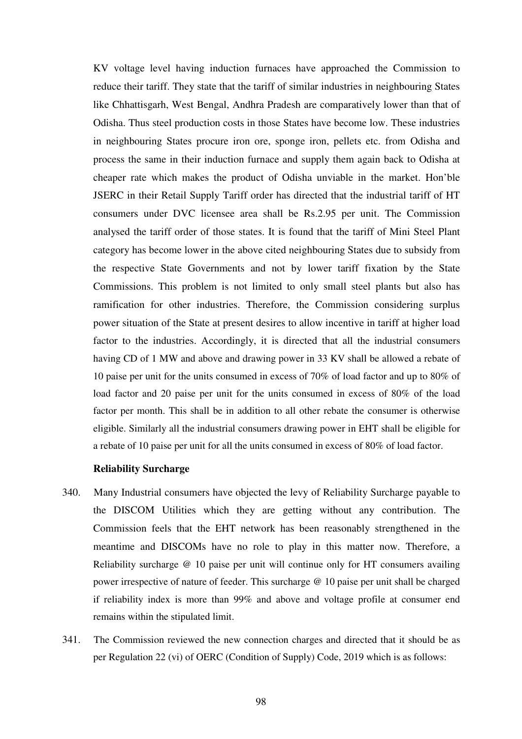KV voltage level having induction furnaces have approached the Commission to reduce their tariff. They state that the tariff of similar industries in neighbouring States like Chhattisgarh, West Bengal, Andhra Pradesh are comparatively lower than that of Odisha. Thus steel production costs in those States have become low. These industries in neighbouring States procure iron ore, sponge iron, pellets etc. from Odisha and process the same in their induction furnace and supply them again back to Odisha at cheaper rate which makes the product of Odisha unviable in the market. Hon'ble JSERC in their Retail Supply Tariff order has directed that the industrial tariff of HT consumers under DVC licensee area shall be Rs.2.95 per unit. The Commission analysed the tariff order of those states. It is found that the tariff of Mini Steel Plant category has become lower in the above cited neighbouring States due to subsidy from the respective State Governments and not by lower tariff fixation by the State Commissions. This problem is not limited to only small steel plants but also has ramification for other industries. Therefore, the Commission considering surplus power situation of the State at present desires to allow incentive in tariff at higher load factor to the industries. Accordingly, it is directed that all the industrial consumers having CD of 1 MW and above and drawing power in 33 KV shall be allowed a rebate of 10 paise per unit for the units consumed in excess of 70% of load factor and up to 80% of load factor and 20 paise per unit for the units consumed in excess of 80% of the load factor per month. This shall be in addition to all other rebate the consumer is otherwise eligible. Similarly all the industrial consumers drawing power in EHT shall be eligible for a rebate of 10 paise per unit for all the units consumed in excess of 80% of load factor.

#### **Reliability Surcharge**

- 340. Many Industrial consumers have objected the levy of Reliability Surcharge payable to the DISCOM Utilities which they are getting without any contribution. The Commission feels that the EHT network has been reasonably strengthened in the meantime and DISCOMs have no role to play in this matter now. Therefore, a Reliability surcharge @ 10 paise per unit will continue only for HT consumers availing power irrespective of nature of feeder. This surcharge @ 10 paise per unit shall be charged if reliability index is more than 99% and above and voltage profile at consumer end remains within the stipulated limit.
- 341. The Commission reviewed the new connection charges and directed that it should be as per Regulation 22 (vi) of OERC (Condition of Supply) Code, 2019 which is as follows: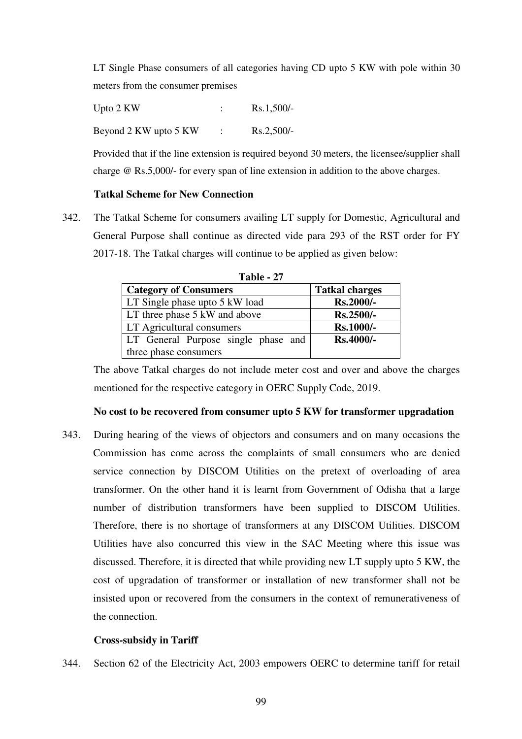LT Single Phase consumers of all categories having CD upto 5 KW with pole within 30 meters from the consumer premises

Upto 2 KW : Rs.1,500/-Beyond  $2$  KW upto  $5$  KW : Rs.2,500/-

Provided that if the line extension is required beyond 30 meters, the licensee/supplier shall charge @ Rs.5,000/- for every span of line extension in addition to the above charges.

## **Tatkal Scheme for New Connection**

342. The Tatkal Scheme for consumers availing LT supply for Domestic, Agricultural and General Purpose shall continue as directed vide para 293 of the RST order for FY 2017-18. The Tatkal charges will continue to be applied as given below:

| Table - 27                          |                       |  |  |  |  |  |  |
|-------------------------------------|-----------------------|--|--|--|--|--|--|
| <b>Category of Consumers</b>        | <b>Tatkal charges</b> |  |  |  |  |  |  |
| LT Single phase upto 5 kW load      | Rs.2000/-             |  |  |  |  |  |  |
| LT three phase 5 kW and above       | <b>Rs.2500/-</b>      |  |  |  |  |  |  |
| LT Agricultural consumers           | Rs.1000/-             |  |  |  |  |  |  |
| LT General Purpose single phase and | <b>Rs.4000/-</b>      |  |  |  |  |  |  |
| three phase consumers               |                       |  |  |  |  |  |  |

The above Tatkal charges do not include meter cost and over and above the charges mentioned for the respective category in OERC Supply Code, 2019.

## **No cost to be recovered from consumer upto 5 KW for transformer upgradation**

343. During hearing of the views of objectors and consumers and on many occasions the Commission has come across the complaints of small consumers who are denied service connection by DISCOM Utilities on the pretext of overloading of area transformer. On the other hand it is learnt from Government of Odisha that a large number of distribution transformers have been supplied to DISCOM Utilities. Therefore, there is no shortage of transformers at any DISCOM Utilities. DISCOM Utilities have also concurred this view in the SAC Meeting where this issue was discussed. Therefore, it is directed that while providing new LT supply upto 5 KW, the cost of upgradation of transformer or installation of new transformer shall not be insisted upon or recovered from the consumers in the context of remunerativeness of the connection.

# **Cross-subsidy in Tariff**

344. Section 62 of the Electricity Act, 2003 empowers OERC to determine tariff for retail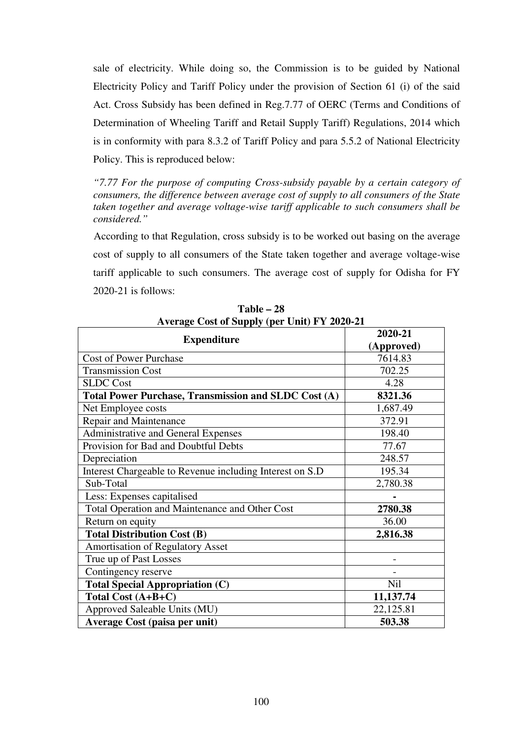sale of electricity. While doing so, the Commission is to be guided by National Electricity Policy and Tariff Policy under the provision of Section 61 (i) of the said Act. Cross Subsidy has been defined in Reg.7.77 of OERC (Terms and Conditions of Determination of Wheeling Tariff and Retail Supply Tariff) Regulations, 2014 which is in conformity with para 8.3.2 of Tariff Policy and para 5.5.2 of National Electricity Policy. This is reproduced below:

*"7.77 For the purpose of computing Cross-subsidy payable by a certain category of consumers, the difference between average cost of supply to all consumers of the State taken together and average voltage-wise tariff applicable to such consumers shall be considered."* 

 According to that Regulation, cross subsidy is to be worked out basing on the average cost of supply to all consumers of the State taken together and average voltage-wise tariff applicable to such consumers. The average cost of supply for Odisha for FY 2020-21 is follows:

|                                                          | 2020-21    |
|----------------------------------------------------------|------------|
| <b>Expenditure</b>                                       | (Approved) |
| <b>Cost of Power Purchase</b>                            | 7614.83    |
| <b>Transmission Cost</b>                                 | 702.25     |
| <b>SLDC</b> Cost                                         | 4.28       |
| Total Power Purchase, Transmission and SLDC Cost (A)     | 8321.36    |
| Net Employee costs                                       | 1,687.49   |
| Repair and Maintenance                                   | 372.91     |
| Administrative and General Expenses                      | 198.40     |
| Provision for Bad and Doubtful Debts                     | 77.67      |
| Depreciation                                             | 248.57     |
| Interest Chargeable to Revenue including Interest on S.D | 195.34     |
| Sub-Total                                                | 2,780.38   |
| Less: Expenses capitalised                               |            |
| Total Operation and Maintenance and Other Cost           | 2780.38    |
| Return on equity                                         | 36.00      |
| <b>Total Distribution Cost (B)</b>                       | 2,816.38   |
| Amortisation of Regulatory Asset                         |            |
| True up of Past Losses                                   |            |
| Contingency reserve                                      |            |
| <b>Total Special Appropriation (C)</b>                   | Nil        |
| Total Cost (A+B+C)                                       | 11,137.74  |
| Approved Saleable Units (MU)                             | 22,125.81  |
| Average Cost (paisa per unit)                            | 503.38     |

**Table – 28 Average Cost of Supply (per Unit) FY 2020-21**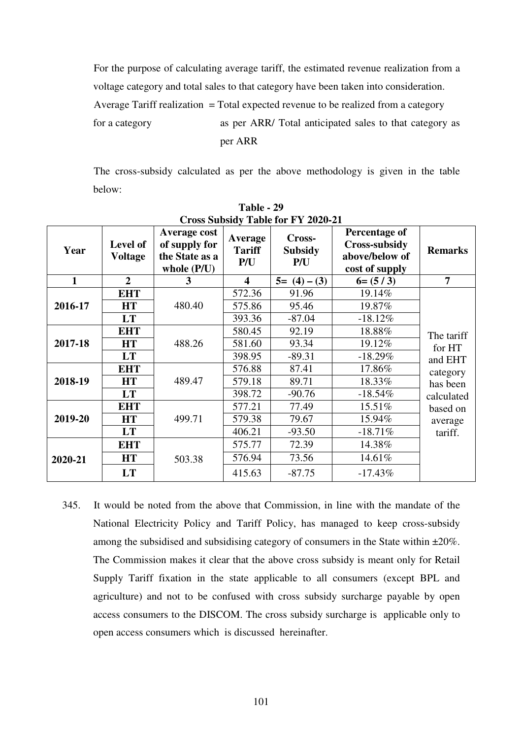For the purpose of calculating average tariff, the estimated revenue realization from a voltage category and total sales to that category have been taken into consideration. Average Tariff realization  $=$  Total expected revenue to be realized from a category for a category as per ARR/ Total anticipated sales to that category as per ARR

 The cross-subsidy calculated as per the above methodology is given in the table below:

| Cross Subsidy Table for FY 2020-21 |                            |                                                                  |                                        |                                 |                                                                           |                |  |  |
|------------------------------------|----------------------------|------------------------------------------------------------------|----------------------------------------|---------------------------------|---------------------------------------------------------------------------|----------------|--|--|
| Year                               | Level of<br><b>Voltage</b> | Average cost<br>of supply for<br>the State as a<br>whole $(P/U)$ | <b>Average</b><br><b>Tariff</b><br>P/U | Cross-<br><b>Subsidy</b><br>P/U | Percentage of<br><b>Cross-subsidy</b><br>above/below of<br>cost of supply | <b>Remarks</b> |  |  |
| 1                                  | $\overline{2}$             | 3                                                                | $\overline{\mathbf{4}}$                | $5 = (4) - (3)$                 | $6 = (5/3)$                                                               | 7              |  |  |
|                                    | <b>EHT</b>                 |                                                                  | 572.36                                 | 91.96                           | 19.14%                                                                    |                |  |  |
| 2016-17                            | <b>HT</b>                  | 480.40                                                           | 575.86                                 | 95.46                           | 19.87%                                                                    |                |  |  |
|                                    | LT                         |                                                                  | 393.36                                 | $-87.04$                        | $-18.12\%$                                                                |                |  |  |
|                                    | <b>EHT</b>                 | 488.26                                                           | 580.45                                 | 92.19                           | 18.88%                                                                    | The tariff     |  |  |
| 2017-18                            | <b>HT</b>                  |                                                                  | 581.60                                 | 93.34                           | 19.12%                                                                    | for HT         |  |  |
|                                    | <b>LT</b>                  |                                                                  | 398.95                                 | $-89.31$                        | $-18.29%$                                                                 | and EHT        |  |  |
|                                    | <b>EHT</b>                 | 489.47                                                           | 576.88                                 | 87.41                           | 17.86%                                                                    | category       |  |  |
| 2018-19                            | <b>HT</b>                  |                                                                  | 579.18                                 | 89.71                           | 18.33%                                                                    | has been       |  |  |
|                                    | <b>LT</b>                  |                                                                  | 398.72                                 | $-90.76$                        | $-18.54\%$                                                                | calculated     |  |  |
|                                    | <b>EHT</b>                 |                                                                  | 577.21                                 | 77.49                           | 15.51%                                                                    | based on       |  |  |
| 2019-20                            | <b>HT</b>                  | 499.71                                                           | 579.38                                 | 79.67                           | 15.94%                                                                    | average        |  |  |
|                                    | LT                         |                                                                  | 406.21                                 | $-93.50$                        | $-18.71%$                                                                 | tariff.        |  |  |
|                                    | <b>EHT</b>                 |                                                                  | 575.77                                 | 72.39                           | 14.38%                                                                    |                |  |  |
| 2020-21                            | <b>HT</b>                  | 503.38                                                           | 576.94                                 | 73.56                           | 14.61%                                                                    |                |  |  |
|                                    | <b>LT</b>                  |                                                                  | 415.63                                 | $-87.75$                        | $-17.43\%$                                                                |                |  |  |

**Table - 29 Cross Subsidy Table for FY 2020-21** 

345. It would be noted from the above that Commission, in line with the mandate of the National Electricity Policy and Tariff Policy, has managed to keep cross-subsidy among the subsidised and subsidising category of consumers in the State within ±20%. The Commission makes it clear that the above cross subsidy is meant only for Retail Supply Tariff fixation in the state applicable to all consumers (except BPL and agriculture) and not to be confused with cross subsidy surcharge payable by open access consumers to the DISCOM. The cross subsidy surcharge is applicable only to open access consumers which is discussed hereinafter.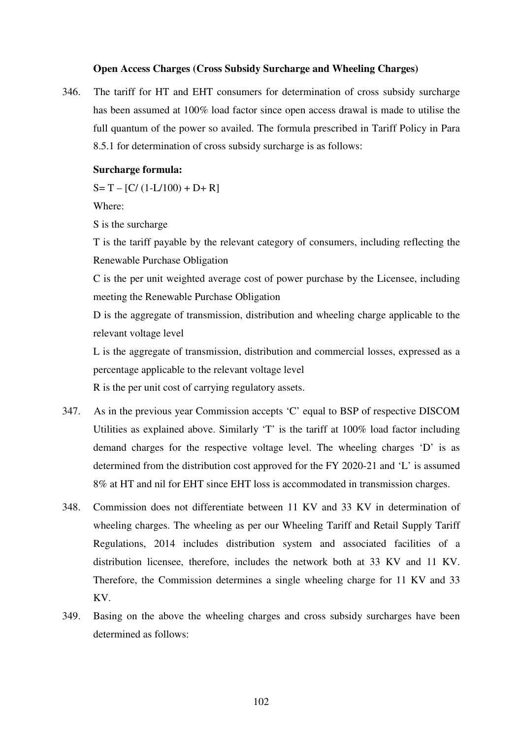#### **Open Access Charges (Cross Subsidy Surcharge and Wheeling Charges)**

346. The tariff for HT and EHT consumers for determination of cross subsidy surcharge has been assumed at 100% load factor since open access drawal is made to utilise the full quantum of the power so availed. The formula prescribed in Tariff Policy in Para 8.5.1 for determination of cross subsidy surcharge is as follows:

## **Surcharge formula:**

 $S = T - [C/(1-L/100) + D + R]$ 

Where:

S is the surcharge

T is the tariff payable by the relevant category of consumers, including reflecting the Renewable Purchase Obligation

C is the per unit weighted average cost of power purchase by the Licensee, including meeting the Renewable Purchase Obligation

D is the aggregate of transmission, distribution and wheeling charge applicable to the relevant voltage level

L is the aggregate of transmission, distribution and commercial losses, expressed as a percentage applicable to the relevant voltage level

R is the per unit cost of carrying regulatory assets.

- 347. As in the previous year Commission accepts 'C' equal to BSP of respective DISCOM Utilities as explained above. Similarly 'T' is the tariff at 100% load factor including demand charges for the respective voltage level. The wheeling charges 'D' is as determined from the distribution cost approved for the FY 2020-21 and 'L' is assumed 8% at HT and nil for EHT since EHT loss is accommodated in transmission charges.
- 348. Commission does not differentiate between 11 KV and 33 KV in determination of wheeling charges. The wheeling as per our Wheeling Tariff and Retail Supply Tariff Regulations, 2014 includes distribution system and associated facilities of a distribution licensee, therefore, includes the network both at 33 KV and 11 KV. Therefore, the Commission determines a single wheeling charge for 11 KV and 33 KV.
- 349. Basing on the above the wheeling charges and cross subsidy surcharges have been determined as follows: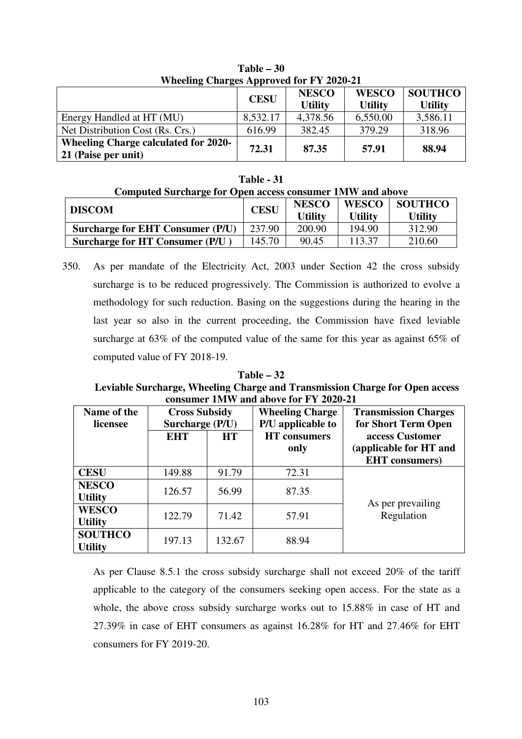| WHEEHIIG CHALGES Apployed for $\Gamma$ 1 $2020 - 21$               |             |                                |                                |                                  |  |  |  |
|--------------------------------------------------------------------|-------------|--------------------------------|--------------------------------|----------------------------------|--|--|--|
|                                                                    | <b>CESU</b> | <b>NESCO</b><br><b>Utility</b> | <b>WESCO</b><br><b>Utility</b> | <b>SOUTHCO</b><br><b>Utility</b> |  |  |  |
| Energy Handled at HT (MU)                                          | 8,532.17    | 4,378.56                       | 6,550.00                       | 3,586.11                         |  |  |  |
| Net Distribution Cost (Rs. Crs.)                                   | 616.99      | 382.45                         | 379.29                         | 318.96                           |  |  |  |
| <b>Wheeling Charge calculated for 2020-</b><br>21 (Paise per unit) | 72.31       | 87.35                          | 57.91                          | 88.94                            |  |  |  |

**Table – 30**  Wheeling Charges Approved for FV 2020-21

## **Table - 31**

| Computed Surcharge for Open access consumer 1MW and above |             |                                |                                |                                  |  |  |  |
|-----------------------------------------------------------|-------------|--------------------------------|--------------------------------|----------------------------------|--|--|--|
| <b>DISCOM</b>                                             | <b>CESU</b> | <b>NESCO</b><br><b>Utility</b> | <b>WESCO</b><br><b>Utility</b> | <b>SOUTHCO</b><br><b>Utility</b> |  |  |  |
| <b>Surcharge for EHT Consumer (P/U)</b>                   | 237.90      | 200.90                         | 194.90                         | 312.90                           |  |  |  |
| <b>Surcharge for HT Consumer (P/U)</b>                    | 145.70      | 90.45                          | 113.37                         | 210.60                           |  |  |  |

350. As per mandate of the Electricity Act, 2003 under Section 42 the cross subsidy surcharge is to be reduced progressively. The Commission is authorized to evolve a methodology for such reduction. Basing on the suggestions during the hearing in the last year so also in the current proceeding, the Commission have fixed leviable surcharge at 63% of the computed value of the same for this year as against 65% of computed value of FY 2018-19.

# **Table – 32 Leviable Surcharge, Wheeling Charge and Transmission Charge for Open access consumer 1MW and above for FY 2020-21**

| Name of the<br>licensee          | <b>Cross Subsidy</b><br>Surcharge (P/U) |           | <b>Wheeling Charge</b><br>P/U applicable to | <b>Transmission Charges</b><br>for Short Term Open                 |  |  |
|----------------------------------|-----------------------------------------|-----------|---------------------------------------------|--------------------------------------------------------------------|--|--|
|                                  | <b>EHT</b>                              | <b>HT</b> | <b>HT</b> consumers<br>only                 | access Customer<br>(applicable for HT and<br><b>EHT</b> consumers) |  |  |
| <b>CESU</b>                      | 149.88                                  | 91.79     | 72.31                                       |                                                                    |  |  |
| <b>NESCO</b><br><b>Utility</b>   | 126.57                                  | 56.99     | 87.35                                       | As per prevailing                                                  |  |  |
| <b>WESCO</b><br><b>Utility</b>   | 122.79                                  | 71.42     | 57.91                                       | Regulation                                                         |  |  |
| <b>SOUTHCO</b><br><b>Utility</b> | 197.13                                  | 132.67    | 88.94                                       |                                                                    |  |  |

As per Clause 8.5.1 the cross subsidy surcharge shall not exceed 20% of the tariff applicable to the category of the consumers seeking open access. For the state as a whole, the above cross subsidy surcharge works out to 15.88% in case of HT and 27.39% in case of EHT consumers as against 16.28% for HT and 27.46% for EHT consumers for FY 2019-20.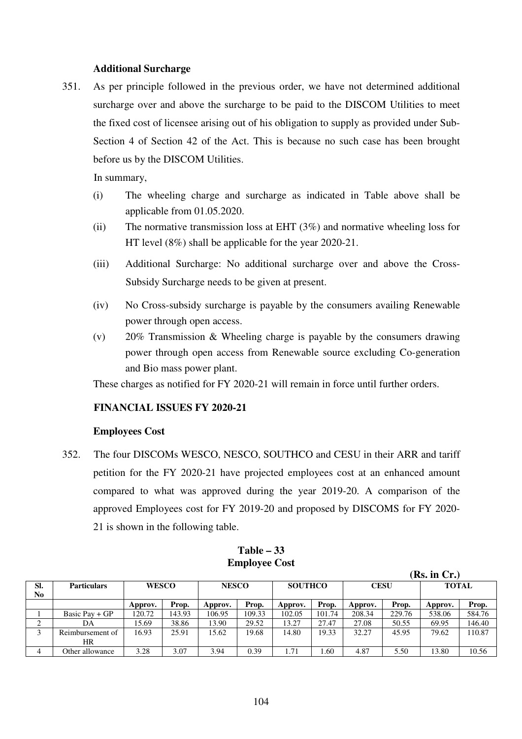## **Additional Surcharge**

351. As per principle followed in the previous order, we have not determined additional surcharge over and above the surcharge to be paid to the DISCOM Utilities to meet the fixed cost of licensee arising out of his obligation to supply as provided under Sub-Section 4 of Section 42 of the Act. This is because no such case has been brought before us by the DISCOM Utilities.

In summary,

- (i) The wheeling charge and surcharge as indicated in Table above shall be applicable from 01.05.2020.
- (ii) The normative transmission loss at EHT (3%) and normative wheeling loss for HT level (8%) shall be applicable for the year 2020-21.
- (iii) Additional Surcharge: No additional surcharge over and above the Cross-Subsidy Surcharge needs to be given at present.
- (iv) No Cross-subsidy surcharge is payable by the consumers availing Renewable power through open access.
- (v) 20% Transmission & Wheeling charge is payable by the consumers drawing power through open access from Renewable source excluding Co-generation and Bio mass power plant.

These charges as notified for FY 2020-21 will remain in force until further orders.

# **FINANCIAL ISSUES FY 2020-21**

## **Employees Cost**

352. The four DISCOMs WESCO, NESCO, SOUTHCO and CESU in their ARR and tariff petition for the FY 2020-21 have projected employees cost at an enhanced amount compared to what was approved during the year 2019-20. A comparison of the approved Employees cost for FY 2019-20 and proposed by DISCOMS for FY 2020- 21 is shown in the following table.

|     |                    |              |        |              |        |                |        |             |        | (R), III UI , J |        |
|-----|--------------------|--------------|--------|--------------|--------|----------------|--------|-------------|--------|-----------------|--------|
| Sl. | <b>Particulars</b> | <b>WESCO</b> |        | <b>NESCO</b> |        | <b>SOUTHCO</b> |        | <b>CESU</b> |        | <b>TOTAL</b>    |        |
| No  |                    |              |        |              |        |                |        |             |        |                 |        |
|     |                    | Approv.      | Prop.  | Approv.      | Prop.  | Approv.        | Prop.  | Approv.     | Prop.  | Approv.         | Prop.  |
|     | Basic Pav + $GP$   | 120.72       | 143.93 | 106.95       | 109.33 | 102.05         | 101.74 | 208.34      | 229.76 | 538.06          | 584.76 |
| ◠   | DA                 | 15.69        | 38.86  | 13.90        | 29.52  | 13.27          | 27.47  | 27.08       | 50.55  | 69.95           | 146.40 |
|     | Reimbursement of   | 16.93        | 25.91  | 15.62        | 19.68  | 14.80          | 19.33  | 32.27       | 45.95  | 79.62           | 110.87 |
|     | HR                 |              |        |              |        |                |        |             |        |                 |        |
|     | Other allowance    | 3.28         | 3.07   | 3.94         | 0.39   | 1.71           | . 60   | 4.87        | 5.50   | 13.80           | 10.56  |

## **Table – 33 Employee Cost**

 $(\mathbf{D}_s, \mathbf{L}_r, \mathbf{C}_r)$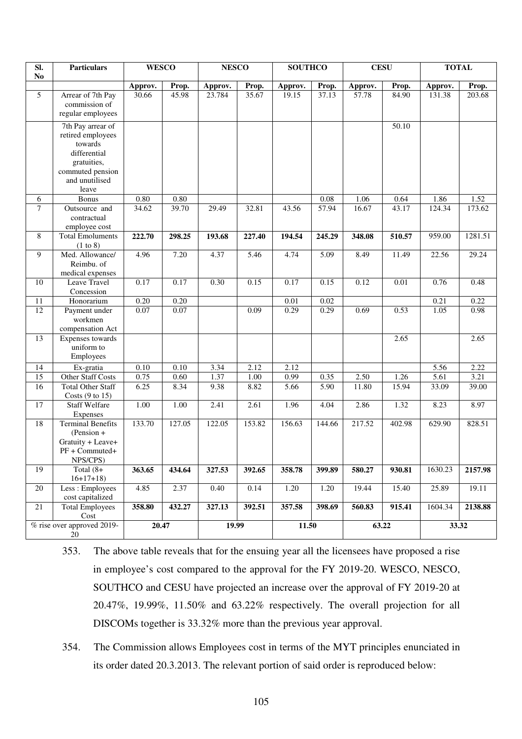| SI.<br>N <sub>0</sub> | <b>Particulars</b>                                                                                                              | <b>WESCO</b> |          | <b>NESCO</b> |        | <b>SOUTHCO</b> |                   | <b>CESU</b> |          | <b>TOTAL</b> |         |
|-----------------------|---------------------------------------------------------------------------------------------------------------------------------|--------------|----------|--------------|--------|----------------|-------------------|-------------|----------|--------------|---------|
|                       |                                                                                                                                 | Approv.      | Prop.    | Approv.      | Prop.  | Approv.        | Prop.             | Approv.     | Prop.    | Approv.      | Prop.   |
| 5                     | Arrear of 7th Pay<br>commission of<br>regular employees                                                                         | 30.66        | 45.98    | 23.784       | 35.67  | 19.15          | 37.13             | 57.78       | 84.90    | 131.38       | 203.68  |
|                       | 7th Pay arrear of<br>retired employees<br>towards<br>differential<br>gratuities,<br>commuted pension<br>and unutilised<br>leave |              |          |              |        |                |                   |             | 50.10    |              |         |
| 6                     | Bonus                                                                                                                           | $0.80\,$     | $0.80\,$ |              |        |                | 0.08              | 1.06        | 0.64     | 1.86         | 1.52    |
| $\tau$                | Outsource and<br>contractual<br>employee cost                                                                                   | 34.62        | 39.70    | 29.49        | 32.81  | 43.56          | 57.94             | 16.67       | 43.17    | 124.34       | 173.62  |
| 8                     | <b>Total Emoluments</b><br>(1 to 8)                                                                                             | 222.70       | 298.25   | 193.68       | 227.40 | 194.54         | 245.29            | 348.08      | 510.57   | 959.00       | 1281.51 |
| 9                     | Med. Allowance/<br>Reimbu. of<br>medical expenses                                                                               | 4.96         | 7.20     | 4.37         | 5.46   | 4.74           | 5.09              | 8.49        | 11.49    | 22.56        | 29.24   |
| 10                    | Leave Travel<br>Concession                                                                                                      | 0.17         | 0.17     | 0.30         | 0.15   | 0.17           | 0.15              | 0.12        | $0.01\,$ | 0.76         | 0.48    |
| 11                    | Honorarium                                                                                                                      | 0.20         | 0.20     |              |        | 0.01           | 0.02              |             |          | 0.21         | 0.22    |
| 12                    | Payment under<br>workmen<br>compensation Act                                                                                    | 0.07         | 0.07     |              | 0.09   | 0.29           | 0.29              | 0.69        | 0.53     | 1.05         | 0.98    |
| $\overline{13}$       | Expenses towards<br>uniform to<br>Employees                                                                                     |              |          |              |        |                |                   |             | 2.65     |              | 2.65    |
| 14                    | Ex-gratia                                                                                                                       | 0.10         | 0.10     | 3.34         | 2.12   | 2.12           |                   |             |          | 5.56         | 2.22    |
| $\overline{15}$       | Other Staff Costs                                                                                                               | 0.75         | 0.60     | 1.37         | 1.00   | 0.99           | 0.35              | 2.50        | 1.26     | 5.61         | 3.21    |
| $\overline{16}$       | <b>Total Other Staff</b><br>Costs $(9 \text{ to } 15)$                                                                          | 6.25         | 8.34     | 9.38         | 8.82   | 5.66           | $\overline{5.90}$ | 11.80       | 15.94    | 33.09        | 39.00   |
| $\overline{17}$       | <b>Staff Welfare</b><br>Expenses                                                                                                | 1.00         | 1.00     | 2.41         | 2.61   | 1.96           | 4.04              | 2.86        | 1.32     | 8.23         | 8.97    |
| $\overline{18}$       | <b>Terminal Benefits</b><br>$(Pension +$<br>Gratuity + Leave+<br>PF + Commuted+<br>NPS/CPS)                                     | 133.70       | 127.05   | 122.05       | 153.82 | 156.63         | 144.66            | 217.52      | 402.98   | 629.90       | 828.51  |
| 19                    | Total $(8+$<br>$16+17+18$                                                                                                       | 363.65       | 434.64   | 327.53       | 392.65 | 358.78         | 399.89            | 580.27      | 930.81   | 1630.23      | 2157.98 |
| $20\,$                | Less: Employees<br>cost capitalized                                                                                             | 4.85         | 2.37     | 0.40         | 0.14   | 1.20           | 1.20              | 19.44       | 15.40    | 25.89        | 19.11   |
| $21\,$                | <b>Total Employees</b><br>Cost                                                                                                  | 358.80       | 432.27   | 327.13       | 392.51 | 357.58         | 398.69            | 560.83      | 915.41   | 1604.34      | 2138.88 |
|                       | % rise over approved 2019-<br>20                                                                                                | 20.47        |          | 19.99        |        | 11.50          |                   | 63.22       |          | 33.32        |         |

353. The above table reveals that for the ensuing year all the licensees have proposed a rise in employee's cost compared to the approval for the FY 2019-20. WESCO, NESCO, SOUTHCO and CESU have projected an increase over the approval of FY 2019-20 at 20.47%, 19.99%, 11.50% and 63.22% respectively. The overall projection for all DISCOMs together is 33.32% more than the previous year approval.

354. The Commission allows Employees cost in terms of the MYT principles enunciated in its order dated 20.3.2013. The relevant portion of said order is reproduced below: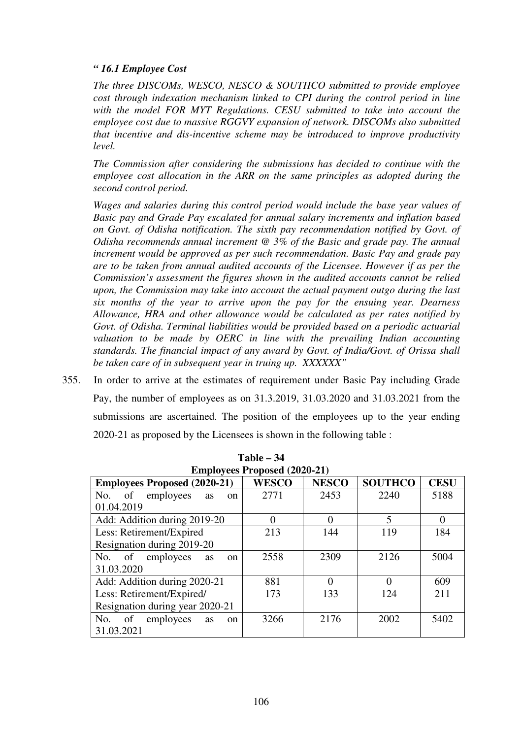## *" 16.1 Employee Cost*

*The three DISCOMs, WESCO, NESCO & SOUTHCO submitted to provide employee cost through indexation mechanism linked to CPI during the control period in line with the model FOR MYT Regulations. CESU submitted to take into account the employee cost due to massive RGGVY expansion of network. DISCOMs also submitted that incentive and dis-incentive scheme may be introduced to improve productivity level.* 

*The Commission after considering the submissions has decided to continue with the employee cost allocation in the ARR on the same principles as adopted during the second control period.* 

*Wages and salaries during this control period would include the base year values of Basic pay and Grade Pay escalated for annual salary increments and inflation based on Govt. of Odisha notification. The sixth pay recommendation notified by Govt. of Odisha recommends annual increment @ 3% of the Basic and grade pay. The annual increment would be approved as per such recommendation. Basic Pay and grade pay are to be taken from annual audited accounts of the Licensee. However if as per the Commission's assessment the figures shown in the audited accounts cannot be relied upon, the Commission may take into account the actual payment outgo during the last six months of the year to arrive upon the pay for the ensuing year. Dearness Allowance, HRA and other allowance would be calculated as per rates notified by Govt. of Odisha. Terminal liabilities would be provided based on a periodic actuarial*  valuation to be made by OERC in line with the prevailing Indian accounting *standards. The financial impact of any award by Govt. of India/Govt. of Orissa shall be taken care of in subsequent year in truing up. XXXXXX"* 

355. In order to arrive at the estimates of requirement under Basic Pay including Grade Pay, the number of employees as on 31.3.2019, 31.03.2020 and 31.03.2021 from the submissions are ascertained. The position of the employees up to the year ending 2020-21 as proposed by the Licensees is shown in the following table :

|                                           | <b>Employees Proposed (2020-21)</b> |              |                |             |  |  |  |
|-------------------------------------------|-------------------------------------|--------------|----------------|-------------|--|--|--|
| <b>Employees Proposed (2020-21)</b>       | <b>WESCO</b>                        | <b>NESCO</b> | <b>SOUTHCO</b> | <b>CESU</b> |  |  |  |
| No. of employees<br>as<br><sub>on</sub>   | 2771                                | 2453         | 2240           | 5188        |  |  |  |
| 01.04.2019                                |                                     |              |                |             |  |  |  |
| Add: Addition during 2019-20              |                                     | 0            | 5              | $\Omega$    |  |  |  |
| Less: Retirement/Expired                  | 213                                 | 144          | 119            | 184         |  |  |  |
| Resignation during 2019-20                |                                     |              |                |             |  |  |  |
| No. of employees<br><b>as</b><br>$\alpha$ | 2558                                | 2309         | 2126           | 5004        |  |  |  |
| 31.03.2020                                |                                     |              |                |             |  |  |  |
| Add: Addition during 2020-21              | 881                                 | 0            | $\Omega$       | 609         |  |  |  |
| Less: Retirement/Expired/                 | 173                                 | 133          | 124            | 211         |  |  |  |
| Resignation during year 2020-21           |                                     |              |                |             |  |  |  |
| No. of employees<br>as<br>on              | 3266                                | 2176         | 2002           | 5402        |  |  |  |
| 31.03.2021                                |                                     |              |                |             |  |  |  |

**Table – 34**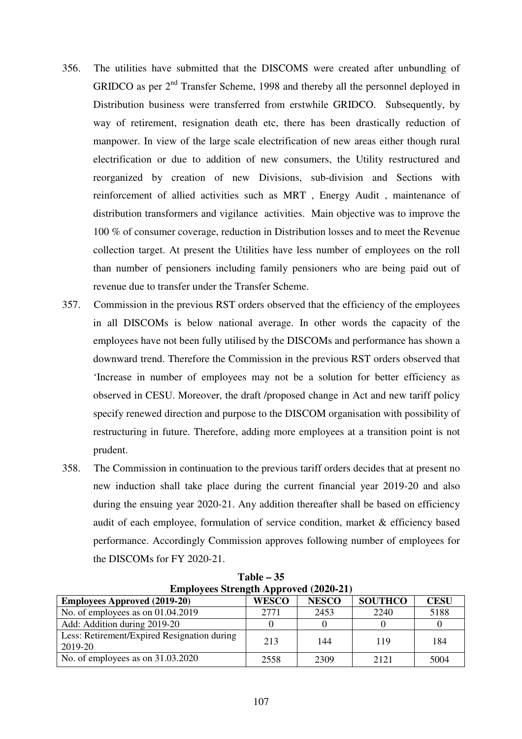- 356. The utilities have submitted that the DISCOMS were created after unbundling of GRIDCO as per  $2<sup>nd</sup>$  Transfer Scheme, 1998 and thereby all the personnel deployed in Distribution business were transferred from erstwhile GRIDCO. Subsequently, by way of retirement, resignation death etc, there has been drastically reduction of manpower. In view of the large scale electrification of new areas either though rural electrification or due to addition of new consumers, the Utility restructured and reorganized by creation of new Divisions, sub-division and Sections with reinforcement of allied activities such as MRT , Energy Audit , maintenance of distribution transformers and vigilance activities. Main objective was to improve the 100 % of consumer coverage, reduction in Distribution losses and to meet the Revenue collection target. At present the Utilities have less number of employees on the roll than number of pensioners including family pensioners who are being paid out of revenue due to transfer under the Transfer Scheme.
- 357. Commission in the previous RST orders observed that the efficiency of the employees in all DISCOMs is below national average. In other words the capacity of the employees have not been fully utilised by the DISCOMs and performance has shown a downward trend. Therefore the Commission in the previous RST orders observed that 'Increase in number of employees may not be a solution for better efficiency as observed in CESU. Moreover, the draft /proposed change in Act and new tariff policy specify renewed direction and purpose to the DISCOM organisation with possibility of restructuring in future. Therefore, adding more employees at a transition point is not prudent.
- 358. The Commission in continuation to the previous tariff orders decides that at present no new induction shall take place during the current financial year 2019-20 and also during the ensuing year 2020-21. Any addition thereafter shall be based on efficiency audit of each employee, formulation of service condition, market & efficiency based performance. Accordingly Commission approves following number of employees for the DISCOMs for FY 2020-21.

| <b>Employees Strength Approved (2020-21)</b>           |              |              |                |             |  |  |  |  |  |
|--------------------------------------------------------|--------------|--------------|----------------|-------------|--|--|--|--|--|
| <b>Employees Approved (2019-20)</b>                    | <b>WESCO</b> | <b>NESCO</b> | <b>SOUTHCO</b> | <b>CESU</b> |  |  |  |  |  |
| No. of employees as on $01.04.2019$                    | 2771         | 2453         | 2240           | 5188        |  |  |  |  |  |
| Add: Addition during 2019-20                           |              |              |                |             |  |  |  |  |  |
| Less: Retirement/Expired Resignation during<br>2019-20 | 213          | 144          | 119            | 184         |  |  |  |  |  |
| No. of employees as on $31.03.2020$                    | 2558         | 2309         | 2121           | 5004        |  |  |  |  |  |

**Table – 35**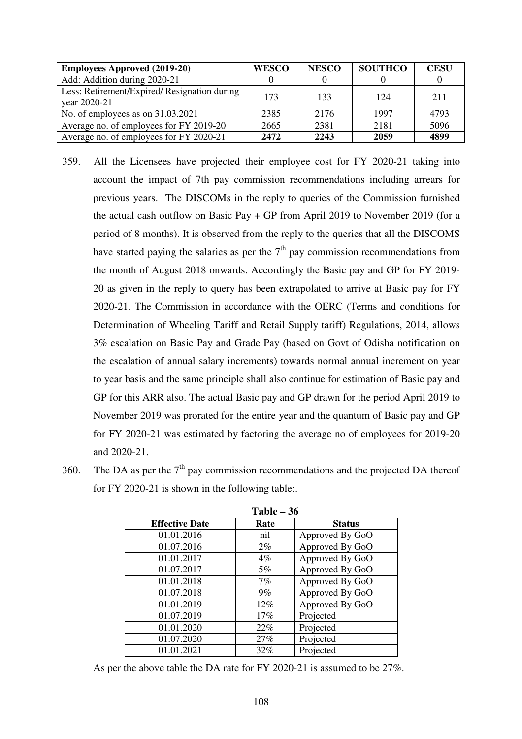| <b>Employees Approved (2019-20)</b>          | <b>WESCO</b> | <b>NESCO</b> | <b>SOUTHCO</b> | <b>CESU</b> |
|----------------------------------------------|--------------|--------------|----------------|-------------|
| Add: Addition during 2020-21                 |              |              |                |             |
| Less: Retirement/Expired/ Resignation during | 173          | 133          | 124            | 211         |
| year 2020-21                                 |              |              |                |             |
| No. of employees as on $31.03.2021$          | 2385         | 2176         | 1997           | 4793        |
| Average no. of employees for FY 2019-20      | 2665         | 2381         | 2181           | 5096        |
| Average no. of employees for FY 2020-21      | 2472         | 2243         | 2059           | 4899        |

- 359. All the Licensees have projected their employee cost for FY 2020-21 taking into account the impact of 7th pay commission recommendations including arrears for previous years. The DISCOMs in the reply to queries of the Commission furnished the actual cash outflow on Basic Pay + GP from April 2019 to November 2019 (for a period of 8 months). It is observed from the reply to the queries that all the DISCOMS have started paying the salaries as per the  $7<sup>th</sup>$  pay commission recommendations from the month of August 2018 onwards. Accordingly the Basic pay and GP for FY 2019- 20 as given in the reply to query has been extrapolated to arrive at Basic pay for FY 2020-21. The Commission in accordance with the OERC (Terms and conditions for Determination of Wheeling Tariff and Retail Supply tariff) Regulations, 2014, allows 3% escalation on Basic Pay and Grade Pay (based on Govt of Odisha notification on the escalation of annual salary increments) towards normal annual increment on year to year basis and the same principle shall also continue for estimation of Basic pay and GP for this ARR also. The actual Basic pay and GP drawn for the period April 2019 to November 2019 was prorated for the entire year and the quantum of Basic pay and GP for FY 2020-21 was estimated by factoring the average no of employees for 2019-20 and 2020-21.
- 360. The DA as per the  $7<sup>th</sup>$  pay commission recommendations and the projected DA thereof for FY 2020-21 is shown in the following table:.

|                       | Table $-36$ |                 |  |  |  |
|-----------------------|-------------|-----------------|--|--|--|
| <b>Effective Date</b> | Rate        | <b>Status</b>   |  |  |  |
| 01.01.2016            | nil         | Approved By GoO |  |  |  |
| 01.07.2016            | $2\%$       | Approved By GoO |  |  |  |
| 01.01.2017            | $4\%$       | Approved By GoO |  |  |  |
| 01.07.2017            | $5\%$       | Approved By GoO |  |  |  |
| 01.01.2018            | 7%          | Approved By GoO |  |  |  |
| 01.07.2018            | $9\%$       | Approved By GoO |  |  |  |
| 01.01.2019            | 12%         | Approved By GoO |  |  |  |
| 01.07.2019            | 17%         | Projected       |  |  |  |
| 01.01.2020            | 22%         | Projected       |  |  |  |
| 01.07.2020            | 27%         | Projected       |  |  |  |
| 01.01.2021            | 32%         | Projected       |  |  |  |

As per the above table the DA rate for FY 2020-21 is assumed to be 27%.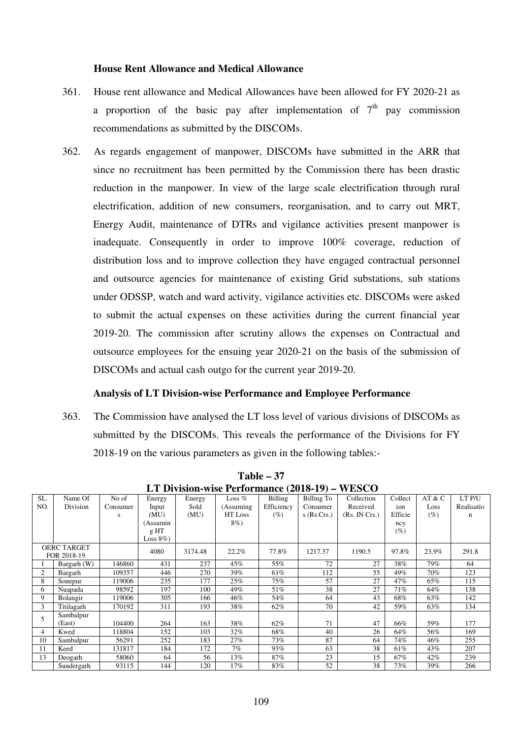#### **House Rent Allowance and Medical Allowance**

- 361. House rent allowance and Medical Allowances have been allowed for FY 2020-21 as a proportion of the basic pay after implementation of  $7<sup>th</sup>$  pay commission recommendations as submitted by the DISCOMs.
- 362. As regards engagement of manpower, DISCOMs have submitted in the ARR that since no recruitment has been permitted by the Commission there has been drastic reduction in the manpower. In view of the large scale electrification through rural electrification, addition of new consumers, reorganisation, and to carry out MRT, Energy Audit, maintenance of DTRs and vigilance activities present manpower is inadequate. Consequently in order to improve 100% coverage, reduction of distribution loss and to improve collection they have engaged contractual personnel and outsource agencies for maintenance of existing Grid substations, sub stations under ODSSP, watch and ward activity, vigilance activities etc. DISCOMs were asked to submit the actual expenses on these activities during the current financial year 2019-20. The commission after scrutiny allows the expenses on Contractual and outsource employees for the ensuing year 2020-21 on the basis of the submission of DISCOMs and actual cash outgo for the current year 2019-20.

#### **Analysis of LT Division-wise Performance and Employee Performance**

363. The Commission have analysed the LT loss level of various divisions of DISCOMs as submitted by the DISCOMs. This reveals the performance of the Divisions for FY 2018-19 on the various parameters as given in the following tables:-

|                | пт римыш мыстеногикансе (2010 г.)<br>******* |          |              |         |            |            |               |               |         |        |            |
|----------------|----------------------------------------------|----------|--------------|---------|------------|------------|---------------|---------------|---------|--------|------------|
| SL.            | Name Of                                      | No of    | Energy       | Energy  | Loss $%$   | Billing    | Billing To    | Collection    | Collect | AT & C | LT P/U     |
| NO.            | Division                                     | Consumer | Input        | Sold    | (Assuming) | Efficiency | Consumer      | Received      | ion     | Loss   | Realisatio |
|                |                                              | s        | (MU)         | (MU)    | HT Loss    | (%)        | $s$ (Rs.Crs.) | (Rs. IN Crs.) | Efficie | $(\%)$ | n          |
|                |                                              |          | (Assumin     |         | 8%)        |            |               |               | ncy     |        |            |
|                |                                              |          | g HT         |         |            |            |               |               | $(\%)$  |        |            |
|                |                                              |          | Loss $8\%$ ) |         |            |            |               |               |         |        |            |
|                | <b>OERC TARGET</b>                           |          | 4080         | 3174.48 | 22.2%      | 77.8%      | 1217.37       | 1190.5        | 97.8%   | 23.9%  | 291.8      |
|                | FOR 2018-19                                  |          |              |         |            |            |               |               |         |        |            |
|                | Bargarh (W)                                  | 146860   | 431          | 237     | 45%        | 55%        | 72            | 27            | 38%     | 79%    | 64         |
| $\overline{c}$ | Bargarh                                      | 109357   | 446          | 270     | 39%        | 61%        | 112           | 55            | 49%     | 70%    | 123        |
| 8              | Sonepur                                      | 119006   | 235          | 177     | 25%        | 75%        | 57            | 27            | 47%     | 65%    | 115        |
| 6              | Nuapada                                      | 98592    | 197          | 100     | 49%        | 51%        | 38            | 27            | 71%     | 64%    | 138        |
| 9              | Bolangir                                     | 119006   | 305          | 166     | 46%        | 54%        | 64            | 43            | 68%     | 63%    | 142        |
| 3              | Titilagarh                                   | 170192   | 311          | 193     | 38%        | 62%        | 70            | 42            | 59%     | 63%    | 134        |
| 5              | Sambalpur                                    |          |              |         |            |            |               |               |         |        |            |
|                | (East)                                       | 104400   | 264          | 163     | 38%        | 62%        | 71            | 47            | 66%     | 59%    | 177        |
| 4              | Kwed                                         | 118804   | 152          | 103     | 32%        | 68%        | 40            | 26            | 64%     | 56%    | 169        |
| 10             | Sambalpur                                    | 56291    | 252          | 183     | 27%        | 73%        | 87            | 64            | 74%     | 46%    | 255        |
| 11             | Keed                                         | 131817   | 184          | 172     | 7%         | 93%        | 63            | 38            | 61%     | 43%    | 207        |
| 13             | Deogarh                                      | 58060    | 64           | 56      | 13%        | 87%        | 23            | 15            | 67%     | 42%    | 239        |
|                | Sundergarh                                   | 93115    | 144          | 120     | 17%        | 83%        | 52            | 38            | 73%     | 39%    | 266        |

**Table – 37 LT Division-wise Performance (2018-19) – WESCO**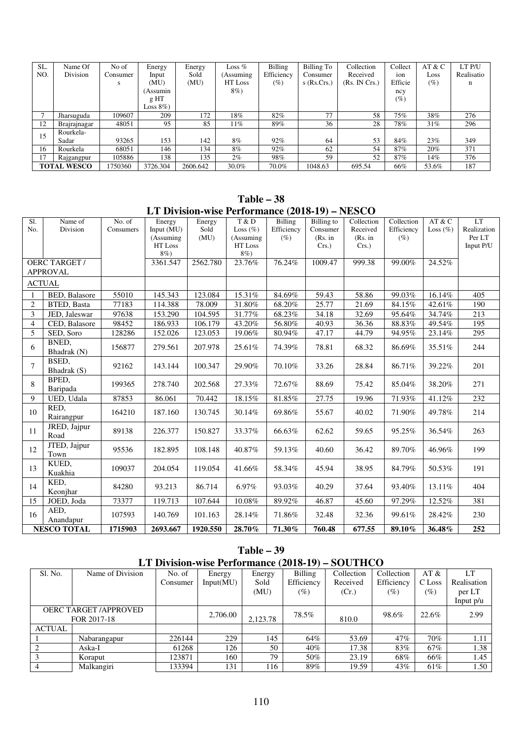| SL. | Name Of            | No of    | Energy          | Energy   | Loss $%$   | <b>Billing</b> | Billing To    | Collection    | Collect | AT & C | LT P/U     |
|-----|--------------------|----------|-----------------|----------|------------|----------------|---------------|---------------|---------|--------|------------|
| NO. | Division           | Consumer | Input           | Sold     | (Assuming) | Efficiency     | Consumer      | Received      | ion     | Loss   | Realisatio |
|     |                    | s        | (MU)            | (MU)     | HT Loss    | $(\%)$         | $s$ (Rs.Crs.) | (Rs. IN Crs.) | Efficie | (%)    | n          |
|     |                    |          | (Assumin        |          | 8%)        |                |               |               | ncy     |        |            |
|     |                    |          | g <sub>HT</sub> |          |            |                |               |               | $(\%)$  |        |            |
|     |                    |          | Loss $8\%$ )    |          |            |                |               |               |         |        |            |
|     | Jharsuguda         | 109607   | 209             | 172      | 18%        | 82%            | 77            | 58            | 75%     | 38%    | 276        |
| 12  | Brajrajnagar       | 48051    | 95              | 85       | 11%        | 89%            | 36            | 28            | 78%     | 31%    | 296        |
| 15  | Rourkela-          |          |                 |          |            |                |               |               |         |        |            |
|     | Sadar              | 93265    | 153             | 142      | 8%         | 92%            | 64            | 53            | 84%     | 23%    | 349        |
| 16  | Rourkela           | 68051    | 146             | 134      | 8%         | 92%            | 62            | 54            | 87%     | 20%    | 371        |
| 17  | Rajgangpur         | 105886   | 138             | 135      | $2\%$      | 98%            | 59            | 52            | 87%     | 14%    | 376        |
|     | <b>TOTAL WESCO</b> | 750360   | 3726.304        | 2606.642 | 30.0%      | 70.0%          | 1048.63       | 695.54        | 66%     | 53.6%  | 187        |

**Table – 38 LT Division-wise Performance (2018-19) – NESCO** 

|                |                      |           | Let Division-wise I criticalize (2010-17) – RESCO |          |                          |            |            |            |            |              |             |
|----------------|----------------------|-----------|---------------------------------------------------|----------|--------------------------|------------|------------|------------|------------|--------------|-------------|
| S1.            | Name of              | No. of    | Energy                                            | Energy   | T & D                    | Billing    | Billing to | Collection | Collection | AT & C       | LT          |
| No.            | Division             | Consumers | Input (MU)                                        | Sold     | Loss $(\% )$             | Efficiency | Consumer   | Received   | Efficiency | Loss $(\% )$ | Realization |
|                |                      |           | (Assuming                                         | (MU)     | (Assuming                | $(\%)$     | (Rs. in    | (Rs. in    | $(\%)$     |              | Per LT      |
|                |                      |           | HT Loss                                           |          | $\operatorname{HT}$ Loss |            | $Crs.$ )   | $Crs.$ )   |            |              | Input P/U   |
|                |                      |           | $8\%$                                             |          | $8\%$                    |            |            |            |            |              |             |
|                | <b>OERC TARGET/</b>  |           | 3361.547                                          | 2562.780 | 23.76%                   | 76.24%     | 1009.47    | 999.38     | 99.00%     | 24.52%       |             |
|                | <b>APPROVAL</b>      |           |                                                   |          |                          |            |            |            |            |              |             |
|                |                      |           |                                                   |          |                          |            |            |            |            |              |             |
| <b>ACTUAL</b>  |                      |           |                                                   |          |                          |            |            |            |            |              |             |
| $\mathbf{1}$   | <b>BED.</b> Balasore | 55010     | 145.343                                           | 123.084  | 15.31%                   | 84.69%     | 59.43      | 58.86      | 99.03%     | 16.14%       | 405         |
| $\overline{2}$ | BTED, Basta          | 77183     | 114.388                                           | 78.009   | 31.80%                   | 68.20%     | 25.77      | 21.69      | 84.15%     | 42.61%       | 190         |
| 3              | JED, Jaleswar        | 97638     | 153.290                                           | 104.595  | 31.77%                   | 68.23%     | 34.18      | 32.69      | 95.64%     | 34.74%       | 213         |
| $\overline{4}$ | CED, Balasore        | 98452     | 186.933                                           | 106.179  | 43.20%                   | 56.80%     | 40.93      | 36.36      | 88.83%     | 49.54%       | 195         |
| 5              | SED, Soro            | 128286    | 152.026                                           | 123.053  | 19.06%                   | 80.94%     | 47.17      | 44.79      | 94.95%     | 23.14%       | 295         |
|                | BNED.                |           |                                                   |          |                          |            |            |            |            |              |             |
| 6              | Bhadrak (N)          | 156877    | 279.561                                           | 207.978  | 25.61%                   | 74.39%     | 78.81      | 68.32      | 86.69%     | 35.51%       | 244         |
|                | BSED.                |           |                                                   |          |                          |            |            |            |            |              |             |
| $\overline{7}$ |                      | 92162     | 143.144                                           | 100.347  | 29.90%                   | 70.10%     | 33.26      | 28.84      | 86.71%     | 39.22%       | 201         |
|                | Bhadrak (S)          |           |                                                   |          |                          |            |            |            |            |              |             |
| 8              | BPED.                | 199365    | 278.740                                           | 202.568  | 27.33%                   | 72.67%     | 88.69      | 75.42      | 85.04%     | 38.20%       | 271         |
|                | Baripada             |           |                                                   |          |                          |            |            |            |            |              |             |
| 9              | UED, Udala           | 87853     | 86.061                                            | 70.442   | 18.15%                   | 81.85%     | 27.75      | 19.96      | 71.93%     | 41.12%       | 232         |
| 10             | RED.                 | 164210    | 187.160                                           | 130.745  | 30.14%                   | 69.86%     | 55.67      | 40.02      | 71.90%     | 49.78%       | 214         |
|                | Rairangpur           |           |                                                   |          |                          |            |            |            |            |              |             |
|                | JRED, Jajpur         |           |                                                   |          |                          |            |            |            |            |              |             |
| 11             | Road                 | 89138     | 226.377                                           | 150.827  | 33.37%                   | 66.63%     | 62.62      | 59.65      | 95.25%     | 36.54%       | 263         |
|                | JTED, Jajpur         |           |                                                   |          |                          |            |            |            |            |              |             |
| 12             | Town                 | 95536     | 182.895                                           | 108.148  | 40.87%                   | 59.13%     | 40.60      | 36.42      | 89.70%     | 46.96%       | 199         |
|                | KUED.                |           |                                                   |          |                          |            |            |            |            |              |             |
| 13             | Kuakhia              | 109037    | 204.054                                           | 119.054  | 41.66%                   | 58.34%     | 45.94      | 38.95      | 84.79%     | 50.53%       | 191         |
|                | KED.                 |           |                                                   |          |                          |            |            |            |            |              |             |
| 14             |                      | 84280     | 93.213                                            | 86.714   | 6.97%                    | 93.03%     | 40.29      | 37.64      | 93.40%     | 13.11%       | 404         |
|                | Keonjhar             |           |                                                   |          |                          |            |            |            |            |              |             |
| 15             | JOED, Joda           | 73377     | 119.713                                           | 107.644  | 10.08%                   | 89.92%     | 46.87      | 45.60      | 97.29%     | 12.52%       | 381         |
| 16             | AED,                 | 107593    | 140.769                                           | 101.163  | 28.14%                   | 71.86%     | 32.48      | 32.36      | 99.61%     | 28.42%       | 230         |
|                | Anandapur            |           |                                                   |          |                          |            |            |            |            |              |             |
|                | <b>NESCO TOTAL</b>   | 1715903   | 2693.667                                          | 1920.550 | 28.70%                   | 71.30%     | 760.48     | 677.55     | 89.10%     | 36.48%       | 252         |

|               | $1$ aple $-$ 39                                  |          |           |          |            |            |            |        |             |  |  |
|---------------|--------------------------------------------------|----------|-----------|----------|------------|------------|------------|--------|-------------|--|--|
|               | LT Division-wise Performance (2018-19) – SOUTHCO |          |           |          |            |            |            |        |             |  |  |
| S1. No.       | Name of Division                                 | No. of   | Energy    | Energy   | Billing    | Collection | Collection | AT &   | LT.         |  |  |
|               |                                                  | Consumer | Input(MU) | Sold     | Efficiency | Received   | Efficiency | C Loss | Realisation |  |  |
|               |                                                  |          |           | (MU)     | (%)        | (Cr.)      | $(\%)$     | (%)    | per LT      |  |  |
|               |                                                  |          |           |          |            |            |            |        | Input $p/u$ |  |  |
|               | <b>OERC TARGET/APPROVED</b>                      |          | 2,706.00  |          | 78.5%      |            | 98.6%      | 22.6%  | 2.99        |  |  |
|               | FOR 2017-18                                      |          |           | 2.123.78 |            | 810.0      |            |        |             |  |  |
| <b>ACTUAL</b> |                                                  |          |           |          |            |            |            |        |             |  |  |
|               | Nabarangapur                                     | 226144   | 229       | 145      | 64%        | 53.69      | 47%        | 70%    | 1.11        |  |  |
|               | Aska-I                                           | 61268    | 126       | 50       | 40%        | 17.38      | 83%        | 67%    | 1.38        |  |  |
|               | Koraput                                          | 123871   | 160       | 79       | 50%        | 23.19      | 68%        | 66%    | 1.45        |  |  |
|               | Malkangiri                                       | 133394   | 131       | 116      | 89%        | 19.59      | 43%        | 61%    | 1.50        |  |  |

**Table – 39**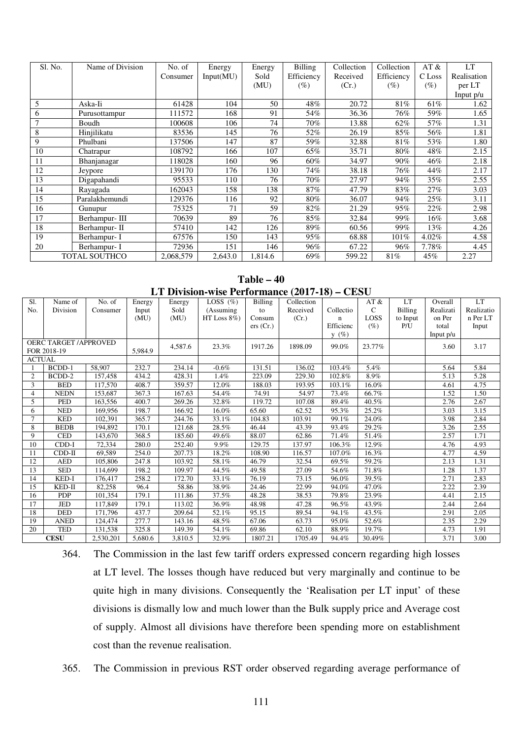| Sl. No. | Name of Division     | No. of    | Energy    | Energy  | Billing    | Collection | Collection | AT &     | <b>LT</b>   |
|---------|----------------------|-----------|-----------|---------|------------|------------|------------|----------|-------------|
|         |                      | Consumer  | Input(MU) | Sold    | Efficiency | Received   | Efficiency | C Loss   | Realisation |
|         |                      |           |           | (MU)    | $(\%)$     | (Cr.)      | $(\%)$     | $(\%)$   | per LT      |
|         |                      |           |           |         |            |            |            |          | Input $p/u$ |
| 5       | Aska-Ii              | 61428     | 104       | 50      | 48%        | 20.72      | 81%        | 61%      | 1.62        |
| 6       | Purusottampur        | 111572    | 168       | 91      | 54%        | 36.36      | 76%        | 59%      | 1.65        |
|         | Boudh                | 100608    | 106       | 74      | 70%        | 13.88      | 62%        | 57%      | 1.31        |
| 8       | Hinjilikatu          | 83536     | 145       | 76      | 52%        | 26.19      | 85%        | 56%      | 1.81        |
| 9       | Phulbani             | 137506    | 147       | 87      | 59%        | 32.88      | 81%        | 53%      | 1.80        |
| 10      | Chatrapur            | 108792    | 166       | 107     | 65%        | 35.71      | 80%        | 48%      | 2.15        |
| 11      | Bhanjanagar          | 118028    | 160       | 96      | $60\%$     | 34.97      | 90%        | 46%      | 2.18        |
| 12      | Jeypore              | 139170    | 176       | 130     | 74%        | 38.18      | 76%        | 44%      | 2.17        |
| 13      | Digapahandi          | 95533     | 110       | 76      | 70%        | 27.97      | 94%        | 35%      | 2.55        |
| 14      | Rayagada             | 162043    | 158       | 138     | 87%        | 47.79      | 83%        | 27%      | 3.03        |
| 15      | Paralakhemundi       | 129376    | 116       | 92      | 80%        | 36.07      | 94%        | 25%      | 3.11        |
| 16      | Gunupur              | 75325     | 71        | 59      | 82%        | 21.29      | 95%        | 22%      | 2.98        |
| 17      | Berhampur-III        | 70639     | 89        | 76      | 85%        | 32.84      | 99%        | 16%      | 3.68        |
| 18      | Berhampur- II        | 57410     | 142       | 126     | 89%        | 60.56      | 99%        | 13%      | 4.26        |
| 19      | Berhampur- I         | 67576     | 150       | 143     | 95%        | 68.88      | 101%       | 4.02%    | 4.58        |
| 20      | Berhampur- I         | 72936     | 151       | 146     | 96%        | 67.22      | 96%        | $7.78\%$ | 4.45        |
|         | <b>TOTAL SOUTHCO</b> | 2,068,579 | 2,643.0   | 1,814.6 | 69%        | 599.22     | 81%        | 45%      | 2.27        |

**Table – 40 LT Division-wise Performance (2017-18) – CESU** 

| S1.           | Name of                     | No. of    | Energy  | Energy  | LOSS $(\% )$    | <b>Billing</b> | Collection |           | AT &   | LT.            | Overall     | $\mathop{\rm LT}\nolimits$ |
|---------------|-----------------------------|-----------|---------|---------|-----------------|----------------|------------|-----------|--------|----------------|-------------|----------------------------|
| No.           | Division                    | Consumer  | Input   | Sold    | (Assuming       | to             | Received   | Collectio | C      | <b>Billing</b> | Realizati   | Realizatio                 |
|               |                             |           | (MU)    | (MU)    | HT Loss $8\%$ ) | Consum         | (Cr.)      | n         | LOSS   | to Input       | on Per      | n Per LT                   |
|               |                             |           |         |         |                 | ers (Cr.)      |            | Efficienc | $(\%)$ | P/U            | total       | Input                      |
|               |                             |           |         |         |                 |                |            | $y(\%)$   |        |                | Input $p/u$ |                            |
|               | <b>OERC TARGET/APPROVED</b> |           |         |         |                 |                |            |           |        |                |             |                            |
|               | FOR 2018-19                 |           | 5,984.9 | 4,587.6 | 23.3%           | 1917.26        | 1898.09    | 99.0%     | 23.77% |                | 3.60        | 3.17                       |
| <b>ACTUAL</b> |                             |           |         |         |                 |                |            |           |        |                |             |                            |
|               | <b>BCDD-1</b>               | 58,907    | 232.7   | 234.14  | $-0.6%$         | 131.51         | 136.02     | 103.4%    | 5.4%   |                | 5.64        | 5.84                       |
| 2             | BCDD-2                      | 157,458   | 434.2   | 428.31  | 1.4%            | 223.09         | 229.30     | 102.8%    | 8.9%   |                | 5.13        | 5.28                       |
| 3             | <b>BED</b>                  | 117,570   | 408.7   | 359.57  | 12.0%           | 188.03         | 193.95     | 103.1%    | 16.0%  |                | 4.61        | 4.75                       |
| 4             | <b>NEDN</b>                 | 153,687   | 367.3   | 167.63  | 54.4%           | 74.91          | 54.97      | 73.4%     | 66.7%  |                | 1.52        | 1.50                       |
| 5             | <b>PED</b>                  | 163,556   | 400.7   | 269.26  | 32.8%           | 119.72         | 107.08     | 89.4%     | 40.5%  |                | 2.76        | 2.67                       |
| 6             | <b>NED</b>                  | 169,956   | 198.7   | 166.92  | 16.0%           | 65.60          | 62.52      | 95.3%     | 25.2%  |                | 3.03        | 3.15                       |
| $\tau$        | <b>KED</b>                  | 102,391   | 365.7   | 244.76  | 33.1%           | 104.83         | 103.91     | 99.1%     | 24.0%  |                | 3.98        | 2.84                       |
| 8             | <b>BEDB</b>                 | 194.892   | 170.1   | 121.68  | 28.5%           | 46.44          | 43.39      | 93.4%     | 29.2%  |                | 3.26        | 2.55                       |
| 9             | <b>CED</b>                  | 143,670   | 368.5   | 185.60  | 49.6%           | 88.07          | 62.86      | 71.4%     | 51.4%  |                | 2.57        | 1.71                       |
| 10            | CDD-I                       | 72,334    | 280.0   | 252.40  | 9.9%            | 129.75         | 137.97     | 106.3%    | 12.9%  |                | 4.76        | 4.93                       |
| 11            | $CDD-II$                    | 69,589    | 254.0   | 207.73  | 18.2%           | 108.90         | 116.57     | 107.0%    | 16.3%  |                | 4.77        | 4.59                       |
| 12            | <b>AED</b>                  | 105,806   | 247.8   | 103.92  | 58.1%           | 46.79          | 32.54      | 69.5%     | 59.2%  |                | 2.13        | 1.31                       |
| 13            | <b>SED</b>                  | 114,699   | 198.2   | 109.97  | 44.5%           | 49.58          | 27.09      | 54.6%     | 71.8%  |                | 1.28        | 1.37                       |
| 14            | KED-I                       | 176,417   | 258.2   | 172.70  | 33.1%           | 76.19          | 73.15      | 96.0%     | 39.5%  |                | 2.71        | 2.83                       |
| 15            | KED-II                      | 82,258    | 96.4    | 58.86   | 38.9%           | 24.46          | 22.99      | 94.0%     | 47.0%  |                | 2.22        | 2.39                       |
| 16            | <b>PDP</b>                  | 101,354   | 179.1   | 111.86  | 37.5%           | 48.28          | 38.53      | 79.8%     | 23.9%  |                | 4.41        | 2.15                       |
| 17            | <b>JED</b>                  | 117,849   | 179.1   | 113.02  | 36.9%           | 48.98          | 47.28      | 96.5%     | 43.9%  |                | 2.44        | 2.64                       |
| 18            | <b>DED</b>                  | 171,796   | 437.7   | 209.64  | 52.1%           | 95.15          | 89.54      | 94.1%     | 43.5%  |                | 2.91        | 2.05                       |
| 19            | <b>ANED</b>                 | 124,474   | 277.7   | 143.16  | 48.5%           | 67.06          | 63.73      | 95.0%     | 52.6%  |                | 2.35        | 2.29                       |
| 20            | <b>TED</b>                  | 131,538   | 325.8   | 149.39  | 54.1%           | 69.86          | 62.10      | 88.9%     | 19.7%  |                | 4.73        | 1.91                       |
|               | <b>CESU</b>                 | 2,530,201 | 5.680.6 | 3,810.5 | 32.9%           | 1807.21        | 1705.49    | 94.4%     | 30.49% |                | 3.71        | 3.00                       |

<sup>364.</sup> The Commission in the last few tariff orders expressed concern regarding high losses at LT level. The losses though have reduced but very marginally and continue to be quite high in many divisions. Consequently the 'Realisation per LT input' of these divisions is dismally low and much lower than the Bulk supply price and Average cost of supply. Almost all divisions have therefore been spending more on establishment cost than the revenue realisation.

365. The Commission in previous RST order observed regarding average performance of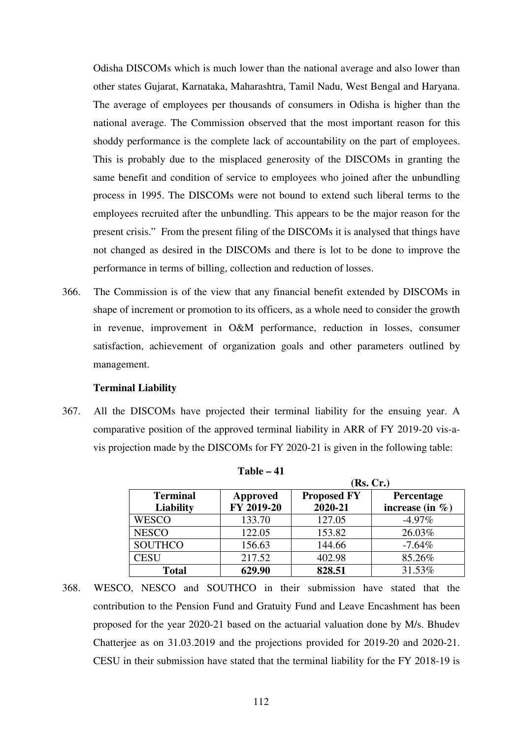Odisha DISCOMs which is much lower than the national average and also lower than other states Gujarat, Karnataka, Maharashtra, Tamil Nadu, West Bengal and Haryana. The average of employees per thousands of consumers in Odisha is higher than the national average. The Commission observed that the most important reason for this shoddy performance is the complete lack of accountability on the part of employees. This is probably due to the misplaced generosity of the DISCOMs in granting the same benefit and condition of service to employees who joined after the unbundling process in 1995. The DISCOMs were not bound to extend such liberal terms to the employees recruited after the unbundling. This appears to be the major reason for the present crisis." From the present filing of the DISCOMs it is analysed that things have not changed as desired in the DISCOMs and there is lot to be done to improve the performance in terms of billing, collection and reduction of losses.

366. The Commission is of the view that any financial benefit extended by DISCOMs in shape of increment or promotion to its officers, as a whole need to consider the growth in revenue, improvement in O&M performance, reduction in losses, consumer satisfaction, achievement of organization goals and other parameters outlined by management.

#### **Terminal Liability**

367. All the DISCOMs have projected their terminal liability for the ensuing year. A comparative position of the approved terminal liability in ARR of FY 2019-20 vis-avis projection made by the DISCOMs for FY 2020-21 is given in the following table:

|                  |            |                    | (Rs, Cr.)           |
|------------------|------------|--------------------|---------------------|
| <b>Terminal</b>  | Approved   | <b>Proposed FY</b> | Percentage          |
| <b>Liability</b> | FY 2019-20 | 2020-21            | increase (in $\%$ ) |
| <b>WESCO</b>     | 133.70     | 127.05             | $-4.97\%$           |
| <b>NESCO</b>     | 122.05     | 153.82             | 26.03%              |
| <b>SOUTHCO</b>   | 156.63     | 144.66             | $-7.64%$            |
| <b>CESU</b>      | 217.52     | 402.98             | 85.26%              |
| <b>Total</b>     | 629.90     | 828.51             | 31.53%              |

**Table – 41** 

368. WESCO, NESCO and SOUTHCO in their submission have stated that the contribution to the Pension Fund and Gratuity Fund and Leave Encashment has been proposed for the year 2020-21 based on the actuarial valuation done by M/s. Bhudev Chatterjee as on 31.03.2019 and the projections provided for 2019-20 and 2020-21. CESU in their submission have stated that the terminal liability for the FY 2018-19 is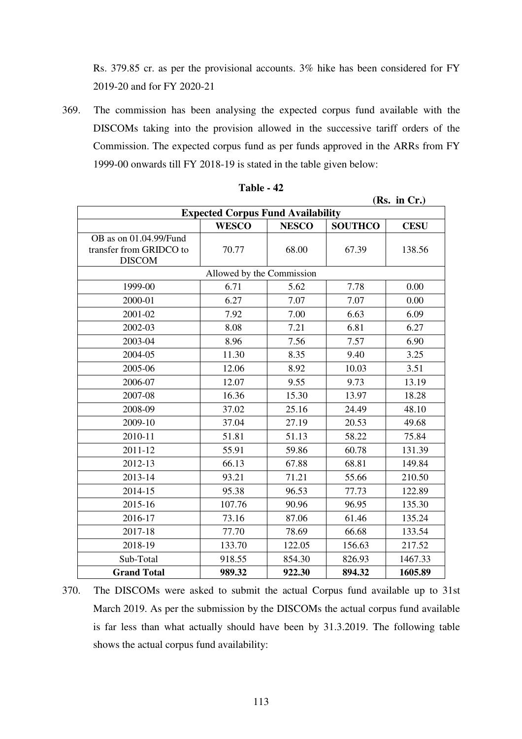Rs. 379.85 cr. as per the provisional accounts. 3% hike has been considered for FY 2019-20 and for FY 2020-21

369. The commission has been analysing the expected corpus fund available with the DISCOMs taking into the provision allowed in the successive tariff orders of the Commission. The expected corpus fund as per funds approved in the ARRs from FY 1999-00 onwards till FY 2018-19 is stated in the table given below:

| <b>Expected Corpus Fund Availability</b>                           |                           |              |                |             |  |  |  |  |  |
|--------------------------------------------------------------------|---------------------------|--------------|----------------|-------------|--|--|--|--|--|
|                                                                    | <b>WESCO</b>              | <b>NESCO</b> | <b>SOUTHCO</b> | <b>CESU</b> |  |  |  |  |  |
| OB as on 01.04.99/Fund<br>transfer from GRIDCO to<br><b>DISCOM</b> | 70.77                     | 68.00        |                | 138.56      |  |  |  |  |  |
|                                                                    | Allowed by the Commission |              |                |             |  |  |  |  |  |
| 1999-00                                                            | 6.71<br>5.62              |              | 7.78           | 0.00        |  |  |  |  |  |
| 2000-01                                                            | 6.27                      | 7.07         | 7.07           | 0.00        |  |  |  |  |  |
| 2001-02                                                            | 7.92                      | 7.00         | 6.63           | 6.09        |  |  |  |  |  |
| 2002-03                                                            | 8.08                      | 7.21         | 6.81           | 6.27        |  |  |  |  |  |
| 2003-04                                                            | 8.96                      | 7.56         | 7.57           | 6.90        |  |  |  |  |  |
| 2004-05                                                            | 11.30                     | 8.35         | 9.40           | 3.25        |  |  |  |  |  |
| 2005-06                                                            | 12.06                     | 8.92         | 10.03          | 3.51        |  |  |  |  |  |
| 2006-07                                                            | 12.07                     | 9.55         | 9.73           | 13.19       |  |  |  |  |  |
| 2007-08                                                            | 16.36                     | 15.30        | 13.97          | 18.28       |  |  |  |  |  |
| 2008-09                                                            | 37.02                     | 25.16        | 24.49          | 48.10       |  |  |  |  |  |
| 2009-10                                                            | 37.04                     | 27.19        | 20.53          | 49.68       |  |  |  |  |  |
| 2010-11                                                            | 51.81                     | 51.13        | 58.22          | 75.84       |  |  |  |  |  |
| 2011-12                                                            | 55.91                     | 59.86        | 60.78          | 131.39      |  |  |  |  |  |
| 2012-13                                                            | 66.13                     | 67.88        | 68.81          | 149.84      |  |  |  |  |  |
| 2013-14                                                            | 93.21                     | 71.21        | 55.66          | 210.50      |  |  |  |  |  |
| 2014-15                                                            | 95.38                     | 96.53        | 77.73          | 122.89      |  |  |  |  |  |
| 2015-16                                                            | 107.76                    | 90.96        | 96.95          | 135.30      |  |  |  |  |  |
| 2016-17                                                            | 73.16                     | 87.06        | 61.46          | 135.24      |  |  |  |  |  |
| 2017-18                                                            | 77.70                     | 78.69        | 66.68          | 133.54      |  |  |  |  |  |
| 2018-19                                                            | 133.70                    | 122.05       | 156.63         | 217.52      |  |  |  |  |  |
| Sub-Total                                                          | 918.55                    | 854.30       | 826.93         | 1467.33     |  |  |  |  |  |
| <b>Grand Total</b>                                                 | 989.32                    | 922.30       | 894.32         | 1605.89     |  |  |  |  |  |

**Table - 42** 

**(Rs. in Cr.)** 

<sup>370.</sup> The DISCOMs were asked to submit the actual Corpus fund available up to 31st March 2019. As per the submission by the DISCOMs the actual corpus fund available is far less than what actually should have been by 31.3.2019. The following table shows the actual corpus fund availability: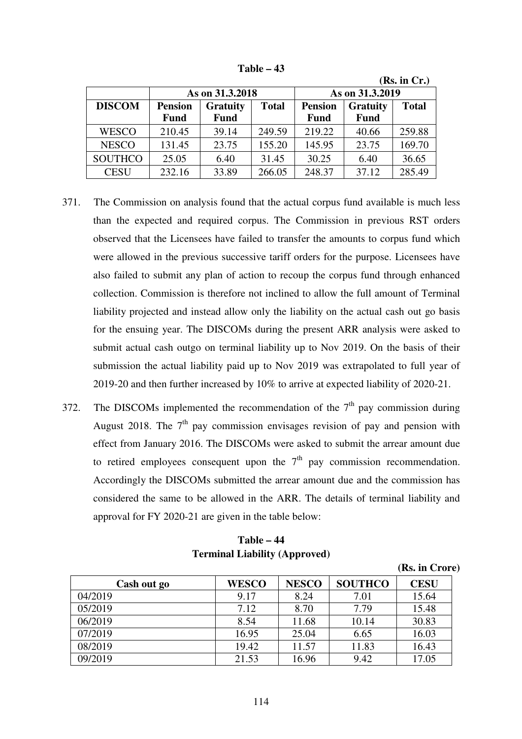|                |                |                 |              |                                   |             | (Rs. in Cr.) |  |
|----------------|----------------|-----------------|--------------|-----------------------------------|-------------|--------------|--|
|                |                | As on 31.3.2018 |              | As on 31.3.2019                   |             |              |  |
| <b>DISCOM</b>  | <b>Pension</b> | <b>Gratuity</b> | <b>Total</b> | <b>Pension</b><br><b>Gratuity</b> |             | <b>Total</b> |  |
|                | <b>Fund</b>    | <b>Fund</b>     |              | <b>Fund</b>                       | <b>Fund</b> |              |  |
| <b>WESCO</b>   | 210.45         | 39.14           | 249.59       | 219.22                            | 40.66       | 259.88       |  |
| <b>NESCO</b>   | 131.45         | 23.75           | 155.20       | 145.95                            | 23.75       | 169.70       |  |
| <b>SOUTHCO</b> | 25.05          | 6.40            | 31.45        | 30.25                             | 6.40        | 36.65        |  |
| <b>CESU</b>    | 232.16         | 33.89           | 266.05       | 248.37                            | 37.12       | 285.49       |  |

**Table – 43** 

- 371. The Commission on analysis found that the actual corpus fund available is much less than the expected and required corpus. The Commission in previous RST orders observed that the Licensees have failed to transfer the amounts to corpus fund which were allowed in the previous successive tariff orders for the purpose. Licensees have also failed to submit any plan of action to recoup the corpus fund through enhanced collection. Commission is therefore not inclined to allow the full amount of Terminal liability projected and instead allow only the liability on the actual cash out go basis for the ensuing year. The DISCOMs during the present ARR analysis were asked to submit actual cash outgo on terminal liability up to Nov 2019. On the basis of their submission the actual liability paid up to Nov 2019 was extrapolated to full year of 2019-20 and then further increased by 10% to arrive at expected liability of 2020-21.
- 372. The DISCOMs implemented the recommendation of the  $7<sup>th</sup>$  pay commission during August 2018. The  $7<sup>th</sup>$  pay commission envisages revision of pay and pension with effect from January 2016. The DISCOMs were asked to submit the arrear amount due to retired employees consequent upon the  $7<sup>th</sup>$  pay commission recommendation. Accordingly the DISCOMs submitted the arrear amount due and the commission has considered the same to be allowed in the ARR. The details of terminal liability and approval for FY 2020-21 are given in the table below:

|             |              |              |                | (Rs. in Crore) |
|-------------|--------------|--------------|----------------|----------------|
| Cash out go | <b>WESCO</b> | <b>NESCO</b> | <b>SOUTHCO</b> | <b>CESU</b>    |
| 04/2019     | 9.17         | 8.24         | 7.01           | 15.64          |
| 05/2019     | 7.12         | 8.70         | 7.79           | 15.48          |
| 06/2019     | 8.54         | 11.68        | 10.14          | 30.83          |
| 07/2019     | 16.95        | 25.04        | 6.65           | 16.03          |
| 08/2019     | 19.42        | 11.57        | 11.83          | 16.43          |
| 09/2019     | 21.53        | 16.96        | 9.42           | 17.05          |

# **Table – 44 Terminal Liability (Approved)**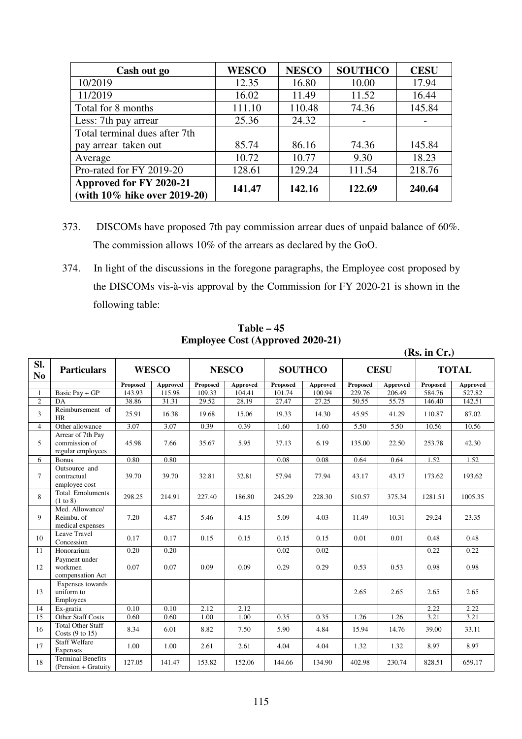| Cash out go                                             | <b>WESCO</b> | <b>NESCO</b> | <b>SOUTHCO</b> | <b>CESU</b> |
|---------------------------------------------------------|--------------|--------------|----------------|-------------|
| 10/2019                                                 | 12.35        | 16.80        | 10.00          | 17.94       |
| 11/2019                                                 | 16.02        | 11.49        | 11.52          | 16.44       |
| Total for 8 months                                      | 111.10       | 110.48       | 74.36          | 145.84      |
| Less: 7th pay arrear                                    | 25.36        | 24.32        |                |             |
| Total terminal dues after 7th                           |              |              |                |             |
| pay arrear taken out                                    | 85.74        | 86.16        | 74.36          | 145.84      |
| Average                                                 | 10.72        | 10.77        | 9.30           | 18.23       |
| Pro-rated for FY 2019-20                                | 128.61       | 129.24       | 111.54         | 218.76      |
| Approved for FY 2020-21<br>(with 10% hike over 2019-20) | 141.47       | 142.16       | 122.69         | 240.64      |

- 373. DISCOMs have proposed 7th pay commission arrear dues of unpaid balance of 60%. The commission allows 10% of the arrears as declared by the GoO.
- 374. In light of the discussions in the foregone paragraphs, the Employee cost proposed by the DISCOMs vis-à-vis approval by the Commission for FY 2020-21 is shown in the following table:

|                       |                                                         |          |                 |          |              |          |                |          |             | (Rs. in Cr.) |              |
|-----------------------|---------------------------------------------------------|----------|-----------------|----------|--------------|----------|----------------|----------|-------------|--------------|--------------|
| SI.<br>N <sub>0</sub> | <b>Particulars</b>                                      |          | <b>WESCO</b>    |          | <b>NESCO</b> |          | <b>SOUTHCO</b> |          | <b>CESU</b> |              | <b>TOTAL</b> |
|                       |                                                         | Proposed | <b>Approved</b> | Proposed | Approved     | Proposed | Approved       | Proposed | Approved    | Proposed     | Approved     |
|                       | Basic Pay + GP                                          | 143.93   | 115.98          | 109.33   | 104.41       | 101.74   | 100.94         | 229.76   | 206.49      | 584.76       | 527.82       |
| $\overline{2}$        | DA                                                      | 38.86    | 31.31           | 29.52    | 28.19        | 27.47    | 27.25          | 50.55    | 55.75       | 146.40       | 142.51       |
| $\overline{3}$        | Reimbursement of<br>HR                                  | 25.91    | 16.38           | 19.68    | 15.06        | 19.33    | 14.30          | 45.95    | 41.29       | 110.87       | 87.02        |
| $\overline{4}$        | Other allowance                                         | 3.07     | 3.07            | 0.39     | 0.39         | 1.60     | 1.60           | 5.50     | 5.50        | 10.56        | 10.56        |
| 5                     | Arrear of 7th Pay<br>commission of<br>regular employees | 45.98    | 7.66            | 35.67    | 5.95         | 37.13    | 6.19           | 135.00   | 22.50       | 253.78       | 42.30        |
| 6                     | <b>Bonus</b>                                            | 0.80     | 0.80            |          |              | 0.08     | 0.08           | 0.64     | 0.64        | 1.52         | 1.52         |
| $7\overline{ }$       | Outsource and<br>contractual<br>employee cost           | 39.70    | 39.70           | 32.81    | 32.81        | 57.94    | 77.94          | 43.17    | 43.17       | 173.62       | 193.62       |
| 8                     | <b>Total Emoluments</b><br>(1 to 8)                     | 298.25   | 214.91          | 227.40   | 186.80       | 245.29   | 228.30         | 510.57   | 375.34      | 1281.51      | 1005.35      |
| 9                     | Med. Allowance/<br>Reimbu. of<br>medical expenses       | 7.20     | 4.87            | 5.46     | 4.15         | 5.09     | 4.03           | 11.49    | 10.31       | 29.24        | 23.35        |
| 10                    | Leave Travel<br>Concession                              | 0.17     | 0.17            | 0.15     | 0.15         | 0.15     | 0.15           | 0.01     | 0.01        | 0.48         | 0.48         |
| 11                    | Honorarium                                              | 0.20     | 0.20            |          |              | 0.02     | 0.02           |          |             | 0.22         | 0.22         |
| 12                    | Payment under<br>workmen<br>compensation Act            | 0.07     | 0.07            | 0.09     | 0.09         | 0.29     | 0.29           | 0.53     | 0.53        | 0.98         | 0.98         |
| 13                    | Expenses towards<br>uniform to<br>Employees             |          |                 |          |              |          |                | 2.65     | 2.65        | 2.65         | 2.65         |
| 14                    | Ex-gratia                                               | 0.10     | 0.10            | 2.12     | 2.12         |          |                |          |             | 2.22         | 2.22         |
| 15                    | Other Staff Costs                                       | 0.60     | 0.60            | 1.00     | 1.00         | 0.35     | 0.35           | 1.26     | 1.26        | 3.21         | 3.21         |
| 16                    | Total Other Staff<br>Costs $(9 \text{ to } 15)$         | 8.34     | 6.01            | 8.82     | 7.50         | 5.90     | 4.84           | 15.94    | 14.76       | 39.00        | 33.11        |
| 17                    | <b>Staff Welfare</b><br>Expenses                        | 1.00     | 1.00            | 2.61     | 2.61         | 4.04     | 4.04           | 1.32     | 1.32        | 8.97         | 8.97         |
| 18                    | <b>Terminal Benefits</b><br>(Pension + Gratuity)        | 127.05   | 141.47          | 153.82   | 152.06       | 144.66   | 134.90         | 402.98   | 230.74      | 828.51       | 659.17       |

**Table – 45 Employee Cost (Approved 2020-21)**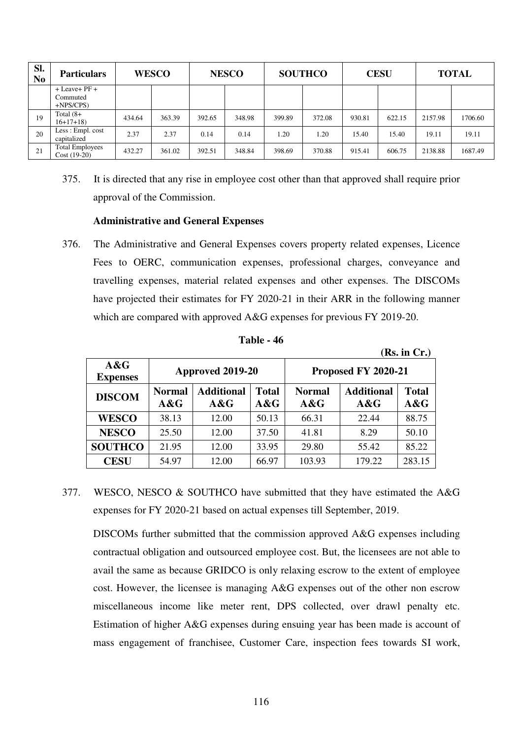| SI.<br>N <sub>0</sub> | <b>Particulars</b>                         | <b>WESCO</b> |        | <b>NESCO</b> |        | <b>SOUTHCO</b> |        | <b>CESU</b> |        | <b>TOTAL</b> |         |
|-----------------------|--------------------------------------------|--------------|--------|--------------|--------|----------------|--------|-------------|--------|--------------|---------|
|                       | $+$ Leave + PF +<br>Commuted<br>$+NPS/CPS$ |              |        |              |        |                |        |             |        |              |         |
| 19                    | Total (8+<br>$16+17+18$                    | 434.64       | 363.39 | 392.65       | 348.98 | 399.89         | 372.08 | 930.81      | 622.15 | 2157.98      | 1706.60 |
| 20                    | Less : Empl. cost<br>capitalized           | 2.37         | 2.37   | 0.14         | 0.14   | 1.20           | 1.20   | 15.40       | 15.40  | 19.11        | 19.11   |
| 21                    | <b>Total Employees</b><br>$Cost (19-20)$   | 432.27       | 361.02 | 392.51       | 348.84 | 398.69         | 370.88 | 915.41      | 606.75 | 2138.88      | 1687.49 |

375. It is directed that any rise in employee cost other than that approved shall require prior approval of the Commission.

#### **Administrative and General Expenses**

376. The Administrative and General Expenses covers property related expenses, Licence Fees to OERC, communication expenses, professional charges, conveyance and travelling expenses, material related expenses and other expenses. The DISCOMs have projected their estimates for FY 2020-21 in their ARR in the following manner which are compared with approved A&G expenses for previous FY 2019-20.

|                        |                      |                             |                     |                      |                          | (Rs. in Cr.)        |  |
|------------------------|----------------------|-----------------------------|---------------------|----------------------|--------------------------|---------------------|--|
| A&G<br><b>Expenses</b> |                      | Approved 2019-20            |                     | Proposed FY 2020-21  |                          |                     |  |
| <b>DISCOM</b>          | <b>Normal</b><br>A&G | <b>Additional</b><br>$A\&G$ | <b>Total</b><br>A&G | <b>Normal</b><br>A&G | <b>Additional</b><br>A&G | <b>Total</b><br>A&G |  |
| <b>WESCO</b>           | 38.13                | 12.00                       | 50.13               | 66.31                | 22.44                    | 88.75               |  |
| <b>NESCO</b>           | 25.50                | 12.00                       | 37.50               | 41.81                | 8.29                     | 50.10               |  |
| <b>SOUTHCO</b>         | 21.95                | 12.00                       | 33.95               | 29.80                | 55.42                    | 85.22               |  |
| <b>CESU</b>            | 54.97                | 12.00                       | 66.97               | 103.93               | 179.22                   | 283.15              |  |

**Table - 46** 

377. WESCO, NESCO & SOUTHCO have submitted that they have estimated the A&G expenses for FY 2020-21 based on actual expenses till September, 2019.

DISCOMs further submitted that the commission approved A&G expenses including contractual obligation and outsourced employee cost. But, the licensees are not able to avail the same as because GRIDCO is only relaxing escrow to the extent of employee cost. However, the licensee is managing A&G expenses out of the other non escrow miscellaneous income like meter rent, DPS collected, over drawl penalty etc. Estimation of higher A&G expenses during ensuing year has been made is account of mass engagement of franchisee, Customer Care, inspection fees towards SI work,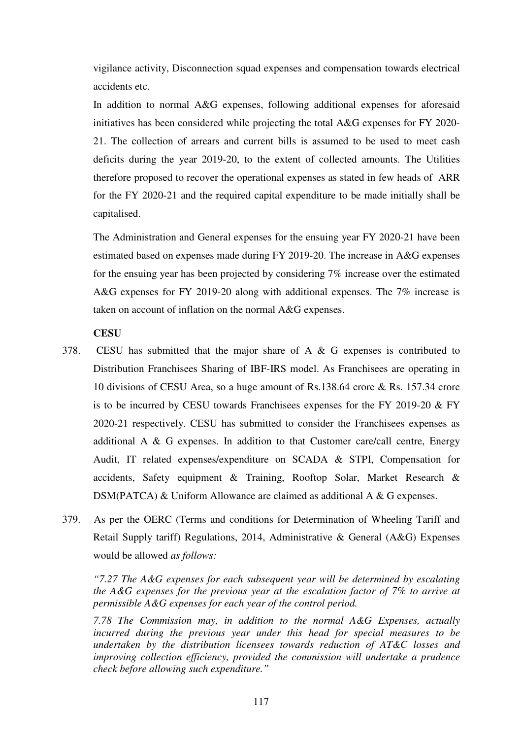vigilance activity, Disconnection squad expenses and compensation towards electrical accidents etc.

In addition to normal A&G expenses, following additional expenses for aforesaid initiatives has been considered while projecting the total A&G expenses for FY 2020- 21. The collection of arrears and current bills is assumed to be used to meet cash deficits during the year 2019-20, to the extent of collected amounts. The Utilities therefore proposed to recover the operational expenses as stated in few heads of ARR for the FY 2020-21 and the required capital expenditure to be made initially shall be capitalised.

The Administration and General expenses for the ensuing year FY 2020-21 have been estimated based on expenses made during FY 2019-20. The increase in A&G expenses for the ensuing year has been projected by considering 7% increase over the estimated A&G expenses for FY 2019-20 along with additional expenses. The 7% increase is taken on account of inflation on the normal A&G expenses.

## **CESU**

- 378. CESU has submitted that the major share of A & G expenses is contributed to Distribution Franchisees Sharing of IBF-IRS model. As Franchisees are operating in 10 divisions of CESU Area, so a huge amount of Rs.138.64 crore & Rs. 157.34 crore is to be incurred by CESU towards Franchisees expenses for the FY 2019-20 & FY 2020-21 respectively. CESU has submitted to consider the Franchisees expenses as additional A & G expenses. In addition to that Customer care/call centre, Energy Audit, IT related expenses/expenditure on SCADA & STPI, Compensation for accidents, Safety equipment & Training, Rooftop Solar, Market Research & DSM(PATCA) & Uniform Allowance are claimed as additional A & G expenses.
- 379. As per the OERC (Terms and conditions for Determination of Wheeling Tariff and Retail Supply tariff) Regulations, 2014, Administrative & General (A&G) Expenses would be allowed *as follows:*

*"7.27 The A&G expenses for each subsequent year will be determined by escalating the A&G expenses for the previous year at the escalation factor of 7% to arrive at permissible A&G expenses for each year of the control period.* 

*7.78 The Commission may, in addition to the normal A&G Expenses, actually incurred during the previous year under this head for special measures to be undertaken by the distribution licensees towards reduction of AT&C losses and improving collection efficiency, provided the commission will undertake a prudence check before allowing such expenditure."*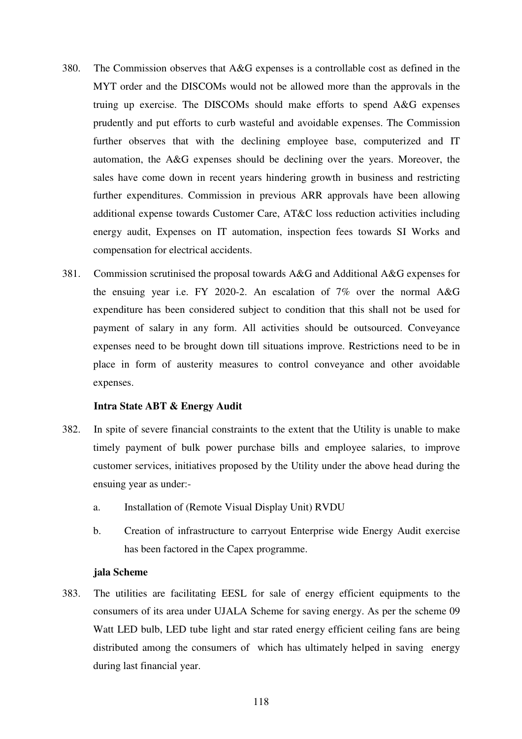- 380. The Commission observes that A&G expenses is a controllable cost as defined in the MYT order and the DISCOMs would not be allowed more than the approvals in the truing up exercise. The DISCOMs should make efforts to spend A&G expenses prudently and put efforts to curb wasteful and avoidable expenses. The Commission further observes that with the declining employee base, computerized and IT automation, the A&G expenses should be declining over the years. Moreover, the sales have come down in recent years hindering growth in business and restricting further expenditures. Commission in previous ARR approvals have been allowing additional expense towards Customer Care, AT&C loss reduction activities including energy audit, Expenses on IT automation, inspection fees towards SI Works and compensation for electrical accidents.
- 381. Commission scrutinised the proposal towards A&G and Additional A&G expenses for the ensuing year i.e. FY 2020-2. An escalation of 7% over the normal A&G expenditure has been considered subject to condition that this shall not be used for payment of salary in any form. All activities should be outsourced. Conveyance expenses need to be brought down till situations improve. Restrictions need to be in place in form of austerity measures to control conveyance and other avoidable expenses.

#### **Intra State ABT & Energy Audit**

- 382. In spite of severe financial constraints to the extent that the Utility is unable to make timely payment of bulk power purchase bills and employee salaries, to improve customer services, initiatives proposed by the Utility under the above head during the ensuing year as under:
	- a. Installation of (Remote Visual Display Unit) RVDU
	- b. Creation of infrastructure to carryout Enterprise wide Energy Audit exercise has been factored in the Capex programme.

#### **jala Scheme**

383. The utilities are facilitating EESL for sale of energy efficient equipments to the consumers of its area under UJALA Scheme for saving energy. As per the scheme 09 Watt LED bulb, LED tube light and star rated energy efficient ceiling fans are being distributed among the consumers of which has ultimately helped in saving energy during last financial year.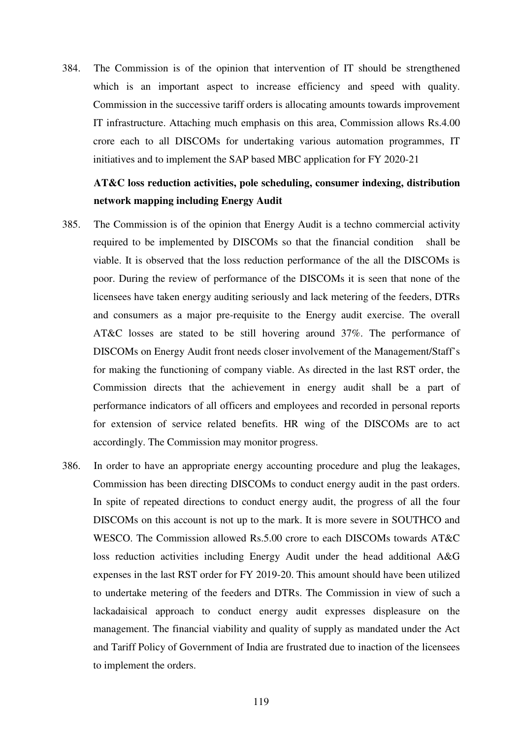384. The Commission is of the opinion that intervention of IT should be strengthened which is an important aspect to increase efficiency and speed with quality. Commission in the successive tariff orders is allocating amounts towards improvement IT infrastructure. Attaching much emphasis on this area, Commission allows Rs.4.00 crore each to all DISCOMs for undertaking various automation programmes, IT initiatives and to implement the SAP based MBC application for FY 2020-21

# **AT&C loss reduction activities, pole scheduling, consumer indexing, distribution network mapping including Energy Audit**

- 385. The Commission is of the opinion that Energy Audit is a techno commercial activity required to be implemented by DISCOMs so that the financial condition shall be viable. It is observed that the loss reduction performance of the all the DISCOMs is poor. During the review of performance of the DISCOMs it is seen that none of the licensees have taken energy auditing seriously and lack metering of the feeders, DTRs and consumers as a major pre-requisite to the Energy audit exercise. The overall AT&C losses are stated to be still hovering around 37%. The performance of DISCOMs on Energy Audit front needs closer involvement of the Management/Staff's for making the functioning of company viable. As directed in the last RST order, the Commission directs that the achievement in energy audit shall be a part of performance indicators of all officers and employees and recorded in personal reports for extension of service related benefits. HR wing of the DISCOMs are to act accordingly. The Commission may monitor progress.
- 386. In order to have an appropriate energy accounting procedure and plug the leakages, Commission has been directing DISCOMs to conduct energy audit in the past orders. In spite of repeated directions to conduct energy audit, the progress of all the four DISCOMs on this account is not up to the mark. It is more severe in SOUTHCO and WESCO. The Commission allowed Rs.5.00 crore to each DISCOMs towards AT&C loss reduction activities including Energy Audit under the head additional A&G expenses in the last RST order for FY 2019-20. This amount should have been utilized to undertake metering of the feeders and DTRs. The Commission in view of such a lackadaisical approach to conduct energy audit expresses displeasure on the management. The financial viability and quality of supply as mandated under the Act and Tariff Policy of Government of India are frustrated due to inaction of the licensees to implement the orders.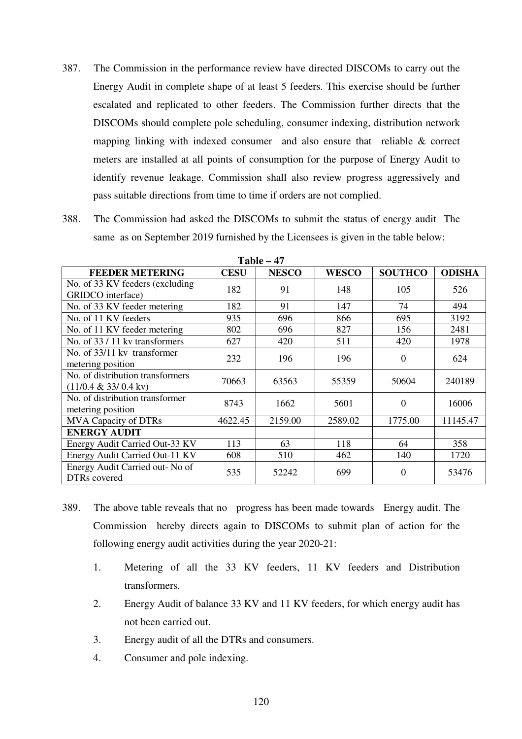- 387. The Commission in the performance review have directed DISCOMs to carry out the Energy Audit in complete shape of at least 5 feeders. This exercise should be further escalated and replicated to other feeders. The Commission further directs that the DISCOMs should complete pole scheduling, consumer indexing, distribution network mapping linking with indexed consumer and also ensure that reliable & correct meters are installed at all points of consumption for the purpose of Energy Audit to identify revenue leakage. Commission shall also review progress aggressively and pass suitable directions from time to time if orders are not complied.
- 388. The Commission had asked the DISCOMs to submit the status of energy audit The same as on September 2019 furnished by the Licensees is given in the table below:

| <b>FEEDER METERING</b>                                              | <b>CESU</b> | <b>NESCO</b> | <b>WESCO</b> | <b>SOUTHCO</b> | <b>ODISHA</b> |
|---------------------------------------------------------------------|-------------|--------------|--------------|----------------|---------------|
| No. of 33 KV feeders (excluding<br>GRIDCO interface)                | 182         | 91           | 148          | 105            | 526           |
| No. of 33 KV feeder metering                                        | 182         | 91           | 147          | 74             | 494           |
| No. of 11 KV feeders                                                | 935         | 696          | 866          | 695            | 3192          |
| No. of 11 KV feeder metering                                        | 802         | 696          | 827          | 156            | 2481          |
| No. of 33 / 11 kv transformers                                      | 627         | 420          | 511          | 420            | 1978          |
| No. of 33/11 kv transformer<br>metering position                    | 232         | 196          | 196          | 0              | 624           |
| No. of distribution transformers<br>$(11/0.4 \& 33/0.4 \text{ kv})$ | 70663       | 63563        | 55359        | 50604          | 240189        |
| No. of distribution transformer<br>metering position                | 8743        | 1662         | 5601         | $\Omega$       | 16006         |
| <b>MVA Capacity of DTRs</b>                                         | 4622.45     | 2159.00      | 2589.02      | 1775.00        | 11145.47      |
| <b>ENERGY AUDIT</b>                                                 |             |              |              |                |               |
| Energy Audit Carried Out-33 KV                                      | 113         | 63           | 118          | 64             | 358           |
| Energy Audit Carried Out-11 KV                                      | 608         | 510          | 462          | 140            | 1720          |
| Energy Audit Carried out- No of<br>DTRs covered                     | 535         | 52242        | 699          | $\theta$       | 53476         |

**Table – 47** 

- 389. The above table reveals that no progress has been made towards Energy audit. The Commission hereby directs again to DISCOMs to submit plan of action for the following energy audit activities during the year 2020-21:
	- 1. Metering of all the 33 KV feeders, 11 KV feeders and Distribution transformers.
	- 2. Energy Audit of balance 33 KV and 11 KV feeders, for which energy audit has not been carried out.
	- 3. Energy audit of all the DTRs and consumers.
	- 4. Consumer and pole indexing.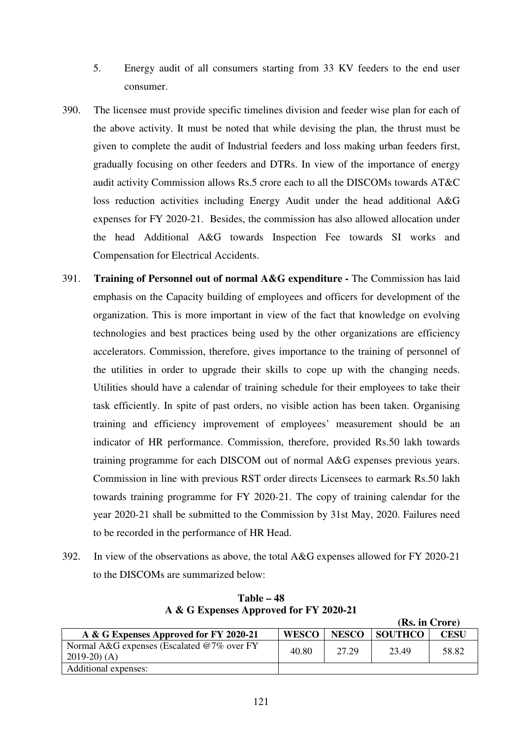- 5. Energy audit of all consumers starting from 33 KV feeders to the end user consumer.
- 390. The licensee must provide specific timelines division and feeder wise plan for each of the above activity. It must be noted that while devising the plan, the thrust must be given to complete the audit of Industrial feeders and loss making urban feeders first, gradually focusing on other feeders and DTRs. In view of the importance of energy audit activity Commission allows Rs.5 crore each to all the DISCOMs towards AT&C loss reduction activities including Energy Audit under the head additional A&G expenses for FY 2020-21. Besides, the commission has also allowed allocation under the head Additional A&G towards Inspection Fee towards SI works and Compensation for Electrical Accidents.
- 391. **Training of Personnel out of normal A&G expenditure** The Commission has laid emphasis on the Capacity building of employees and officers for development of the organization. This is more important in view of the fact that knowledge on evolving technologies and best practices being used by the other organizations are efficiency accelerators. Commission, therefore, gives importance to the training of personnel of the utilities in order to upgrade their skills to cope up with the changing needs. Utilities should have a calendar of training schedule for their employees to take their task efficiently. In spite of past orders, no visible action has been taken. Organising training and efficiency improvement of employees' measurement should be an indicator of HR performance. Commission, therefore, provided Rs.50 lakh towards training programme for each DISCOM out of normal A&G expenses previous years. Commission in line with previous RST order directs Licensees to earmark Rs.50 lakh towards training programme for FY 2020-21. The copy of training calendar for the year 2020-21 shall be submitted to the Commission by 31st May, 2020. Failures need to be recorded in the performance of HR Head.
- 392. In view of the observations as above, the total A&G expenses allowed for FY 2020-21 to the DISCOMs are summarized below:

|                                                             |              |              | (IS), III UTULE) |       |
|-------------------------------------------------------------|--------------|--------------|------------------|-------|
| A & G Expenses Approved for FY 2020-21                      | <b>WESCO</b> | <b>NESCO</b> | <b>SOUTHCO</b>   | CESU  |
| Normal A&G expenses (Escalated @7% over FY<br>$2019-20$ (A) | 40.80        | 27.29        | 23.49            | 58.82 |
| Additional expenses:                                        |              |              |                  |       |

 $(2.1)$ 

**Table – 48 A & G Expenses Approved for FY 2020-21**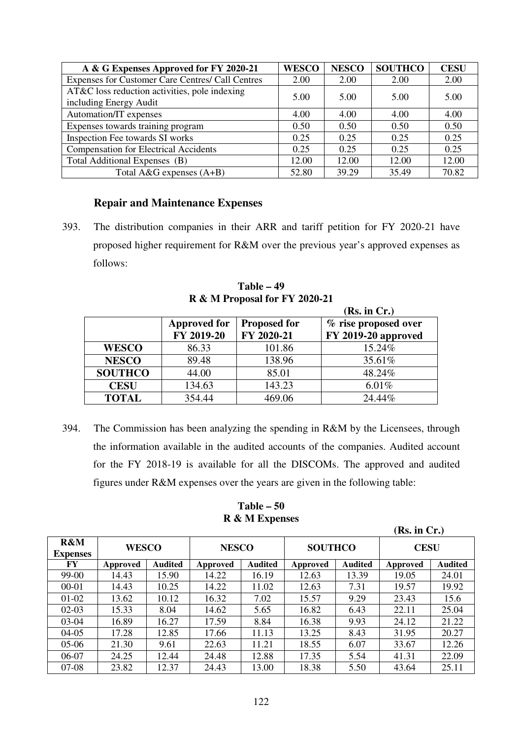| A & G Expenses Approved for FY 2020-21           | <b>WESCO</b> | <b>NESCO</b> | <b>SOUTHCO</b> | <b>CESU</b> |
|--------------------------------------------------|--------------|--------------|----------------|-------------|
| Expenses for Customer Care Centres/ Call Centres | 2.00         | 2.00         | 2.00           | 2.00        |
| AT&C loss reduction activities, pole indexing    | 5.00         | 5.00         | 5.00           | 5.00        |
| including Energy Audit                           |              |              |                |             |
| Automation/IT expenses                           | 4.00         | 4.00         | 4.00           | 4.00        |
| Expenses towards training program                | 0.50         | 0.50         | 0.50           | 0.50        |
| Inspection Fee towards SI works                  | 0.25         | 0.25         | 0.25           | 0.25        |
| <b>Compensation for Electrical Accidents</b>     | 0.25         | 0.25         | 0.25           | 0.25        |
| Total Additional Expenses (B)                    | 12.00        | 12.00        | 12.00          | 12.00       |
| Total $A\&G$ expenses $(A+B)$                    | 52.80        | 39.29        | 35.49          | 70.82       |

## **Repair and Maintenance Expenses**

393. The distribution companies in their ARR and tariff petition for FY 2020-21 have proposed higher requirement for R&M over the previous year's approved expenses as follows:

**Table – 49 R & M Proposal for FY 2020-21** 

|                |                                   |                                   | (Rs. in Cr.)                                |
|----------------|-----------------------------------|-----------------------------------|---------------------------------------------|
|                | <b>Approved for</b><br>FY 2019-20 | <b>Proposed for</b><br>FY 2020-21 | % rise proposed over<br>FY 2019-20 approved |
| <b>WESCO</b>   | 86.33                             | 101.86                            | 15.24%                                      |
| <b>NESCO</b>   | 89.48                             | 138.96                            | 35.61%                                      |
| <b>SOUTHCO</b> | 44.00                             | 85.01                             | 48.24%                                      |
| <b>CESU</b>    | 134.63                            | 143.23                            | 6.01%                                       |
| <b>TOTAL</b>   | 354.44                            | 469.06                            | 24.44%                                      |

394. The Commission has been analyzing the spending in R&M by the Licensees, through the information available in the audited accounts of the companies. Audited account for the FY 2018-19 is available for all the DISCOMs. The approved and audited figures under R&M expenses over the years are given in the following table:

**Table – 50 R & M Expenses** 

|                        |                            |       |          |                |          |                | (Rs. in Cr.) |                |
|------------------------|----------------------------|-------|----------|----------------|----------|----------------|--------------|----------------|
| R&M<br><b>Expenses</b> | <b>WESCO</b>               |       |          | <b>NESCO</b>   |          | <b>SOUTHCO</b> | <b>CESU</b>  |                |
| FY                     | <b>Audited</b><br>Approved |       | Approved | <b>Audited</b> | Approved | <b>Audited</b> | Approved     | <b>Audited</b> |
| 99-00                  | 14.43                      | 15.90 | 14.22    | 16.19          | 12.63    | 13.39          | 19.05        | 24.01          |
| 00-01                  | 14.43                      | 10.25 | 14.22    | 11.02          | 12.63    | 7.31           | 19.57        | 19.92          |
| $01-02$                | 13.62                      | 10.12 | 16.32    | 7.02           | 15.57    | 9.29           | 23.43        | 15.6           |
| $02-03$                | 15.33                      | 8.04  | 14.62    | 5.65           | 16.82    | 6.43           | 22.11        | 25.04          |
| $03-04$                | 16.89                      | 16.27 | 17.59    | 8.84           | 16.38    | 9.93           | 24.12        | 21.22          |
| $04-05$                | 17.28                      | 12.85 | 17.66    | 11.13          | 13.25    | 8.43           | 31.95        | 20.27          |
| $05-06$                | 21.30                      | 9.61  | 22.63    | 11.21          | 18.55    | 6.07           | 33.67        | 12.26          |
| 06-07                  | 24.25                      | 12.44 | 24.48    | 12.88          | 17.35    | 5.54           | 41.31        | 22.09          |
| $07-08$                | 23.82                      | 12.37 | 24.43    | 13.00          | 18.38    | 5.50           | 43.64        | 25.11          |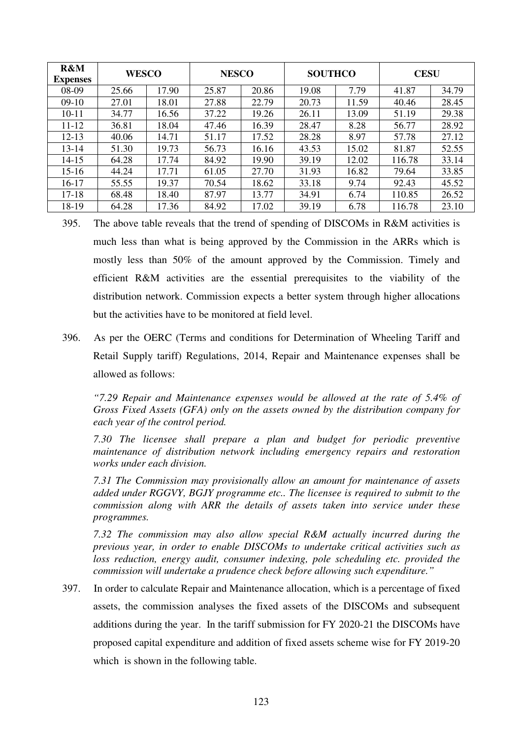| R&M<br><b>Expenses</b> | <b>WESCO</b> |       | <b>NESCO</b> |       | <b>SOUTHCO</b> |       | <b>CESU</b> |       |
|------------------------|--------------|-------|--------------|-------|----------------|-------|-------------|-------|
| 08-09                  | 25.66        | 17.90 | 25.87        | 20.86 | 19.08          | 7.79  | 41.87       | 34.79 |
| $09-10$                | 27.01        | 18.01 | 27.88        | 22.79 | 20.73          | 11.59 | 40.46       | 28.45 |
| $10 - 11$              | 34.77        | 16.56 | 37.22        | 19.26 | 26.11          | 13.09 | 51.19       | 29.38 |
| $11 - 12$              | 36.81        | 18.04 | 47.46        | 16.39 | 28.47          | 8.28  | 56.77       | 28.92 |
| $12 - 13$              | 40.06        | 14.71 | 51.17        | 17.52 | 28.28          | 8.97  | 57.78       | 27.12 |
| $13 - 14$              | 51.30        | 19.73 | 56.73        | 16.16 | 43.53          | 15.02 | 81.87       | 52.55 |
| $14 - 15$              | 64.28        | 17.74 | 84.92        | 19.90 | 39.19          | 12.02 | 116.78      | 33.14 |
| $15 - 16$              | 44.24        | 17.71 | 61.05        | 27.70 | 31.93          | 16.82 | 79.64       | 33.85 |
| $16-17$                | 55.55        | 19.37 | 70.54        | 18.62 | 33.18          | 9.74  | 92.43       | 45.52 |
| $17 - 18$              | 68.48        | 18.40 | 87.97        | 13.77 | 34.91          | 6.74  | 110.85      | 26.52 |
| 18-19                  | 64.28        | 17.36 | 84.92        | 17.02 | 39.19          | 6.78  | 116.78      | 23.10 |

- 395. The above table reveals that the trend of spending of DISCOMs in R&M activities is much less than what is being approved by the Commission in the ARRs which is mostly less than 50% of the amount approved by the Commission. Timely and efficient R&M activities are the essential prerequisites to the viability of the distribution network. Commission expects a better system through higher allocations but the activities have to be monitored at field level.
- 396. As per the OERC (Terms and conditions for Determination of Wheeling Tariff and Retail Supply tariff) Regulations, 2014, Repair and Maintenance expenses shall be allowed as follows:

*"7.29 Repair and Maintenance expenses would be allowed at the rate of 5.4% of Gross Fixed Assets (GFA) only on the assets owned by the distribution company for each year of the control period.* 

*7.30 The licensee shall prepare a plan and budget for periodic preventive maintenance of distribution network including emergency repairs and restoration works under each division.* 

*7.31 The Commission may provisionally allow an amount for maintenance of assets added under RGGVY, BGJY programme etc.. The licensee is required to submit to the commission along with ARR the details of assets taken into service under these programmes.* 

*7.32 The commission may also allow special R&M actually incurred during the previous year, in order to enable DISCOMs to undertake critical activities such as loss reduction, energy audit, consumer indexing, pole scheduling etc. provided the commission will undertake a prudence check before allowing such expenditure."* 

397. In order to calculate Repair and Maintenance allocation, which is a percentage of fixed assets, the commission analyses the fixed assets of the DISCOMs and subsequent additions during the year. In the tariff submission for FY 2020-21 the DISCOMs have proposed capital expenditure and addition of fixed assets scheme wise for FY 2019-20 which is shown in the following table.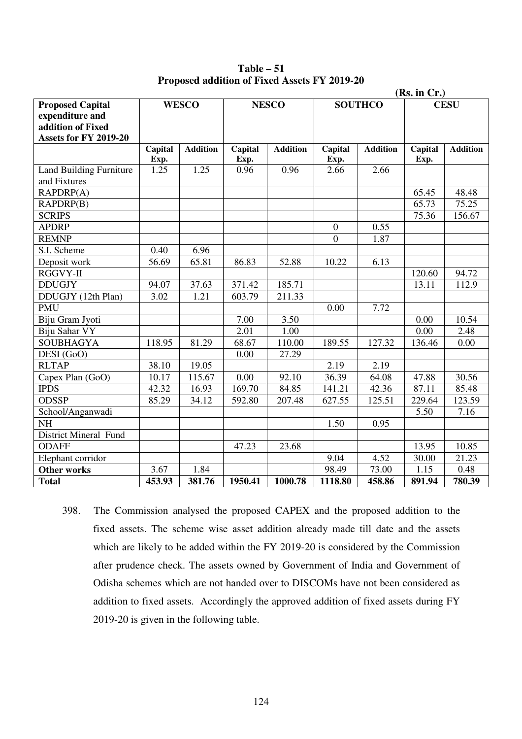**Table – 51 Proposed addition of Fixed Assets FY 2019-20**

| (Rs. in Cr.)                   |         |                 |         |                 |                  |                 |         |                 |
|--------------------------------|---------|-----------------|---------|-----------------|------------------|-----------------|---------|-----------------|
| <b>Proposed Capital</b>        |         | <b>WESCO</b>    |         | <b>NESCO</b>    |                  | <b>SOUTHCO</b>  |         | <b>CESU</b>     |
| expenditure and                |         |                 |         |                 |                  |                 |         |                 |
| addition of Fixed              |         |                 |         |                 |                  |                 |         |                 |
| Assets for FY 2019-20          |         |                 |         |                 |                  |                 |         |                 |
|                                | Capital | <b>Addition</b> | Capital | <b>Addition</b> | Capital          | <b>Addition</b> | Capital | <b>Addition</b> |
|                                | Exp.    |                 | Exp.    |                 | Exp.             |                 | Exp.    |                 |
| <b>Land Building Furniture</b> | 1.25    | 1.25            | 0.96    | 0.96            | 2.66             | 2.66            |         |                 |
| and Fixtures                   |         |                 |         |                 |                  |                 |         |                 |
| RAPDRP(A)                      |         |                 |         |                 |                  |                 | 65.45   | 48.48           |
| RAPDRP(B)                      |         |                 |         |                 |                  |                 | 65.73   | 75.25           |
| <b>SCRIPS</b>                  |         |                 |         |                 |                  |                 | 75.36   | 156.67          |
| <b>APDRP</b>                   |         |                 |         |                 | $\boldsymbol{0}$ | 0.55            |         |                 |
| <b>REMNP</b>                   |         |                 |         |                 | $\boldsymbol{0}$ | 1.87            |         |                 |
| S.I. Scheme                    | 0.40    | 6.96            |         |                 |                  |                 |         |                 |
| Deposit work                   | 56.69   | 65.81           | 86.83   | 52.88           | 10.22            | 6.13            |         |                 |
| RGGVY-II                       |         |                 |         |                 |                  |                 | 120.60  | 94.72           |
| <b>DDUGJY</b>                  | 94.07   | 37.63           | 371.42  | 185.71          |                  |                 | 13.11   | 112.9           |
| DDUGJY (12th Plan)             | 3.02    | 1.21            | 603.79  | 211.33          |                  |                 |         |                 |
| <b>PMU</b>                     |         |                 |         |                 | 0.00             | 7.72            |         |                 |
| Biju Gram Jyoti                |         |                 | 7.00    | 3.50            |                  |                 | 0.00    | 10.54           |
| Biju Sahar VY                  |         |                 | 2.01    | 1.00            |                  |                 | 0.00    | 2.48            |
| <b>SOUBHAGYA</b>               | 118.95  | 81.29           | 68.67   | 110.00          | 189.55           | 127.32          | 136.46  | 0.00            |
| DESI (GoO)                     |         |                 | 0.00    | 27.29           |                  |                 |         |                 |
| <b>RLTAP</b>                   | 38.10   | 19.05           |         |                 | 2.19             | 2.19            |         |                 |
| Capex Plan (GoO)               | 10.17   | 115.67          | 0.00    | 92.10           | 36.39            | 64.08           | 47.88   | 30.56           |
| <b>IPDS</b>                    | 42.32   | 16.93           | 169.70  | 84.85           | 141.21           | 42.36           | 87.11   | 85.48           |
| <b>ODSSP</b>                   | 85.29   | 34.12           | 592.80  | 207.48          | 627.55           | 125.51          | 229.64  | 123.59          |
| School/Anganwadi               |         |                 |         |                 |                  |                 | 5.50    | 7.16            |
| <b>NH</b>                      |         |                 |         |                 | 1.50             | 0.95            |         |                 |
| <b>District Mineral Fund</b>   |         |                 |         |                 |                  |                 |         |                 |
| <b>ODAFF</b>                   |         |                 | 47.23   | 23.68           |                  |                 | 13.95   | 10.85           |
| Elephant corridor              |         |                 |         |                 | 9.04             | 4.52            | 30.00   | 21.23           |
| <b>Other works</b>             | 3.67    | 1.84            |         |                 | 98.49            | 73.00           | 1.15    | 0.48            |
| <b>Total</b>                   | 453.93  | 381.76          | 1950.41 | 1000.78         | 1118.80          | 458.86          | 891.94  | 780.39          |
|                                |         |                 |         |                 |                  |                 |         |                 |

<sup>398.</sup> The Commission analysed the proposed CAPEX and the proposed addition to the fixed assets. The scheme wise asset addition already made till date and the assets which are likely to be added within the FY 2019-20 is considered by the Commission after prudence check. The assets owned by Government of India and Government of Odisha schemes which are not handed over to DISCOMs have not been considered as addition to fixed assets. Accordingly the approved addition of fixed assets during FY 2019-20 is given in the following table.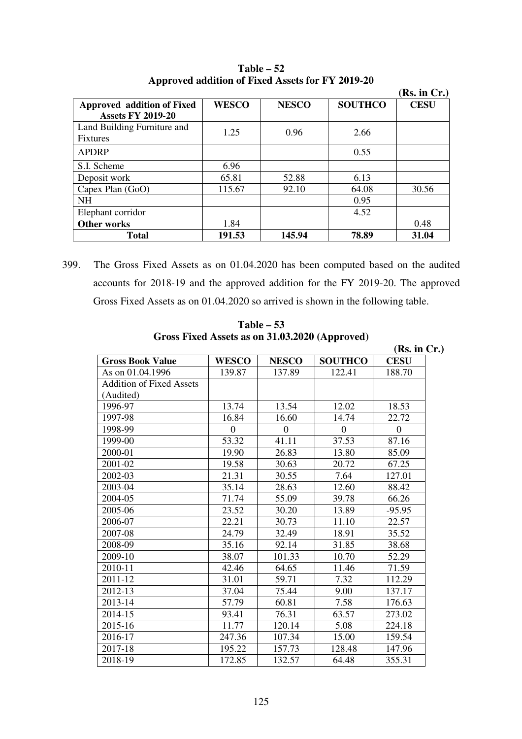|                             |              |              |                | (Rs. in Cr.) |
|-----------------------------|--------------|--------------|----------------|--------------|
| Approved addition of Fixed  | <b>WESCO</b> | <b>NESCO</b> | <b>SOUTHCO</b> | <b>CESU</b>  |
| <b>Assets FY 2019-20</b>    |              |              |                |              |
| Land Building Furniture and | 1.25         | 0.96         | 2.66           |              |
| <b>Fixtures</b>             |              |              |                |              |
| <b>APDRP</b>                |              |              | 0.55           |              |
| S.I. Scheme                 | 6.96         |              |                |              |
| Deposit work                | 65.81        | 52.88        | 6.13           |              |
| Capex Plan $(GoO)$          | 115.67       | 92.10        | 64.08          | 30.56        |
| <b>NH</b>                   |              |              | 0.95           |              |
| Elephant corridor           |              |              | 4.52           |              |
| <b>Other works</b>          | 1.84         |              |                | 0.48         |
| <b>Total</b>                | 191.53       | 145.94       | 78.89          | 31.04        |

**Table – 52 Approved addition of Fixed Assets for FY 2019-20**

399. The Gross Fixed Assets as on 01.04.2020 has been computed based on the audited accounts for 2018-19 and the approved addition for the FY 2019-20. The approved Gross Fixed Assets as on 01.04.2020 so arrived is shown in the following table.

|                                 |              |                | GLUSS FIXEU ASSELS AS UN 31.03.2020 (Apployeu) | (Rs. in Cr.) |
|---------------------------------|--------------|----------------|------------------------------------------------|--------------|
| <b>Gross Book Value</b>         | <b>WESCO</b> | <b>NESCO</b>   | <b>SOUTHCO</b>                                 | <b>CESU</b>  |
| As on 01.04.1996                | 139.87       | 137.89         | 122.41                                         | 188.70       |
| <b>Addition of Fixed Assets</b> |              |                |                                                |              |
| (Audited)                       |              |                |                                                |              |
| 1996-97                         | 13.74        | 13.54          | 12.02                                          | 18.53        |
| 1997-98                         | 16.84        | 16.60          | 14.74                                          | 22.72        |
| 1998-99                         | $\theta$     | $\overline{0}$ | $\Omega$                                       | $\theta$     |
| 1999-00                         | 53.32        | 41.11          | 37.53                                          | 87.16        |
| 2000-01                         | 19.90        | 26.83          | 13.80                                          | 85.09        |
| 2001-02                         | 19.58        | 30.63          | 20.72                                          | 67.25        |
| 2002-03                         | 21.31        | 30.55          | 7.64                                           | 127.01       |
| 2003-04                         | 35.14        | 28.63          | 12.60                                          | 88.42        |
| 2004-05                         | 71.74        | 55.09          | 39.78                                          | 66.26        |
| 2005-06                         | 23.52        | 30.20          | 13.89                                          | $-95.95$     |
| 2006-07                         | 22.21        | 30.73          | 11.10                                          | 22.57        |
| 2007-08                         | 24.79        | 32.49          | 18.91                                          | 35.52        |
| 2008-09                         | 35.16        | 92.14          | 31.85                                          | 38.68        |
| 2009-10                         | 38.07        | 101.33         | 10.70                                          | 52.29        |
| 2010-11                         | 42.46        | 64.65          | 11.46                                          | 71.59        |
| 2011-12                         | 31.01        | 59.71          | 7.32                                           | 112.29       |
| 2012-13                         | 37.04        | 75.44          | 9.00                                           | 137.17       |
| 2013-14                         | 57.79        | 60.81          | 7.58                                           | 176.63       |
| 2014-15                         | 93.41        | 76.31          | 63.57                                          | 273.02       |
| 2015-16                         | 11.77        | 120.14         | 5.08                                           | 224.18       |
| 2016-17                         | 247.36       | 107.34         | 15.00                                          | 159.54       |
| 2017-18                         | 195.22       | 157.73         | 128.48                                         | 147.96       |
| 2018-19                         | 172.85       | 132.57         | 64.48                                          | 355.31       |

**Table – 53 Gross Fixed Assets as on 31.03.2020 (Approved)**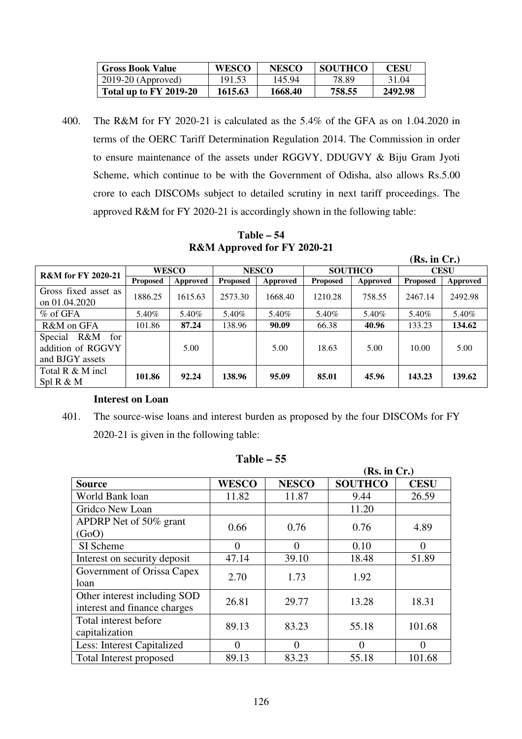| <b>Gross Book Value</b> | <b>WESCO</b> | <b>NESCO</b> | <b>SOUTHCO</b> | CESU    |
|-------------------------|--------------|--------------|----------------|---------|
| $2019-20$ (Approved)    | 191.53       | 145.94       | 78.89          | 31.04   |
| Total up to FY 2019-20  | 1615.63      | 1668.40      | 758.55         | 2492.98 |

400. The R&M for FY 2020-21 is calculated as the 5.4% of the GFA as on 1.04.2020 in terms of the OERC Tariff Determination Regulation 2014. The Commission in order to ensure maintenance of the assets under RGGVY, DDUGVY & Biju Gram Jyoti Scheme, which continue to be with the Government of Odisha, also allows Rs.5.00 crore to each DISCOMs subject to detailed scrutiny in next tariff proceedings. The approved R&M for FY 2020-21 is accordingly shown in the following table:

**Table – 54 R&M Approved for FY 2020-21** 

|                                                               |                 |              | . .             |                                |                 |          | (Rs. in Cr.)    |             |
|---------------------------------------------------------------|-----------------|--------------|-----------------|--------------------------------|-----------------|----------|-----------------|-------------|
| <b>R&amp;M</b> for FY 2020-21                                 |                 | <b>WESCO</b> |                 | <b>SOUTHCO</b><br><b>NESCO</b> |                 |          |                 | <b>CESU</b> |
|                                                               | <b>Proposed</b> | Approved     | <b>Proposed</b> | Approved                       | <b>Proposed</b> | Approved | <b>Proposed</b> | Approved    |
| Gross fixed asset as<br>on 01.04.2020                         | 1886.25         | 1615.63      | 2573.30         | 1668.40                        | 1210.28         | 758.55   | 2467.14         | 2492.98     |
| $%$ of GFA                                                    | 5.40%           | 5.40%        | 5.40%           | 5.40%                          | 5.40%           | 5.40%    | 5.40%           | 5.40%       |
| R&M on GFA                                                    | 101.86          | 87.24        | 138.96          | 90.09                          | 66.38           | 40.96    | 133.23          | 134.62      |
| R&M<br>Special<br>for<br>addition of RGGVY<br>and BJGY assets |                 | 5.00         |                 | 5.00                           | 18.63           | 5.00     | 10.00           | 5.00        |
| Total R & M incl<br>Spl R & M                                 | 101.86          | 92.24        | 138.96          | 95.09                          | 85.01           | 45.96    | 143.23          | 139.62      |

#### **Interest on Loan**

401. The source-wise loans and interest burden as proposed by the four DISCOMs for FY 2020-21 is given in the following table:

|                              |                |                | (Rs. in Cr.)   |             |
|------------------------------|----------------|----------------|----------------|-------------|
| <b>Source</b>                | <b>WESCO</b>   | <b>NESCO</b>   | <b>SOUTHCO</b> | <b>CESU</b> |
| World Bank loan              | 11.82          | 11.87          | 9.44           | 26.59       |
| Gridco New Loan              |                |                | 11.20          |             |
| APDRP Net of 50% grant       | 0.66           | 0.76           | 0.76           | 4.89        |
| (GoO)                        |                |                |                |             |
| SI Scheme                    | $\overline{0}$ | $\overline{0}$ | 0.10           | 0           |
| Interest on security deposit | 47.14          | 39.10          | 18.48          | 51.89       |
| Government of Orissa Capex   | 2.70           | 1.73           | 1.92           |             |
| loan                         |                |                |                |             |
| Other interest including SOD | 26.81          | 29.77          | 13.28          | 18.31       |
| interest and finance charges |                |                |                |             |
| Total interest before        | 89.13          | 83.23          | 55.18          | 101.68      |
| capitalization               |                |                |                |             |
| Less: Interest Capitalized   | $\Omega$       | $\overline{0}$ | 0              | 0           |
| Total Interest proposed      | 89.13          | 83.23          | 55.18          | 101.68      |

| Table – | -55 |
|---------|-----|
|---------|-----|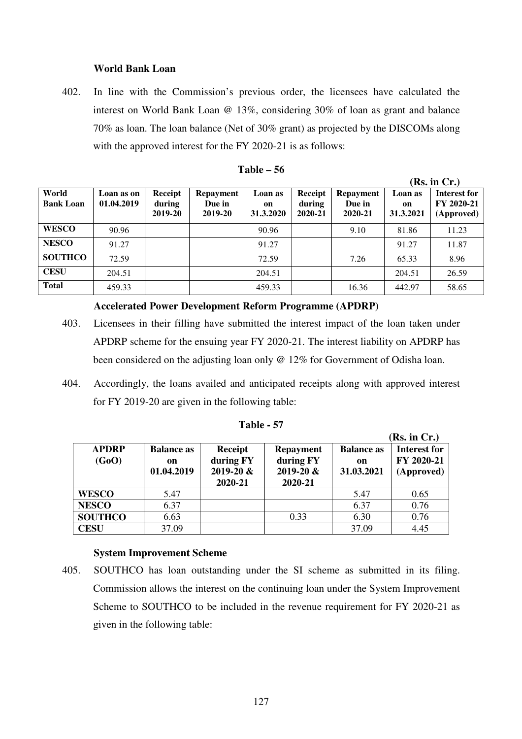## **World Bank Loan**

402. In line with the Commission's previous order, the licensees have calculated the interest on World Bank Loan @ 13%, considering 30% of loan as grant and balance 70% as loan. The loan balance (Net of 30% grant) as projected by the DISCOMs along with the approved interest for the FY 2020-21 is as follows:

|                           |                          |                              |                                       |                            |                              |                                       |                            | (Rs. in Cr.)                             |
|---------------------------|--------------------------|------------------------------|---------------------------------------|----------------------------|------------------------------|---------------------------------------|----------------------------|------------------------------------------|
| World<br><b>Bank Loan</b> | Loan as on<br>01.04.2019 | Receipt<br>during<br>2019-20 | <b>Repayment</b><br>Due in<br>2019-20 | Loan as<br>on<br>31.3.2020 | Receipt<br>during<br>2020-21 | <b>Repayment</b><br>Due in<br>2020-21 | Loan as<br>on<br>31.3.2021 | Interest for<br>FY 2020-21<br>(Approved) |
| <b>WESCO</b>              | 90.96                    |                              |                                       | 90.96                      |                              | 9.10                                  | 81.86                      | 11.23                                    |
| <b>NESCO</b>              | 91.27                    |                              |                                       | 91.27                      |                              |                                       | 91.27                      | 11.87                                    |
| <b>SOUTHCO</b>            | 72.59                    |                              |                                       | 72.59                      |                              | 7.26                                  | 65.33                      | 8.96                                     |
| <b>CESU</b>               | 204.51                   |                              |                                       | 204.51                     |                              |                                       | 204.51                     | 26.59                                    |
| <b>Total</b>              | 459.33                   |                              |                                       | 459.33                     |                              | 16.36                                 | 442.97                     | 58.65                                    |

## **Table – 56**

#### **Accelerated Power Development Reform Programme (APDRP)**

- 403. Licensees in their filling have submitted the interest impact of the loan taken under APDRP scheme for the ensuing year FY 2020-21. The interest liability on APDRP has been considered on the adjusting loan only @ 12% for Government of Odisha loan.
- 404. Accordingly, the loans availed and anticipated receipts along with approved interest for FY 2019-20 are given in the following table:

|                |                   |               |                  |                   | (Rs. in Cr.)        |
|----------------|-------------------|---------------|------------------|-------------------|---------------------|
| <b>APDRP</b>   | <b>Balance as</b> | Receipt       | <b>Repayment</b> | <b>Balance as</b> | <b>Interest for</b> |
| (GoO)          | on                | during FY     | during FY        | on                | FY 2020-21          |
|                | 01.04.2019        | $2019 - 20$ & | $2019 - 20 \&$   | 31.03.2021        | (Approved)          |
|                |                   | 2020-21       | 2020-21          |                   |                     |
| <b>WESCO</b>   | 5.47              |               |                  | 5.47              | 0.65                |
| <b>NESCO</b>   | 6.37              |               |                  | 6.37              | 0.76                |
| <b>SOUTHCO</b> | 6.63              |               | 0.33             | 6.30              | 0.76                |
| <b>CESU</b>    | 37.09             |               |                  | 37.09             | 4.45                |

#### **Table - 57**

## **System Improvement Scheme**

405. SOUTHCO has loan outstanding under the SI scheme as submitted in its filing. Commission allows the interest on the continuing loan under the System Improvement Scheme to SOUTHCO to be included in the revenue requirement for FY 2020-21 as given in the following table: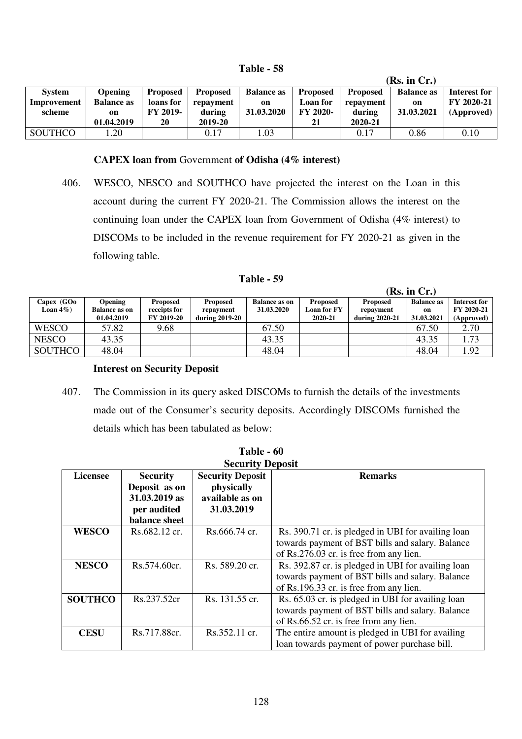| <b>Table</b> | 58 |
|--------------|----|
|--------------|----|

|                |                   |                 |                 |                   |                 |                 | (Rs. in Cr.)      |              |
|----------------|-------------------|-----------------|-----------------|-------------------|-----------------|-----------------|-------------------|--------------|
| <b>System</b>  | <b>Opening</b>    | <b>Proposed</b> | <b>Proposed</b> | <b>Balance as</b> | <b>Proposed</b> | <b>Proposed</b> | <b>Balance as</b> | Interest for |
| Improvement    | <b>Balance as</b> | loans for       | repayment       | on                | Loan for        | repayment       | on                | FY 2020-21   |
| scheme         | on                | <b>FY 2019-</b> | during          | 31.03.2020        | FY 2020-        | during          | 31.03.2021        | (Approved)   |
|                | 01.04.2019        | 20              | 2019-20         |                   | 21              | 2020-21         |                   |              |
| <b>SOUTHCO</b> | . .20             |                 | 0.17            | 1.03              |                 | 0.17            | 0.86              | 0.10         |

#### **CAPEX loan from** Government **of Odisha (4% interest)**

406. WESCO, NESCO and SOUTHCO have projected the interest on the Loan in this account during the current FY 2020-21. The Commission allows the interest on the continuing loan under the CAPEX loan from Government of Odisha (4% interest) to DISCOMs to be included in the revenue requirement for FY 2020-21 as given in the following table.

**Table - 59**

|                            |                                                      |                                                      |                                                |                                    |                                           |                                                | (Rs. in Cr.)                          |                                                 |
|----------------------------|------------------------------------------------------|------------------------------------------------------|------------------------------------------------|------------------------------------|-------------------------------------------|------------------------------------------------|---------------------------------------|-------------------------------------------------|
| Capex (GOo<br>Loan $4\%$ ) | <b>Opening</b><br><b>Balance as on</b><br>01.04.2019 | <b>Proposed</b><br>receipts for<br><b>FY 2019-20</b> | <b>Proposed</b><br>repayment<br>during 2019-20 | <b>Balance as on</b><br>31.03.2020 | <b>Proposed</b><br>Loan for FY<br>2020-21 | <b>Proposed</b><br>repayment<br>during 2020-21 | <b>Balance as</b><br>on<br>31.03.2021 | <b>Interest for</b><br>FY 2020-21<br>(Approved) |
| <b>WESCO</b>               | 57.82                                                | 9.68                                                 |                                                | 67.50                              |                                           |                                                | 67.50                                 | 2.70                                            |
| <b>NESCO</b>               | 43.35                                                |                                                      |                                                | 43.35                              |                                           |                                                | 43.35                                 | 1.73                                            |
| <b>SOUTHCO</b>             | 48.04                                                |                                                      |                                                | 48.04                              |                                           |                                                | 48.04                                 | 1.92                                            |

#### **Interest on Security Deposit**

407. The Commission in its query asked DISCOMs to furnish the details of the investments made out of the Consumer's security deposits. Accordingly DISCOMs furnished the details which has been tabulated as below:

|                 | Table - 60              |                         |                                                    |  |  |  |  |  |  |
|-----------------|-------------------------|-------------------------|----------------------------------------------------|--|--|--|--|--|--|
|                 | <b>Security Deposit</b> |                         |                                                    |  |  |  |  |  |  |
| <b>Licensee</b> | <b>Security</b>         | <b>Security Deposit</b> | <b>Remarks</b>                                     |  |  |  |  |  |  |
|                 | Deposit as on           | physically              |                                                    |  |  |  |  |  |  |
|                 | 31.03.2019 as           | available as on         |                                                    |  |  |  |  |  |  |
|                 | per audited             | 31.03.2019              |                                                    |  |  |  |  |  |  |
|                 | balance sheet           |                         |                                                    |  |  |  |  |  |  |
| <b>WESCO</b>    | Rs.682.12 cr.           | Rs.666.74 cr.           | Rs. 390.71 cr. is pledged in UBI for availing loan |  |  |  |  |  |  |
|                 |                         |                         | towards payment of BST bills and salary. Balance   |  |  |  |  |  |  |
|                 |                         |                         | of Rs.276.03 cr. is free from any lien.            |  |  |  |  |  |  |
| <b>NESCO</b>    | $Rs.574.60$ cr.         | Rs. 589.20 cr.          | Rs. 392.87 cr. is pledged in UBI for availing loan |  |  |  |  |  |  |
|                 |                         |                         | towards payment of BST bills and salary. Balance   |  |  |  |  |  |  |
|                 |                         |                         | of Rs.196.33 cr. is free from any lien.            |  |  |  |  |  |  |
| <b>SOUTHCO</b>  | Rs.237.52cr             | Rs. 131.55 cr.          | Rs. 65.03 cr. is pledged in UBI for availing loan  |  |  |  |  |  |  |
|                 |                         |                         | towards payment of BST bills and salary. Balance   |  |  |  |  |  |  |
|                 |                         |                         | of Rs.66.52 cr. is free from any lien.             |  |  |  |  |  |  |
| <b>CESU</b>     | Rs.717.88cr.            | Rs.352.11 cr.           | The entire amount is pledged in UBI for availing   |  |  |  |  |  |  |
|                 |                         |                         | loan towards payment of power purchase bill.       |  |  |  |  |  |  |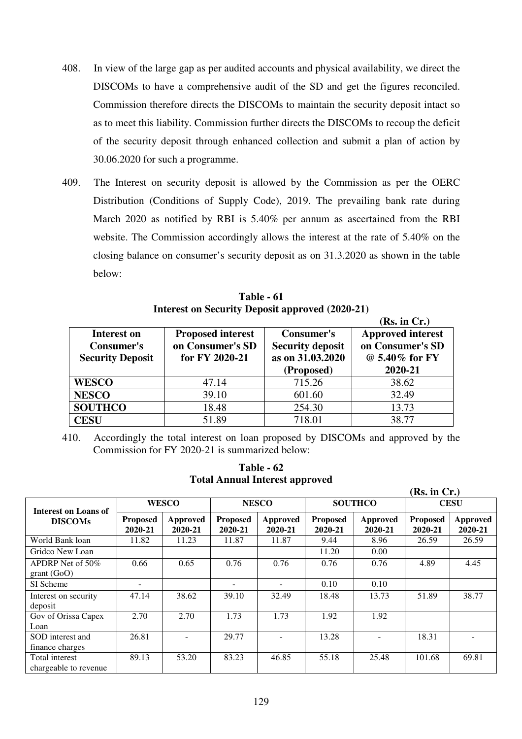- 408. In view of the large gap as per audited accounts and physical availability, we direct the DISCOMs to have a comprehensive audit of the SD and get the figures reconciled. Commission therefore directs the DISCOMs to maintain the security deposit intact so as to meet this liability. Commission further directs the DISCOMs to recoup the deficit of the security deposit through enhanced collection and submit a plan of action by 30.06.2020 for such a programme.
- 409. The Interest on security deposit is allowed by the Commission as per the OERC Distribution (Conditions of Supply Code), 2019. The prevailing bank rate during March 2020 as notified by RBI is 5.40% per annum as ascertained from the RBI website. The Commission accordingly allows the interest at the rate of 5.40% on the closing balance on consumer's security deposit as on 31.3.2020 as shown in the table below:

|                         | Interest on Security Deposit approved (2020-21) |                         |                          |
|-------------------------|-------------------------------------------------|-------------------------|--------------------------|
|                         |                                                 |                         | (Rs. in Cr.)             |
| Interest on             | <b>Proposed interest</b>                        | <b>Consumer's</b>       | <b>Approved interest</b> |
| <b>Consumer's</b>       | on Consumer's SD                                | <b>Security deposit</b> | on Consumer's SD         |
| <b>Security Deposit</b> | for FY 2020-21                                  | as on 31.03.2020        | @ 5.40% for FY           |
|                         |                                                 | (Proposed)              | 2020-21                  |
| <b>WESCO</b>            | 47.14                                           | 715.26                  | 38.62                    |
| <b>NESCO</b>            | 39.10                                           | 601.60                  | 32.49                    |
| <b>SOUTHCO</b>          | 18.48                                           | 254.30                  | 13.73                    |
|                         |                                                 |                         |                          |

**Table - 61**   $I_{1}$ ,  $I_{2}$ ,  $I_{3}$ ,  $I_{4}$ ,  $I_{5}$ ,  $I_{6}$ ,  $I_{7}$ ,  $I_{8}$ ,  $I_{10}$ ,  $I_{11}$ ,  $I_{12}$ ,  $I_{13}$ ,  $I_{14}$ ,  $I_{15}$ ,  $I_{16}$ ,  $I_{17}$ 

410. Accordingly the total interest on loan proposed by DISCOMs and approved by the Commission for FY 2020-21 is summarized below:

**CESU** 51.89 718.01 38.77

|                                         |                            |                     |                            | Tutal Allitual Illici est applibicu |                            |                     |                            |                            |
|-----------------------------------------|----------------------------|---------------------|----------------------------|-------------------------------------|----------------------------|---------------------|----------------------------|----------------------------|
|                                         |                            |                     |                            |                                     |                            |                     | (Rs. in Cr.)               |                            |
| Interest on Loans of                    |                            | <b>WESCO</b>        |                            | <b>NESCO</b>                        |                            | <b>SOUTHCO</b>      | <b>CESU</b>                |                            |
| <b>DISCOMs</b>                          | <b>Proposed</b><br>2020-21 | Approved<br>2020-21 | <b>Proposed</b><br>2020-21 | Approved<br>2020-21                 | <b>Proposed</b><br>2020-21 | Approved<br>2020-21 | <b>Proposed</b><br>2020-21 | <b>Approved</b><br>2020-21 |
| World Bank loan                         | 11.82                      | 11.23               | 11.87                      | 11.87                               | 9.44                       | 8.96                | 26.59                      | 26.59                      |
| Gridco New Loan                         |                            |                     |                            |                                     | 11.20                      | 0.00                |                            |                            |
| APDRP Net of $50\%$<br>grant(GoO)       | 0.66                       | 0.65                | 0.76                       | 0.76                                | 0.76                       | 0.76                | 4.89                       | 4.45                       |
| SI Scheme                               | ۰                          |                     | $\equiv$                   |                                     | 0.10                       | 0.10                |                            |                            |
| Interest on security<br>deposit         | 47.14                      | 38.62               | 39.10                      | 32.49                               | 18.48                      | 13.73               | 51.89                      | 38.77                      |
| Gov of Orissa Capex<br>Loan             | 2.70                       | 2.70                | 1.73                       | 1.73                                | 1.92                       | 1.92                |                            |                            |
| SOD interest and<br>finance charges     | 26.81                      |                     | 29.77                      |                                     | 13.28                      |                     | 18.31                      |                            |
| Total interest<br>chargeable to revenue | 89.13                      | 53.20               | 83.23                      | 46.85                               | 55.18                      | 25.48               | 101.68                     | 69.81                      |

**Table - 62 Total Annual Interest approved**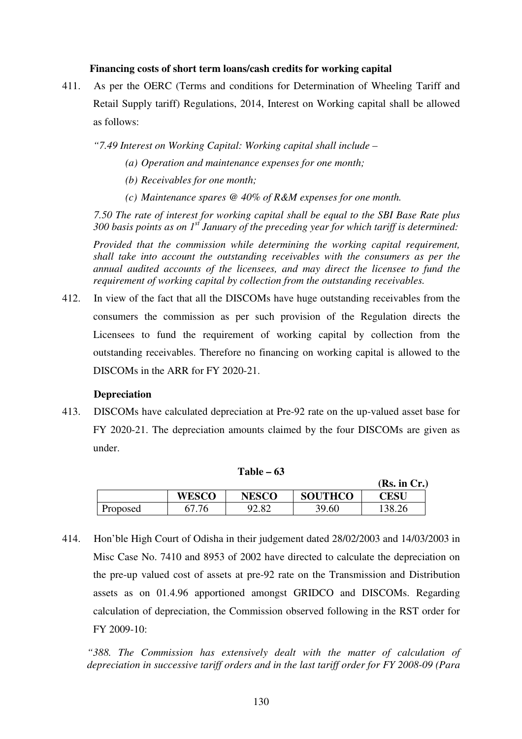## **Financing costs of short term loans/cash credits for working capital**

411. As per the OERC (Terms and conditions for Determination of Wheeling Tariff and Retail Supply tariff) Regulations, 2014, Interest on Working capital shall be allowed as follows:

*"7.49 Interest on Working Capital: Working capital shall include –* 

- *(a) Operation and maintenance expenses for one month;*
- *(b) Receivables for one month;*
- *(c) Maintenance spares @ 40% of R&M expenses for one month.*

 *7.50 The rate of interest for working capital shall be equal to the SBI Base Rate plus 300 basis points as on 1st January of the preceding year for which tariff is determined:* 

*Provided that the commission while determining the working capital requirement, shall take into account the outstanding receivables with the consumers as per the annual audited accounts of the licensees, and may direct the licensee to fund the requirement of working capital by collection from the outstanding receivables.* 

412. In view of the fact that all the DISCOMs have huge outstanding receivables from the consumers the commission as per such provision of the Regulation directs the Licensees to fund the requirement of working capital by collection from the outstanding receivables. Therefore no financing on working capital is allowed to the DISCOMs in the ARR for FY 2020-21.

## **Depreciation**

413. DISCOMs have calculated depreciation at Pre-92 rate on the up-valued asset base for FY 2020-21. The depreciation amounts claimed by the four DISCOMs are given as under.

|          |              | -----<br>$\sim$ |                | (Rs. in Cr.) |
|----------|--------------|-----------------|----------------|--------------|
|          | <b>WESCO</b> | <b>NESCO</b>    | <b>SOUTHCO</b> | <b>CESU</b>  |
| Proposed | .76          | 2.82            | 39.60          | 138.26       |

**Table – 63** 

414. Hon'ble High Court of Odisha in their judgement dated 28/02/2003 and 14/03/2003 in Misc Case No. 7410 and 8953 of 2002 have directed to calculate the depreciation on the pre-up valued cost of assets at pre-92 rate on the Transmission and Distribution assets as on 01.4.96 apportioned amongst GRIDCO and DISCOMs. Regarding calculation of depreciation, the Commission observed following in the RST order for FY 2009-10:

"388. The Commission has extensively dealt with the matter of calculation of *depreciation in successive tariff orders and in the last tariff order for FY 2008-09 (Para*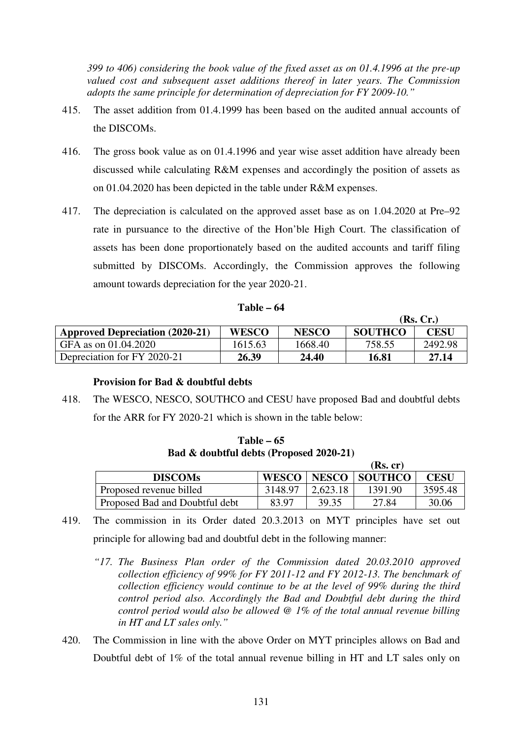*399 to 406) considering the book value of the fixed asset as on 01.4.1996 at the pre-up valued cost and subsequent asset additions thereof in later years. The Commission adopts the same principle for determination of depreciation for FY 2009-10."* 

- 415. The asset addition from 01.4.1999 has been based on the audited annual accounts of the DISCOMs.
- 416. The gross book value as on 01.4.1996 and year wise asset addition have already been discussed while calculating R&M expenses and accordingly the position of assets as on 01.04.2020 has been depicted in the table under R&M expenses.
- 417. The depreciation is calculated on the approved asset base as on 1.04.2020 at Pre–92 rate in pursuance to the directive of the Hon'ble High Court. The classification of assets has been done proportionately based on the audited accounts and tariff filing submitted by DISCOMs. Accordingly, the Commission approves the following amount towards depreciation for the year 2020-21.

| Table – 64 |  |
|------------|--|
|------------|--|

|                                        |              |              |                | (Rs, Cr.) |
|----------------------------------------|--------------|--------------|----------------|-----------|
| <b>Approved Depreciation (2020-21)</b> | <b>WESCO</b> | <b>NESCO</b> | <b>SOUTHCO</b> | CESU      |
| GFA as on 01.04.2020                   | 1615.63      | 1668.40      | 758.55         | 2492.98   |
| Depreciation for FY 2020-21            | 26.39        | 24.40        | 16.81          | 27.14     |

# **Provision for Bad & doubtful debts**

418. The WESCO, NESCO, SOUTHCO and CESU have proposed Bad and doubtful debts for the ARR for FY 2020-21 which is shown in the table below:

|                                |              |              | (Rs, cr)       |         |
|--------------------------------|--------------|--------------|----------------|---------|
| <b>DISCOMs</b>                 | <b>WESCO</b> | <b>NESCO</b> | <b>SOUTHCO</b> | CESU    |
| Proposed revenue billed        | 3148.97      | 2,623.18     | 1391.90        | 3595.48 |
| Proposed Bad and Doubtful debt | 83.97        | 39.35        | 27.84          | 30.06   |

**Table – 65 Bad & doubtful debts (Proposed 2020-21)**

- 419. The commission in its Order dated 20.3.2013 on MYT principles have set out principle for allowing bad and doubtful debt in the following manner:
	- *"17. The Business Plan order of the Commission dated 20.03.2010 approved collection efficiency of 99% for FY 2011-12 and FY 2012-13. The benchmark of collection efficiency would continue to be at the level of 99% during the third control period also. Accordingly the Bad and Doubtful debt during the third control period would also be allowed @ 1% of the total annual revenue billing in HT and LT sales only."*
- 420. The Commission in line with the above Order on MYT principles allows on Bad and Doubtful debt of 1% of the total annual revenue billing in HT and LT sales only on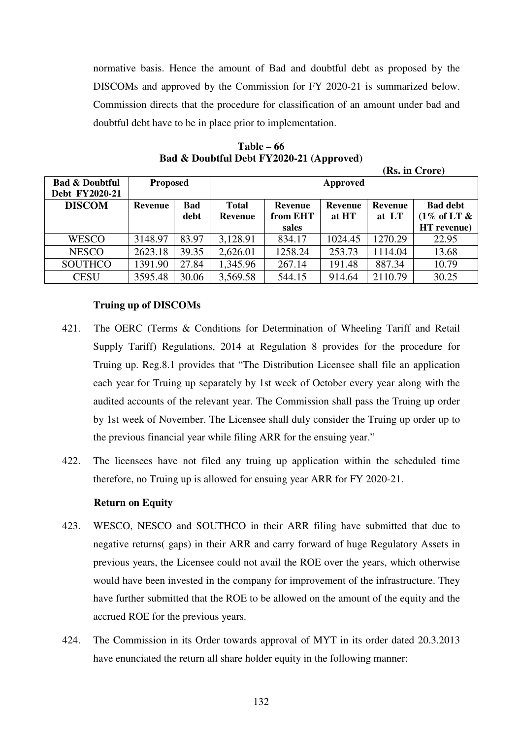normative basis. Hence the amount of Bad and doubtful debt as proposed by the DISCOMs and approved by the Commission for FY 2020-21 is summarized below. Commission directs that the procedure for classification of an amount under bad and doubtful debt have to be in place prior to implementation.

|                           |                 |            |                |          |         |                | (Rs. in Crore)             |
|---------------------------|-----------------|------------|----------------|----------|---------|----------------|----------------------------|
| <b>Bad &amp; Doubtful</b> | <b>Proposed</b> |            |                | Approved |         |                |                            |
| Debt FY2020-21            |                 |            |                |          |         |                |                            |
| <b>DISCOM</b>             | Revenue         | <b>Bad</b> | <b>Total</b>   | Revenue  | Revenue | <b>Revenue</b> | <b>Bad debt</b>            |
|                           |                 | debt       | <b>Revenue</b> | from EHT | at HT   | at LT          | $(1\% \text{ of LT } \& )$ |
|                           |                 |            |                | sales    |         |                | HT revenue)                |
| <b>WESCO</b>              | 3148.97         | 83.97      | 3,128.91       | 834.17   | 1024.45 | 1270.29        | 22.95                      |
| <b>NESCO</b>              | 2623.18         | 39.35      | 2,626.01       | 1258.24  | 253.73  | 1114.04        | 13.68                      |
| <b>SOUTHCO</b>            | 1391.90         | 27.84      | 1,345.96       | 267.14   | 191.48  | 887.34         | 10.79                      |
| <b>CESU</b>               | 3595.48         | 30.06      | 3,569.58       | 544.15   | 914.64  | 2110.79        | 30.25                      |

**Table – 66 Bad & Doubtful Debt FY2020-21 (Approved)** 

## **Truing up of DISCOMs**

- 421. The OERC (Terms & Conditions for Determination of Wheeling Tariff and Retail Supply Tariff) Regulations, 2014 at Regulation 8 provides for the procedure for Truing up. Reg.8.1 provides that "The Distribution Licensee shall file an application each year for Truing up separately by 1st week of October every year along with the audited accounts of the relevant year. The Commission shall pass the Truing up order by 1st week of November. The Licensee shall duly consider the Truing up order up to the previous financial year while filing ARR for the ensuing year."
- 422. The licensees have not filed any truing up application within the scheduled time therefore, no Truing up is allowed for ensuing year ARR for FY 2020-21.

## **Return on Equity**

- 423. WESCO, NESCO and SOUTHCO in their ARR filing have submitted that due to negative returns( gaps) in their ARR and carry forward of huge Regulatory Assets in previous years, the Licensee could not avail the ROE over the years, which otherwise would have been invested in the company for improvement of the infrastructure. They have further submitted that the ROE to be allowed on the amount of the equity and the accrued ROE for the previous years.
- 424. The Commission in its Order towards approval of MYT in its order dated 20.3.2013 have enunciated the return all share holder equity in the following manner: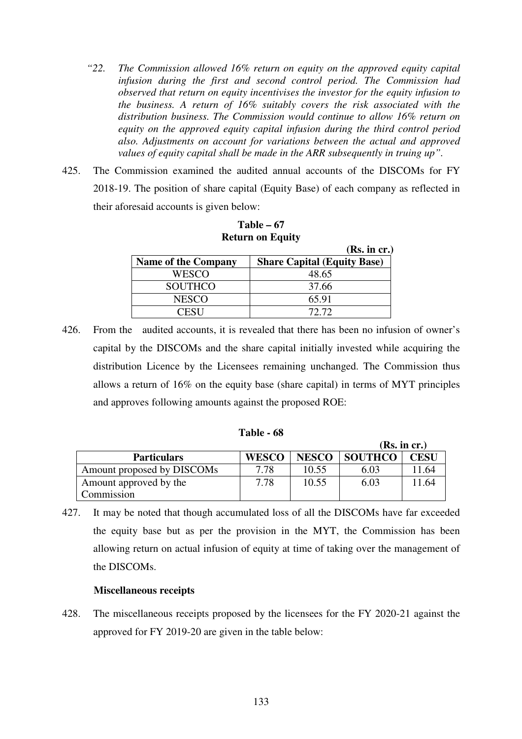- *"22. The Commission allowed 16% return on equity on the approved equity capital infusion during the first and second control period. The Commission had observed that return on equity incentivises the investor for the equity infusion to the business. A return of 16% suitably covers the risk associated with the distribution business. The Commission would continue to allow 16% return on equity on the approved equity capital infusion during the third control period also. Adjustments on account for variations between the actual and approved values of equity capital shall be made in the ARR subsequently in truing up".*
- 425. The Commission examined the audited annual accounts of the DISCOMs for FY 2018-19. The position of share capital (Equity Base) of each company as reflected in their aforesaid accounts is given below:

|                            | (Rs. in cr.)                       |
|----------------------------|------------------------------------|
| <b>Name of the Company</b> | <b>Share Capital (Equity Base)</b> |
| WESCO                      | 48.65                              |
| <b>SOUTHCO</b>             | 37.66                              |
| <b>NESCO</b>               | 65.91                              |
|                            | 72.72                              |

**Table – 67 Return on Equity** 

426. From the audited accounts, it is revealed that there has been no infusion of owner's capital by the DISCOMs and the share capital initially invested while acquiring the distribution Licence by the Licensees remaining unchanged. The Commission thus allows a return of 16% on the equity base (share capital) in terms of MYT principles and approves following amounts against the proposed ROE:

| <b>Table - 68</b> |  |  |
|-------------------|--|--|
|-------------------|--|--|

|                            |              |              |                | (Rs. in cr.) |
|----------------------------|--------------|--------------|----------------|--------------|
| <b>Particulars</b>         | <b>WESCO</b> | <b>NESCO</b> | <b>SOUTHCO</b> | <b>CESU</b>  |
| Amount proposed by DISCOMs | 7.78         | 10.55        | 6.03           | 11.64        |
| Amount approved by the     | 7.78         | 10.55        | 6.03           | 1.64         |
| Commission                 |              |              |                |              |

427. It may be noted that though accumulated loss of all the DISCOMs have far exceeded the equity base but as per the provision in the MYT, the Commission has been allowing return on actual infusion of equity at time of taking over the management of the DISCOMs.

## **Miscellaneous receipts**

428. The miscellaneous receipts proposed by the licensees for the FY 2020-21 against the approved for FY 2019-20 are given in the table below: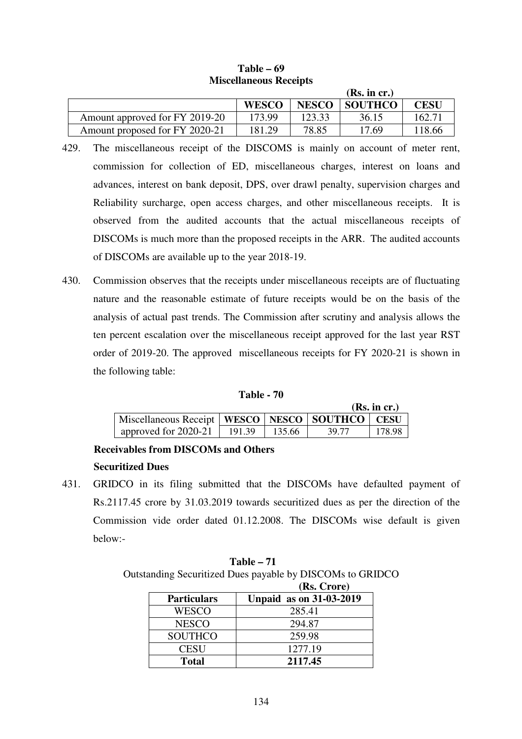|                                |              |              | (Rs. in cr.)   |        |
|--------------------------------|--------------|--------------|----------------|--------|
|                                | <b>WESCO</b> | <b>NESCO</b> | <b>SOUTHCO</b> | CESU   |
| Amount approved for FY 2019-20 | 173.99       | 123.33       | 36.15          | 162.7  |
| Amount proposed for FY 2020-21 | 181.29       | 78.85        | 17.69          | 118.66 |

# **Table – 69 Miscellaneous Receipts**

- 429. The miscellaneous receipt of the DISCOMS is mainly on account of meter rent, commission for collection of ED, miscellaneous charges, interest on loans and advances, interest on bank deposit, DPS, over drawl penalty, supervision charges and Reliability surcharge, open access charges, and other miscellaneous receipts. It is observed from the audited accounts that the actual miscellaneous receipts of DISCOMs is much more than the proposed receipts in the ARR. The audited accounts of DISCOMs are available up to the year 2018-19.
- 430. Commission observes that the receipts under miscellaneous receipts are of fluctuating nature and the reasonable estimate of future receipts would be on the basis of the analysis of actual past trends. The Commission after scrutiny and analysis allows the ten percent escalation over the miscellaneous receipt approved for the last year RST order of 2019-20. The approved miscellaneous receipts for FY 2020-21 is shown in the following table:

| Table | 70 |
|-------|----|
|-------|----|

|                                                        |        |        |       | (Rs. in cr.) |
|--------------------------------------------------------|--------|--------|-------|--------------|
| Miscellaneous Receipt   WESCO   NESCO   SOUTHCO   CESU |        |        |       |              |
| approved for 2020-21                                   | 191.39 | 135.66 | 39.77 | 178.98       |

# **Receivables from DISCOMs and Others**

# **Securitized Dues**

431. GRIDCO in its filing submitted that the DISCOMs have defaulted payment of Rs.2117.45 crore by 31.03.2019 towards securitized dues as per the direction of the Commission vide order dated 01.12.2008. The DISCOMs wise default is given below:-

**Table – 71**  Outstanding Securitized Dues payable by DISCOMs to GRIDCO

|                    | (Rs. Crore)                    |
|--------------------|--------------------------------|
| <b>Particulars</b> | <b>Unpaid as on 31-03-2019</b> |
| WESCO              | 285.41                         |
| <b>NESCO</b>       | 294.87                         |
| <b>SOUTHCO</b>     | 259.98                         |
| <b>CESU</b>        | 1277.19                        |
| <b>Total</b>       | 2117.45                        |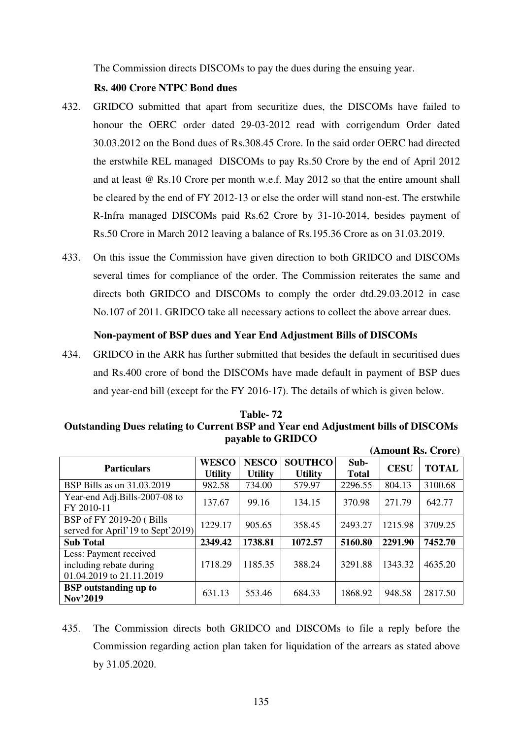The Commission directs DISCOMs to pay the dues during the ensuing year.

# **Rs. 400 Crore NTPC Bond dues**

- 432. GRIDCO submitted that apart from securitize dues, the DISCOMs have failed to honour the OERC order dated 29-03-2012 read with corrigendum Order dated 30.03.2012 on the Bond dues of Rs.308.45 Crore. In the said order OERC had directed the erstwhile REL managed DISCOMs to pay Rs.50 Crore by the end of April 2012 and at least @ Rs.10 Crore per month w.e.f. May 2012 so that the entire amount shall be cleared by the end of FY 2012-13 or else the order will stand non-est. The erstwhile R-Infra managed DISCOMs paid Rs.62 Crore by 31-10-2014, besides payment of Rs.50 Crore in March 2012 leaving a balance of Rs.195.36 Crore as on 31.03.2019.
- 433. On this issue the Commission have given direction to both GRIDCO and DISCOMs several times for compliance of the order. The Commission reiterates the same and directs both GRIDCO and DISCOMs to comply the order dtd.29.03.2012 in case No.107 of 2011. GRIDCO take all necessary actions to collect the above arrear dues.

## **Non-payment of BSP dues and Year End Adjustment Bills of DISCOMs**

434. GRIDCO in the ARR has further submitted that besides the default in securitised dues and Rs.400 crore of bond the DISCOMs have made default in payment of BSP dues and year-end bill (except for the FY 2016-17). The details of which is given below.

| Table-72                                                                                 |
|------------------------------------------------------------------------------------------|
| <b>Outstanding Dues relating to Current BSP and Year end Adjustment bills of DISCOMs</b> |
| payable to GRIDCO                                                                        |
| $(A_{\text{mann}} + D_{\alpha} C_{\text{mean}})$                                         |

|                                                                               |                                |                                |                                  |                      |             | (Aliivuin Iss. Urvi U |
|-------------------------------------------------------------------------------|--------------------------------|--------------------------------|----------------------------------|----------------------|-------------|-----------------------|
| <b>Particulars</b>                                                            | <b>WESCO</b><br><b>Utility</b> | <b>NESCO</b><br><b>Utility</b> | <b>SOUTHCO</b><br><b>Utility</b> | Sub-<br><b>Total</b> | <b>CESU</b> | <b>TOTAL</b>          |
| BSP Bills as on 31.03.2019                                                    | 982.58                         | 734.00                         | 579.97                           | 2296.55              | 804.13      | 3100.68               |
| Year-end Adj.Bills-2007-08 to<br>FY 2010-11                                   | 137.67                         | 99.16                          | 134.15                           | 370.98               | 271.79      | 642.77                |
| BSP of FY 2019-20 (Bills<br>served for April'19 to Sept'2019)                 | 1229.17                        | 905.65                         | 358.45                           | 2493.27              | 1215.98     | 3709.25               |
| <b>Sub Total</b>                                                              | 2349.42                        | 1738.81                        | 1072.57                          | 5160.80              | 2291.90     | 7452.70               |
| Less: Payment received<br>including rebate during<br>01.04.2019 to 21.11.2019 | 1718.29                        | 1185.35                        | 388.24                           | 3291.88              | 1343.32     | 4635.20               |
| <b>BSP</b> outstanding up to<br>Nov'2019                                      | 631.13                         | 553.46                         | 684.33                           | 1868.92              | 948.58      | 2817.50               |

435. The Commission directs both GRIDCO and DISCOMs to file a reply before the Commission regarding action plan taken for liquidation of the arrears as stated above by 31.05.2020.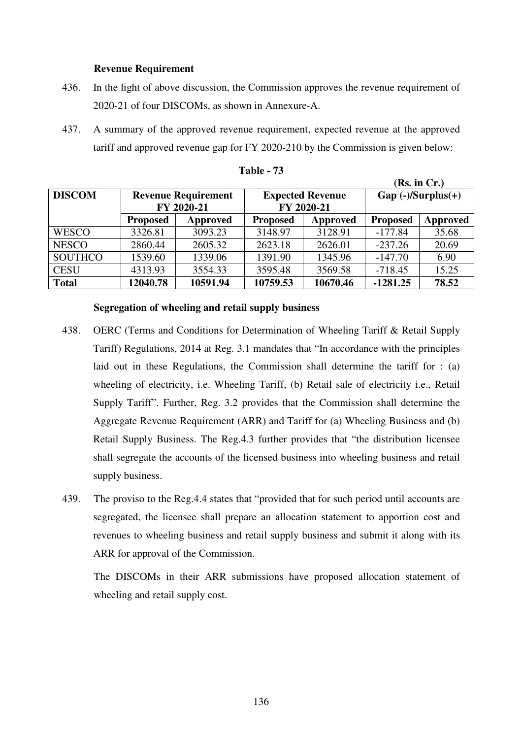## **Revenue Requirement**

- 436. In the light of above discussion, the Commission approves the revenue requirement of 2020-21 of four DISCOMs, as shown in Annexure-A.
- 437. A summary of the approved revenue requirement, expected revenue at the approved tariff and approved revenue gap for FY 2020-210 by the Commission is given below:

|                |                                          |          |                 |                                       |                       | (IW) III UI ( |  |
|----------------|------------------------------------------|----------|-----------------|---------------------------------------|-----------------------|---------------|--|
| <b>DISCOM</b>  | <b>Revenue Requirement</b><br>FY 2020-21 |          |                 | <b>Expected Revenue</b><br>FY 2020-21 | $Gap (-)/Surplus (+)$ |               |  |
|                | <b>Proposed</b>                          | Approved | <b>Proposed</b> | Approved                              | <b>Proposed</b>       | Approved      |  |
| <b>WESCO</b>   | 3326.81                                  | 3093.23  | 3148.97         | 3128.91                               | $-177.84$             | 35.68         |  |
| <b>NESCO</b>   | 2860.44                                  | 2605.32  | 2623.18         | 2626.01                               | $-237.26$             | 20.69         |  |
| <b>SOUTHCO</b> | 1539.60                                  | 1339.06  | 1391.90         | 1345.96                               | $-147.70$             | 6.90          |  |
| <b>CESU</b>    | 4313.93                                  | 3554.33  | 3595.48         | 3569.58                               | $-718.45$             | 15.25         |  |
| <b>Total</b>   | 12040.78                                 | 10591.94 | 10759.53        | 10670.46                              | $-1281.25$            | 78.52         |  |

| Table |  |
|-------|--|
|-------|--|

**(Rs. in Cr.)** 

#### **Segregation of wheeling and retail supply business**

- 438. OERC (Terms and Conditions for Determination of Wheeling Tariff & Retail Supply Tariff) Regulations, 2014 at Reg. 3.1 mandates that "In accordance with the principles laid out in these Regulations, the Commission shall determine the tariff for : (a) wheeling of electricity, i.e. Wheeling Tariff, (b) Retail sale of electricity i.e., Retail Supply Tariff". Further, Reg. 3.2 provides that the Commission shall determine the Aggregate Revenue Requirement (ARR) and Tariff for (a) Wheeling Business and (b) Retail Supply Business. The Reg.4.3 further provides that "the distribution licensee shall segregate the accounts of the licensed business into wheeling business and retail supply business.
- 439. The proviso to the Reg.4.4 states that "provided that for such period until accounts are segregated, the licensee shall prepare an allocation statement to apportion cost and revenues to wheeling business and retail supply business and submit it along with its ARR for approval of the Commission.

The DISCOMs in their ARR submissions have proposed allocation statement of wheeling and retail supply cost.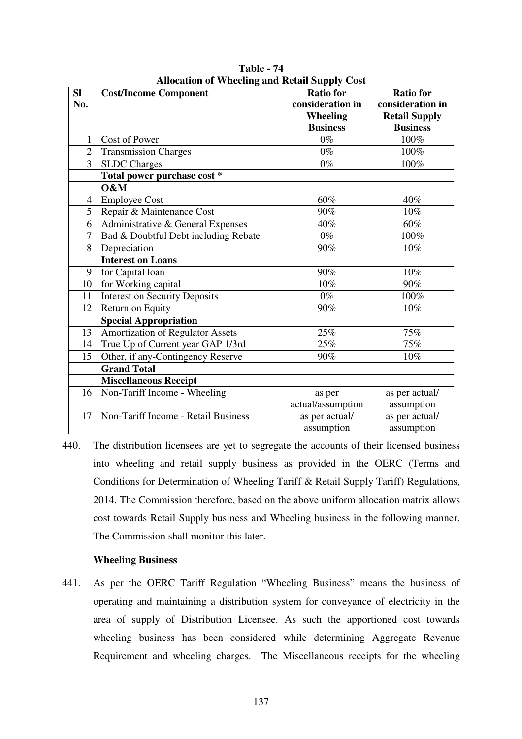| SI             | Trubeation of Willetting and ixetan Supply Cost | <b>Ratio for</b>  | <b>Ratio for</b>     |
|----------------|-------------------------------------------------|-------------------|----------------------|
|                | <b>Cost/Income Component</b>                    |                   |                      |
| No.            |                                                 | consideration in  | consideration in     |
|                |                                                 | <b>Wheeling</b>   | <b>Retail Supply</b> |
|                |                                                 | <b>Business</b>   | <b>Business</b>      |
|                | Cost of Power                                   | $0\%$             | 100%                 |
| $\overline{2}$ | <b>Transmission Charges</b>                     | $0\%$             | 100%                 |
| 3              | <b>SLDC</b> Charges                             | $0\%$             | 100%                 |
|                | Total power purchase cost *                     |                   |                      |
|                | O&M                                             |                   |                      |
| $\overline{4}$ | <b>Employee Cost</b>                            | 60%               | 40%                  |
| 5              | Repair & Maintenance Cost                       | 90%               | 10%                  |
| 6              | Administrative & General Expenses               | 40%               | 60%                  |
| $\overline{7}$ | Bad & Doubtful Debt including Rebate            | $0\%$             | 100%                 |
| 8              | Depreciation                                    | 90%               | 10%                  |
|                | <b>Interest on Loans</b>                        |                   |                      |
| 9              | for Capital loan                                | 90%               | 10%                  |
| 10             | for Working capital                             | 10%               | 90%                  |
| 11             | <b>Interest on Security Deposits</b>            | $0\%$             | 100%                 |
| 12             | Return on Equity                                | 90%               | 10%                  |
|                | <b>Special Appropriation</b>                    |                   |                      |
| 13             | <b>Amortization of Regulator Assets</b>         | 25%               | 75%                  |
| 14             | True Up of Current year GAP 1/3rd               | 25%               | 75%                  |
| 15             | Other, if any-Contingency Reserve               | 90%               | 10%                  |
|                | <b>Grand Total</b>                              |                   |                      |
|                | <b>Miscellaneous Receipt</b>                    |                   |                      |
| 16             | Non-Tariff Income - Wheeling                    | as per            | as per actual/       |
|                |                                                 | actual/assumption | assumption           |
| 17             | Non-Tariff Income - Retail Business             | as per actual/    | as per actual/       |
|                |                                                 | assumption        | assumption           |

**Table - 74 Allocation of Wheeling and Retail Supply Cost** 

440. The distribution licensees are yet to segregate the accounts of their licensed business into wheeling and retail supply business as provided in the OERC (Terms and Conditions for Determination of Wheeling Tariff & Retail Supply Tariff) Regulations, 2014. The Commission therefore, based on the above uniform allocation matrix allows cost towards Retail Supply business and Wheeling business in the following manner. The Commission shall monitor this later.

#### **Wheeling Business**

441. As per the OERC Tariff Regulation "Wheeling Business" means the business of operating and maintaining a distribution system for conveyance of electricity in the area of supply of Distribution Licensee. As such the apportioned cost towards wheeling business has been considered while determining Aggregate Revenue Requirement and wheeling charges. The Miscellaneous receipts for the wheeling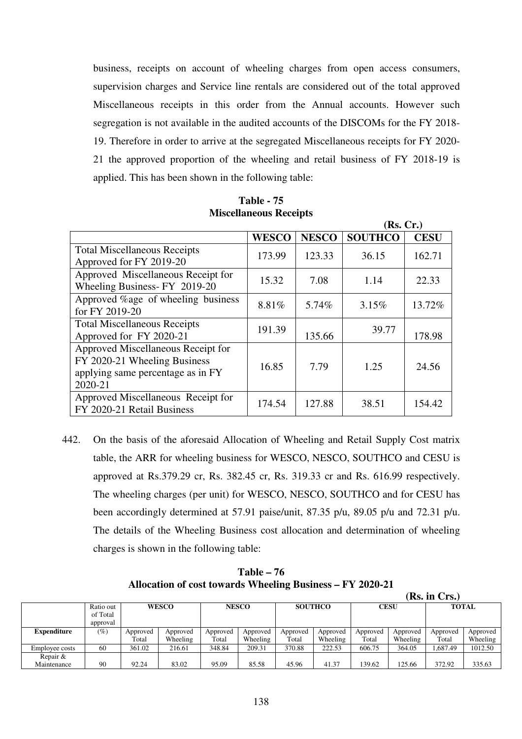business, receipts on account of wheeling charges from open access consumers, supervision charges and Service line rentals are considered out of the total approved Miscellaneous receipts in this order from the Annual accounts. However such segregation is not available in the audited accounts of the DISCOMs for the FY 2018- 19. Therefore in order to arrive at the segregated Miscellaneous receipts for FY 2020- 21 the approved proportion of the wheeling and retail business of FY 2018-19 is applied. This has been shown in the following table:

|                                                                                                                    |              |              | (Rs, Cr.)      |             |
|--------------------------------------------------------------------------------------------------------------------|--------------|--------------|----------------|-------------|
|                                                                                                                    | <b>WESCO</b> | <b>NESCO</b> | <b>SOUTHCO</b> | <b>CESU</b> |
| <b>Total Miscellaneous Receipts</b><br>Approved for FY 2019-20                                                     | 173.99       | 123.33       | 36.15          | 162.71      |
| Approved Miscellaneous Receipt for<br>Wheeling Business-FY 2019-20                                                 | 15.32        | 7.08         | 1.14           | 22.33       |
| Approved %age of wheeling business<br>for FY 2019-20                                                               | 8.81%        | 5.74%        | 3.15%          | 13.72%      |
| <b>Total Miscellaneous Receipts</b><br>Approved for FY 2020-21                                                     | 191.39       | 135.66       | 39.77          | 178.98      |
| Approved Miscellaneous Receipt for<br>FY 2020-21 Wheeling Business<br>applying same percentage as in FY<br>2020-21 | 16.85        | 7.79         | 1.25           | 24.56       |
| Approved Miscellaneous Receipt for<br>FY 2020-21 Retail Business                                                   | 174.54       | 127.88       | 38.51          | 154.42      |

**Table - 75 Miscellaneous Receipts** 

442. On the basis of the aforesaid Allocation of Wheeling and Retail Supply Cost matrix table, the ARR for wheeling business for WESCO, NESCO, SOUTHCO and CESU is approved at Rs.379.29 cr, Rs. 382.45 cr, Rs. 319.33 cr and Rs. 616.99 respectively. The wheeling charges (per unit) for WESCO, NESCO, SOUTHCO and for CESU has been accordingly determined at 57.91 paise/unit, 87.35 p/u, 89.05 p/u and 72.31 p/u. The details of the Wheeling Business cost allocation and determination of wheeling charges is shown in the following table:

**Table – 76 Allocation of cost towards Wheeling Business – FY 2020-21** 

|                    |           |          |              |          |                                |          |             |          |              | (Rs. in Crs.) |          |
|--------------------|-----------|----------|--------------|----------|--------------------------------|----------|-------------|----------|--------------|---------------|----------|
|                    | Ratio out |          | <b>WESCO</b> |          | <b>NESCO</b><br><b>SOUTHCO</b> |          | <b>CESU</b> |          | <b>TOTAL</b> |               |          |
|                    | of Total  |          |              |          |                                |          |             |          |              |               |          |
|                    | approval  |          |              |          |                                |          |             |          |              |               |          |
| <b>Expenditure</b> | $(\%)$    | Approved | Approved     | Approved | Approved                       | Approved | Approved    | Approved | Approved     | Approved      | Approved |
|                    |           | Total    | Wheeling     | Total    | Wheeling                       | Total    | Wheeling    | Total    | Wheeling     | Total         | Wheeling |
| Employee costs     | 60        | 361.02   | 216.61       | 348.84   | 209.31                         | 370.88   | 222.53      | 606.75   | 364.05       | 1,687.49      | 1012.50  |
| Repair &           |           |          |              |          |                                |          |             |          |              |               |          |
| Maintenance        | 90        | 92.24    | 83.02        | 95.09    | 85.58                          | 45.96    | 41.37       | 139.62   | 125.66       | 372.92        | 335.63   |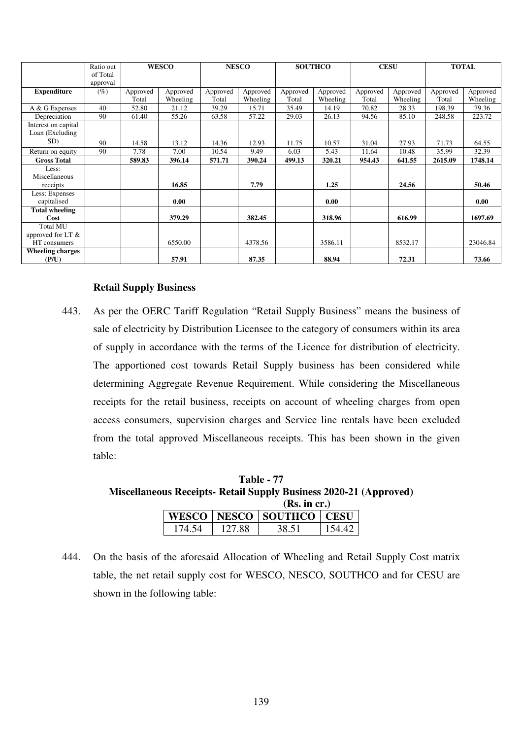|                         | Ratio out |          | <b>WESCO</b> |          | <b>NESCO</b> |          | <b>SOUTHCO</b> |          | <b>CESU</b> |          | <b>TOTAL</b> |
|-------------------------|-----------|----------|--------------|----------|--------------|----------|----------------|----------|-------------|----------|--------------|
|                         | of Total  |          |              |          |              |          |                |          |             |          |              |
|                         | approval  |          |              |          |              |          |                |          |             |          |              |
| <b>Expenditure</b>      | $(\%)$    | Approved | Approved     | Approved | Approved     | Approved | Approved       | Approved | Approved    | Approved | Approved     |
|                         |           | Total    | Wheeling     | Total    | Wheeling     | Total    | Wheeling       | Total    | Wheeling    | Total    | Wheeling     |
| A & G Expenses          | 40        | 52.80    | 21.12        | 39.29    | 15.71        | 35.49    | 14.19          | 70.82    | 28.33       | 198.39   | 79.36        |
| Depreciation            | 90        | 61.40    | 55.26        | 63.58    | 57.22        | 29.03    | 26.13          | 94.56    | 85.10       | 248.58   | 223.72       |
| Interest on capital     |           |          |              |          |              |          |                |          |             |          |              |
| Loan (Excluding         |           |          |              |          |              |          |                |          |             |          |              |
| SD)                     | 90        | 14.58    | 13.12        | 14.36    | 12.93        | 11.75    | 10.57          | 31.04    | 27.93       | 71.73    | 64.55        |
| Return on equity        | 90        | 7.78     | 7.00         | 10.54    | 9.49         | 6.03     | 5.43           | 11.64    | 10.48       | 35.99    | 32.39        |
| <b>Gross Total</b>      |           | 589.83   | 396.14       | 571.71   | 390.24       | 499.13   | 320.21         | 954.43   | 641.55      | 2615.09  | 1748.14      |
| Less:                   |           |          |              |          |              |          |                |          |             |          |              |
| Miscellaneous           |           |          |              |          |              |          |                |          |             |          |              |
| receipts                |           |          | 16.85        |          | 7.79         |          | 1.25           |          | 24.56       |          | 50.46        |
| Less: Expenses          |           |          |              |          |              |          |                |          |             |          |              |
| capitalised             |           |          | 0.00         |          |              |          | 0.00           |          |             |          | 0.00         |
| <b>Total wheeling</b>   |           |          |              |          |              |          |                |          |             |          |              |
| Cost                    |           |          | 379.29       |          | 382.45       |          | 318.96         |          | 616.99      |          | 1697.69      |
| <b>Total MU</b>         |           |          |              |          |              |          |                |          |             |          |              |
| approved for LT $\&$    |           |          |              |          |              |          |                |          |             |          |              |
| HT consumers            |           |          | 6550.00      |          | 4378.56      |          | 3586.11        |          | 8532.17     |          | 23046.84     |
| <b>Wheeling charges</b> |           |          |              |          |              |          |                |          |             |          |              |
| (P/U)                   |           |          | 57.91        |          | 87.35        |          | 88.94          |          | 72.31       |          | 73.66        |

#### **Retail Supply Business**

443. As per the OERC Tariff Regulation "Retail Supply Business" means the business of sale of electricity by Distribution Licensee to the category of consumers within its area of supply in accordance with the terms of the Licence for distribution of electricity. The apportioned cost towards Retail Supply business has been considered while determining Aggregate Revenue Requirement. While considering the Miscellaneous receipts for the retail business, receipts on account of wheeling charges from open access consumers, supervision charges and Service line rentals have been excluded from the total approved Miscellaneous receipts. This has been shown in the given table:

**Table - 77 Miscellaneous Receipts- Retail Supply Business 2020-21 (Approved)** 

|        |        | (Rs. in cr.)                   |        |
|--------|--------|--------------------------------|--------|
|        |        | WESCO   NESCO   SOUTHCO   CESU |        |
| 174.54 | 127.88 | 38.51                          | 154.42 |

444. On the basis of the aforesaid Allocation of Wheeling and Retail Supply Cost matrix table, the net retail supply cost for WESCO, NESCO, SOUTHCO and for CESU are shown in the following table: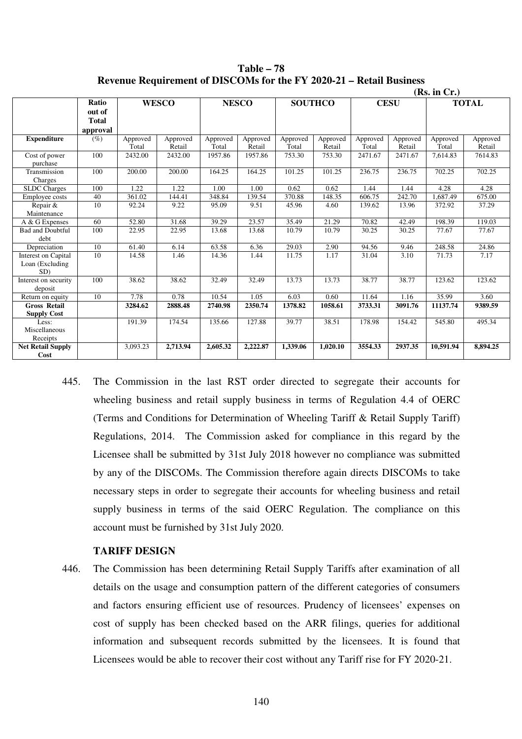|                                               | (Rs. in Cr.)                                |                   |                    |                   |                    |                   |                    |                   |                    |                   |                    |
|-----------------------------------------------|---------------------------------------------|-------------------|--------------------|-------------------|--------------------|-------------------|--------------------|-------------------|--------------------|-------------------|--------------------|
|                                               | <b>Ratio</b><br>out of<br>Total<br>approval |                   | <b>WESCO</b>       |                   | <b>NESCO</b>       |                   | <b>SOUTHCO</b>     |                   | <b>CESU</b>        |                   | <b>TOTAL</b>       |
| <b>Expenditure</b>                            | $(\%)$                                      | Approved<br>Total | Approved<br>Retail | Approved<br>Total | Approved<br>Retail | Approved<br>Total | Approved<br>Retail | Approved<br>Total | Approved<br>Retail | Approved<br>Total | Approved<br>Retail |
| Cost of power<br>purchase                     | 100                                         | 2432.00           | 2432.00            | 1957.86           | 1957.86            | 753.30            | 753.30             | 2471.67           | 2471.67            | 7.614.83          | 7614.83            |
| Transmission<br>Charges                       | 100                                         | 200.00            | 200.00             | 164.25            | 164.25             | 101.25            | 101.25             | 236.75            | 236.75             | 702.25            | 702.25             |
| <b>SLDC</b> Charges                           | 100                                         | 1.22              | 1.22               | 1.00              | 1.00               | 0.62              | 0.62               | 1.44              | 1.44               | 4.28              | 4.28               |
| Employee costs                                | 40                                          | 361.02            | 144.41             | 348.84            | 139.54             | 370.88            | 148.35             | 606.75            | 242.70             | .687.49           | 675.00             |
| Repair &<br>Maintenance                       | 10                                          | 92.24             | 9.22               | 95.09             | 9.51               | 45.96             | 4.60               | 139.62            | 13.96              | 372.92            | 37.29              |
| A & G Expenses                                | 60                                          | 52.80             | 31.68              | 39.29             | 23.57              | 35.49             | 21.29              | 70.82             | 42.49              | 198.39            | 119.03             |
| <b>Bad and Doubtful</b><br>debt               | 100                                         | 22.95             | 22.95              | 13.68             | 13.68              | 10.79             | 10.79              | 30.25             | 30.25              | 77.67             | 77.67              |
| Depreciation                                  | 10                                          | 61.40             | 6.14               | 63.58             | 6.36               | 29.03             | 2.90               | 94.56             | 9.46               | 248.58            | 24.86              |
| Interest on Capital<br>Loan (Excluding<br>SD) | 10                                          | 14.58             | 1.46               | 14.36             | 1.44               | 11.75             | 1.17               | 31.04             | 3.10               | 71.73             | 7.17               |
| Interest on security<br>deposit               | 100                                         | 38.62             | 38.62              | 32.49             | 32.49              | 13.73             | 13.73              | 38.77             | 38.77              | 123.62            | 123.62             |
| Return on equity                              | 10                                          | 7.78              | 0.78               | 10.54             | 1.05               | 6.03              | 0.60               | 11.64             | 1.16               | 35.99             | 3.60               |
| <b>Gross Retail</b><br><b>Supply Cost</b>     |                                             | 3284.62           | 2888.48            | 2740.98           | 2350.74            | 1378.82           | 1058.61            | 3733.31           | 3091.76            | 11137.74          | 9389.59            |
| Less:<br>Miscellaneous<br>Receipts            |                                             | 191.39            | 174.54             | 135.66            | 127.88             | 39.77             | 38.51              | 178.98            | 154.42             | 545.80            | 495.34             |
| <b>Net Retail Supply</b><br>Cost              |                                             | 3,093.23          | 2,713.94           | 2,605.32          | 2,222.87           | 1,339.06          | 1,020.10           | 3554.33           | 2937.35            | 10,591.94         | 8,894.25           |

**Table – 78 Revenue Requirement of DISCOMs for the FY 2020-21 – Retail Business** 

445. The Commission in the last RST order directed to segregate their accounts for wheeling business and retail supply business in terms of Regulation 4.4 of OERC (Terms and Conditions for Determination of Wheeling Tariff & Retail Supply Tariff) Regulations, 2014. The Commission asked for compliance in this regard by the Licensee shall be submitted by 31st July 2018 however no compliance was submitted by any of the DISCOMs. The Commission therefore again directs DISCOMs to take necessary steps in order to segregate their accounts for wheeling business and retail supply business in terms of the said OERC Regulation. The compliance on this account must be furnished by 31st July 2020.

#### **TARIFF DESIGN**

446. The Commission has been determining Retail Supply Tariffs after examination of all details on the usage and consumption pattern of the different categories of consumers and factors ensuring efficient use of resources. Prudency of licensees' expenses on cost of supply has been checked based on the ARR filings, queries for additional information and subsequent records submitted by the licensees. It is found that Licensees would be able to recover their cost without any Tariff rise for FY 2020-21.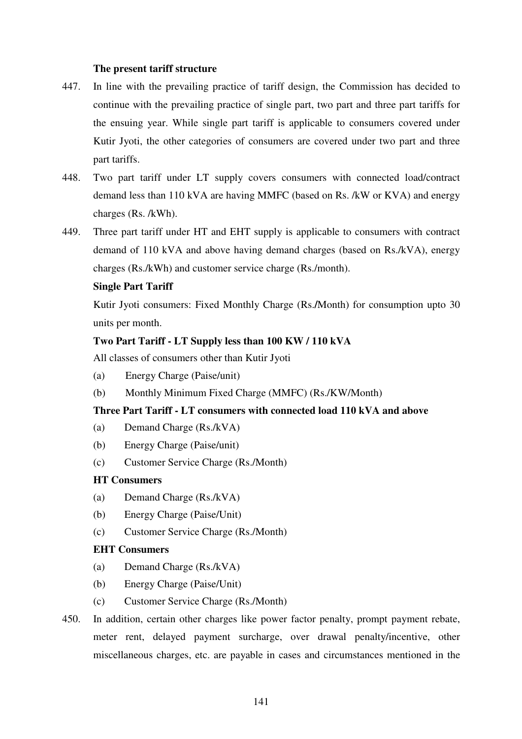## **The present tariff structure**

- 447. In line with the prevailing practice of tariff design, the Commission has decided to continue with the prevailing practice of single part, two part and three part tariffs for the ensuing year. While single part tariff is applicable to consumers covered under Kutir Jyoti, the other categories of consumers are covered under two part and three part tariffs.
- 448. Two part tariff under LT supply covers consumers with connected load/contract demand less than 110 kVA are having MMFC (based on Rs. /kW or KVA) and energy charges (Rs. /kWh).
- 449. Three part tariff under HT and EHT supply is applicable to consumers with contract demand of 110 kVA and above having demand charges (based on Rs./kVA), energy charges (Rs./kWh) and customer service charge (Rs./month).

## **Single Part Tariff**

Kutir Jyoti consumers: Fixed Monthly Charge (Rs.**/**Month) for consumption upto 30 units per month.

# **Two Part Tariff - LT Supply less than 100 KW / 110 kVA**

All classes of consumers other than Kutir Jyoti

- (a) Energy Charge (Paise/unit)
- (b) Monthly Minimum Fixed Charge (MMFC) (Rs./KW/Month)

## **Three Part Tariff - LT consumers with connected load 110 kVA and above**

- (a) Demand Charge (Rs./kVA)
- (b) Energy Charge (Paise/unit)
- (c) Customer Service Charge (Rs./Month)

# **HT Consumers**

- (a) Demand Charge (Rs./kVA)
- (b) Energy Charge (Paise/Unit)
- (c) Customer Service Charge (Rs./Month)

#### **EHT Consumers**

- (a) Demand Charge (Rs./kVA)
- (b) Energy Charge (Paise/Unit)
- (c) Customer Service Charge (Rs./Month)
- 450. In addition, certain other charges like power factor penalty, prompt payment rebate, meter rent, delayed payment surcharge, over drawal penalty/incentive, other miscellaneous charges, etc. are payable in cases and circumstances mentioned in the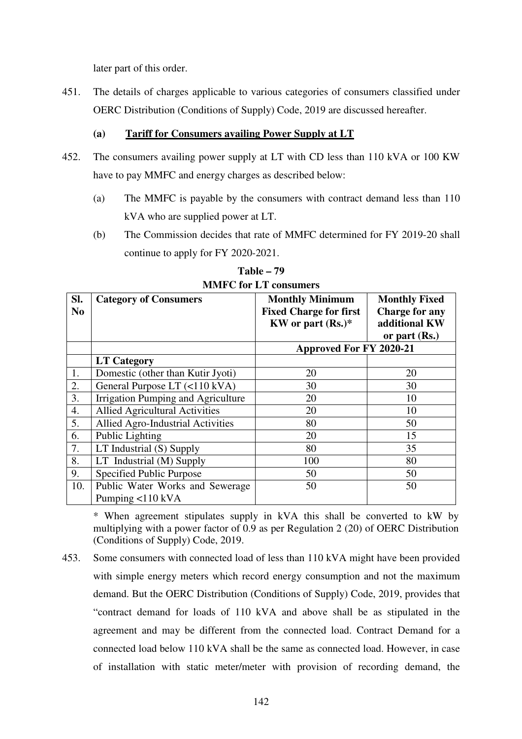later part of this order.

451. The details of charges applicable to various categories of consumers classified under OERC Distribution (Conditions of Supply) Code, 2019 are discussed hereafter.

# **(a)****Tariff for Consumers availing Power Supply at LT**

- 452. The consumers availing power supply at LT with CD less than 110 kVA or 100 KW have to pay MMFC and energy charges as described below:
	- (a) The MMFC is payable by the consumers with contract demand less than 110 kVA who are supplied power at LT.
	- (b) The Commission decides that rate of MMFC determined for FY 2019-20 shall continue to apply for FY 2020-2021.

| SI.<br>N <sub>o</sub> | <b>Category of Consumers</b>              | <b>Monthly Minimum</b><br><b>Fixed Charge for first</b><br>KW or part $(Rs.)^*$ | <b>Monthly Fixed</b><br><b>Charge for any</b><br>additional KW<br>or part $(Rs.)$ |
|-----------------------|-------------------------------------------|---------------------------------------------------------------------------------|-----------------------------------------------------------------------------------|
|                       |                                           | <b>Approved For FY 2020-21</b>                                                  |                                                                                   |
|                       | <b>LT Category</b>                        |                                                                                 |                                                                                   |
| 1.                    | Domestic (other than Kutir Jyoti)         | 20                                                                              | 20                                                                                |
| 2.                    | General Purpose LT (<110 kVA)             | 30                                                                              | 30                                                                                |
| 3.                    | Irrigation Pumping and Agriculture        | 20                                                                              | 10                                                                                |
| 4.                    | <b>Allied Agricultural Activities</b>     | 20                                                                              | 10                                                                                |
| 5.                    | Allied Agro-Industrial Activities         | 80                                                                              | 50                                                                                |
| 6.                    | Public Lighting                           | 20                                                                              | 15                                                                                |
| 7.                    | LT Industrial (S) Supply                  | 80                                                                              | 35                                                                                |
| 8.                    | LT Industrial (M) Supply                  | 100                                                                             | 80                                                                                |
| 9.                    | Specified Public Purpose                  | 50                                                                              | 50                                                                                |
| 10.                   | Public Water Works and Sewerage           | 50                                                                              | 50                                                                                |
|                       | Pumping $\langle 110 \text{ kVA} \rangle$ |                                                                                 |                                                                                   |

**Table – 79 MMFC for LT consumers** 

\* When agreement stipulates supply in kVA this shall be converted to kW by multiplying with a power factor of 0.9 as per Regulation 2 (20) of OERC Distribution (Conditions of Supply) Code, 2019.

453. Some consumers with connected load of less than 110 kVA might have been provided with simple energy meters which record energy consumption and not the maximum demand. But the OERC Distribution (Conditions of Supply) Code, 2019, provides that "contract demand for loads of 110 kVA and above shall be as stipulated in the agreement and may be different from the connected load. Contract Demand for a connected load below 110 kVA shall be the same as connected load. However, in case of installation with static meter/meter with provision of recording demand, the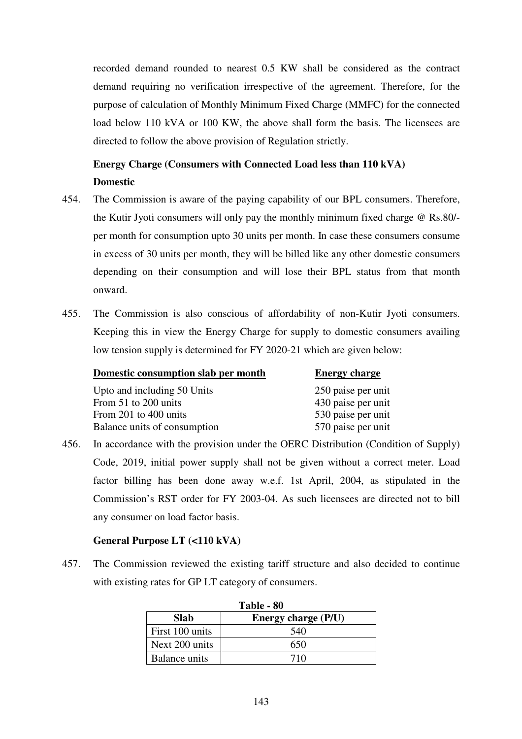recorded demand rounded to nearest 0.5 KW shall be considered as the contract demand requiring no verification irrespective of the agreement. Therefore, for the purpose of calculation of Monthly Minimum Fixed Charge (MMFC) for the connected load below 110 kVA or 100 KW, the above shall form the basis. The licensees are directed to follow the above provision of Regulation strictly.

# **Energy Charge (Consumers with Connected Load less than 110 kVA) Domestic**

- 454. The Commission is aware of the paying capability of our BPL consumers. Therefore, the Kutir Jyoti consumers will only pay the monthly minimum fixed charge @ Rs.80/ per month for consumption upto 30 units per month. In case these consumers consume in excess of 30 units per month, they will be billed like any other domestic consumers depending on their consumption and will lose their BPL status from that month onward.
- 455. The Commission is also conscious of affordability of non-Kutir Jyoti consumers. Keeping this in view the Energy Charge for supply to domestic consumers availing low tension supply is determined for FY 2020-21 which are given below:

| Domestic consumption slab per month | <b>Energy charge</b> |
|-------------------------------------|----------------------|
| Upto and including 50 Units         | 250 paise per unit   |
| From 51 to 200 units                | 430 paise per unit   |
| From 201 to 400 units               | 530 paise per unit   |
| Balance units of consumption        | 570 paise per unit   |

456. In accordance with the provision under the OERC Distribution (Condition of Supply) Code, 2019, initial power supply shall not be given without a correct meter. Load factor billing has been done away w.e.f. 1st April, 2004, as stipulated in the Commission's RST order for FY 2003-04. As such licensees are directed not to bill any consumer on load factor basis.

# **General Purpose LT (<110 kVA)**

457. The Commission reviewed the existing tariff structure and also decided to continue with existing rates for GP LT category of consumers.

| Table - 80                                |     |  |  |  |  |  |
|-------------------------------------------|-----|--|--|--|--|--|
| <b>Slab</b><br><b>Energy charge (P/U)</b> |     |  |  |  |  |  |
| First 100 units                           | 540 |  |  |  |  |  |
| Next 200 units                            | 650 |  |  |  |  |  |
| Balance units                             | 710 |  |  |  |  |  |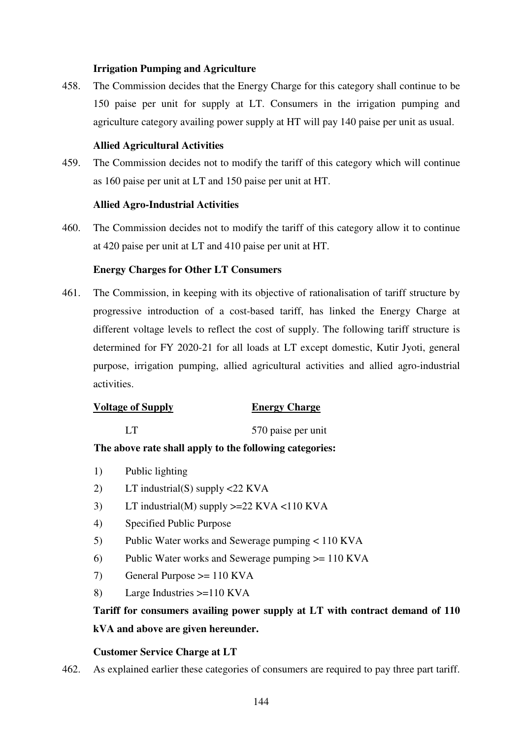## **Irrigation Pumping and Agriculture**

458. The Commission decides that the Energy Charge for this category shall continue to be 150 paise per unit for supply at LT. Consumers in the irrigation pumping and agriculture category availing power supply at HT will pay 140 paise per unit as usual.

# **Allied Agricultural Activities**

459. The Commission decides not to modify the tariff of this category which will continue as 160 paise per unit at LT and 150 paise per unit at HT.

## **Allied Agro-Industrial Activities**

460. The Commission decides not to modify the tariff of this category allow it to continue at 420 paise per unit at LT and 410 paise per unit at HT.

# **Energy Charges for Other LT Consumers**

461. The Commission, in keeping with its objective of rationalisation of tariff structure by progressive introduction of a cost-based tariff, has linked the Energy Charge at different voltage levels to reflect the cost of supply. The following tariff structure is determined for FY 2020-21 for all loads at LT except domestic, Kutir Jyoti, general purpose, irrigation pumping, allied agricultural activities and allied agro-industrial activities.

# **Voltage of Supply Energy Charge**

LT 570 paise per unit

# **The above rate shall apply to the following categories:**

- 1) Public lighting
- 2) LT industrial(S) supply <22 KVA
- 3) LT industrial(M) supply  $>=22$  KVA  $<$ 110 KVA
- 4) Specified Public Purpose
- 5) Public Water works and Sewerage pumping < 110 KVA
- 6) Public Water works and Sewerage pumping >= 110 KVA
- 7) General Purpose >= 110 KVA
- 8) Large Industries >=110 KVA

# **Tariff for consumers availing power supply at LT with contract demand of 110 kVA and above are given hereunder.**

## **Customer Service Charge at LT**

462. As explained earlier these categories of consumers are required to pay three part tariff.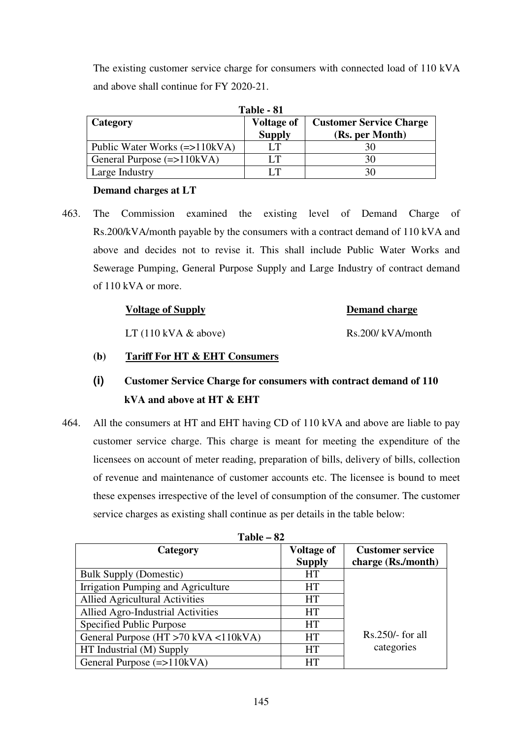The existing customer service charge for consumers with connected load of 110 kVA and above shall continue for FY 2020-21.

| Table - 81                                |                                    |                                                   |  |
|-------------------------------------------|------------------------------------|---------------------------------------------------|--|
| Category                                  | <b>Voltage of</b><br><b>Supply</b> | <b>Customer Service Charge</b><br>(Rs. per Month) |  |
| Public Water Works $(\Rightarrow 110kVA)$ | LТ                                 |                                                   |  |
| General Purpose $(=>110kVA)$              | LТ                                 | 30                                                |  |
| Large Industry                            | IТ                                 |                                                   |  |

#### **Demand charges at LT**

463. The Commission examined the existing level of Demand Charge of Rs.200/kVA/month payable by the consumers with a contract demand of 110 kVA and above and decides not to revise it. This shall include Public Water Works and Sewerage Pumping, General Purpose Supply and Large Industry of contract demand of 110 kVA or more.

| <b>Voltage of Supply</b>                 | <b>Demand charge</b> |
|------------------------------------------|----------------------|
| LT $(110 \text{ kVA } \& \text{ above})$ | Rs.200/kVA/month     |

#### **(b)****Tariff For HT & EHT Consumers**

# **(i) Customer Service Charge for consumers with contract demand of 110 kVA and above at HT & EHT**

464. All the consumers at HT and EHT having CD of 110 kVA and above are liable to pay customer service charge. This charge is meant for meeting the expenditure of the licensees on account of meter reading, preparation of bills, delivery of bills, collection of revenue and maintenance of customer accounts etc. The licensee is bound to meet these expenses irrespective of the level of consumption of the consumer. The customer service charges as existing shall continue as per details in the table below:

| Table $-82$                           |                   |                         |  |
|---------------------------------------|-------------------|-------------------------|--|
| Category                              | <b>Voltage of</b> | <b>Customer service</b> |  |
|                                       | <b>Supply</b>     | charge (Rs./month)      |  |
| <b>Bulk Supply (Domestic)</b>         | <b>HT</b>         |                         |  |
| Irrigation Pumping and Agriculture    | <b>HT</b>         |                         |  |
| <b>Allied Agricultural Activities</b> | <b>HT</b>         |                         |  |
| Allied Agro-Industrial Activities     | <b>HT</b>         |                         |  |
| Specified Public Purpose              | <b>HT</b>         |                         |  |
| General Purpose (HT >70 kVA <110kVA)  | <b>HT</b>         | $Rs.250/-$ for all      |  |
| HT Industrial (M) Supply              | <b>HT</b>         | categories              |  |
| General Purpose $(=>110kVA)$          | <b>HT</b>         |                         |  |

| Table – | 82 |
|---------|----|
|---------|----|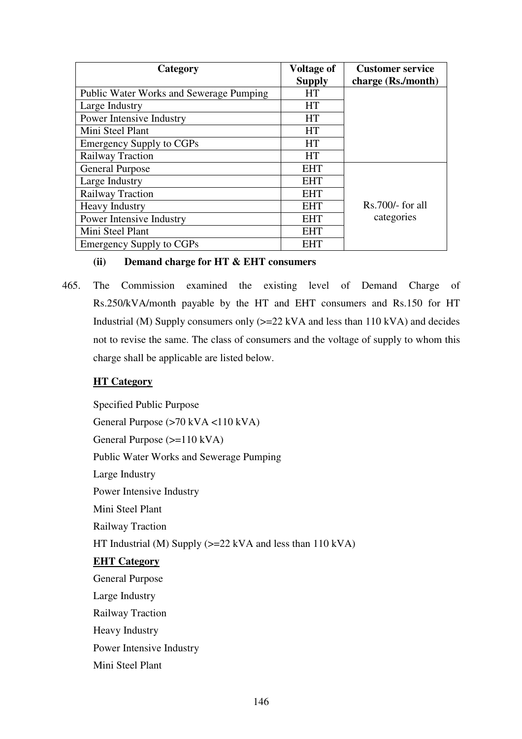| Category                                       | <b>Voltage of</b><br><b>Supply</b> | <b>Customer service</b><br>charge (Rs./month) |
|------------------------------------------------|------------------------------------|-----------------------------------------------|
| <b>Public Water Works and Sewerage Pumping</b> | <b>HT</b>                          |                                               |
| Large Industry                                 | <b>HT</b>                          |                                               |
| Power Intensive Industry                       | <b>HT</b>                          |                                               |
| Mini Steel Plant                               | <b>HT</b>                          |                                               |
| <b>Emergency Supply to CGPs</b>                | <b>HT</b>                          |                                               |
| Railway Traction                               | <b>HT</b>                          |                                               |
| <b>General Purpose</b>                         | <b>EHT</b>                         |                                               |
| Large Industry                                 | <b>EHT</b>                         |                                               |
| Railway Traction                               | <b>EHT</b>                         |                                               |
| <b>Heavy Industry</b>                          | <b>EHT</b>                         | $Rs.700/-$ for all                            |
| Power Intensive Industry                       | <b>EHT</b>                         | categories                                    |
| Mini Steel Plant                               | <b>EHT</b>                         |                                               |
| <b>Emergency Supply to CGPs</b>                | <b>EHT</b>                         |                                               |

## **(ii) Demand charge for HT & EHT consumers**

465. The Commission examined the existing level of Demand Charge of Rs.250/kVA/month payable by the HT and EHT consumers and Rs.150 for HT Industrial (M) Supply consumers only  $(>=22 \text{ kVA}$  and less than 110 kVA) and decides not to revise the same. The class of consumers and the voltage of supply to whom this charge shall be applicable are listed below.

# **HT Category**

 Specified Public Purpose General Purpose (>70 kVA <110 kVA) General Purpose (>=110 kVA) Public Water Works and Sewerage Pumping Large Industry Power Intensive Industry Mini Steel Plant Railway Traction HT Industrial (M) Supply ( $>= 22$  kVA and less than 110 kVA)  **EHT Category** General Purpose Large Industry Railway Traction Heavy Industry Power Intensive Industry Mini Steel Plant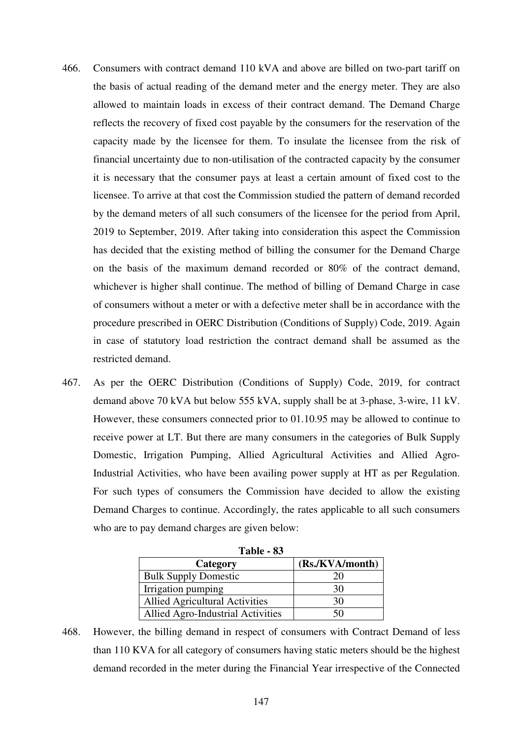- 466. Consumers with contract demand 110 kVA and above are billed on two-part tariff on the basis of actual reading of the demand meter and the energy meter. They are also allowed to maintain loads in excess of their contract demand. The Demand Charge reflects the recovery of fixed cost payable by the consumers for the reservation of the capacity made by the licensee for them. To insulate the licensee from the risk of financial uncertainty due to non-utilisation of the contracted capacity by the consumer it is necessary that the consumer pays at least a certain amount of fixed cost to the licensee. To arrive at that cost the Commission studied the pattern of demand recorded by the demand meters of all such consumers of the licensee for the period from April, 2019 to September, 2019. After taking into consideration this aspect the Commission has decided that the existing method of billing the consumer for the Demand Charge on the basis of the maximum demand recorded or 80% of the contract demand, whichever is higher shall continue. The method of billing of Demand Charge in case of consumers without a meter or with a defective meter shall be in accordance with the procedure prescribed in OERC Distribution (Conditions of Supply) Code, 2019. Again in case of statutory load restriction the contract demand shall be assumed as the restricted demand.
- 467. As per the OERC Distribution (Conditions of Supply) Code, 2019, for contract demand above 70 kVA but below 555 kVA, supply shall be at 3-phase, 3-wire, 11 kV. However, these consumers connected prior to 01.10.95 may be allowed to continue to receive power at LT. But there are many consumers in the categories of Bulk Supply Domestic, Irrigation Pumping, Allied Agricultural Activities and Allied Agro-Industrial Activities, who have been availing power supply at HT as per Regulation. For such types of consumers the Commission have decided to allow the existing Demand Charges to continue. Accordingly, the rates applicable to all such consumers who are to pay demand charges are given below:

| Table - 83                            |                 |  |  |
|---------------------------------------|-----------------|--|--|
| Category                              | (Rs./KVA/month) |  |  |
| <b>Bulk Supply Domestic</b>           | 20              |  |  |
| Irrigation pumping                    | 30              |  |  |
| <b>Allied Agricultural Activities</b> | 30              |  |  |
| Allied Agro-Industrial Activities     | 50              |  |  |

468. However, the billing demand in respect of consumers with Contract Demand of less than 110 KVA for all category of consumers having static meters should be the highest demand recorded in the meter during the Financial Year irrespective of the Connected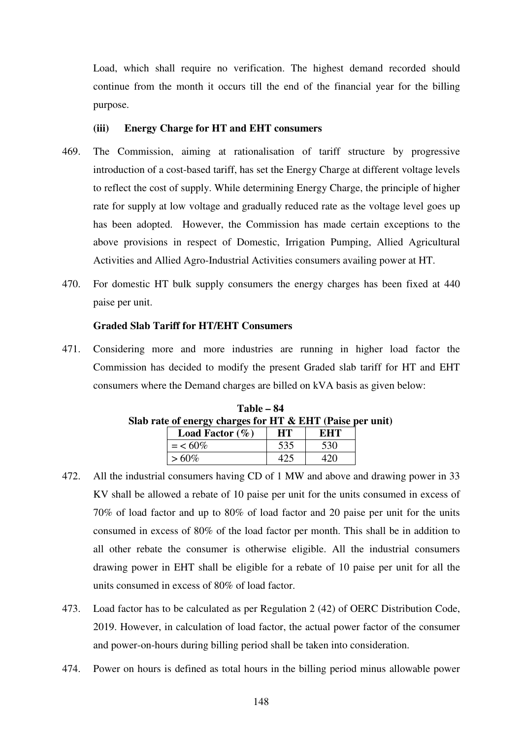Load, which shall require no verification. The highest demand recorded should continue from the month it occurs till the end of the financial year for the billing purpose.

#### **(iii) Energy Charge for HT and EHT consumers**

- 469. The Commission, aiming at rationalisation of tariff structure by progressive introduction of a cost-based tariff, has set the Energy Charge at different voltage levels to reflect the cost of supply. While determining Energy Charge, the principle of higher rate for supply at low voltage and gradually reduced rate as the voltage level goes up has been adopted. However, the Commission has made certain exceptions to the above provisions in respect of Domestic, Irrigation Pumping, Allied Agricultural Activities and Allied Agro-Industrial Activities consumers availing power at HT.
- 470. For domestic HT bulk supply consumers the energy charges has been fixed at 440 paise per unit.

#### **Graded Slab Tariff for HT/EHT Consumers**

471. Considering more and more industries are running in higher load factor the Commission has decided to modify the present Graded slab tariff for HT and EHT consumers where the Demand charges are billed on kVA basis as given below:

| ate of energy charges for HT & EHT (Paise pe |                           |     |     |
|----------------------------------------------|---------------------------|-----|-----|
|                                              | <b>Load Factor</b> $(\%)$ | HТ  | EHT |
|                                              | $=$ < 60%                 | 535 | 530 |
|                                              | $>60\%$                   |     |     |

**Table – 84 Slab rate of energy charges for HT & EHT (Paise per unit)** 

- 472. All the industrial consumers having CD of 1 MW and above and drawing power in 33 KV shall be allowed a rebate of 10 paise per unit for the units consumed in excess of 70% of load factor and up to 80% of load factor and 20 paise per unit for the units consumed in excess of 80% of the load factor per month. This shall be in addition to all other rebate the consumer is otherwise eligible. All the industrial consumers drawing power in EHT shall be eligible for a rebate of 10 paise per unit for all the units consumed in excess of 80% of load factor.
- 473. Load factor has to be calculated as per Regulation 2 (42) of OERC Distribution Code, 2019. However, in calculation of load factor, the actual power factor of the consumer and power-on-hours during billing period shall be taken into consideration.
- 474. Power on hours is defined as total hours in the billing period minus allowable power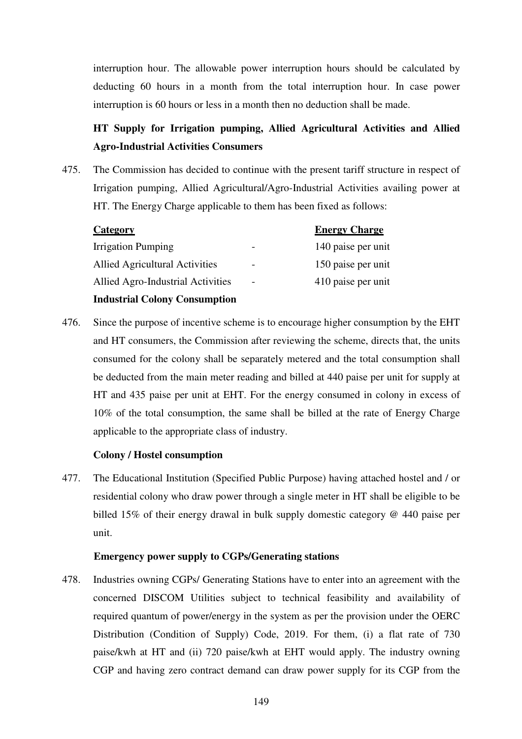interruption hour. The allowable power interruption hours should be calculated by deducting 60 hours in a month from the total interruption hour. In case power interruption is 60 hours or less in a month then no deduction shall be made.

# **HT Supply for Irrigation pumping, Allied Agricultural Activities and Allied Agro-Industrial Activities Consumers**

475. The Commission has decided to continue with the present tariff structure in respect of Irrigation pumping, Allied Agricultural/Agro-Industrial Activities availing power at HT. The Energy Charge applicable to them has been fixed as follows:

| Category                             | <b>Energy Charge</b> |
|--------------------------------------|----------------------|
| Irrigation Pumping                   | 140 paise per unit   |
| Allied Agricultural Activities       | 150 paise per unit   |
| Allied Agro-Industrial Activities    | 410 paise per unit   |
| <b>Industrial Colony Consumption</b> |                      |

476. Since the purpose of incentive scheme is to encourage higher consumption by the EHT and HT consumers, the Commission after reviewing the scheme, directs that, the units consumed for the colony shall be separately metered and the total consumption shall be deducted from the main meter reading and billed at 440 paise per unit for supply at HT and 435 paise per unit at EHT. For the energy consumed in colony in excess of 10% of the total consumption, the same shall be billed at the rate of Energy Charge applicable to the appropriate class of industry.

## **Colony / Hostel consumption**

477. The Educational Institution (Specified Public Purpose) having attached hostel and / or residential colony who draw power through a single meter in HT shall be eligible to be billed 15% of their energy drawal in bulk supply domestic category @ 440 paise per unit.

#### **Emergency power supply to CGPs/Generating stations**

478. Industries owning CGPs/ Generating Stations have to enter into an agreement with the concerned DISCOM Utilities subject to technical feasibility and availability of required quantum of power/energy in the system as per the provision under the OERC Distribution (Condition of Supply) Code, 2019. For them, (i) a flat rate of 730 paise/kwh at HT and (ii) 720 paise/kwh at EHT would apply. The industry owning CGP and having zero contract demand can draw power supply for its CGP from the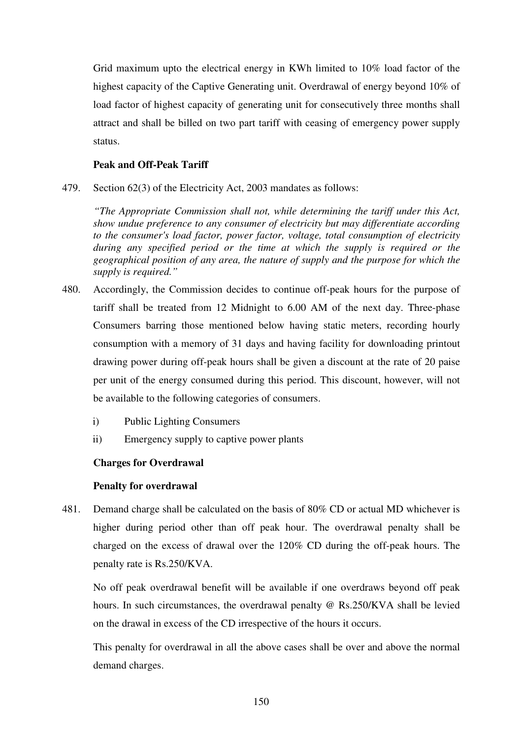Grid maximum upto the electrical energy in KWh limited to 10% load factor of the highest capacity of the Captive Generating unit. Overdrawal of energy beyond 10% of load factor of highest capacity of generating unit for consecutively three months shall attract and shall be billed on two part tariff with ceasing of emergency power supply status.

## **Peak and Off-Peak Tariff**

479. Section 62(3) of the Electricity Act, 2003 mandates as follows:

 *"The Appropriate Commission shall not, while determining the tariff under this Act, show undue preference to any consumer of electricity but may differentiate according to the consumer's load factor, power factor, voltage, total consumption of electricity during any specified period or the time at which the supply is required or the geographical position of any area, the nature of supply and the purpose for which the supply is required."* 

- 480. Accordingly, the Commission decides to continue off-peak hours for the purpose of tariff shall be treated from 12 Midnight to 6.00 AM of the next day. Three-phase Consumers barring those mentioned below having static meters, recording hourly consumption with a memory of 31 days and having facility for downloading printout drawing power during off-peak hours shall be given a discount at the rate of 20 paise per unit of the energy consumed during this period. This discount, however, will not be available to the following categories of consumers.
	- i) Public Lighting Consumers
	- ii) Emergency supply to captive power plants

#### **Charges for Overdrawal**

#### **Penalty for overdrawal**

481. Demand charge shall be calculated on the basis of 80% CD or actual MD whichever is higher during period other than off peak hour. The overdrawal penalty shall be charged on the excess of drawal over the 120% CD during the off-peak hours. The penalty rate is Rs.250/KVA.

No off peak overdrawal benefit will be available if one overdraws beyond off peak hours. In such circumstances, the overdrawal penalty @ Rs.250/KVA shall be levied on the drawal in excess of the CD irrespective of the hours it occurs.

This penalty for overdrawal in all the above cases shall be over and above the normal demand charges.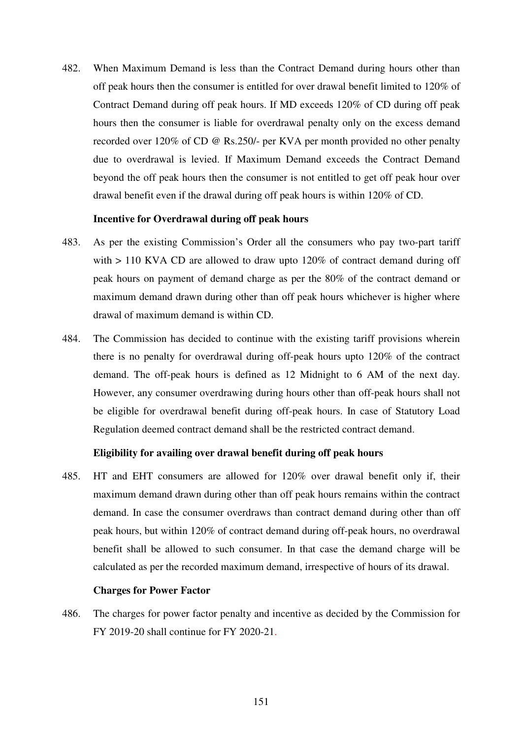482. When Maximum Demand is less than the Contract Demand during hours other than off peak hours then the consumer is entitled for over drawal benefit limited to 120% of Contract Demand during off peak hours. If MD exceeds 120% of CD during off peak hours then the consumer is liable for overdrawal penalty only on the excess demand recorded over 120% of CD @ Rs.250/- per KVA per month provided no other penalty due to overdrawal is levied. If Maximum Demand exceeds the Contract Demand beyond the off peak hours then the consumer is not entitled to get off peak hour over drawal benefit even if the drawal during off peak hours is within 120% of CD.

#### **Incentive for Overdrawal during off peak hours**

- 483. As per the existing Commission's Order all the consumers who pay two-part tariff with  $> 110$  KVA CD are allowed to draw upto 120% of contract demand during off peak hours on payment of demand charge as per the 80% of the contract demand or maximum demand drawn during other than off peak hours whichever is higher where drawal of maximum demand is within CD.
- 484. The Commission has decided to continue with the existing tariff provisions wherein there is no penalty for overdrawal during off-peak hours upto 120% of the contract demand. The off-peak hours is defined as 12 Midnight to 6 AM of the next day. However, any consumer overdrawing during hours other than off-peak hours shall not be eligible for overdrawal benefit during off-peak hours. In case of Statutory Load Regulation deemed contract demand shall be the restricted contract demand.

#### **Eligibility for availing over drawal benefit during off peak hours**

485. HT and EHT consumers are allowed for 120% over drawal benefit only if, their maximum demand drawn during other than off peak hours remains within the contract demand. In case the consumer overdraws than contract demand during other than off peak hours, but within 120% of contract demand during off-peak hours, no overdrawal benefit shall be allowed to such consumer. In that case the demand charge will be calculated as per the recorded maximum demand, irrespective of hours of its drawal.

#### **Charges for Power Factor**

486. The charges for power factor penalty and incentive as decided by the Commission for FY 2019-20 shall continue for FY 2020-21.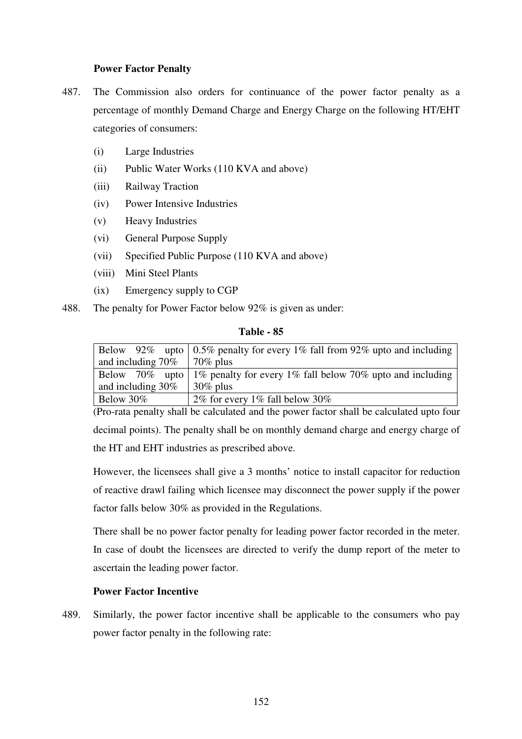#### **Power Factor Penalty**

- 487. The Commission also orders for continuance of the power factor penalty as a percentage of monthly Demand Charge and Energy Charge on the following HT/EHT categories of consumers:
	- (i) Large Industries
	- (ii) Public Water Works (110 KVA and above)
	- (iii) Railway Traction
	- (iv) Power Intensive Industries
	- (v) Heavy Industries
	- (vi) General Purpose Supply
	- (vii) Specified Public Purpose (110 KVA and above)
	- (viii) Mini Steel Plants
	- (ix) Emergency supply to CGP
- 488. The penalty for Power Factor below 92% is given as under:

#### **Table - 85**

|                                    | Below 92% upto $\vert 0.5\%$ penalty for every 1% fall from 92% upto and including |
|------------------------------------|------------------------------------------------------------------------------------|
| and including $70\%$   $70\%$ plus |                                                                                    |
|                                    | Below 70% upto   1% penalty for every 1% fall below 70% upto and including         |
| and including $30\%$               | $\frac{30\%}{20}$ plus                                                             |
| Below 30%                          | 2% for every 1% fall below 30%                                                     |

(Pro-rata penalty shall be calculated and the power factor shall be calculated upto four decimal points). The penalty shall be on monthly demand charge and energy charge of the HT and EHT industries as prescribed above.

However, the licensees shall give a 3 months' notice to install capacitor for reduction of reactive drawl failing which licensee may disconnect the power supply if the power factor falls below 30% as provided in the Regulations.

There shall be no power factor penalty for leading power factor recorded in the meter. In case of doubt the licensees are directed to verify the dump report of the meter to ascertain the leading power factor.

#### **Power Factor Incentive**

489. Similarly, the power factor incentive shall be applicable to the consumers who pay power factor penalty in the following rate: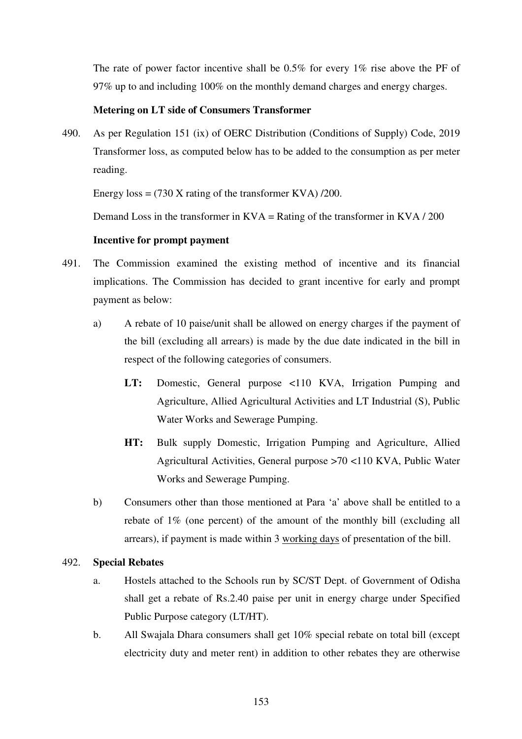The rate of power factor incentive shall be 0.5% for every 1% rise above the PF of 97% up to and including 100% on the monthly demand charges and energy charges.

#### **Metering on LT side of Consumers Transformer**

490. As per Regulation 151 (ix) of OERC Distribution (Conditions of Supply) Code, 2019 Transformer loss, as computed below has to be added to the consumption as per meter reading.

Energy  $loss = (730 \text{ X rating of the transformer KVA}) / 200$ .

Demand Loss in the transformer in  $KVA =$  Rating of the transformer in  $KVA / 200$ 

#### **Incentive for prompt payment**

- 491. The Commission examined the existing method of incentive and its financial implications. The Commission has decided to grant incentive for early and prompt payment as below:
	- a) A rebate of 10 paise/unit shall be allowed on energy charges if the payment of the bill (excluding all arrears) is made by the due date indicated in the bill in respect of the following categories of consumers.
		- **LT:** Domestic, General purpose <110 KVA, Irrigation Pumping and Agriculture, Allied Agricultural Activities and LT Industrial (S), Public Water Works and Sewerage Pumping.
		- **HT:** Bulk supply Domestic, Irrigation Pumping and Agriculture, Allied Agricultural Activities, General purpose >70 <110 KVA, Public Water Works and Sewerage Pumping.
	- b) Consumers other than those mentioned at Para 'a' above shall be entitled to a rebate of 1% (one percent) of the amount of the monthly bill (excluding all arrears), if payment is made within 3 working days of presentation of the bill.

#### 492. **Special Rebates**

- a. Hostels attached to the Schools run by SC/ST Dept. of Government of Odisha shall get a rebate of Rs.2.40 paise per unit in energy charge under Specified Public Purpose category (LT/HT).
- b. All Swajala Dhara consumers shall get 10% special rebate on total bill (except electricity duty and meter rent) in addition to other rebates they are otherwise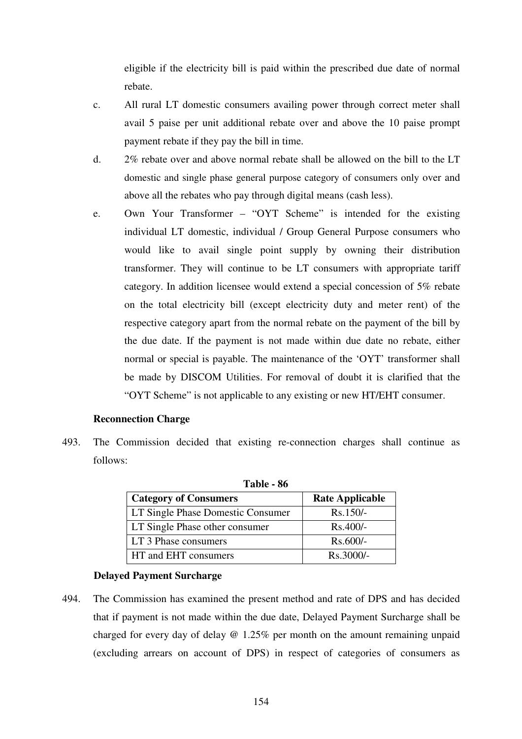eligible if the electricity bill is paid within the prescribed due date of normal rebate.

- c. All rural LT domestic consumers availing power through correct meter shall avail 5 paise per unit additional rebate over and above the 10 paise prompt payment rebate if they pay the bill in time.
- d. 2% rebate over and above normal rebate shall be allowed on the bill to the LT domestic and single phase general purpose category of consumers only over and above all the rebates who pay through digital means (cash less).
- e. Own Your Transformer "OYT Scheme" is intended for the existing individual LT domestic, individual / Group General Purpose consumers who would like to avail single point supply by owning their distribution transformer. They will continue to be LT consumers with appropriate tariff category. In addition licensee would extend a special concession of 5% rebate on the total electricity bill (except electricity duty and meter rent) of the respective category apart from the normal rebate on the payment of the bill by the due date. If the payment is not made within due date no rebate, either normal or special is payable. The maintenance of the 'OYT' transformer shall be made by DISCOM Utilities. For removal of doubt it is clarified that the "OYT Scheme" is not applicable to any existing or new HT/EHT consumer.

#### **Reconnection Charge**

493. The Commission decided that existing re-connection charges shall continue as follows:

| 1 apie - 86                       |                        |  |  |
|-----------------------------------|------------------------|--|--|
| <b>Category of Consumers</b>      | <b>Rate Applicable</b> |  |  |
| LT Single Phase Domestic Consumer | $Rs.150/-$             |  |  |
| LT Single Phase other consumer    | $Rs.400/-$             |  |  |
| LT 3 Phase consumers              | $Rs.600/-$             |  |  |
| HT and EHT consumers              | Rs.3000/-              |  |  |

**Table 06** 

#### **Delayed Payment Surcharge**

494. The Commission has examined the present method and rate of DPS and has decided that if payment is not made within the due date, Delayed Payment Surcharge shall be charged for every day of delay @ 1.25% per month on the amount remaining unpaid (excluding arrears on account of DPS) in respect of categories of consumers as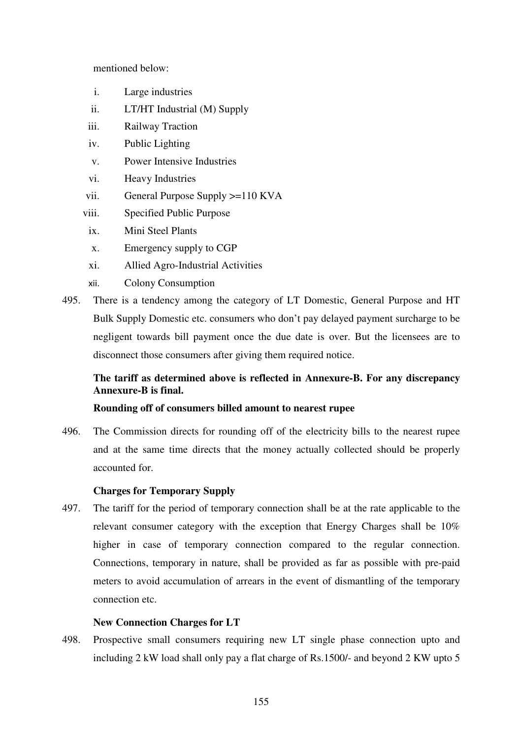mentioned below:

- i. Large industries
- ii. LT/HT Industrial (M) Supply
- iii. Railway Traction
- iv. Public Lighting
- v. Power Intensive Industries
- vi. Heavy Industries
- vii. General Purpose Supply >=110 KVA
- viii. Specified Public Purpose
- ix. Mini Steel Plants
- x. Emergency supply to CGP
- xi. Allied Agro-Industrial Activities
- xii. Colony Consumption
- 495. There is a tendency among the category of LT Domestic, General Purpose and HT Bulk Supply Domestic etc. consumers who don't pay delayed payment surcharge to be negligent towards bill payment once the due date is over. But the licensees are to disconnect those consumers after giving them required notice.

# **The tariff as determined above is reflected in Annexure-B. For any discrepancy Annexure-B is final.**

#### **Rounding off of consumers billed amount to nearest rupee**

496. The Commission directs for rounding off of the electricity bills to the nearest rupee and at the same time directs that the money actually collected should be properly accounted for.

#### **Charges for Temporary Supply**

497. The tariff for the period of temporary connection shall be at the rate applicable to the relevant consumer category with the exception that Energy Charges shall be 10% higher in case of temporary connection compared to the regular connection. Connections, temporary in nature, shall be provided as far as possible with pre-paid meters to avoid accumulation of arrears in the event of dismantling of the temporary connection etc.

#### **New Connection Charges for LT**

498. Prospective small consumers requiring new LT single phase connection upto and including 2 kW load shall only pay a flat charge of Rs.1500/- and beyond 2 KW upto 5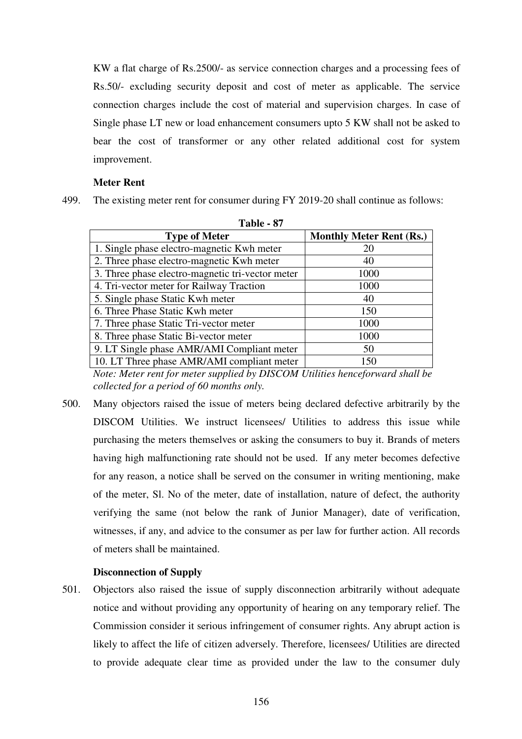KW a flat charge of Rs.2500/- as service connection charges and a processing fees of Rs.50/- excluding security deposit and cost of meter as applicable. The service connection charges include the cost of material and supervision charges. In case of Single phase LT new or load enhancement consumers upto 5 KW shall not be asked to bear the cost of transformer or any other related additional cost for system improvement.

#### **Meter Rent**

499. The existing meter rent for consumer during FY 2019-20 shall continue as follows:

| 1 adie - 97                     |  |  |  |
|---------------------------------|--|--|--|
| <b>Monthly Meter Rent (Rs.)</b> |  |  |  |
| 20                              |  |  |  |
| 40                              |  |  |  |
| 1000                            |  |  |  |
| 1000                            |  |  |  |
| 40                              |  |  |  |
| 150                             |  |  |  |
| 1000                            |  |  |  |
| 1000                            |  |  |  |
| 50                              |  |  |  |
| 150                             |  |  |  |
|                                 |  |  |  |

| l'able- |  | л / |
|---------|--|-----|
|---------|--|-----|

*Note: Meter rent for meter supplied by DISCOM Utilities henceforward shall be collected for a period of 60 months only.*

500. Many objectors raised the issue of meters being declared defective arbitrarily by the DISCOM Utilities. We instruct licensees/ Utilities to address this issue while purchasing the meters themselves or asking the consumers to buy it. Brands of meters having high malfunctioning rate should not be used. If any meter becomes defective for any reason, a notice shall be served on the consumer in writing mentioning, make of the meter, Sl. No of the meter, date of installation, nature of defect, the authority verifying the same (not below the rank of Junior Manager), date of verification, witnesses, if any, and advice to the consumer as per law for further action. All records of meters shall be maintained.

## **Disconnection of Supply**

501. Objectors also raised the issue of supply disconnection arbitrarily without adequate notice and without providing any opportunity of hearing on any temporary relief. The Commission consider it serious infringement of consumer rights. Any abrupt action is likely to affect the life of citizen adversely. Therefore, licensees/ Utilities are directed to provide adequate clear time as provided under the law to the consumer duly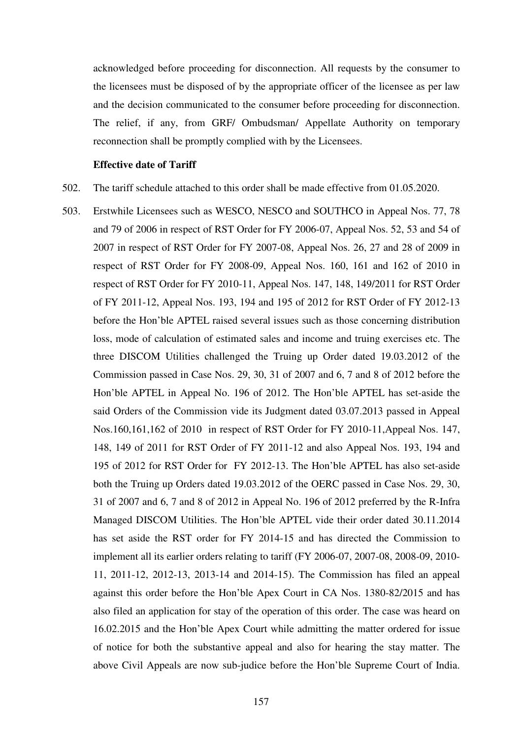acknowledged before proceeding for disconnection. All requests by the consumer to the licensees must be disposed of by the appropriate officer of the licensee as per law and the decision communicated to the consumer before proceeding for disconnection. The relief, if any, from GRF/ Ombudsman/ Appellate Authority on temporary reconnection shall be promptly complied with by the Licensees.

#### **Effective date of Tariff**

- 502. The tariff schedule attached to this order shall be made effective from 01.05.2020.
- 503. Erstwhile Licensees such as WESCO, NESCO and SOUTHCO in Appeal Nos. 77, 78 and 79 of 2006 in respect of RST Order for FY 2006-07, Appeal Nos. 52, 53 and 54 of 2007 in respect of RST Order for FY 2007-08, Appeal Nos. 26, 27 and 28 of 2009 in respect of RST Order for FY 2008-09, Appeal Nos. 160, 161 and 162 of 2010 in respect of RST Order for FY 2010-11, Appeal Nos. 147, 148, 149/2011 for RST Order of FY 2011-12, Appeal Nos. 193, 194 and 195 of 2012 for RST Order of FY 2012-13 before the Hon'ble APTEL raised several issues such as those concerning distribution loss, mode of calculation of estimated sales and income and truing exercises etc. The three DISCOM Utilities challenged the Truing up Order dated 19.03.2012 of the Commission passed in Case Nos. 29, 30, 31 of 2007 and 6, 7 and 8 of 2012 before the Hon'ble APTEL in Appeal No. 196 of 2012. The Hon'ble APTEL has set-aside the said Orders of the Commission vide its Judgment dated 03.07.2013 passed in Appeal Nos.160,161,162 of 2010 in respect of RST Order for FY 2010-11,Appeal Nos. 147, 148, 149 of 2011 for RST Order of FY 2011-12 and also Appeal Nos. 193, 194 and 195 of 2012 for RST Order for FY 2012-13. The Hon'ble APTEL has also set-aside both the Truing up Orders dated 19.03.2012 of the OERC passed in Case Nos. 29, 30, 31 of 2007 and 6, 7 and 8 of 2012 in Appeal No. 196 of 2012 preferred by the R-Infra Managed DISCOM Utilities. The Hon'ble APTEL vide their order dated 30.11.2014 has set aside the RST order for FY 2014-15 and has directed the Commission to implement all its earlier orders relating to tariff (FY 2006-07, 2007-08, 2008-09, 2010- 11, 2011-12, 2012-13, 2013-14 and 2014-15). The Commission has filed an appeal against this order before the Hon'ble Apex Court in CA Nos. 1380-82/2015 and has also filed an application for stay of the operation of this order. The case was heard on 16.02.2015 and the Hon'ble Apex Court while admitting the matter ordered for issue of notice for both the substantive appeal and also for hearing the stay matter. The above Civil Appeals are now sub-judice before the Hon'ble Supreme Court of India.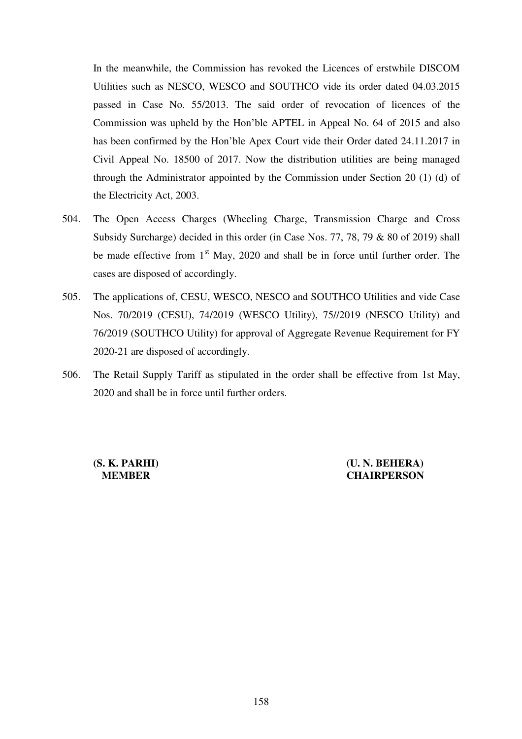In the meanwhile, the Commission has revoked the Licences of erstwhile DISCOM Utilities such as NESCO, WESCO and SOUTHCO vide its order dated 04.03.2015 passed in Case No. 55/2013. The said order of revocation of licences of the Commission was upheld by the Hon'ble APTEL in Appeal No. 64 of 2015 and also has been confirmed by the Hon'ble Apex Court vide their Order dated 24.11.2017 in Civil Appeal No. 18500 of 2017. Now the distribution utilities are being managed through the Administrator appointed by the Commission under Section 20 (1) (d) of the Electricity Act, 2003.

- 504. The Open Access Charges (Wheeling Charge, Transmission Charge and Cross Subsidy Surcharge) decided in this order (in Case Nos. 77, 78, 79 & 80 of 2019) shall be made effective from  $1<sup>st</sup>$  May, 2020 and shall be in force until further order. The cases are disposed of accordingly.
- 505. The applications of, CESU, WESCO, NESCO and SOUTHCO Utilities and vide Case Nos. 70/2019 (CESU), 74/2019 (WESCO Utility), 75//2019 (NESCO Utility) and 76/2019 (SOUTHCO Utility) for approval of Aggregate Revenue Requirement for FY 2020-21 are disposed of accordingly.
- 506. The Retail Supply Tariff as stipulated in the order shall be effective from 1st May, 2020 and shall be in force until further orders.

**(S. K. PARHI) (U. N. BEHERA) MEMBER CHAIRPERSON**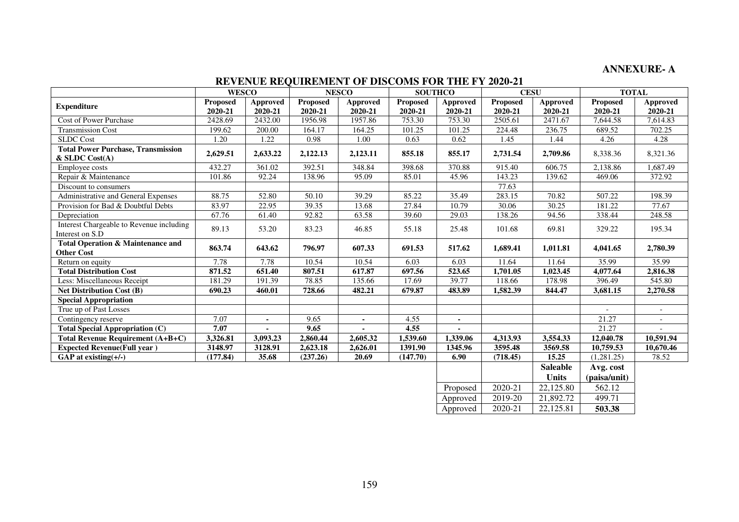# **ANNEXURE- A**

# **REVENUE REQUIREMENT OF DISCOMS FOR THE FY 2020-21**

|                                                                   | <b>WESCO</b>               |                            | <b>NESCO</b><br><b>SOUTHCO</b> |                     |                            | <b>CESU</b>         |                            | <b>TOTAL</b>               |                            |                     |
|-------------------------------------------------------------------|----------------------------|----------------------------|--------------------------------|---------------------|----------------------------|---------------------|----------------------------|----------------------------|----------------------------|---------------------|
| <b>Expenditure</b>                                                | <b>Proposed</b><br>2020-21 | <b>Approved</b><br>2020-21 | <b>Proposed</b><br>2020-21     | Approved<br>2020-21 | <b>Proposed</b><br>2020-21 | Approved<br>2020-21 | <b>Proposed</b><br>2020-21 | <b>Approved</b><br>2020-21 | <b>Proposed</b><br>2020-21 | Approved<br>2020-21 |
| Cost of Power Purchase                                            | 2428.69                    | 2432.00                    | 1956.98                        | 1957.86             | 753.30                     | 753.30              | 2505.61                    | 2471.67                    | 7,644.58                   | 7,614.83            |
| <b>Transmission Cost</b>                                          | 199.62                     | 200.00                     | 164.17                         | 164.25              | 101.25                     | 101.25              | 224.48                     | 236.75                     | 689.52                     | 702.25              |
| <b>SLDC</b> Cost                                                  | 1.20                       | 1.22                       | 0.98                           | 1.00                | 0.63                       | 0.62                | 1.45                       | 1.44                       | 4.26                       | 4.28                |
| <b>Total Power Purchase, Transmission</b><br>$&$ SLDC Cost(A)     | 2,629.51                   | 2,633.22                   | 2,122.13                       | 2,123.11            | 855.18                     | 855.17              | 2,731.54                   | 2,709.86                   | 8,338.36                   | 8,321.36            |
| Employee costs                                                    | 432.27                     | 361.02                     | 392.51                         | 348.84              | 398.68                     | 370.88              | 915.40                     | 606.75                     | 2,138.86                   | 1,687.49            |
| Repair & Maintenance                                              | 101.86                     | 92.24                      | 138.96                         | 95.09               | 85.01                      | 45.96               | 143.23                     | 139.62                     | 469.06                     | 372.92              |
| Discount to consumers                                             |                            |                            |                                |                     |                            |                     | 77.63                      |                            |                            |                     |
| Administrative and General Expenses                               | 88.75                      | 52.80                      | 50.10                          | 39.29               | 85.22                      | 35.49               | 283.15                     | 70.82                      | 507.22                     | 198.39              |
| Provision for Bad & Doubtful Debts                                | 83.97                      | 22.95                      | 39.35                          | 13.68               | 27.84                      | 10.79               | 30.06                      | 30.25                      | 181.22                     | 77.67               |
| Depreciation                                                      | 67.76                      | 61.40                      | 92.82                          | 63.58               | 39.60                      | 29.03               | 138.26                     | 94.56                      | 338.44                     | 248.58              |
| Interest Chargeable to Revenue including<br>Interest on S.D       | 89.13                      | 53.20                      | 83.23                          | 46.85               | 55.18                      | 25.48               | 101.68                     | 69.81                      | 329.22                     | 195.34              |
| <b>Total Operation &amp; Maintenance and</b><br><b>Other Cost</b> | 863.74                     | 643.62                     | 796.97                         | 607.33              | 691.53                     | 517.62              | 1,689.41                   | 1,011.81                   | 4,041.65                   | 2,780.39            |
| Return on equity                                                  | 7.78                       | 7.78                       | 10.54                          | 10.54               | 6.03                       | 6.03                | 11.64                      | 11.64                      | 35.99                      | 35.99               |
| <b>Total Distribution Cost</b>                                    | 871.52                     | 651.40                     | 807.51                         | 617.87              | 697.56                     | 523.65              | 1,701.05                   | 1,023.45                   | 4,077.64                   | 2,816.38            |
| Less: Miscellaneous Receipt                                       | 181.29                     | 191.39                     | 78.85                          | 135.66              | 17.69                      | 39.77               | 118.66                     | 178.98                     | 396.49                     | 545.80              |
| <b>Net Distribution Cost (B)</b>                                  | 690.23                     | 460.01                     | 728.66                         | 482.21              | 679.87                     | 483.89              | 1,582.39                   | 844.47                     | 3,681.15                   | 2,270.58            |
| <b>Special Appropriation</b>                                      |                            |                            |                                |                     |                            |                     |                            |                            |                            |                     |
| True up of Past Losses                                            |                            |                            |                                |                     |                            |                     |                            |                            |                            | $\sim$              |
| Contingency reserve                                               | 7.07                       |                            | 9.65                           |                     | 4.55                       | ٠.                  |                            |                            | 21.27                      |                     |
| <b>Total Special Appropriation (C)</b>                            | 7.07                       |                            | 9.65                           |                     | 4.55                       |                     |                            |                            | 21.27                      |                     |
| Total Revenue Requirement (A+B+C)                                 | 3,326.81                   | 3,093.23                   | 2,860.44                       | 2,605.32            | 1,539.60                   | 1,339.06            | 4,313.93                   | 3,554.33                   | 12,040.78                  | 10,591.94           |
| <b>Expected Revenue(Full year)</b>                                | 3148.97                    | 3128.91                    | 2,623.18                       | 2,626.01            | 1391.90                    | 1345.96             | 3595.48                    | 3569.58                    | 10,759.53                  | 10,670.46           |
| GAP at existing $(+/-)$                                           | (177.84)                   | 35.68                      | (237.26)                       | 20.69               | (147.70)                   | 6.90                | (718.45)                   | 15.25                      | (1,281.25)                 | 78.52               |
|                                                                   |                            |                            |                                |                     |                            |                     |                            | <b>Saleable</b>            | Avg. cost                  |                     |
|                                                                   |                            |                            |                                |                     |                            |                     |                            | <b>Units</b>               | (paisa/unit)               |                     |
|                                                                   |                            |                            |                                |                     |                            | Proposed            | 2020-21                    | 22,125.80                  | 562.12                     |                     |
|                                                                   |                            |                            |                                |                     |                            | Approved            | 2019-20                    | 21,892.72                  | 499.71                     |                     |
|                                                                   |                            |                            |                                |                     |                            | Approved            | 2020-21                    | 22,125.81                  | 503.38                     |                     |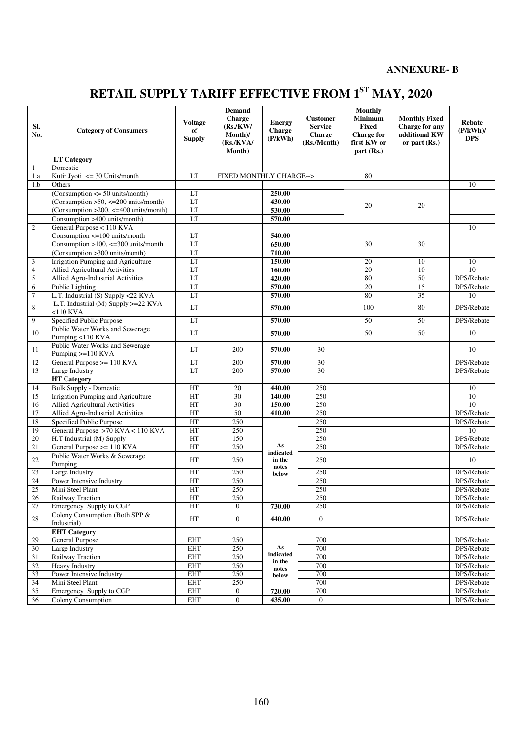# **ANNEXURE- B**

# **RETAIL SUPPLY TARIFF EFFECTIVE FROM 1ST MAY, 2020**

| SI.<br>No.      | <b>Category of Consumers</b>                         | <b>Voltage</b><br>of<br><b>Supply</b> | <b>Demand</b><br><b>Charge</b><br>(Rs/KW)<br>Month)/<br>(Rs/KVA/<br>Month) | <b>Energy</b><br>Charge<br>(P/kWh) | <b>Customer</b><br><b>Service</b><br>Charge<br>(Rs./Month) | <b>Monthly</b><br>Minimum<br><b>Fixed</b><br><b>Charge for</b><br>first KW or<br>part (Rs.) | <b>Monthly Fixed</b><br>Charge for any<br>additional KW<br>or part $(Rs.)$ | <b>Rebate</b><br>(P/kWh)<br><b>DPS</b> |
|-----------------|------------------------------------------------------|---------------------------------------|----------------------------------------------------------------------------|------------------------------------|------------------------------------------------------------|---------------------------------------------------------------------------------------------|----------------------------------------------------------------------------|----------------------------------------|
|                 | <b>LT</b> Category                                   |                                       |                                                                            |                                    |                                                            |                                                                                             |                                                                            |                                        |
| 1               | Domestic                                             |                                       |                                                                            |                                    |                                                            |                                                                                             |                                                                            |                                        |
| 1.a             | Kutir Jyoti $\leq$ 30 Units/month                    | LT                                    | FIXED MONTHLY CHARGE-->                                                    |                                    |                                                            | 80                                                                                          |                                                                            |                                        |
| 1.b             | Others                                               |                                       |                                                                            |                                    |                                                            |                                                                                             |                                                                            | 10                                     |
|                 | $(Consumption \le 50 units/month)$                   | LT                                    |                                                                            | 250.00                             |                                                            |                                                                                             |                                                                            |                                        |
|                 | (Consumption $>50$ , $\leq$ 200 units/month)         | LT                                    |                                                                            | 430.00                             |                                                            |                                                                                             |                                                                            |                                        |
|                 | $(Consumption > 200, \leq 400$ units/month)          | LT                                    |                                                                            | 530.00                             |                                                            | 20                                                                                          | 20                                                                         |                                        |
|                 | Consumption >400 units/month)                        | LT                                    |                                                                            | 570.00                             |                                                            |                                                                                             |                                                                            |                                        |
| $\mathfrak{2}$  | General Purpose < 110 KVA                            |                                       |                                                                            |                                    |                                                            |                                                                                             |                                                                            | 10                                     |
|                 | Consumption $\leq$ 100 units/month                   | LT                                    |                                                                            | 540.00                             |                                                            |                                                                                             |                                                                            |                                        |
|                 | Consumption $>100$ , $<=300$ units/month             | LT                                    |                                                                            | 650.00                             |                                                            | 30                                                                                          | 30                                                                         |                                        |
|                 | (Consumption >300 units/month)                       | LT                                    |                                                                            | 710.00                             |                                                            |                                                                                             |                                                                            |                                        |
| 3               | Irrigation Pumping and Agriculture                   | LT                                    |                                                                            | 150.00                             |                                                            | 20                                                                                          | 10                                                                         | 10                                     |
| $\overline{4}$  | <b>Allied Agricultural Activities</b>                | LT                                    |                                                                            | 160.00                             |                                                            | 20                                                                                          | 10                                                                         | 10                                     |
| 5               | Allied Agro-Industrial Activities                    | LT                                    |                                                                            | 420.00                             |                                                            | 80                                                                                          | 50                                                                         | DPS/Rebate                             |
| 6               | Public Lighting                                      | LT                                    |                                                                            | 570.00                             |                                                            | 20                                                                                          | 15                                                                         | DPS/Rebate                             |
| 7               | L.T. Industrial (S) Supply <22 KVA                   | LT                                    |                                                                            | 570.00                             |                                                            | 80                                                                                          | $\overline{35}$                                                            | 10                                     |
| 8               | L.T. Industrial (M) Supply >=22 KVA<br>$<$ 110 KVA   | LT                                    |                                                                            | 570.00                             |                                                            | 100                                                                                         | 80                                                                         | DPS/Rebate                             |
| 9               | Specified Public Purpose                             | LT                                    |                                                                            | 570.00                             |                                                            | 50                                                                                          | $\overline{50}$                                                            | DPS/Rebate                             |
| 10              | Public Water Works and Sewerage<br>Pumping <110 KVA  | LT                                    |                                                                            | 570.00                             |                                                            | 50                                                                                          | 50                                                                         | 10                                     |
| 11              | Public Water Works and Sewerage<br>Pumping >=110 KVA | LT                                    | 200                                                                        | 570.00                             | 30                                                         |                                                                                             |                                                                            | 10                                     |
| 12              | General Purpose >= 110 KVA                           | LT                                    | 200                                                                        | 570.00                             | 30                                                         |                                                                                             |                                                                            | DPS/Rebate                             |
| 13              | Large Industry                                       | LT                                    | 200                                                                        | 570.00                             | 30                                                         |                                                                                             |                                                                            | DPS/Rebate                             |
|                 | <b>HT</b> Category                                   |                                       |                                                                            |                                    |                                                            |                                                                                             |                                                                            |                                        |
| 14              | <b>Bulk Supply - Domestic</b>                        | HT                                    | 20                                                                         | 440.00                             | 250                                                        |                                                                                             |                                                                            | 10                                     |
| 15              | Irrigation Pumping and Agriculture                   | HT                                    | 30                                                                         | 140.00                             | 250                                                        |                                                                                             |                                                                            | 10                                     |
| 16              | Allied Agricultural Activities                       | HT                                    | 30                                                                         | 150.00                             | 250                                                        |                                                                                             |                                                                            | $\overline{10}$                        |
| 17              | Allied Agro-Industrial Activities                    | HT                                    | 50                                                                         | 410.00                             | 250                                                        |                                                                                             |                                                                            | DPS/Rebate                             |
| 18              | Specified Public Purpose                             | HT                                    | 250                                                                        |                                    | 250                                                        |                                                                                             |                                                                            | DPS/Rebate                             |
| 19              | General Purpose >70 KVA < 110 KVA                    | HT                                    | 250                                                                        |                                    | 250                                                        |                                                                                             |                                                                            | 10                                     |
| 20              | H.T Industrial (M) Supply                            | HT                                    | 150                                                                        |                                    | 250                                                        |                                                                                             |                                                                            | DPS/Rebate                             |
| 21              | General Purpose $> = 110$ KVA                        | HT                                    | 250                                                                        | As                                 | 250                                                        |                                                                                             |                                                                            | DPS/Rebate                             |
| 22              | Public Water Works & Sewerage<br>Pumping             | HT                                    | 250                                                                        | indicated<br>in the                | 250                                                        |                                                                                             |                                                                            | 10                                     |
| 23              | Large Industry                                       | HT                                    | 250                                                                        | notes<br>below                     | 250                                                        |                                                                                             |                                                                            | DPS/Rebate                             |
| 24              | Power Intensive Industry                             | HT                                    | 250                                                                        |                                    | 250                                                        |                                                                                             |                                                                            | DPS/Rebate                             |
| 25              | Mini Steel Plant                                     | HT                                    | 250                                                                        |                                    | 250                                                        |                                                                                             |                                                                            | DPS/Rebate                             |
| $\overline{26}$ | Railway Traction                                     | HT                                    | 250                                                                        |                                    | 250                                                        |                                                                                             |                                                                            | DPS/Rebate                             |
| 27              | Emergency Supply to CGP                              | HT                                    | $\theta$                                                                   | 730.00                             | 250                                                        |                                                                                             |                                                                            | DPS/Rebate                             |
| 28              | Colony Consumption (Both SPP &<br>Industrial)        | HT                                    | $\mathbf{0}$                                                               | 440.00                             | $\theta$                                                   |                                                                                             |                                                                            | DPS/Rebate                             |
|                 | <b>EHT Category</b>                                  |                                       |                                                                            |                                    |                                                            |                                                                                             |                                                                            |                                        |
| 29              | General Purpose                                      | <b>EHT</b>                            | 250                                                                        |                                    | 700                                                        |                                                                                             |                                                                            | DPS/Rebate                             |
| 30              | Large Industry                                       | <b>EHT</b>                            | 250                                                                        | As                                 | 700                                                        |                                                                                             |                                                                            | DPS/Rebate                             |
| 31              | Railway Traction                                     | <b>EHT</b>                            | 250                                                                        | indicated                          | 700                                                        |                                                                                             |                                                                            | DPS/Rebate                             |
| 32              | Heavy Industry                                       | <b>EHT</b>                            | 250                                                                        | in the                             | 700                                                        |                                                                                             |                                                                            | DPS/Rebate                             |
| 33              | Power Intensive Industry                             | <b>EHT</b>                            | 250                                                                        | notes<br>below                     | 700                                                        |                                                                                             |                                                                            | DPS/Rebate                             |
| 34              | Mini Steel Plant                                     | <b>EHT</b>                            | 250                                                                        |                                    | 700                                                        |                                                                                             |                                                                            | DPS/Rebate                             |
| 35              | Emergency Supply to CGP                              | <b>EHT</b>                            | $\boldsymbol{0}$                                                           | 720.00                             | 700                                                        |                                                                                             |                                                                            | DPS/Rebate                             |
| 36              | Colony Consumption                                   | <b>EHT</b>                            | $\boldsymbol{0}$                                                           | 435.00                             | $\mathbf{0}$                                               |                                                                                             |                                                                            | DPS/Rebate                             |
|                 |                                                      |                                       |                                                                            |                                    |                                                            |                                                                                             |                                                                            |                                        |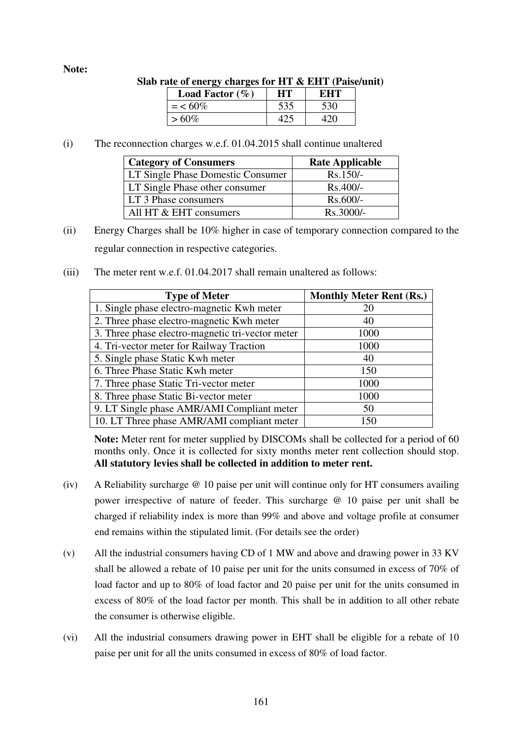#### **Note:**

| rate of energy charges for $\pi_1 \propto \pi_1$ (raise/u) |                           |     |     |  |  |  |
|------------------------------------------------------------|---------------------------|-----|-----|--|--|--|
|                                                            | <b>Load Factor</b> $(\%)$ | HT. | EHT |  |  |  |
|                                                            | $=$ < 60%                 | 535 | 530 |  |  |  |
|                                                            | $>60\%$                   |     |     |  |  |  |

## **Slab rate of energy charges for HT & EHT (Paise/unit)**

(i) The reconnection charges w.e.f. 01.04.2015 shall continue unaltered

| <b>Category of Consumers</b>      | <b>Rate Applicable</b> |
|-----------------------------------|------------------------|
| LT Single Phase Domestic Consumer | $Rs.150/-$             |
| LT Single Phase other consumer    | $Rs.400/-$             |
| LT 3 Phase consumers              | $Rs.600/-$             |
| All HT & EHT consumers            | $Rs.3000/-$            |

- (ii) Energy Charges shall be 10% higher in case of temporary connection compared to the regular connection in respective categories.
- (iii) The meter rent w.e.f. 01.04.2017 shall remain unaltered as follows:

| <b>Type of Meter</b>                             | <b>Monthly Meter Rent (Rs.)</b> |
|--------------------------------------------------|---------------------------------|
| 1. Single phase electro-magnetic Kwh meter       | 20                              |
| 2. Three phase electro-magnetic Kwh meter        | 40                              |
| 3. Three phase electro-magnetic tri-vector meter | 1000                            |
| 4. Tri-vector meter for Railway Traction         | 1000                            |
| 5. Single phase Static Kwh meter                 | 40                              |
| 6. Three Phase Static Kwh meter                  | 150                             |
| 7. Three phase Static Tri-vector meter           | 1000                            |
| 8. Three phase Static Bi-vector meter            | 1000                            |
| 9. LT Single phase AMR/AMI Compliant meter       | 50                              |
| 10. LT Three phase AMR/AMI compliant meter       | 150                             |

**Note:** Meter rent for meter supplied by DISCOMs shall be collected for a period of 60 months only. Once it is collected for sixty months meter rent collection should stop. **All statutory levies shall be collected in addition to meter rent.** 

- (iv) A Reliability surcharge @ 10 paise per unit will continue only for HT consumers availing power irrespective of nature of feeder. This surcharge @ 10 paise per unit shall be charged if reliability index is more than 99% and above and voltage profile at consumer end remains within the stipulated limit. (For details see the order)
- (v) All the industrial consumers having CD of 1 MW and above and drawing power in 33 KV shall be allowed a rebate of 10 paise per unit for the units consumed in excess of 70% of load factor and up to 80% of load factor and 20 paise per unit for the units consumed in excess of 80% of the load factor per month. This shall be in addition to all other rebate the consumer is otherwise eligible.
- (vi) All the industrial consumers drawing power in EHT shall be eligible for a rebate of 10 paise per unit for all the units consumed in excess of 80% of load factor.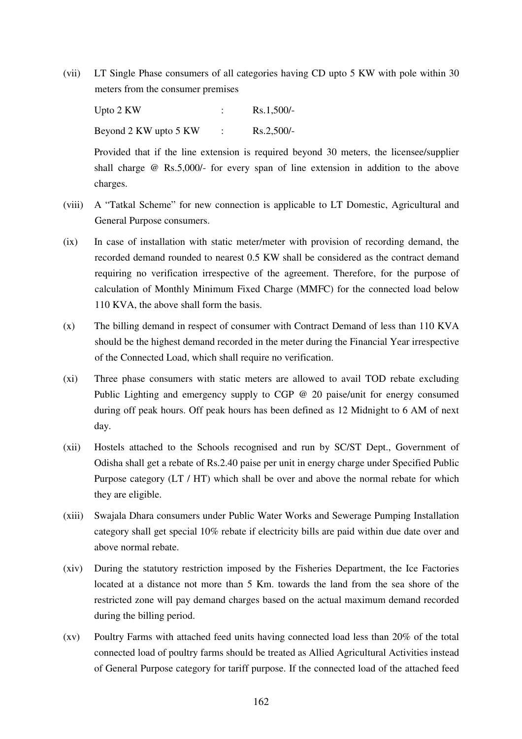(vii) LT Single Phase consumers of all categories having CD upto 5 KW with pole within 30 meters from the consumer premises

Upto 2 KW : Rs.1,500/-Beyond  $2$  KW upto  $5$  KW : Rs.  $2.500/-$ 

Provided that if the line extension is required beyond 30 meters, the licensee/supplier shall charge @ Rs.5,000/- for every span of line extension in addition to the above charges.

- (viii) A "Tatkal Scheme" for new connection is applicable to LT Domestic, Agricultural and General Purpose consumers.
- (ix) In case of installation with static meter/meter with provision of recording demand, the recorded demand rounded to nearest 0.5 KW shall be considered as the contract demand requiring no verification irrespective of the agreement. Therefore, for the purpose of calculation of Monthly Minimum Fixed Charge (MMFC) for the connected load below 110 KVA, the above shall form the basis.
- (x) The billing demand in respect of consumer with Contract Demand of less than 110 KVA should be the highest demand recorded in the meter during the Financial Year irrespective of the Connected Load, which shall require no verification.
- (xi) Three phase consumers with static meters are allowed to avail TOD rebate excluding Public Lighting and emergency supply to CGP @ 20 paise/unit for energy consumed during off peak hours. Off peak hours has been defined as 12 Midnight to 6 AM of next day.
- (xii) Hostels attached to the Schools recognised and run by SC/ST Dept., Government of Odisha shall get a rebate of Rs.2.40 paise per unit in energy charge under Specified Public Purpose category (LT / HT) which shall be over and above the normal rebate for which they are eligible.
- (xiii) Swajala Dhara consumers under Public Water Works and Sewerage Pumping Installation category shall get special 10% rebate if electricity bills are paid within due date over and above normal rebate.
- (xiv) During the statutory restriction imposed by the Fisheries Department, the Ice Factories located at a distance not more than 5 Km. towards the land from the sea shore of the restricted zone will pay demand charges based on the actual maximum demand recorded during the billing period.
- (xv) Poultry Farms with attached feed units having connected load less than 20% of the total connected load of poultry farms should be treated as Allied Agricultural Activities instead of General Purpose category for tariff purpose. If the connected load of the attached feed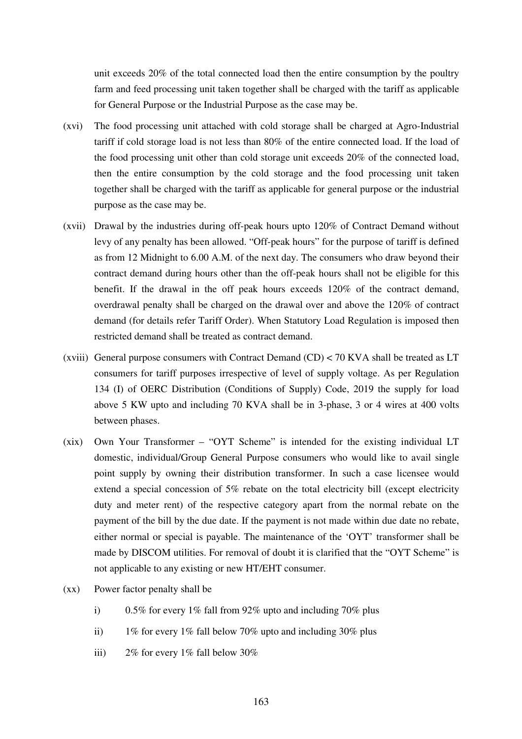unit exceeds 20% of the total connected load then the entire consumption by the poultry farm and feed processing unit taken together shall be charged with the tariff as applicable for General Purpose or the Industrial Purpose as the case may be.

- (xvi) The food processing unit attached with cold storage shall be charged at Agro-Industrial tariff if cold storage load is not less than 80% of the entire connected load. If the load of the food processing unit other than cold storage unit exceeds 20% of the connected load, then the entire consumption by the cold storage and the food processing unit taken together shall be charged with the tariff as applicable for general purpose or the industrial purpose as the case may be.
- (xvii) Drawal by the industries during off-peak hours upto 120% of Contract Demand without levy of any penalty has been allowed. "Off-peak hours" for the purpose of tariff is defined as from 12 Midnight to 6.00 A.M. of the next day. The consumers who draw beyond their contract demand during hours other than the off-peak hours shall not be eligible for this benefit. If the drawal in the off peak hours exceeds 120% of the contract demand, overdrawal penalty shall be charged on the drawal over and above the 120% of contract demand (for details refer Tariff Order). When Statutory Load Regulation is imposed then restricted demand shall be treated as contract demand.
- (xviii) General purpose consumers with Contract Demand (CD) < 70 KVA shall be treated as LT consumers for tariff purposes irrespective of level of supply voltage. As per Regulation 134 (I) of OERC Distribution (Conditions of Supply) Code, 2019 the supply for load above 5 KW upto and including 70 KVA shall be in 3-phase, 3 or 4 wires at 400 volts between phases.
- (xix) Own Your Transformer "OYT Scheme" is intended for the existing individual LT domestic, individual/Group General Purpose consumers who would like to avail single point supply by owning their distribution transformer. In such a case licensee would extend a special concession of 5% rebate on the total electricity bill (except electricity duty and meter rent) of the respective category apart from the normal rebate on the payment of the bill by the due date. If the payment is not made within due date no rebate, either normal or special is payable. The maintenance of the 'OYT' transformer shall be made by DISCOM utilities. For removal of doubt it is clarified that the "OYT Scheme" is not applicable to any existing or new HT/EHT consumer.
- (xx) Power factor penalty shall be
	- i) 0.5% for every 1% fall from 92% upto and including 70% plus
	- ii) 1% for every 1% fall below 70% upto and including 30% plus
	- iii)  $2\%$  for every 1% fall below 30%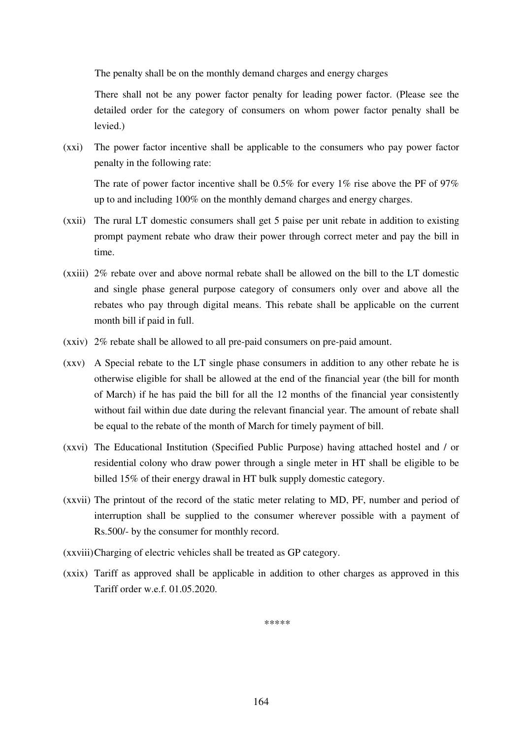The penalty shall be on the monthly demand charges and energy charges

 There shall not be any power factor penalty for leading power factor. (Please see the detailed order for the category of consumers on whom power factor penalty shall be levied.)

(xxi) The power factor incentive shall be applicable to the consumers who pay power factor penalty in the following rate:

The rate of power factor incentive shall be  $0.5\%$  for every 1% rise above the PF of 97% up to and including 100% on the monthly demand charges and energy charges.

- (xxii) The rural LT domestic consumers shall get 5 paise per unit rebate in addition to existing prompt payment rebate who draw their power through correct meter and pay the bill in time.
- (xxiii) 2% rebate over and above normal rebate shall be allowed on the bill to the LT domestic and single phase general purpose category of consumers only over and above all the rebates who pay through digital means. This rebate shall be applicable on the current month bill if paid in full.
- (xxiv) 2% rebate shall be allowed to all pre-paid consumers on pre-paid amount.
- (xxv) A Special rebate to the LT single phase consumers in addition to any other rebate he is otherwise eligible for shall be allowed at the end of the financial year (the bill for month of March) if he has paid the bill for all the 12 months of the financial year consistently without fail within due date during the relevant financial year. The amount of rebate shall be equal to the rebate of the month of March for timely payment of bill.
- (xxvi) The Educational Institution (Specified Public Purpose) having attached hostel and / or residential colony who draw power through a single meter in HT shall be eligible to be billed 15% of their energy drawal in HT bulk supply domestic category.
- (xxvii) The printout of the record of the static meter relating to MD, PF, number and period of interruption shall be supplied to the consumer wherever possible with a payment of Rs.500/- by the consumer for monthly record.
- (xxviii)Charging of electric vehicles shall be treated as GP category.
- (xxix) Tariff as approved shall be applicable in addition to other charges as approved in this Tariff order w.e.f. 01.05.2020.

*\*\*\*\*\**